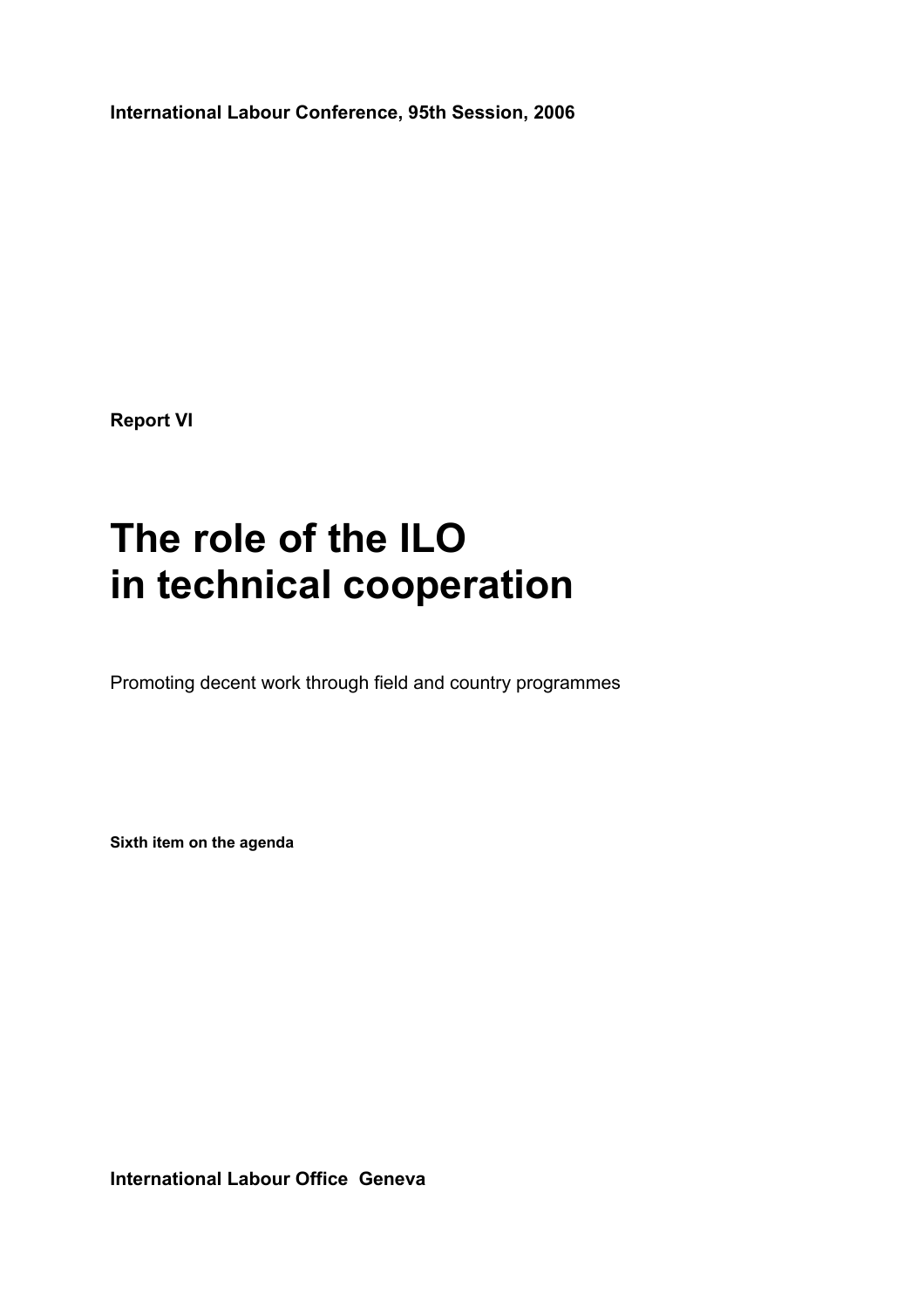**International Labour Conference, 95th Session, 2006** 

**Report VI** 

# **The role of the ILO in technical cooperation**

Promoting decent work through field and country programmes

**Sixth item on the agenda**

**International Labour Office Geneva**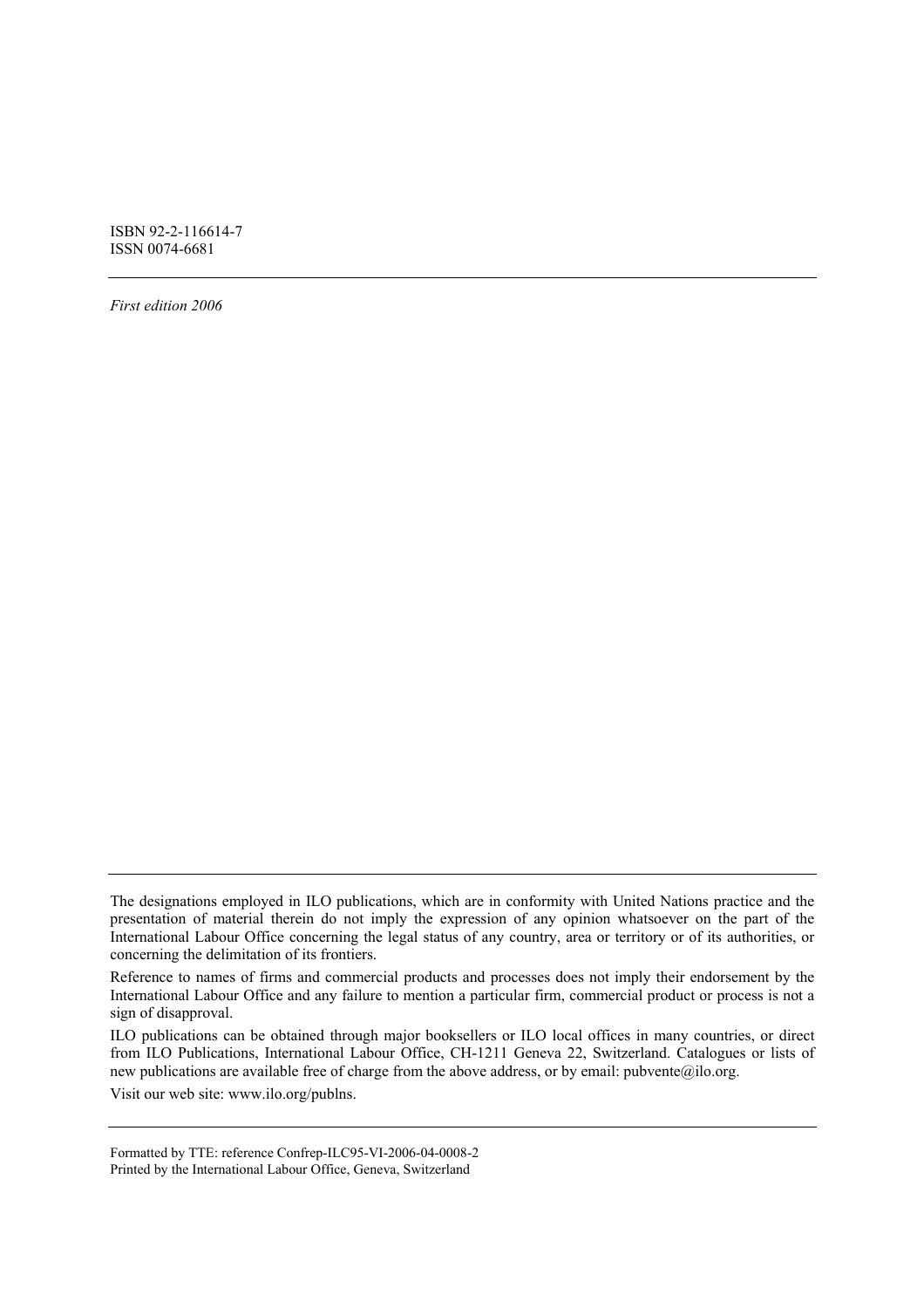ISBN 92-2-116614-7 ISSN 0074-6681

*First edition 2006* 

ILO publications can be obtained through major booksellers or ILO local offices in many countries, or direct from ILO Publications, International Labour Office, CH-1211 Geneva 22, Switzerland. Catalogues or lists of new publications are available free of charge from the above address, or by email: pubvente@ilo.org.

Visit our web site: www.ilo.org/publns.

Formatted by TTE: reference Confrep-ILC95-VI-2006-04-0008-2 Printed by the International Labour Office, Geneva, Switzerland

The designations employed in ILO publications, which are in conformity with United Nations practice and the presentation of material therein do not imply the expression of any opinion whatsoever on the part of the International Labour Office concerning the legal status of any country, area or territory or of its authorities, or concerning the delimitation of its frontiers.

Reference to names of firms and commercial products and processes does not imply their endorsement by the International Labour Office and any failure to mention a particular firm, commercial product or process is not a sign of disapproval.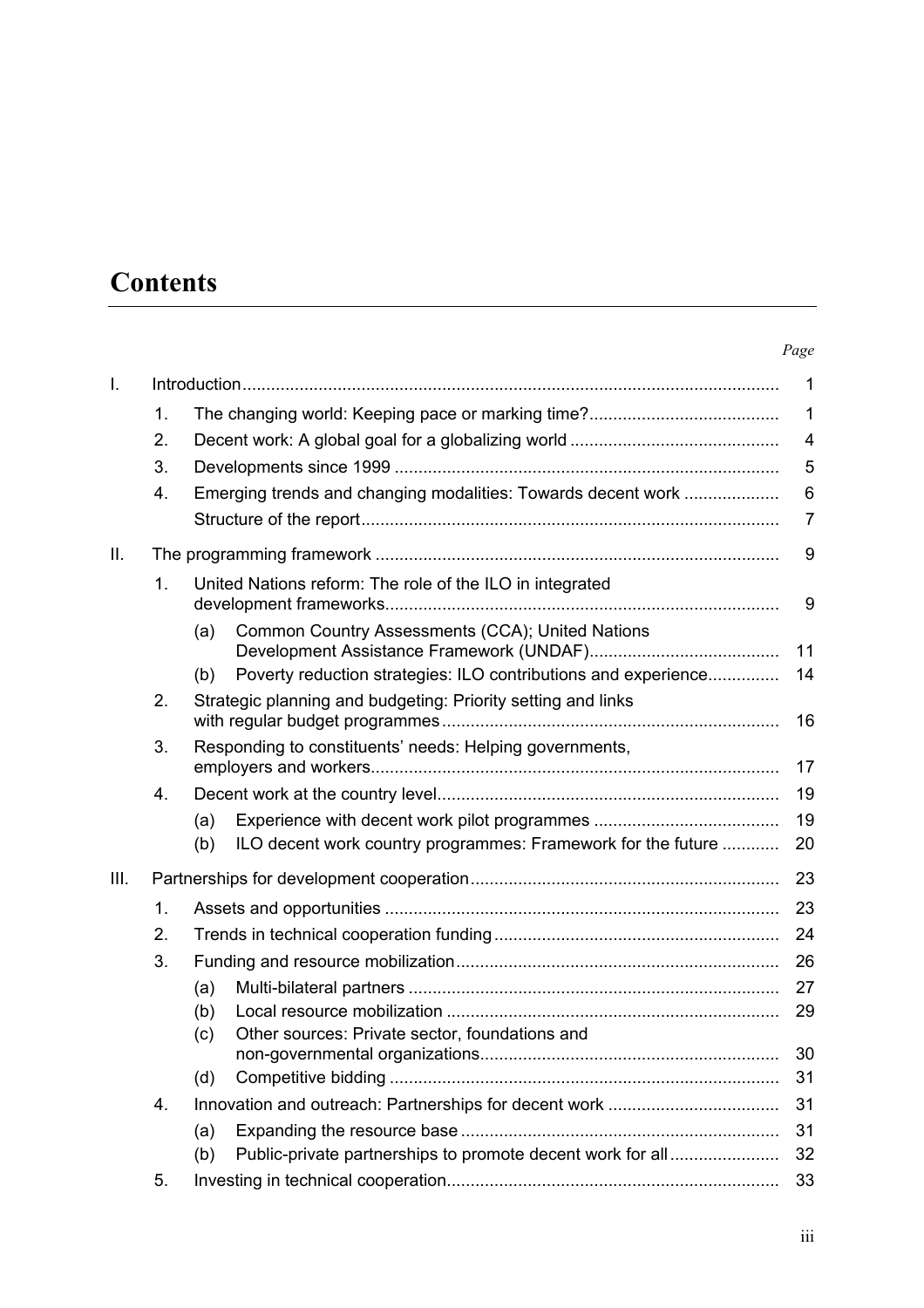# **Contents**

#### *Page*

|    |                                                                     | $\mathbf 1$                                                                                                                                                                                                                                                                |  |
|----|---------------------------------------------------------------------|----------------------------------------------------------------------------------------------------------------------------------------------------------------------------------------------------------------------------------------------------------------------------|--|
| 1. |                                                                     | $\mathbf 1$                                                                                                                                                                                                                                                                |  |
| 2. | 4                                                                   |                                                                                                                                                                                                                                                                            |  |
| 3. |                                                                     | 5                                                                                                                                                                                                                                                                          |  |
| 4. | Emerging trends and changing modalities: Towards decent work        | 6                                                                                                                                                                                                                                                                          |  |
|    |                                                                     | $\overline{7}$                                                                                                                                                                                                                                                             |  |
|    |                                                                     |                                                                                                                                                                                                                                                                            |  |
| 1. | United Nations reform: The role of the ILO in integrated            | 9                                                                                                                                                                                                                                                                          |  |
|    | Common Country Assessments (CCA); United Nations<br>(a)             |                                                                                                                                                                                                                                                                            |  |
|    |                                                                     | 11                                                                                                                                                                                                                                                                         |  |
|    |                                                                     | 14                                                                                                                                                                                                                                                                         |  |
|    |                                                                     | 16                                                                                                                                                                                                                                                                         |  |
| 3. | Responding to constituents' needs: Helping governments,<br>17       |                                                                                                                                                                                                                                                                            |  |
| 4. |                                                                     | 19                                                                                                                                                                                                                                                                         |  |
|    | (a)                                                                 | 19                                                                                                                                                                                                                                                                         |  |
|    | ILO decent work country programmes: Framework for the future<br>(b) | 20                                                                                                                                                                                                                                                                         |  |
|    |                                                                     |                                                                                                                                                                                                                                                                            |  |
| 1. |                                                                     | 23                                                                                                                                                                                                                                                                         |  |
| 2. |                                                                     | 24                                                                                                                                                                                                                                                                         |  |
| 3. |                                                                     | 26                                                                                                                                                                                                                                                                         |  |
|    | (a)                                                                 | 27                                                                                                                                                                                                                                                                         |  |
|    | (b)                                                                 | 29                                                                                                                                                                                                                                                                         |  |
|    | (c)                                                                 |                                                                                                                                                                                                                                                                            |  |
|    |                                                                     | 30<br>31                                                                                                                                                                                                                                                                   |  |
|    |                                                                     | 31                                                                                                                                                                                                                                                                         |  |
|    |                                                                     | 31                                                                                                                                                                                                                                                                         |  |
|    |                                                                     | 32                                                                                                                                                                                                                                                                         |  |
|    |                                                                     | 33                                                                                                                                                                                                                                                                         |  |
|    | 2.<br>4.<br>5.                                                      | Poverty reduction strategies: ILO contributions and experience<br>(b)<br>Strategic planning and budgeting: Priority setting and links<br>Other sources: Private sector, foundations and<br>(d)<br>(a)<br>Public-private partnerships to promote decent work for all<br>(b) |  |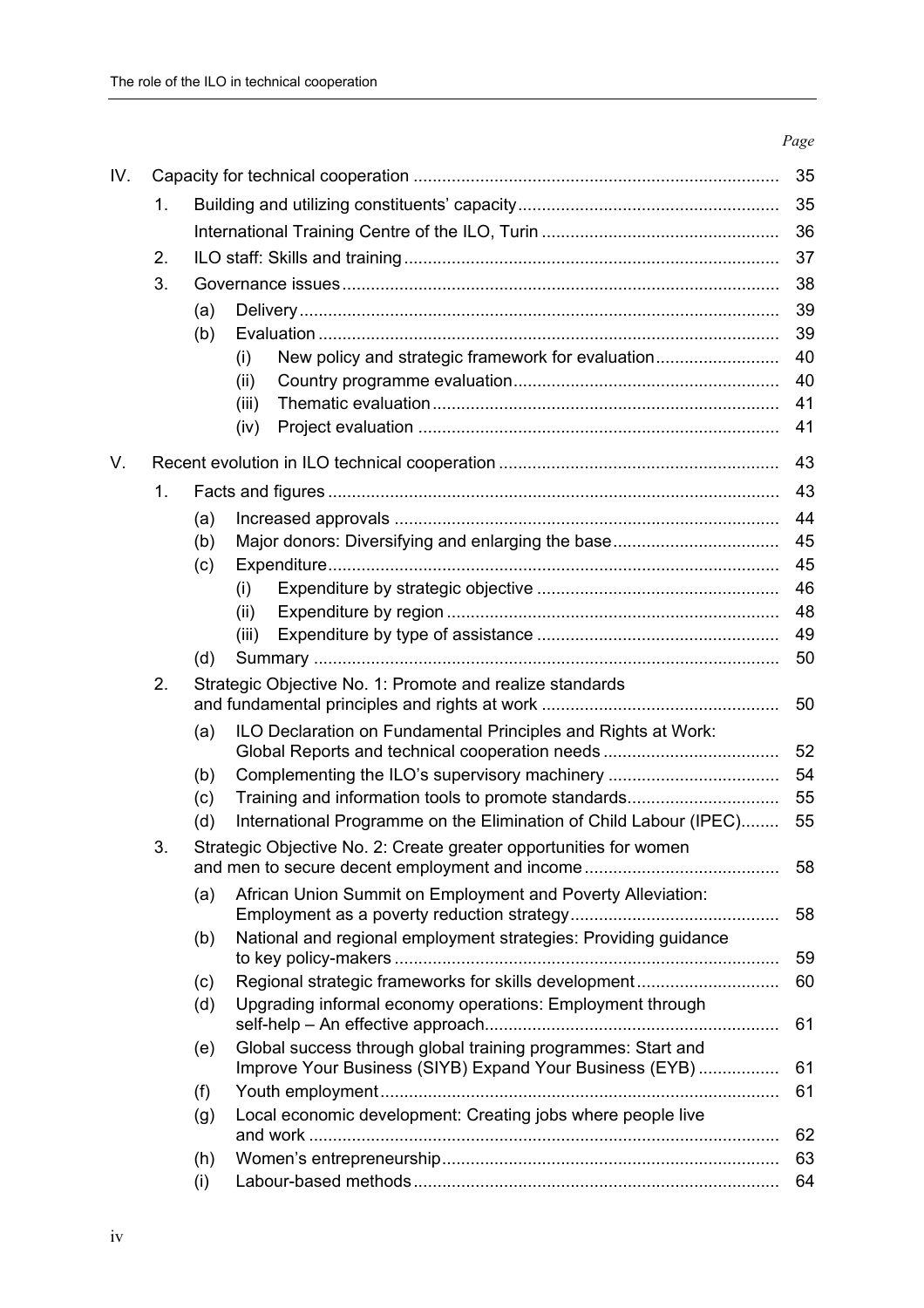|    |                                                          |                                                              | 35                                                                                                                                                                                                                                                                                                                                                                                                                                                                                                           |  |  |
|----|----------------------------------------------------------|--------------------------------------------------------------|--------------------------------------------------------------------------------------------------------------------------------------------------------------------------------------------------------------------------------------------------------------------------------------------------------------------------------------------------------------------------------------------------------------------------------------------------------------------------------------------------------------|--|--|
| 1. | 35                                                       |                                                              |                                                                                                                                                                                                                                                                                                                                                                                                                                                                                                              |  |  |
|    |                                                          |                                                              |                                                                                                                                                                                                                                                                                                                                                                                                                                                                                                              |  |  |
| 2. |                                                          |                                                              | 37                                                                                                                                                                                                                                                                                                                                                                                                                                                                                                           |  |  |
| 3. |                                                          |                                                              |                                                                                                                                                                                                                                                                                                                                                                                                                                                                                                              |  |  |
|    |                                                          |                                                              | 39                                                                                                                                                                                                                                                                                                                                                                                                                                                                                                           |  |  |
|    | (b)                                                      |                                                              | 39                                                                                                                                                                                                                                                                                                                                                                                                                                                                                                           |  |  |
|    |                                                          | New policy and strategic framework for evaluation<br>(i)     | 40                                                                                                                                                                                                                                                                                                                                                                                                                                                                                                           |  |  |
|    |                                                          | (ii)                                                         | 40                                                                                                                                                                                                                                                                                                                                                                                                                                                                                                           |  |  |
|    |                                                          | (iii)                                                        | 41                                                                                                                                                                                                                                                                                                                                                                                                                                                                                                           |  |  |
|    |                                                          | (iv)                                                         | 41                                                                                                                                                                                                                                                                                                                                                                                                                                                                                                           |  |  |
| 43 |                                                          |                                                              |                                                                                                                                                                                                                                                                                                                                                                                                                                                                                                              |  |  |
| 1. |                                                          |                                                              | 43                                                                                                                                                                                                                                                                                                                                                                                                                                                                                                           |  |  |
|    | (a)                                                      |                                                              | 44                                                                                                                                                                                                                                                                                                                                                                                                                                                                                                           |  |  |
|    | (b)                                                      |                                                              | 45                                                                                                                                                                                                                                                                                                                                                                                                                                                                                                           |  |  |
|    | (c)                                                      |                                                              | 45                                                                                                                                                                                                                                                                                                                                                                                                                                                                                                           |  |  |
|    |                                                          | (i)                                                          | 46                                                                                                                                                                                                                                                                                                                                                                                                                                                                                                           |  |  |
|    |                                                          | (ii)                                                         | 48                                                                                                                                                                                                                                                                                                                                                                                                                                                                                                           |  |  |
|    |                                                          | (iii)                                                        | 49                                                                                                                                                                                                                                                                                                                                                                                                                                                                                                           |  |  |
|    | (d)                                                      |                                                              | 50                                                                                                                                                                                                                                                                                                                                                                                                                                                                                                           |  |  |
| 2. | Strategic Objective No. 1: Promote and realize standards |                                                              |                                                                                                                                                                                                                                                                                                                                                                                                                                                                                                              |  |  |
|    |                                                          |                                                              | 50                                                                                                                                                                                                                                                                                                                                                                                                                                                                                                           |  |  |
|    | (a)                                                      |                                                              |                                                                                                                                                                                                                                                                                                                                                                                                                                                                                                              |  |  |
|    |                                                          |                                                              | 52                                                                                                                                                                                                                                                                                                                                                                                                                                                                                                           |  |  |
|    |                                                          |                                                              | 54<br>55                                                                                                                                                                                                                                                                                                                                                                                                                                                                                                     |  |  |
|    |                                                          |                                                              | 55                                                                                                                                                                                                                                                                                                                                                                                                                                                                                                           |  |  |
|    |                                                          |                                                              |                                                                                                                                                                                                                                                                                                                                                                                                                                                                                                              |  |  |
|    |                                                          |                                                              | 58                                                                                                                                                                                                                                                                                                                                                                                                                                                                                                           |  |  |
|    | (a)                                                      | African Union Summit on Employment and Poverty Alleviation:  | 58                                                                                                                                                                                                                                                                                                                                                                                                                                                                                                           |  |  |
|    |                                                          |                                                              |                                                                                                                                                                                                                                                                                                                                                                                                                                                                                                              |  |  |
|    |                                                          |                                                              | 59                                                                                                                                                                                                                                                                                                                                                                                                                                                                                                           |  |  |
|    | (c)                                                      | Regional strategic frameworks for skills development         | 60                                                                                                                                                                                                                                                                                                                                                                                                                                                                                                           |  |  |
|    | (d)                                                      | Upgrading informal economy operations: Employment through    | 61                                                                                                                                                                                                                                                                                                                                                                                                                                                                                                           |  |  |
|    | (e)                                                      | Global success through global training programmes: Start and |                                                                                                                                                                                                                                                                                                                                                                                                                                                                                                              |  |  |
|    |                                                          |                                                              | 61<br>61                                                                                                                                                                                                                                                                                                                                                                                                                                                                                                     |  |  |
|    |                                                          |                                                              |                                                                                                                                                                                                                                                                                                                                                                                                                                                                                                              |  |  |
|    |                                                          |                                                              | 62                                                                                                                                                                                                                                                                                                                                                                                                                                                                                                           |  |  |
|    |                                                          |                                                              | 63                                                                                                                                                                                                                                                                                                                                                                                                                                                                                                           |  |  |
|    |                                                          |                                                              | 64                                                                                                                                                                                                                                                                                                                                                                                                                                                                                                           |  |  |
|    | 3.                                                       | (a)<br>(b)<br>(c)<br>(d)<br>(b)<br>(f)<br>(g)<br>(h)<br>(i)  | ILO Declaration on Fundamental Principles and Rights at Work:<br>Complementing the ILO's supervisory machinery<br>Training and information tools to promote standards<br>International Programme on the Elimination of Child Labour (IPEC)<br>Strategic Objective No. 2: Create greater opportunities for women<br>National and regional employment strategies: Providing guidance<br>Improve Your Business (SIYB) Expand Your Business (EYB)<br>Local economic development: Creating jobs where people live |  |  |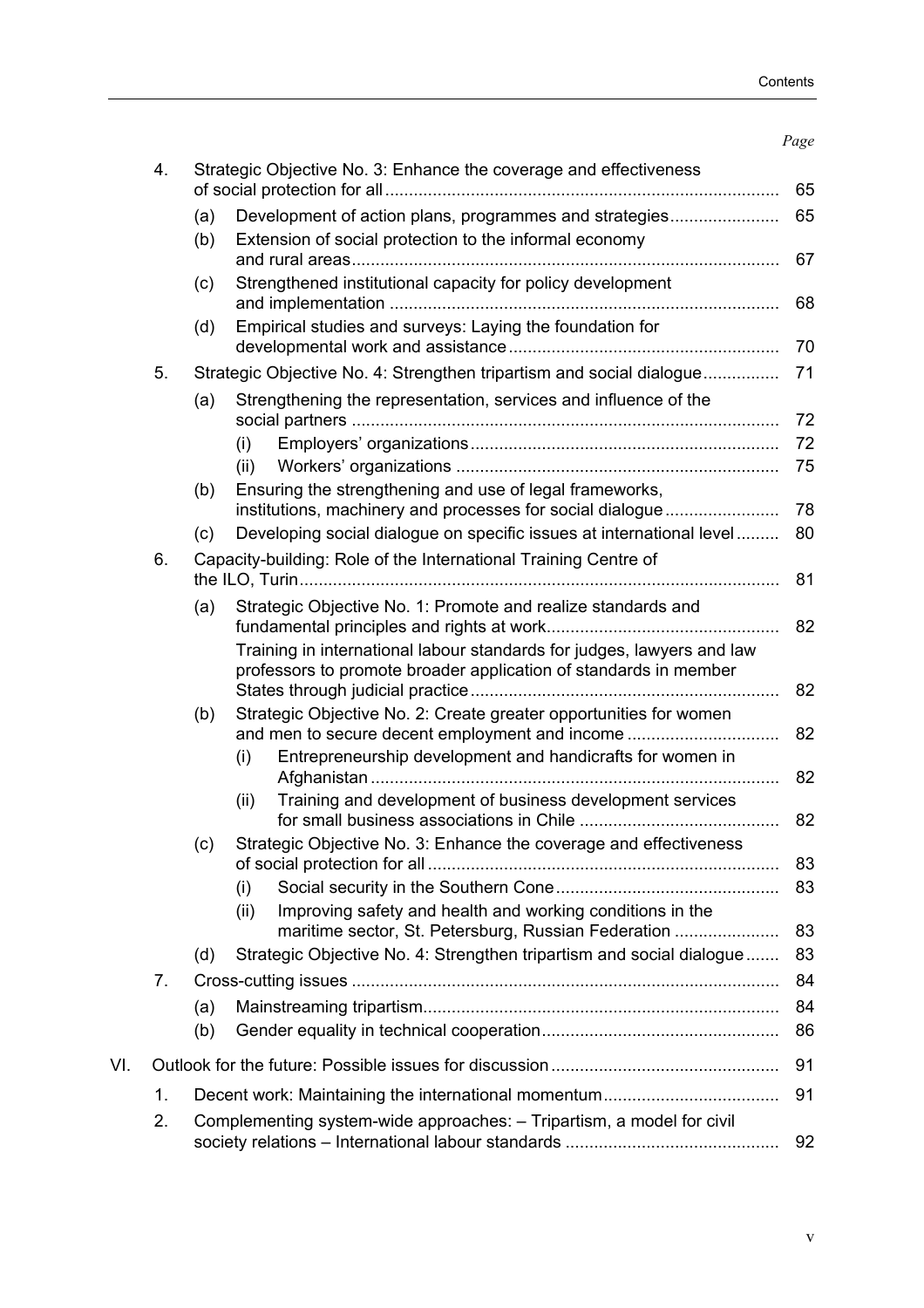#### *Page*

|     | 4. |                                                                            | Strategic Objective No. 3: Enhance the coverage and effectiveness                                                                          | 65 |  |  |
|-----|----|----------------------------------------------------------------------------|--------------------------------------------------------------------------------------------------------------------------------------------|----|--|--|
|     |    | (a)                                                                        | Development of action plans, programmes and strategies                                                                                     | 65 |  |  |
|     |    | (b)                                                                        | Extension of social protection to the informal economy                                                                                     | 67 |  |  |
|     |    | (c)                                                                        | Strengthened institutional capacity for policy development                                                                                 | 68 |  |  |
|     |    | (d)                                                                        | Empirical studies and surveys: Laying the foundation for                                                                                   | 70 |  |  |
|     | 5. | Strategic Objective No. 4: Strengthen tripartism and social dialogue<br>71 |                                                                                                                                            |    |  |  |
|     |    | (a)                                                                        | Strengthening the representation, services and influence of the                                                                            | 72 |  |  |
|     |    |                                                                            | (i)                                                                                                                                        | 72 |  |  |
|     |    |                                                                            | (ii)                                                                                                                                       | 75 |  |  |
|     |    | (b)                                                                        | Ensuring the strengthening and use of legal frameworks,                                                                                    |    |  |  |
|     |    |                                                                            | institutions, machinery and processes for social dialogue                                                                                  | 78 |  |  |
|     |    | (c)                                                                        | Developing social dialogue on specific issues at international level                                                                       | 80 |  |  |
|     | 6. |                                                                            | Capacity-building: Role of the International Training Centre of                                                                            | 81 |  |  |
|     |    | (a)                                                                        | Strategic Objective No. 1: Promote and realize standards and                                                                               |    |  |  |
|     |    |                                                                            |                                                                                                                                            | 82 |  |  |
|     |    |                                                                            | Training in international labour standards for judges, lawyers and law<br>professors to promote broader application of standards in member | 82 |  |  |
|     |    | (b)                                                                        | Strategic Objective No. 2: Create greater opportunities for women<br>and men to secure decent employment and income                        | 82 |  |  |
|     |    |                                                                            | Entrepreneurship development and handicrafts for women in<br>(i)                                                                           | 82 |  |  |
|     |    |                                                                            | Training and development of business development services<br>(ii)                                                                          | 82 |  |  |
|     |    | (c)                                                                        | Strategic Objective No. 3: Enhance the coverage and effectiveness                                                                          | 83 |  |  |
|     |    |                                                                            | (i)                                                                                                                                        | 83 |  |  |
|     |    |                                                                            | Improving safety and health and working conditions in the<br>(ii)<br>maritime sector, St. Petersburg, Russian Federation                   | 83 |  |  |
|     |    | (d)                                                                        | Strategic Objective No. 4: Strengthen tripartism and social dialogue                                                                       | 83 |  |  |
|     | 7. |                                                                            |                                                                                                                                            | 84 |  |  |
|     |    | (a)                                                                        |                                                                                                                                            | 84 |  |  |
|     |    | (b)                                                                        |                                                                                                                                            | 86 |  |  |
| VI. |    |                                                                            |                                                                                                                                            | 91 |  |  |
|     | 1. |                                                                            |                                                                                                                                            | 91 |  |  |
|     | 2. |                                                                            | Complementing system-wide approaches: - Tripartism, a model for civil                                                                      | 92 |  |  |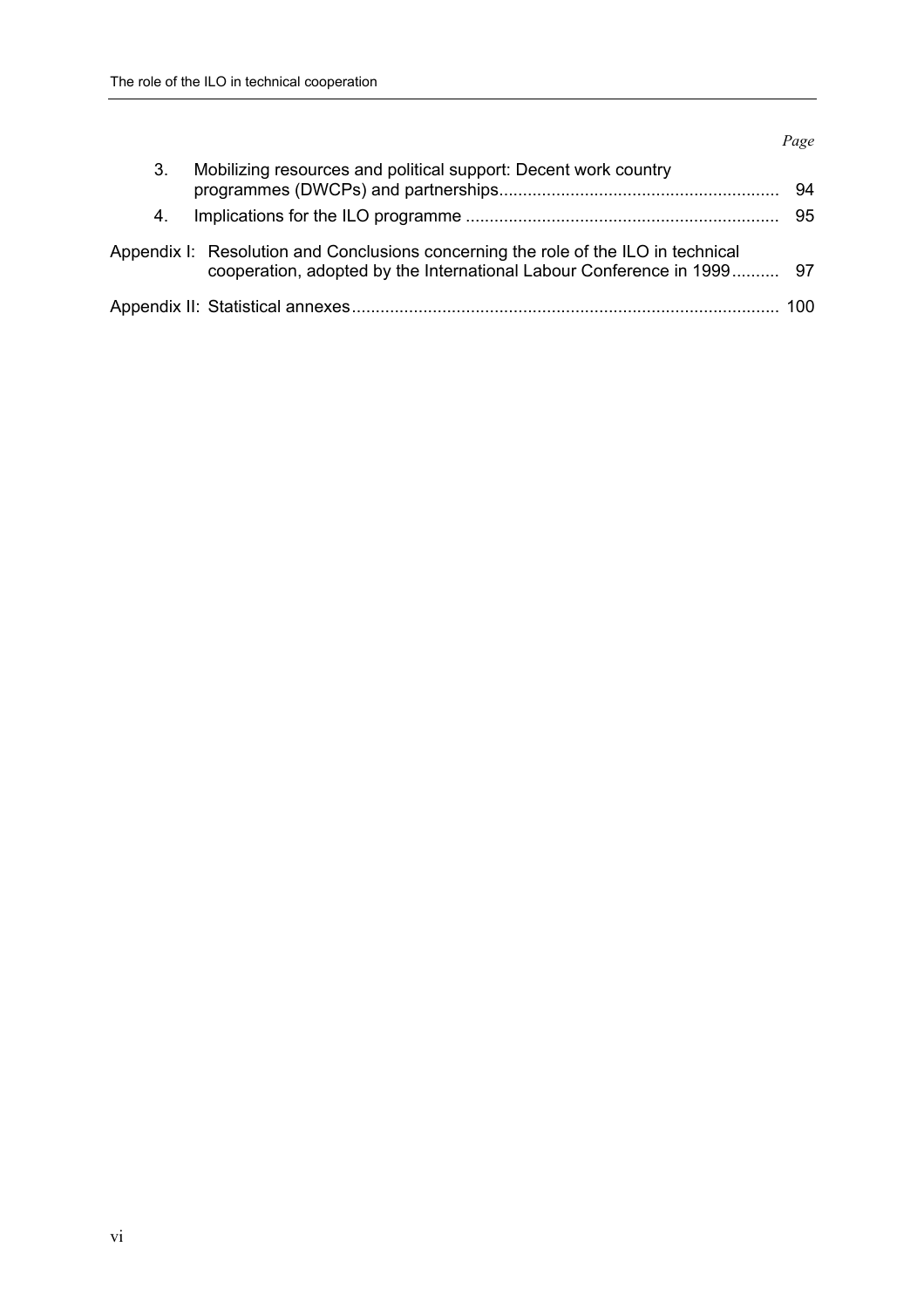#### *Page*

| 3. | Mobilizing resources and political support: Decent work country                                                                                              | 94 |
|----|--------------------------------------------------------------------------------------------------------------------------------------------------------------|----|
| 4. |                                                                                                                                                              | 95 |
|    | Appendix I: Resolution and Conclusions concerning the role of the ILO in technical<br>cooperation, adopted by the International Labour Conference in 1999 97 |    |
|    |                                                                                                                                                              |    |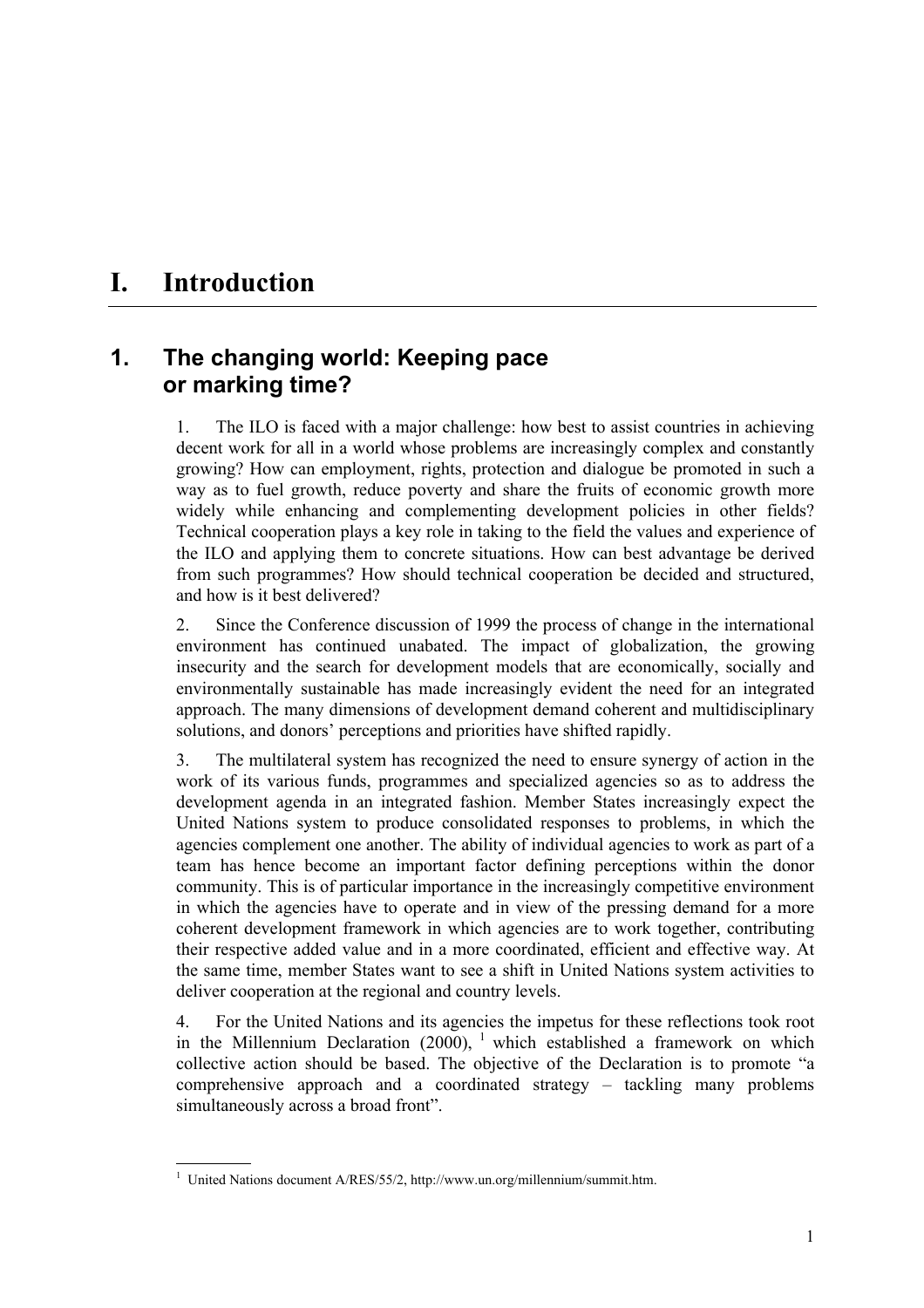# **I. Introduction**

### **1. The changing world: Keeping pace or marking time?**

1. The ILO is faced with a major challenge: how best to assist countries in achieving decent work for all in a world whose problems are increasingly complex and constantly growing? How can employment, rights, protection and dialogue be promoted in such a way as to fuel growth, reduce poverty and share the fruits of economic growth more widely while enhancing and complementing development policies in other fields? Technical cooperation plays a key role in taking to the field the values and experience of the ILO and applying them to concrete situations. How can best advantage be derived from such programmes? How should technical cooperation be decided and structured, and how is it best delivered?

2. Since the Conference discussion of 1999 the process of change in the international environment has continued unabated. The impact of globalization, the growing insecurity and the search for development models that are economically, socially and environmentally sustainable has made increasingly evident the need for an integrated approach. The many dimensions of development demand coherent and multidisciplinary solutions, and donors' perceptions and priorities have shifted rapidly.

3. The multilateral system has recognized the need to ensure synergy of action in the work of its various funds, programmes and specialized agencies so as to address the development agenda in an integrated fashion. Member States increasingly expect the United Nations system to produce consolidated responses to problems, in which the agencies complement one another. The ability of individual agencies to work as part of a team has hence become an important factor defining perceptions within the donor community. This is of particular importance in the increasingly competitive environment in which the agencies have to operate and in view of the pressing demand for a more coherent development framework in which agencies are to work together, contributing their respective added value and in a more coordinated, efficient and effective way. At the same time, member States want to see a shift in United Nations system activities to deliver cooperation at the regional and country levels.

4. For the United Nations and its agencies the impetus for these reflections took root in the Millennium Declaration  $(2000)$ , <sup>1</sup> which established a framework on which collective action should be based. The objective of the Declaration is to promote "a comprehensive approach and a coordinated strategy  $-$  tackling many problems simultaneously across a broad front".

 <sup>1</sup> United Nations document A/RES/55/2, http://www.un.org/millennium/summit.htm.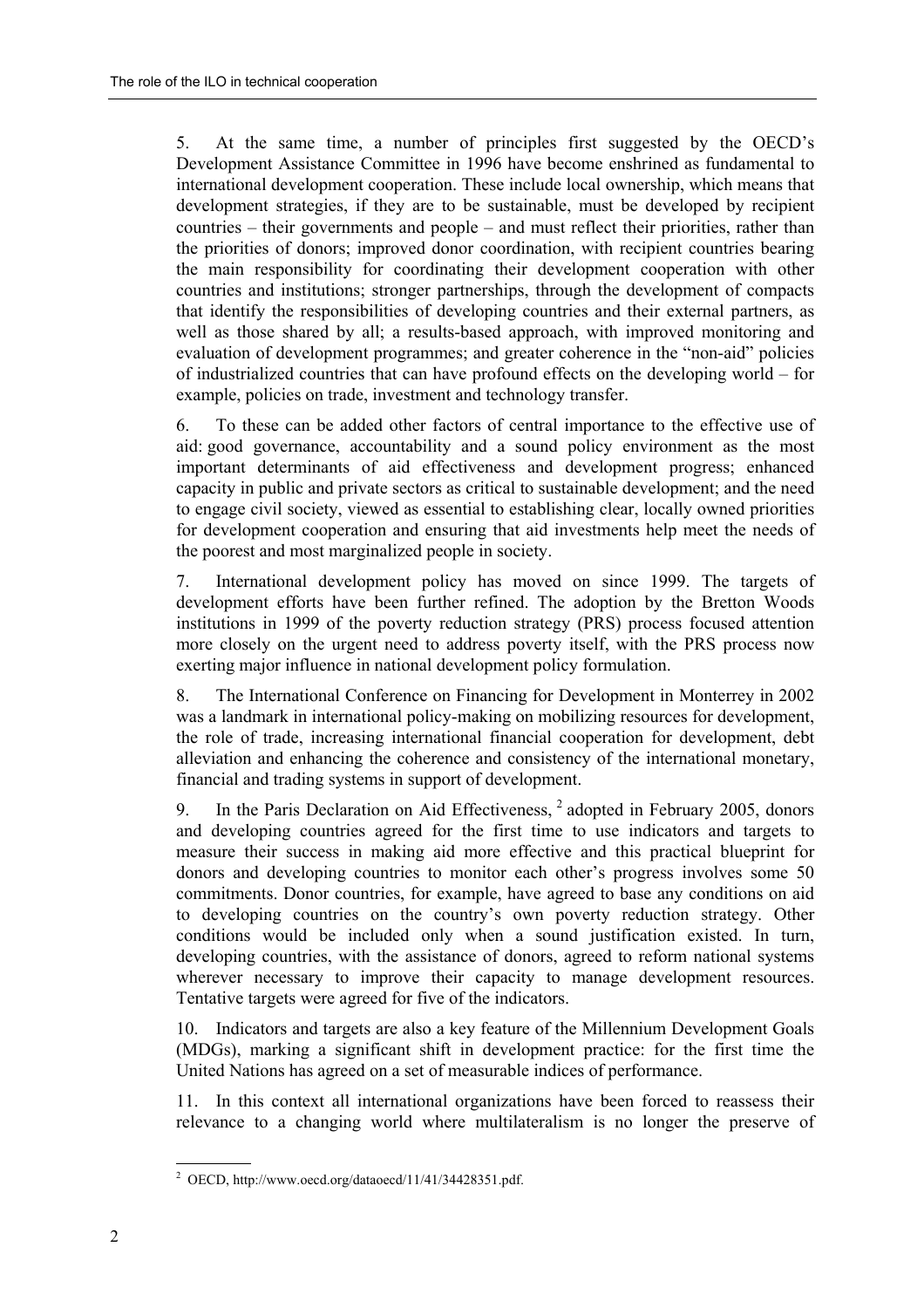5. At the same time, a number of principles first suggested by the OECD's Development Assistance Committee in 1996 have become enshrined as fundamental to international development cooperation. These include local ownership, which means that development strategies, if they are to be sustainable, must be developed by recipient countries  $-$  their governments and people  $-$  and must reflect their priorities, rather than the priorities of donors; improved donor coordination, with recipient countries bearing the main responsibility for coordinating their development cooperation with other countries and institutions; stronger partnerships, through the development of compacts that identify the responsibilities of developing countries and their external partners, as well as those shared by all; a results-based approach, with improved monitoring and evaluation of development programmes; and greater coherence in the "non-aid" policies of industrialized countries that can have profound effects on the developing world  $-$  for example, policies on trade, investment and technology transfer.

6. To these can be added other factors of central importance to the effective use of aid: good governance, accountability and a sound policy environment as the most important determinants of aid effectiveness and development progress; enhanced capacity in public and private sectors as critical to sustainable development; and the need to engage civil society, viewed as essential to establishing clear, locally owned priorities for development cooperation and ensuring that aid investments help meet the needs of the poorest and most marginalized people in society.

7. International development policy has moved on since 1999. The targets of development efforts have been further refined. The adoption by the Bretton Woods institutions in 1999 of the poverty reduction strategy (PRS) process focused attention more closely on the urgent need to address poverty itself, with the PRS process now exerting major influence in national development policy formulation.

8. The International Conference on Financing for Development in Monterrey in 2002 was a landmark in international policy-making on mobilizing resources for development, the role of trade, increasing international financial cooperation for development, debt alleviation and enhancing the coherence and consistency of the international monetary, financial and trading systems in support of development.

9. In the Paris Declaration on Aid Effectiveness, <sup>2</sup> adopted in February 2005, donors and developing countries agreed for the first time to use indicators and targets to measure their success in making aid more effective and this practical blueprint for donors and developing countries to monitor each other's progress involves some 50 commitments. Donor countries, for example, have agreed to base any conditions on aid to developing countries on the country's own poverty reduction strategy. Other conditions would be included only when a sound justification existed. In turn, developing countries, with the assistance of donors, agreed to reform national systems wherever necessary to improve their capacity to manage development resources. Tentative targets were agreed for five of the indicators.

10. Indicators and targets are also a key feature of the Millennium Development Goals (MDGs), marking a significant shift in development practice: for the first time the United Nations has agreed on a set of measurable indices of performance.

11. In this context all international organizations have been forced to reassess their relevance to a changing world where multilateralism is no longer the preserve of

 2 OECD, http://www.oecd.org/dataoecd/11/41/34428351.pdf.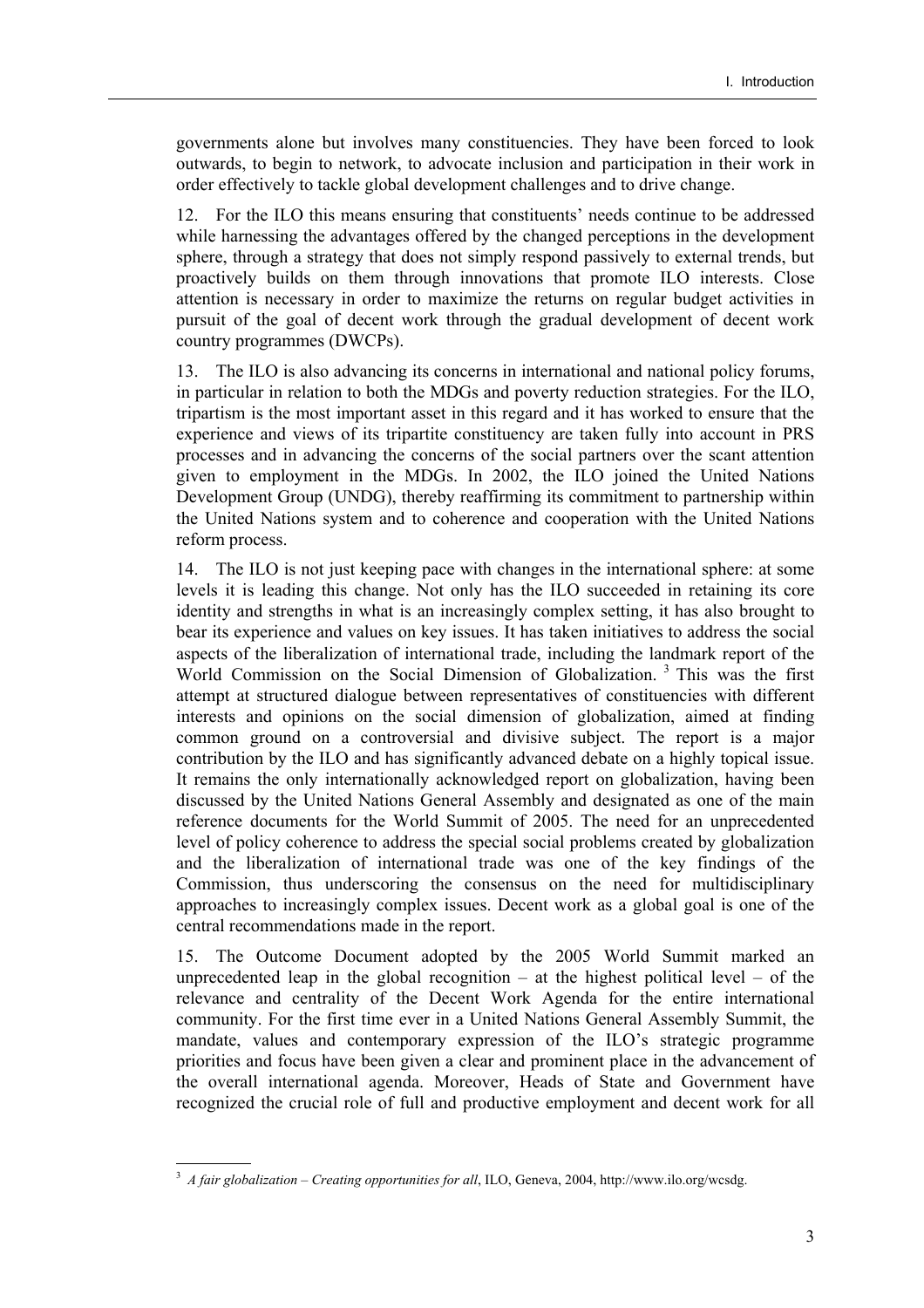governments alone but involves many constituencies. They have been forced to look outwards, to begin to network, to advocate inclusion and participation in their work in order effectively to tackle global development challenges and to drive change.

12. For the ILO this means ensuring that constituents' needs continue to be addressed while harnessing the advantages offered by the changed perceptions in the development sphere, through a strategy that does not simply respond passively to external trends, but proactively builds on them through innovations that promote ILO interests. Close attention is necessary in order to maximize the returns on regular budget activities in pursuit of the goal of decent work through the gradual development of decent work country programmes (DWCPs).

13. The ILO is also advancing its concerns in international and national policy forums, in particular in relation to both the MDGs and poverty reduction strategies. For the ILO, tripartism is the most important asset in this regard and it has worked to ensure that the experience and views of its tripartite constituency are taken fully into account in PRS processes and in advancing the concerns of the social partners over the scant attention given to employment in the MDGs. In 2002, the ILO joined the United Nations Development Group (UNDG), thereby reaffirming its commitment to partnership within the United Nations system and to coherence and cooperation with the United Nations reform process.

14. The ILO is not just keeping pace with changes in the international sphere: at some levels it is leading this change. Not only has the ILO succeeded in retaining its core identity and strengths in what is an increasingly complex setting, it has also brought to bear its experience and values on key issues. It has taken initiatives to address the social aspects of the liberalization of international trade, including the landmark report of the World Commission on the Social Dimension of Globalization.<sup>3</sup> This was the first attempt at structured dialogue between representatives of constituencies with different interests and opinions on the social dimension of globalization, aimed at finding common ground on a controversial and divisive subject. The report is a major contribution by the ILO and has significantly advanced debate on a highly topical issue. It remains the only internationally acknowledged report on globalization, having been discussed by the United Nations General Assembly and designated as one of the main reference documents for the World Summit of 2005. The need for an unprecedented level of policy coherence to address the special social problems created by globalization and the liberalization of international trade was one of the key findings of the Commission, thus underscoring the consensus on the need for multidisciplinary approaches to increasingly complex issues. Decent work as a global goal is one of the central recommendations made in the report.

15. The Outcome Document adopted by the 2005 World Summit marked an unprecedented leap in the global recognition  $-$  at the highest political level  $-$  of the relevance and centrality of the Decent Work Agenda for the entire international community. For the first time ever in a United Nations General Assembly Summit, the mandate, values and contemporary expression of the ILO's strategic programme priorities and focus have been given a clear and prominent place in the advancement of the overall international agenda. Moreover, Heads of State and Government have recognized the crucial role of full and productive employment and decent work for all

  $3\,$  *A fair globalization – Creating opportunities for all*, ILO, Geneva, 2004, http://www.ilo.org/wcsdg.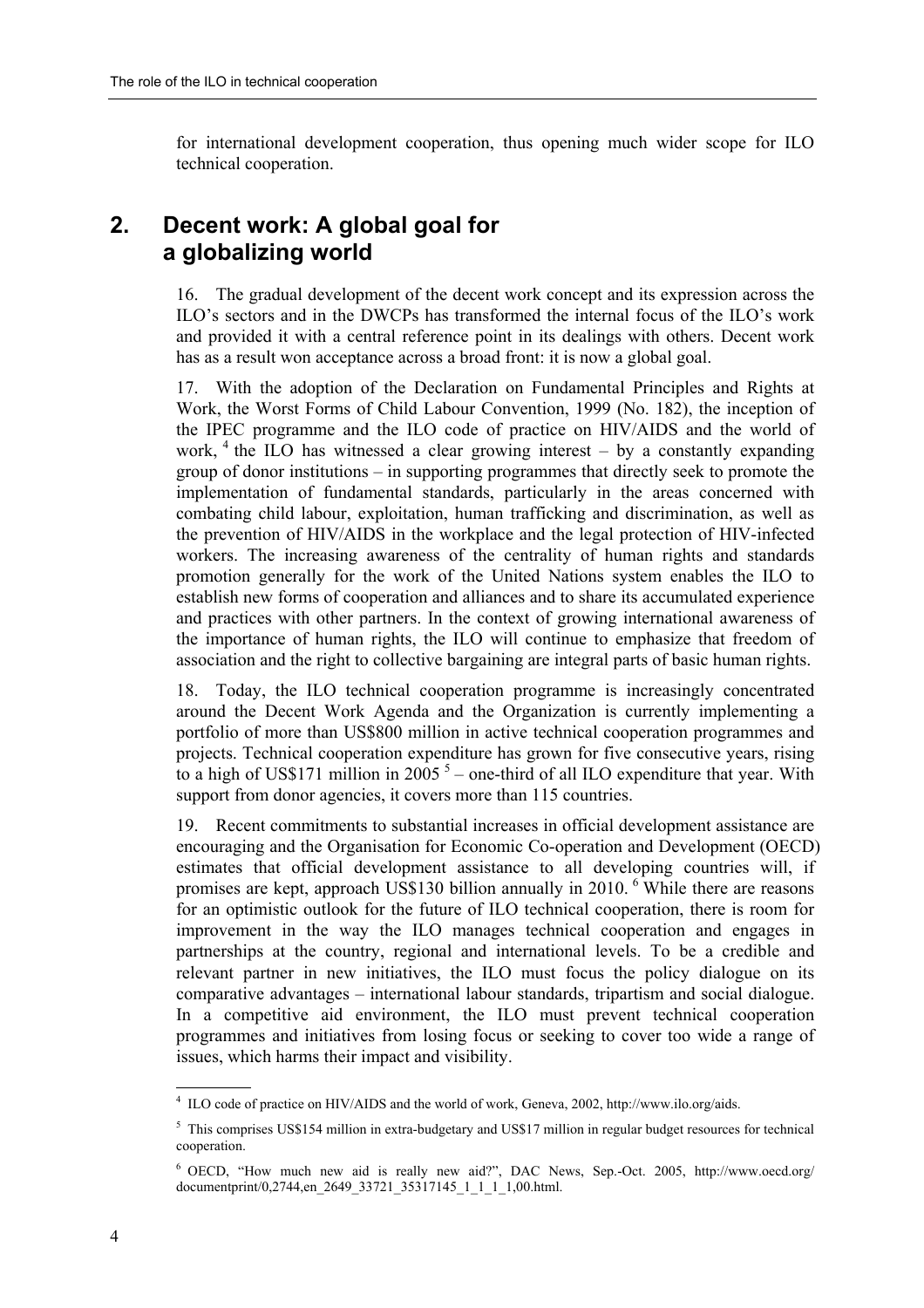for international development cooperation, thus opening much wider scope for ILO technical cooperation.

### **2. Decent work: A global goal for a globalizing world**

16. The gradual development of the decent work concept and its expression across the ILO's sectors and in the DWCPs has transformed the internal focus of the ILO's work and provided it with a central reference point in its dealings with others. Decent work has as a result won acceptance across a broad front: it is now a global goal.

17. With the adoption of the Declaration on Fundamental Principles and Rights at Work, the Worst Forms of Child Labour Convention, 1999 (No. 182), the inception of the IPEC programme and the ILO code of practice on HIV/AIDS and the world of work,  $4$  the ILO has witnessed a clear growing interest – by a constantly expanding group of donor institutions  $-\text{ in supporting programs}$  that directly seek to promote the implementation of fundamental standards, particularly in the areas concerned with combating child labour, exploitation, human trafficking and discrimination, as well as the prevention of HIV/AIDS in the workplace and the legal protection of HIV-infected workers. The increasing awareness of the centrality of human rights and standards promotion generally for the work of the United Nations system enables the ILO to establish new forms of cooperation and alliances and to share its accumulated experience and practices with other partners. In the context of growing international awareness of the importance of human rights, the ILO will continue to emphasize that freedom of association and the right to collective bargaining are integral parts of basic human rights.

18. Today, the ILO technical cooperation programme is increasingly concentrated around the Decent Work Agenda and the Organization is currently implementing a portfolio of more than US\$800 million in active technical cooperation programmes and projects. Technical cooperation expenditure has grown for five consecutive years, rising to a high of US\$171 million in  $2005$ <sup>5</sup> – one-third of all ILO expenditure that year. With support from donor agencies, it covers more than 115 countries.

19. Recent commitments to substantial increases in official development assistance are encouraging and the Organisation for Economic Co-operation and Development (OECD) estimates that official development assistance to all developing countries will, if promises are kept, approach US\$130 billion annually in 2010. <sup>6</sup> While there are reasons for an optimistic outlook for the future of ILO technical cooperation, there is room for improvement in the way the ILO manages technical cooperation and engages in partnerships at the country, regional and international levels. To be a credible and relevant partner in new initiatives, the ILO must focus the policy dialogue on its comparative advantages – international labour standards, tripartism and social dialogue. In a competitive aid environment, the ILO must prevent technical cooperation programmes and initiatives from losing focus or seeking to cover too wide a range of issues, which harms their impact and visibility.

 4 ILO code of practice on HIV/AIDS and the world of work, Geneva, 2002, http://www.ilo.org/aids.

<sup>&</sup>lt;sup>5</sup> This comprises US\$154 million in extra-budgetary and US\$17 million in regular budget resources for technical cooperation.

 $6$  OECD, "How much new aid is really new aid?", DAC News, Sep.-Oct. 2005, http://www.oecd.org/ documentprint/0,2744,en\_2649\_33721\_35317145\_1\_1\_1\_1,00.html.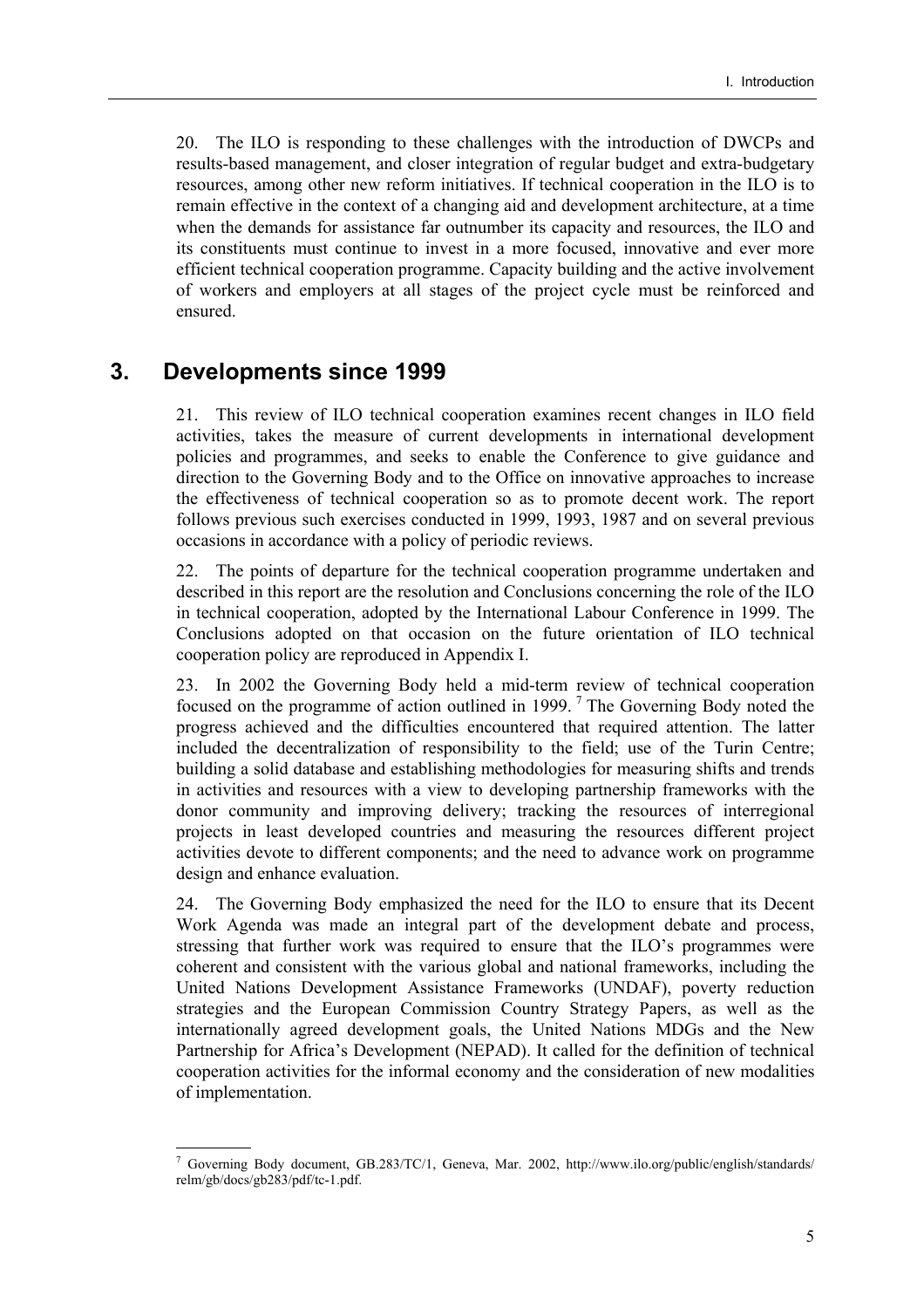20. The ILO is responding to these challenges with the introduction of DWCPs and results-based management, and closer integration of regular budget and extra-budgetary resources, among other new reform initiatives. If technical cooperation in the ILO is to remain effective in the context of a changing aid and development architecture, at a time when the demands for assistance far outnumber its capacity and resources, the ILO and its constituents must continue to invest in a more focused, innovative and ever more efficient technical cooperation programme. Capacity building and the active involvement of workers and employers at all stages of the project cycle must be reinforced and ensured.

#### **3. Developments since 1999**

21. This review of ILO technical cooperation examines recent changes in ILO field activities, takes the measure of current developments in international development policies and programmes, and seeks to enable the Conference to give guidance and direction to the Governing Body and to the Office on innovative approaches to increase the effectiveness of technical cooperation so as to promote decent work. The report follows previous such exercises conducted in 1999, 1993, 1987 and on several previous occasions in accordance with a policy of periodic reviews.

22. The points of departure for the technical cooperation programme undertaken and described in this report are the resolution and Conclusions concerning the role of the ILO in technical cooperation, adopted by the International Labour Conference in 1999. The Conclusions adopted on that occasion on the future orientation of ILO technical cooperation policy are reproduced in Appendix I.

23. In 2002 the Governing Body held a mid-term review of technical cooperation focused on the programme of action outlined in 1999.<sup>7</sup> The Governing Body noted the progress achieved and the difficulties encountered that required attention. The latter included the decentralization of responsibility to the field; use of the Turin Centre; building a solid database and establishing methodologies for measuring shifts and trends in activities and resources with a view to developing partnership frameworks with the donor community and improving delivery; tracking the resources of interregional projects in least developed countries and measuring the resources different project activities devote to different components; and the need to advance work on programme design and enhance evaluation.

24. The Governing Body emphasized the need for the ILO to ensure that its Decent Work Agenda was made an integral part of the development debate and process, stressing that further work was required to ensure that the ILO's programmes were coherent and consistent with the various global and national frameworks, including the United Nations Development Assistance Frameworks (UNDAF), poverty reduction strategies and the European Commission Country Strategy Papers, as well as the internationally agreed development goals, the United Nations MDGs and the New Partnership for Africaís Development (NEPAD). It called for the definition of technical cooperation activities for the informal economy and the consideration of new modalities of implementation.

<sup>7</sup> Governing Body document, GB.283/TC/1, Geneva, Mar. 2002, http://www.ilo.org/public/english/standards/ relm/gb/docs/gb283/pdf/tc-1.pdf.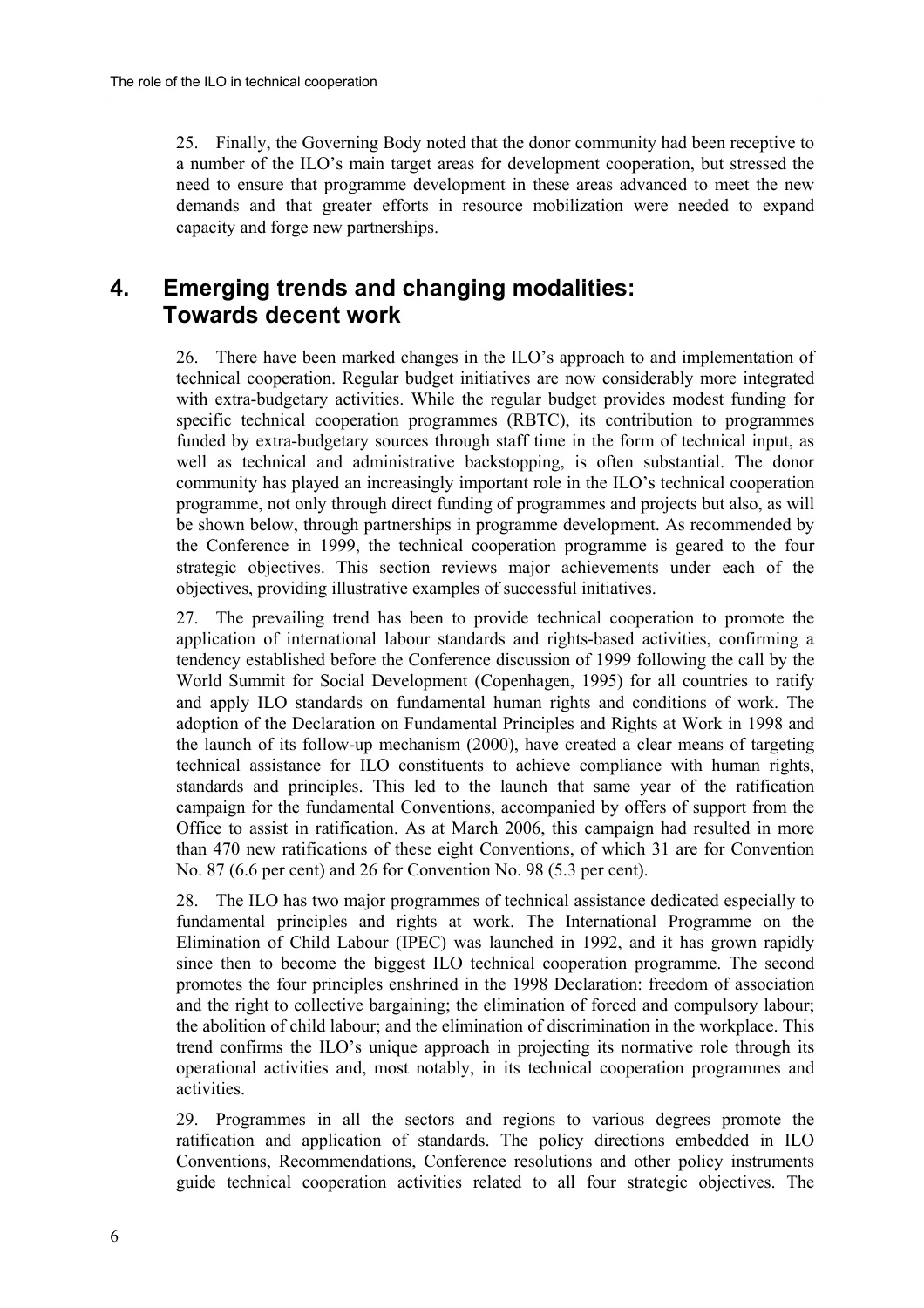25. Finally, the Governing Body noted that the donor community had been receptive to a number of the ILO's main target areas for development cooperation, but stressed the need to ensure that programme development in these areas advanced to meet the new demands and that greater efforts in resource mobilization were needed to expand capacity and forge new partnerships.

### **4. Emerging trends and changing modalities: Towards decent work**

26. There have been marked changes in the ILO's approach to and implementation of technical cooperation. Regular budget initiatives are now considerably more integrated with extra-budgetary activities. While the regular budget provides modest funding for specific technical cooperation programmes (RBTC), its contribution to programmes funded by extra-budgetary sources through staff time in the form of technical input, as well as technical and administrative backstopping, is often substantial. The donor community has played an increasingly important role in the ILO's technical cooperation programme, not only through direct funding of programmes and projects but also, as will be shown below, through partnerships in programme development. As recommended by the Conference in 1999, the technical cooperation programme is geared to the four strategic objectives. This section reviews major achievements under each of the objectives, providing illustrative examples of successful initiatives.

27. The prevailing trend has been to provide technical cooperation to promote the application of international labour standards and rights-based activities, confirming a tendency established before the Conference discussion of 1999 following the call by the World Summit for Social Development (Copenhagen, 1995) for all countries to ratify and apply ILO standards on fundamental human rights and conditions of work. The adoption of the Declaration on Fundamental Principles and Rights at Work in 1998 and the launch of its follow-up mechanism (2000), have created a clear means of targeting technical assistance for ILO constituents to achieve compliance with human rights, standards and principles. This led to the launch that same year of the ratification campaign for the fundamental Conventions, accompanied by offers of support from the Office to assist in ratification. As at March 2006, this campaign had resulted in more than 470 new ratifications of these eight Conventions, of which 31 are for Convention No. 87 (6.6 per cent) and 26 for Convention No. 98 (5.3 per cent).

28. The ILO has two major programmes of technical assistance dedicated especially to fundamental principles and rights at work. The International Programme on the Elimination of Child Labour (IPEC) was launched in 1992, and it has grown rapidly since then to become the biggest ILO technical cooperation programme. The second promotes the four principles enshrined in the 1998 Declaration: freedom of association and the right to collective bargaining; the elimination of forced and compulsory labour; the abolition of child labour; and the elimination of discrimination in the workplace. This trend confirms the ILO's unique approach in projecting its normative role through its operational activities and, most notably, in its technical cooperation programmes and activities.

29. Programmes in all the sectors and regions to various degrees promote the ratification and application of standards. The policy directions embedded in ILO Conventions, Recommendations, Conference resolutions and other policy instruments guide technical cooperation activities related to all four strategic objectives. The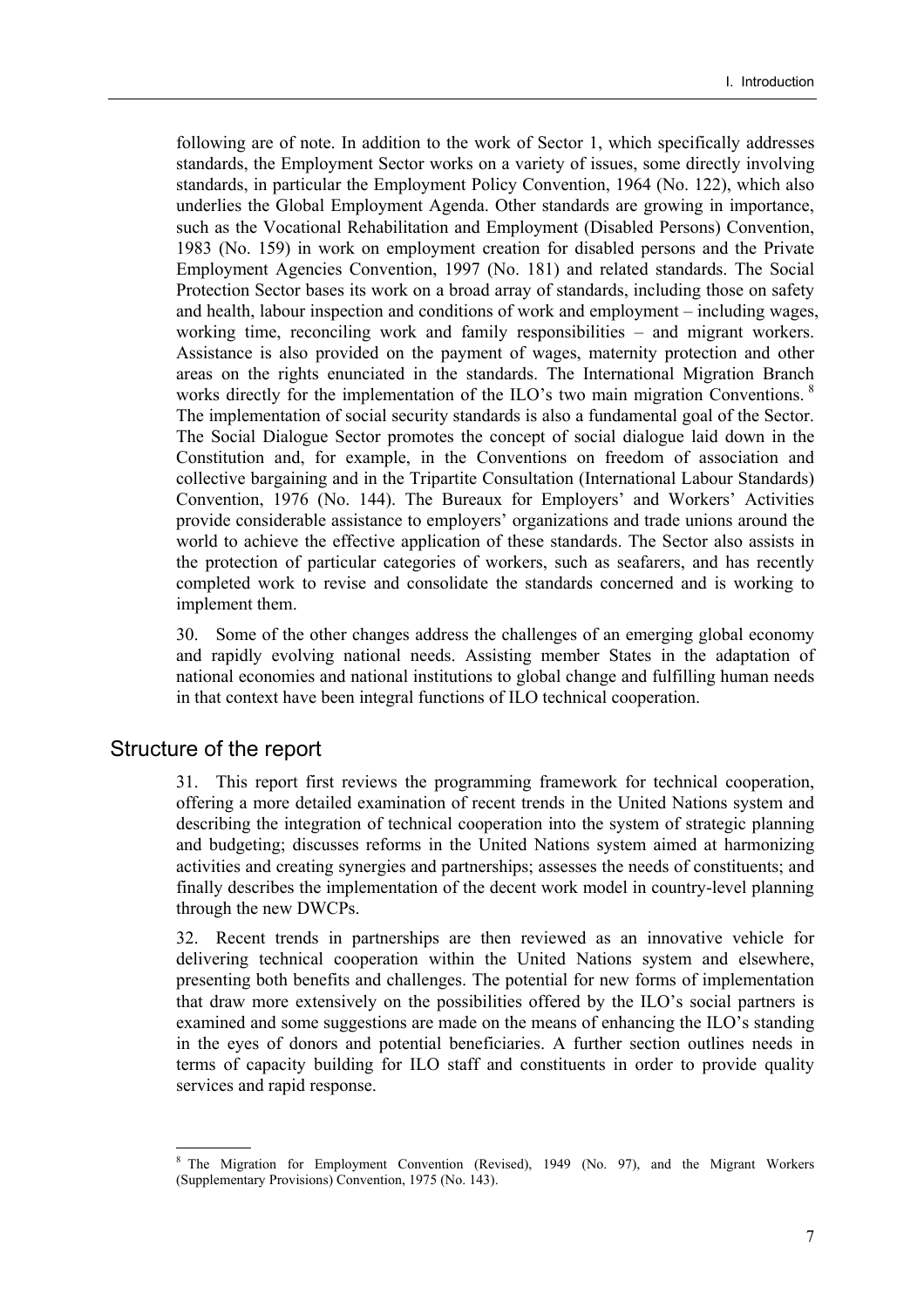following are of note. In addition to the work of Sector 1, which specifically addresses standards, the Employment Sector works on a variety of issues, some directly involving standards, in particular the Employment Policy Convention, 1964 (No. 122), which also underlies the Global Employment Agenda. Other standards are growing in importance, such as the Vocational Rehabilitation and Employment (Disabled Persons) Convention, 1983 (No. 159) in work on employment creation for disabled persons and the Private Employment Agencies Convention, 1997 (No. 181) and related standards. The Social Protection Sector bases its work on a broad array of standards, including those on safety and health, labour inspection and conditions of work and employment  $-$  including wages, working time, reconciling work and family responsibilities  $-$  and migrant workers. Assistance is also provided on the payment of wages, maternity protection and other areas on the rights enunciated in the standards. The International Migration Branch works directly for the implementation of the ILO's two main migration Conventions.  $8$ The implementation of social security standards is also a fundamental goal of the Sector. The Social Dialogue Sector promotes the concept of social dialogue laid down in the Constitution and, for example, in the Conventions on freedom of association and collective bargaining and in the Tripartite Consultation (International Labour Standards) Convention, 1976 (No. 144). The Bureaux for Employers' and Workers' Activities provide considerable assistance to employers' organizations and trade unions around the world to achieve the effective application of these standards. The Sector also assists in the protection of particular categories of workers, such as seafarers, and has recently completed work to revise and consolidate the standards concerned and is working to implement them.

30. Some of the other changes address the challenges of an emerging global economy and rapidly evolving national needs. Assisting member States in the adaptation of national economies and national institutions to global change and fulfilling human needs in that context have been integral functions of ILO technical cooperation.

#### Structure of the report

31. This report first reviews the programming framework for technical cooperation, offering a more detailed examination of recent trends in the United Nations system and describing the integration of technical cooperation into the system of strategic planning and budgeting; discusses reforms in the United Nations system aimed at harmonizing activities and creating synergies and partnerships; assesses the needs of constituents; and finally describes the implementation of the decent work model in country-level planning through the new DWCPs.

32. Recent trends in partnerships are then reviewed as an innovative vehicle for delivering technical cooperation within the United Nations system and elsewhere, presenting both benefits and challenges. The potential for new forms of implementation that draw more extensively on the possibilities offered by the ILO's social partners is examined and some suggestions are made on the means of enhancing the ILO's standing in the eyes of donors and potential beneficiaries. A further section outlines needs in terms of capacity building for ILO staff and constituents in order to provide quality services and rapid response.

<sup>8</sup> The Migration for Employment Convention (Revised), 1949 (No. 97), and the Migrant Workers (Supplementary Provisions) Convention, 1975 (No. 143).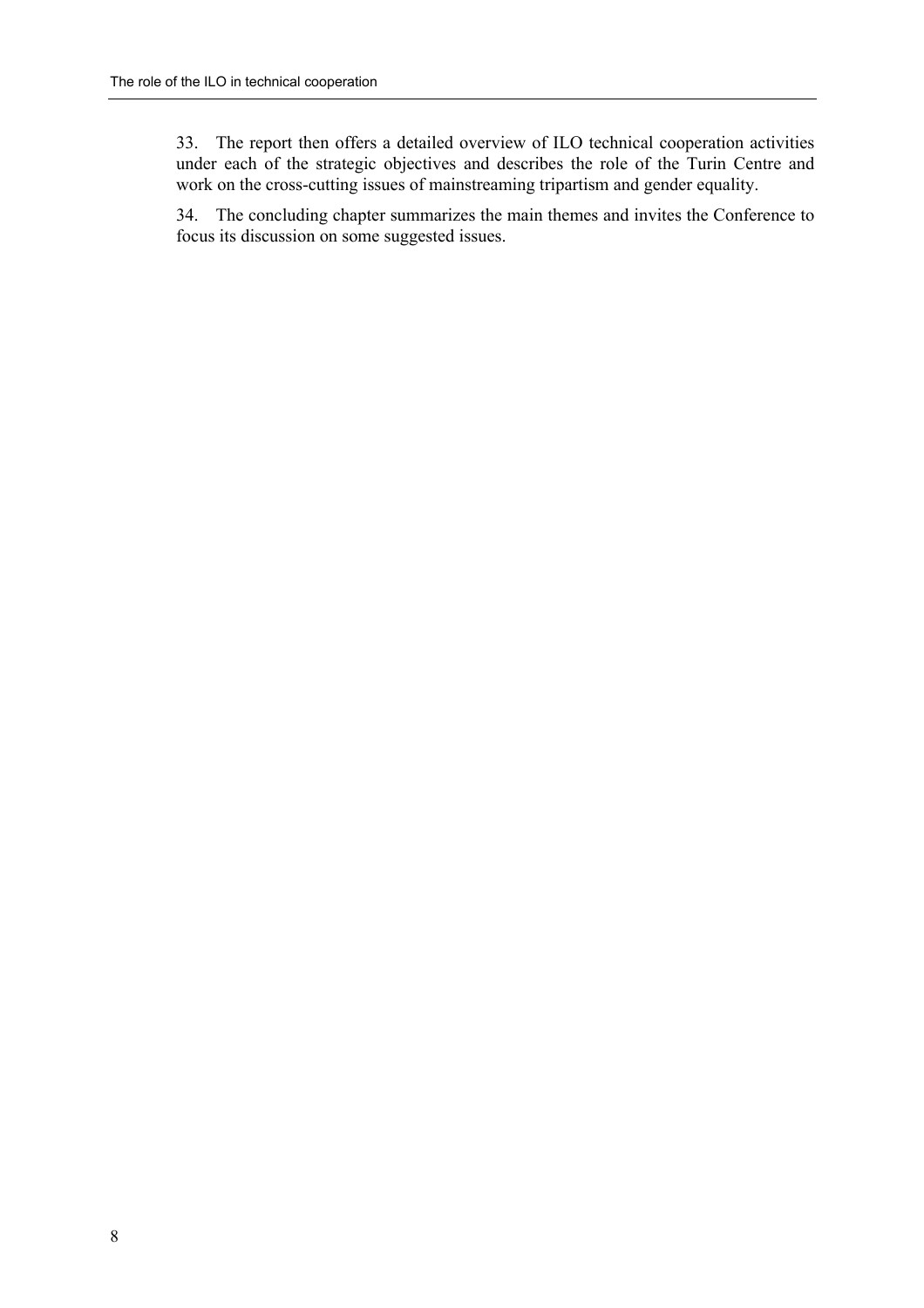33. The report then offers a detailed overview of ILO technical cooperation activities under each of the strategic objectives and describes the role of the Turin Centre and work on the cross-cutting issues of mainstreaming tripartism and gender equality.

34. The concluding chapter summarizes the main themes and invites the Conference to focus its discussion on some suggested issues.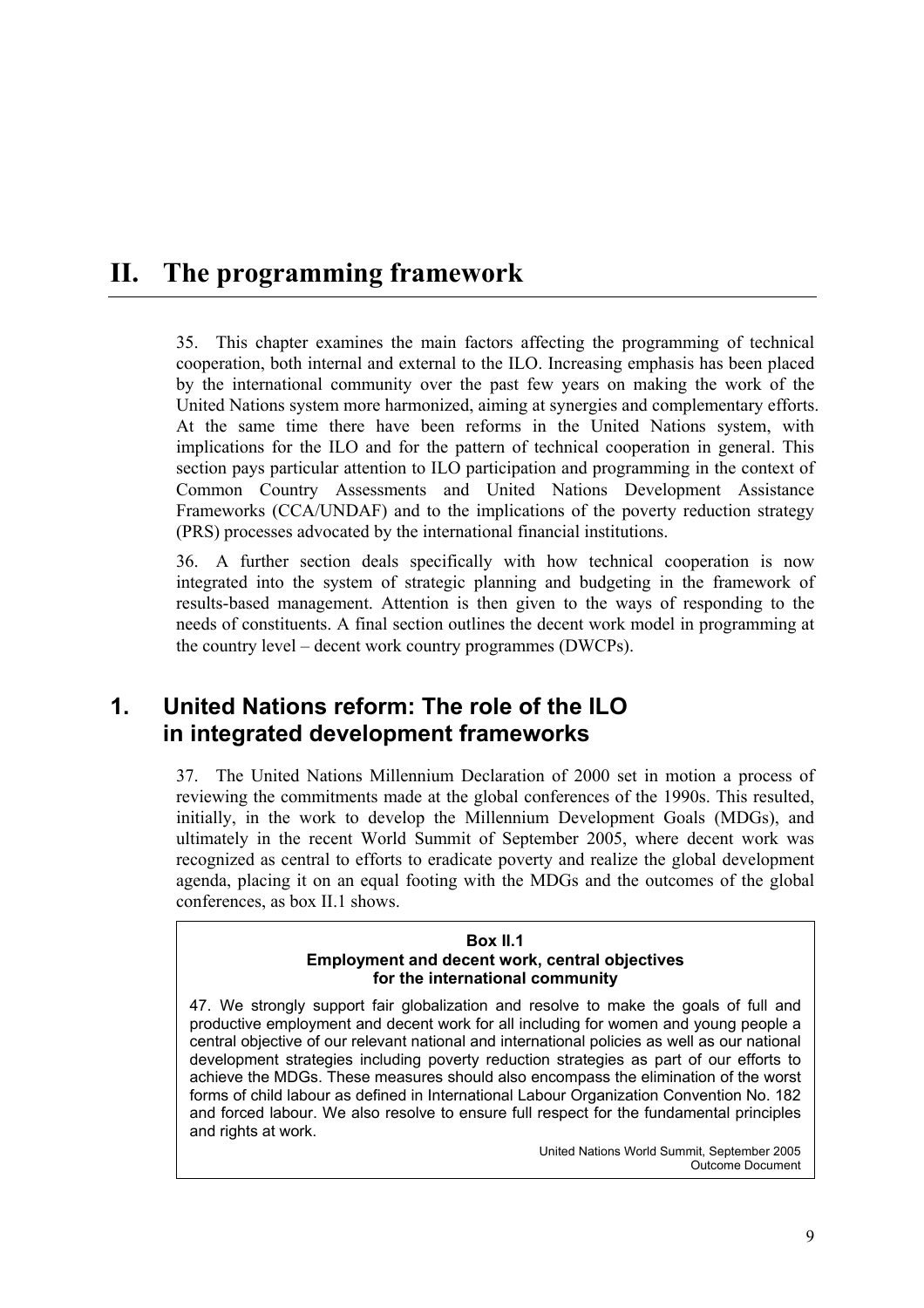# **II. The programming framework**

35. This chapter examines the main factors affecting the programming of technical cooperation, both internal and external to the ILO. Increasing emphasis has been placed by the international community over the past few years on making the work of the United Nations system more harmonized, aiming at synergies and complementary efforts. At the same time there have been reforms in the United Nations system, with implications for the ILO and for the pattern of technical cooperation in general. This section pays particular attention to ILO participation and programming in the context of Common Country Assessments and United Nations Development Assistance Frameworks (CCA/UNDAF) and to the implications of the poverty reduction strategy (PRS) processes advocated by the international financial institutions.

36. A further section deals specifically with how technical cooperation is now integrated into the system of strategic planning and budgeting in the framework of results-based management. Attention is then given to the ways of responding to the needs of constituents. A final section outlines the decent work model in programming at the country level  $-$  decent work country programmes (DWCPs).

### **1. United Nations reform: The role of the ILO in integrated development frameworks**

37. The United Nations Millennium Declaration of 2000 set in motion a process of reviewing the commitments made at the global conferences of the 1990s. This resulted, initially, in the work to develop the Millennium Development Goals (MDGs), and ultimately in the recent World Summit of September 2005, where decent work was recognized as central to efforts to eradicate poverty and realize the global development agenda, placing it on an equal footing with the MDGs and the outcomes of the global conferences, as box II.1 shows.

#### **Box II.1 Employment and decent work, central objectives for the international community**

47. We strongly support fair globalization and resolve to make the goals of full and productive employment and decent work for all including for women and young people a central objective of our relevant national and international policies as well as our national development strategies including poverty reduction strategies as part of our efforts to achieve the MDGs. These measures should also encompass the elimination of the worst forms of child labour as defined in International Labour Organization Convention No. 182 and forced labour. We also resolve to ensure full respect for the fundamental principles and rights at work.

> United Nations World Summit, September 2005 Outcome Document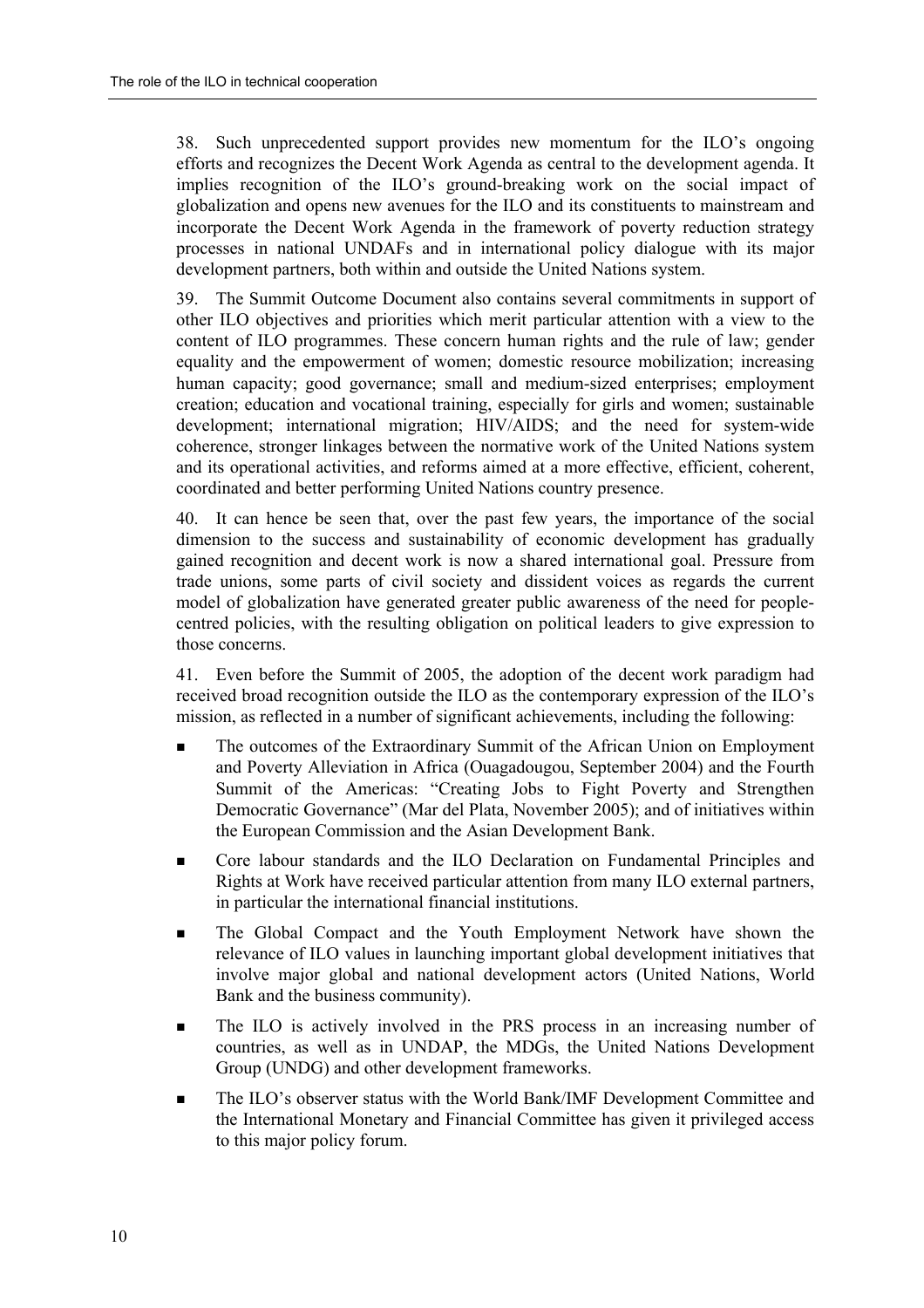38. Such unprecedented support provides new momentum for the ILO's ongoing efforts and recognizes the Decent Work Agenda as central to the development agenda. It implies recognition of the ILO's ground-breaking work on the social impact of globalization and opens new avenues for the ILO and its constituents to mainstream and incorporate the Decent Work Agenda in the framework of poverty reduction strategy processes in national UNDAFs and in international policy dialogue with its major development partners, both within and outside the United Nations system.

39. The Summit Outcome Document also contains several commitments in support of other ILO objectives and priorities which merit particular attention with a view to the content of ILO programmes. These concern human rights and the rule of law; gender equality and the empowerment of women; domestic resource mobilization; increasing human capacity; good governance; small and medium-sized enterprises; employment creation; education and vocational training, especially for girls and women; sustainable development; international migration; HIV/AIDS; and the need for system-wide coherence, stronger linkages between the normative work of the United Nations system and its operational activities, and reforms aimed at a more effective, efficient, coherent, coordinated and better performing United Nations country presence.

40. It can hence be seen that, over the past few years, the importance of the social dimension to the success and sustainability of economic development has gradually gained recognition and decent work is now a shared international goal. Pressure from trade unions, some parts of civil society and dissident voices as regards the current model of globalization have generated greater public awareness of the need for peoplecentred policies, with the resulting obligation on political leaders to give expression to those concerns.

41. Even before the Summit of 2005, the adoption of the decent work paradigm had received broad recognition outside the ILO as the contemporary expression of the ILO's mission, as reflected in a number of significant achievements, including the following:

- ! The outcomes of the Extraordinary Summit of the African Union on Employment and Poverty Alleviation in Africa (Ouagadougou, September 2004) and the Fourth Summit of the Americas: "Creating Jobs to Fight Poverty and Strengthen Democratic Governance" (Mar del Plata, November 2005); and of initiatives within the European Commission and the Asian Development Bank.
- **EXECT** Core labour standards and the ILO Declaration on Fundamental Principles and Rights at Work have received particular attention from many ILO external partners, in particular the international financial institutions.
- ! The Global Compact and the Youth Employment Network have shown the relevance of ILO values in launching important global development initiatives that involve major global and national development actors (United Nations, World Bank and the business community).
- **IF The ILO is actively involved in the PRS process in an increasing number of** countries, as well as in UNDAP, the MDGs, the United Nations Development Group (UNDG) and other development frameworks.
- The ILO's observer status with the World Bank/IMF Development Committee and the International Monetary and Financial Committee has given it privileged access to this major policy forum.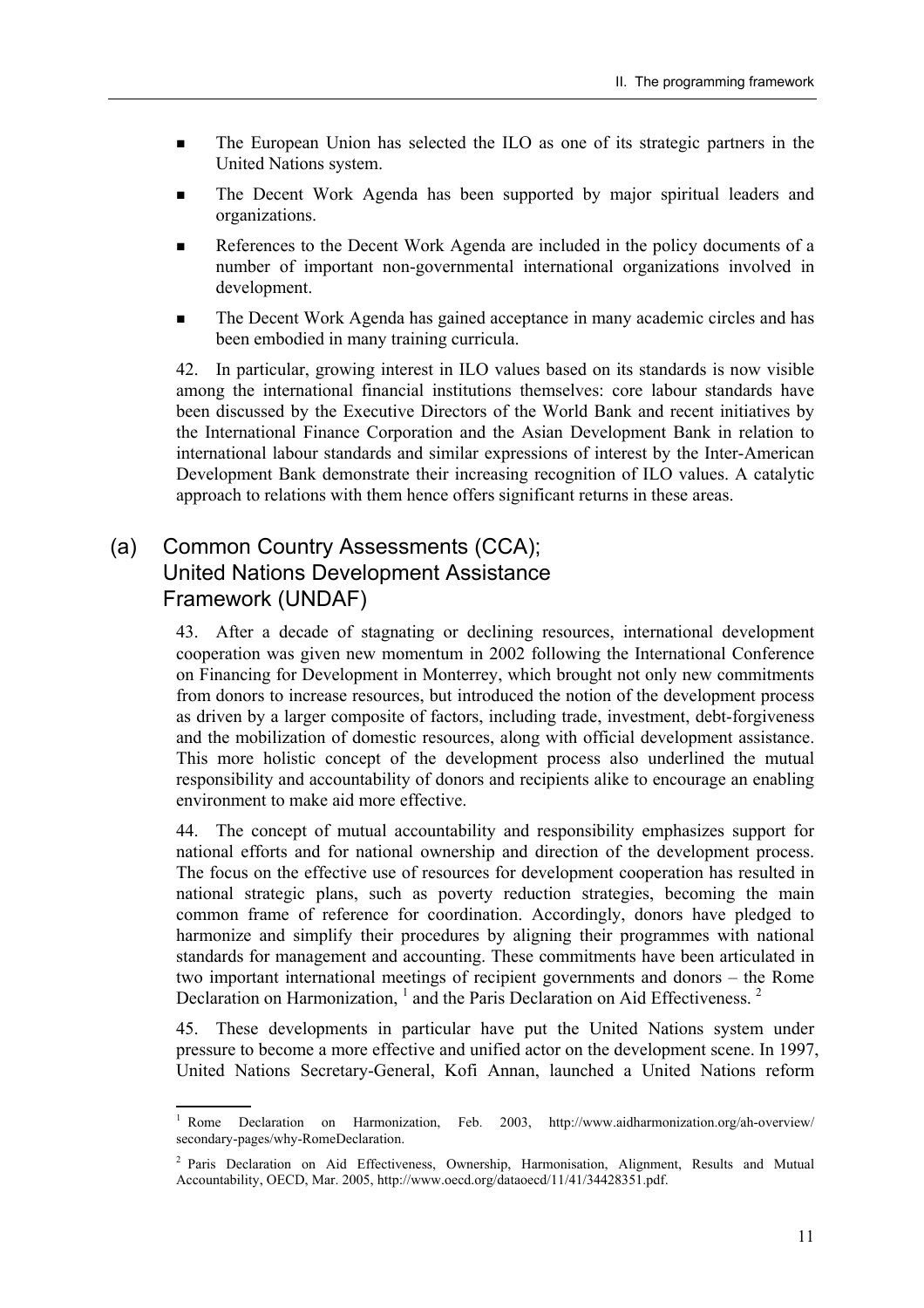- ! The European Union has selected the ILO as one of its strategic partners in the United Nations system.
- **If the Decent Work Agenda has been supported by major spiritual leaders and** organizations.
- **EXECUTE:** References to the Decent Work Agenda are included in the policy documents of a number of important non-governmental international organizations involved in development.
- **I.** The Decent Work Agenda has gained acceptance in many academic circles and has been embodied in many training curricula.

42. In particular, growing interest in ILO values based on its standards is now visible among the international financial institutions themselves: core labour standards have been discussed by the Executive Directors of the World Bank and recent initiatives by the International Finance Corporation and the Asian Development Bank in relation to international labour standards and similar expressions of interest by the Inter-American Development Bank demonstrate their increasing recognition of ILO values. A catalytic approach to relations with them hence offers significant returns in these areas.

### (a) Common Country Assessments (CCA); United Nations Development Assistance Framework (UNDAF)

43. After a decade of stagnating or declining resources, international development cooperation was given new momentum in 2002 following the International Conference on Financing for Development in Monterrey, which brought not only new commitments from donors to increase resources, but introduced the notion of the development process as driven by a larger composite of factors, including trade, investment, debt-forgiveness and the mobilization of domestic resources, along with official development assistance. This more holistic concept of the development process also underlined the mutual responsibility and accountability of donors and recipients alike to encourage an enabling environment to make aid more effective.

44. The concept of mutual accountability and responsibility emphasizes support for national efforts and for national ownership and direction of the development process. The focus on the effective use of resources for development cooperation has resulted in national strategic plans, such as poverty reduction strategies, becoming the main common frame of reference for coordination. Accordingly, donors have pledged to harmonize and simplify their procedures by aligning their programmes with national standards for management and accounting. These commitments have been articulated in two important international meetings of recipient governments and donors  $-$  the Rome Declaration on Harmonization,  $<sup>1</sup>$  and the Paris Declaration on Aid Effectiveness.  $<sup>2</sup>$ </sup></sup>

45. These developments in particular have put the United Nations system under pressure to become a more effective and unified actor on the development scene. In 1997, United Nations Secretary-General, Kofi Annan, launched a United Nations reform

 $\frac{1}{1}$ Declaration on Harmonization, Feb. 2003, http://www.aidharmonization.org/ah-overview/ secondary-pages/why-RomeDeclaration.

<sup>&</sup>lt;sup>2</sup> Paris Declaration on Aid Effectiveness, Ownership, Harmonisation, Alignment, Results and Mutual Accountability, OECD, Mar. 2005, http://www.oecd.org/dataoecd/11/41/34428351.pdf.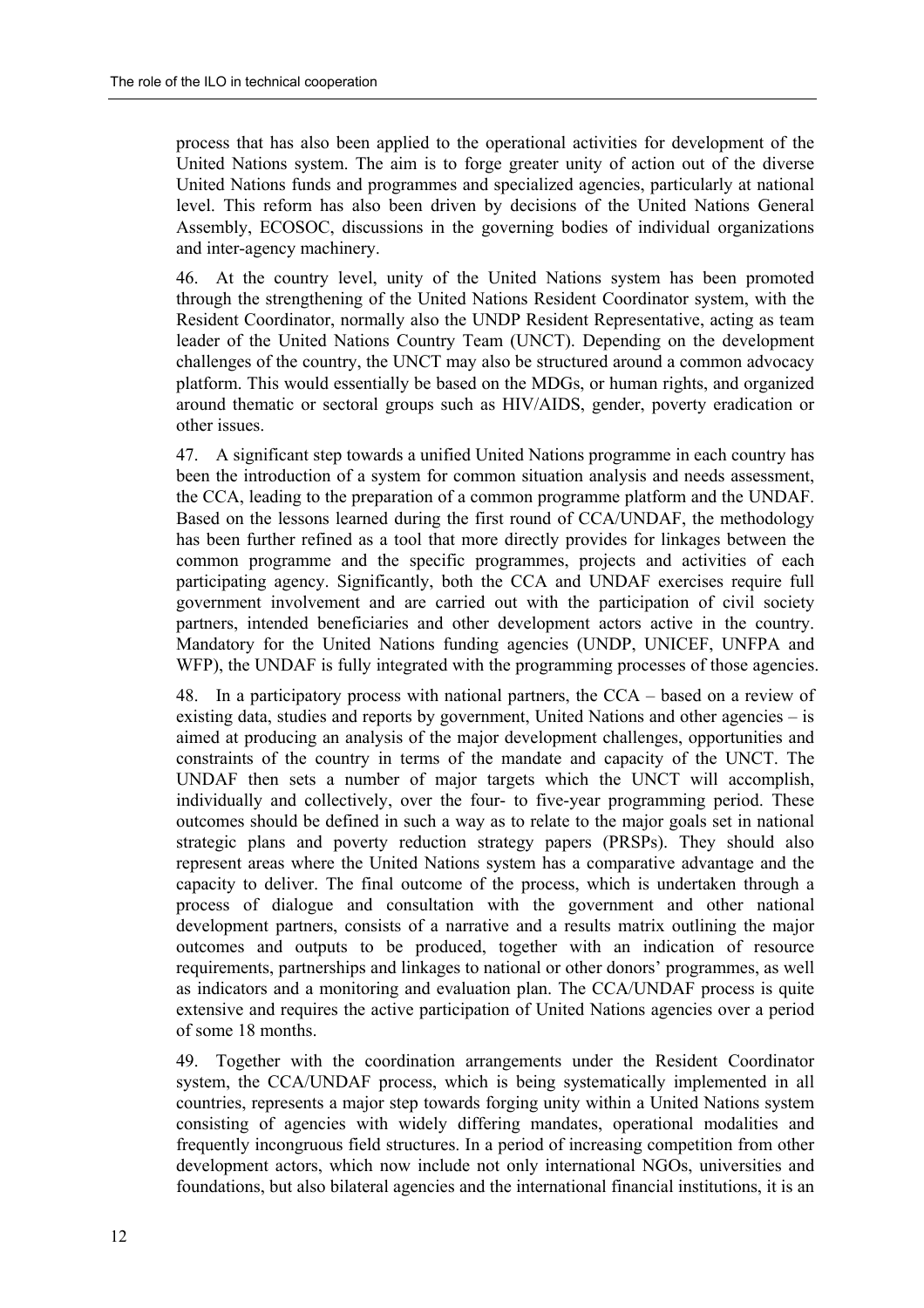process that has also been applied to the operational activities for development of the United Nations system. The aim is to forge greater unity of action out of the diverse United Nations funds and programmes and specialized agencies, particularly at national level. This reform has also been driven by decisions of the United Nations General Assembly, ECOSOC, discussions in the governing bodies of individual organizations and inter-agency machinery.

46. At the country level, unity of the United Nations system has been promoted through the strengthening of the United Nations Resident Coordinator system, with the Resident Coordinator, normally also the UNDP Resident Representative, acting as team leader of the United Nations Country Team (UNCT). Depending on the development challenges of the country, the UNCT may also be structured around a common advocacy platform. This would essentially be based on the MDGs, or human rights, and organized around thematic or sectoral groups such as HIV/AIDS, gender, poverty eradication or other issues.

47. A significant step towards a unified United Nations programme in each country has been the introduction of a system for common situation analysis and needs assessment, the CCA, leading to the preparation of a common programme platform and the UNDAF. Based on the lessons learned during the first round of CCA/UNDAF, the methodology has been further refined as a tool that more directly provides for linkages between the common programme and the specific programmes, projects and activities of each participating agency. Significantly, both the CCA and UNDAF exercises require full government involvement and are carried out with the participation of civil society partners, intended beneficiaries and other development actors active in the country. Mandatory for the United Nations funding agencies (UNDP, UNICEF, UNFPA and WFP), the UNDAF is fully integrated with the programming processes of those agencies.

48. In a participatory process with national partners, the  $CCA$  – based on a review of existing data, studies and reports by government, United Nations and other agencies  $-$  is aimed at producing an analysis of the major development challenges, opportunities and constraints of the country in terms of the mandate and capacity of the UNCT. The UNDAF then sets a number of major targets which the UNCT will accomplish, individually and collectively, over the four- to five-year programming period. These outcomes should be defined in such a way as to relate to the major goals set in national strategic plans and poverty reduction strategy papers (PRSPs). They should also represent areas where the United Nations system has a comparative advantage and the capacity to deliver. The final outcome of the process, which is undertaken through a process of dialogue and consultation with the government and other national development partners, consists of a narrative and a results matrix outlining the major outcomes and outputs to be produced, together with an indication of resource requirements, partnerships and linkages to national or other donors' programmes, as well as indicators and a monitoring and evaluation plan. The CCA/UNDAF process is quite extensive and requires the active participation of United Nations agencies over a period of some 18 months.

49. Together with the coordination arrangements under the Resident Coordinator system, the CCA/UNDAF process, which is being systematically implemented in all countries, represents a major step towards forging unity within a United Nations system consisting of agencies with widely differing mandates, operational modalities and frequently incongruous field structures. In a period of increasing competition from other development actors, which now include not only international NGOs, universities and foundations, but also bilateral agencies and the international financial institutions, it is an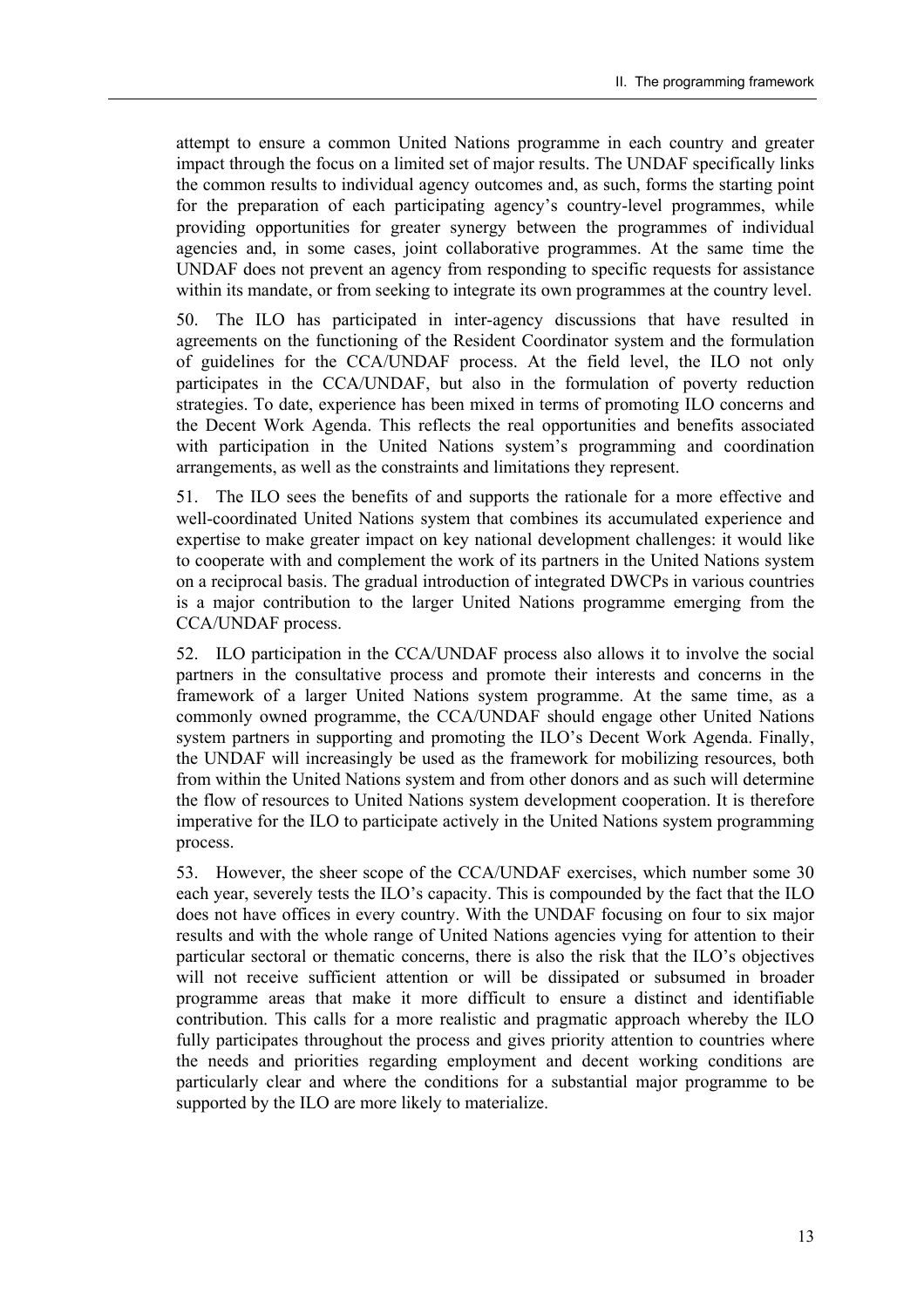attempt to ensure a common United Nations programme in each country and greater impact through the focus on a limited set of major results. The UNDAF specifically links the common results to individual agency outcomes and, as such, forms the starting point for the preparation of each participating agency's country-level programmes, while providing opportunities for greater synergy between the programmes of individual agencies and, in some cases, joint collaborative programmes. At the same time the UNDAF does not prevent an agency from responding to specific requests for assistance within its mandate, or from seeking to integrate its own programmes at the country level.

50. The ILO has participated in inter-agency discussions that have resulted in agreements on the functioning of the Resident Coordinator system and the formulation of guidelines for the CCA/UNDAF process. At the field level, the ILO not only participates in the CCA/UNDAF, but also in the formulation of poverty reduction strategies. To date, experience has been mixed in terms of promoting ILO concerns and the Decent Work Agenda. This reflects the real opportunities and benefits associated with participation in the United Nations system's programming and coordination arrangements, as well as the constraints and limitations they represent.

51. The ILO sees the benefits of and supports the rationale for a more effective and well-coordinated United Nations system that combines its accumulated experience and expertise to make greater impact on key national development challenges: it would like to cooperate with and complement the work of its partners in the United Nations system on a reciprocal basis. The gradual introduction of integrated DWCPs in various countries is a major contribution to the larger United Nations programme emerging from the CCA/UNDAF process.

52. ILO participation in the CCA/UNDAF process also allows it to involve the social partners in the consultative process and promote their interests and concerns in the framework of a larger United Nations system programme. At the same time, as a commonly owned programme, the CCA/UNDAF should engage other United Nations system partners in supporting and promoting the ILO's Decent Work Agenda. Finally, the UNDAF will increasingly be used as the framework for mobilizing resources, both from within the United Nations system and from other donors and as such will determine the flow of resources to United Nations system development cooperation. It is therefore imperative for the ILO to participate actively in the United Nations system programming process.

53. However, the sheer scope of the CCA/UNDAF exercises, which number some 30 each year, severely tests the ILO's capacity. This is compounded by the fact that the ILO does not have offices in every country. With the UNDAF focusing on four to six major results and with the whole range of United Nations agencies vying for attention to their particular sectoral or thematic concerns, there is also the risk that the ILO's objectives will not receive sufficient attention or will be dissipated or subsumed in broader programme areas that make it more difficult to ensure a distinct and identifiable contribution. This calls for a more realistic and pragmatic approach whereby the ILO fully participates throughout the process and gives priority attention to countries where the needs and priorities regarding employment and decent working conditions are particularly clear and where the conditions for a substantial major programme to be supported by the ILO are more likely to materialize.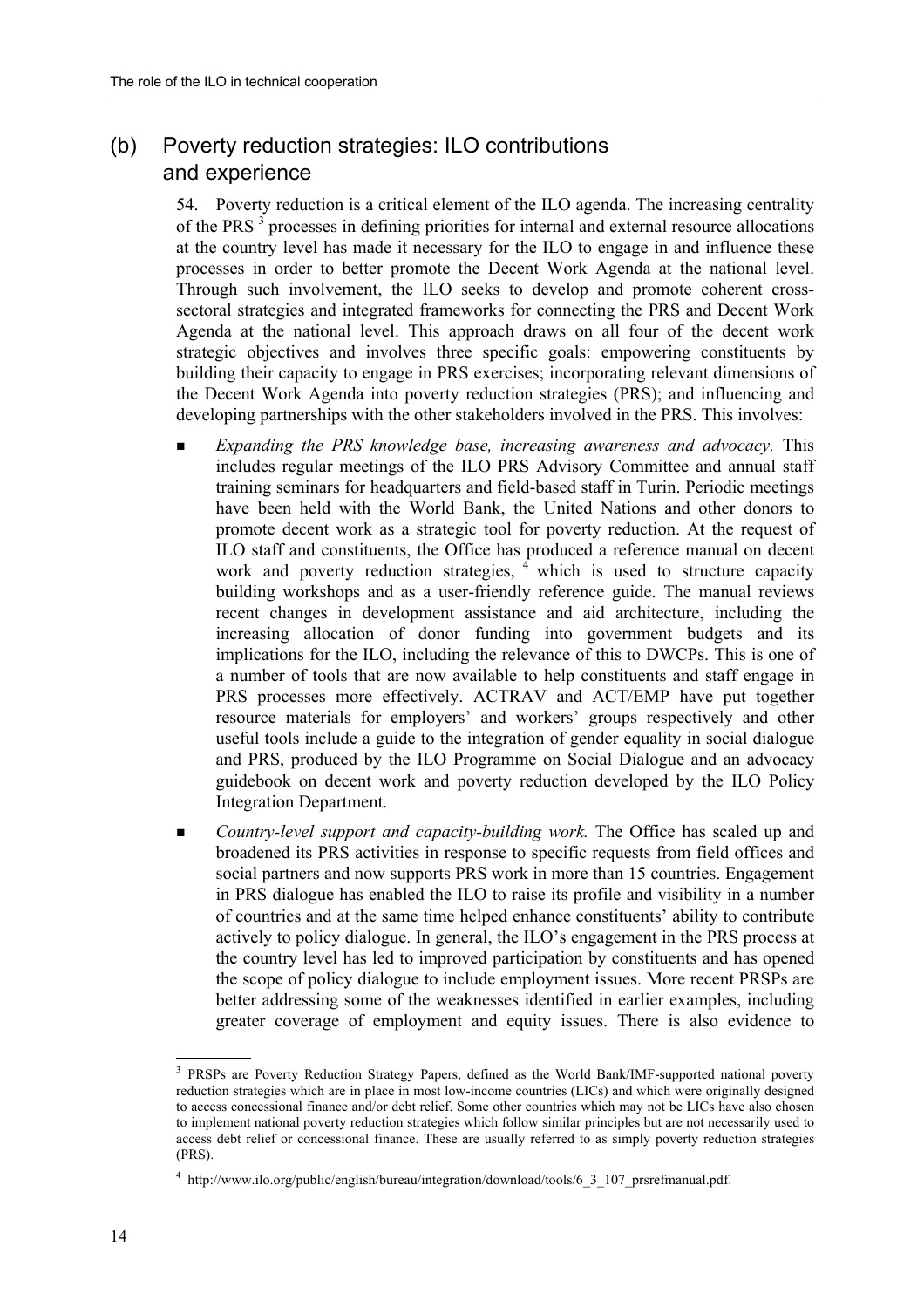#### (b) Poverty reduction strategies: ILO contributions and experience

54. Poverty reduction is a critical element of the ILO agenda. The increasing centrality of the PRS  $\frac{3}{3}$  processes in defining priorities for internal and external resource allocations at the country level has made it necessary for the ILO to engage in and influence these processes in order to better promote the Decent Work Agenda at the national level. Through such involvement, the ILO seeks to develop and promote coherent crosssectoral strategies and integrated frameworks for connecting the PRS and Decent Work Agenda at the national level. This approach draws on all four of the decent work strategic objectives and involves three specific goals: empowering constituents by building their capacity to engage in PRS exercises; incorporating relevant dimensions of the Decent Work Agenda into poverty reduction strategies (PRS); and influencing and developing partnerships with the other stakeholders involved in the PRS. This involves:

- ! *Expanding the PRS knowledge base, increasing awareness and advocacy.* This includes regular meetings of the ILO PRS Advisory Committee and annual staff training seminars for headquarters and field-based staff in Turin. Periodic meetings have been held with the World Bank, the United Nations and other donors to promote decent work as a strategic tool for poverty reduction. At the request of ILO staff and constituents, the Office has produced a reference manual on decent work and poverty reduction strategies,  $\frac{4}{3}$  which is used to structure capacity building workshops and as a user-friendly reference guide. The manual reviews recent changes in development assistance and aid architecture, including the increasing allocation of donor funding into government budgets and its implications for the ILO, including the relevance of this to DWCPs. This is one of a number of tools that are now available to help constituents and staff engage in PRS processes more effectively. ACTRAV and ACT/EMP have put together resource materials for employers' and workers' groups respectively and other useful tools include a guide to the integration of gender equality in social dialogue and PRS, produced by the ILO Programme on Social Dialogue and an advocacy guidebook on decent work and poverty reduction developed by the ILO Policy Integration Department.
- ! *Country-level support and capacity-building work.* The Office has scaled up and broadened its PRS activities in response to specific requests from field offices and social partners and now supports PRS work in more than 15 countries. Engagement in PRS dialogue has enabled the ILO to raise its profile and visibility in a number of countries and at the same time helped enhance constituentsí ability to contribute actively to policy dialogue. In general, the  $ILO$ 's engagement in the PRS process at the country level has led to improved participation by constituents and has opened the scope of policy dialogue to include employment issues. More recent PRSPs are better addressing some of the weaknesses identified in earlier examples, including greater coverage of employment and equity issues. There is also evidence to

 <sup>3</sup> PRSPs are Poverty Reduction Strategy Papers, defined as the World Bank/IMF-supported national poverty reduction strategies which are in place in most low-income countries (LICs) and which were originally designed to access concessional finance and/or debt relief. Some other countries which may not be LICs have also chosen to implement national poverty reduction strategies which follow similar principles but are not necessarily used to access debt relief or concessional finance. These are usually referred to as simply poverty reduction strategies (PRS).

<sup>&</sup>lt;sup>4</sup> http://www.ilo.org/public/english/bureau/integration/download/tools/6 3 107 prsrefmanual.pdf.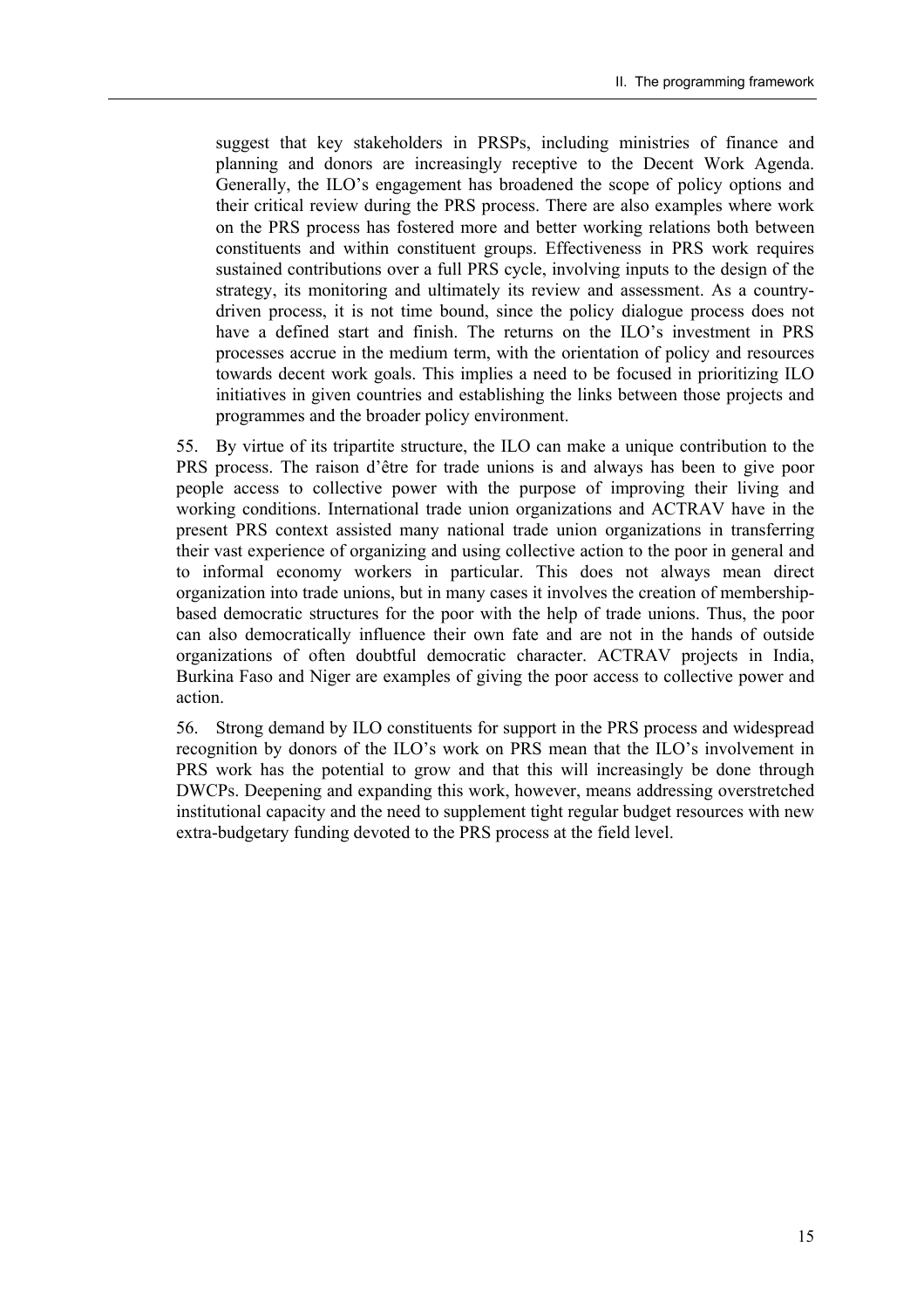suggest that key stakeholders in PRSPs, including ministries of finance and planning and donors are increasingly receptive to the Decent Work Agenda. Generally, the ILO's engagement has broadened the scope of policy options and their critical review during the PRS process. There are also examples where work on the PRS process has fostered more and better working relations both between constituents and within constituent groups. Effectiveness in PRS work requires sustained contributions over a full PRS cycle, involving inputs to the design of the strategy, its monitoring and ultimately its review and assessment. As a countrydriven process, it is not time bound, since the policy dialogue process does not have a defined start and finish. The returns on the ILO's investment in PRS processes accrue in the medium term, with the orientation of policy and resources towards decent work goals. This implies a need to be focused in prioritizing ILO initiatives in given countries and establishing the links between those projects and programmes and the broader policy environment.

55. By virtue of its tripartite structure, the ILO can make a unique contribution to the PRS process. The raison d'être for trade unions is and always has been to give poor people access to collective power with the purpose of improving their living and working conditions. International trade union organizations and ACTRAV have in the present PRS context assisted many national trade union organizations in transferring their vast experience of organizing and using collective action to the poor in general and to informal economy workers in particular. This does not always mean direct organization into trade unions, but in many cases it involves the creation of membershipbased democratic structures for the poor with the help of trade unions. Thus, the poor can also democratically influence their own fate and are not in the hands of outside organizations of often doubtful democratic character. ACTRAV projects in India, Burkina Faso and Niger are examples of giving the poor access to collective power and action.

56. Strong demand by ILO constituents for support in the PRS process and widespread recognition by donors of the ILO's work on PRS mean that the ILO's involvement in PRS work has the potential to grow and that this will increasingly be done through DWCPs. Deepening and expanding this work, however, means addressing overstretched institutional capacity and the need to supplement tight regular budget resources with new extra-budgetary funding devoted to the PRS process at the field level.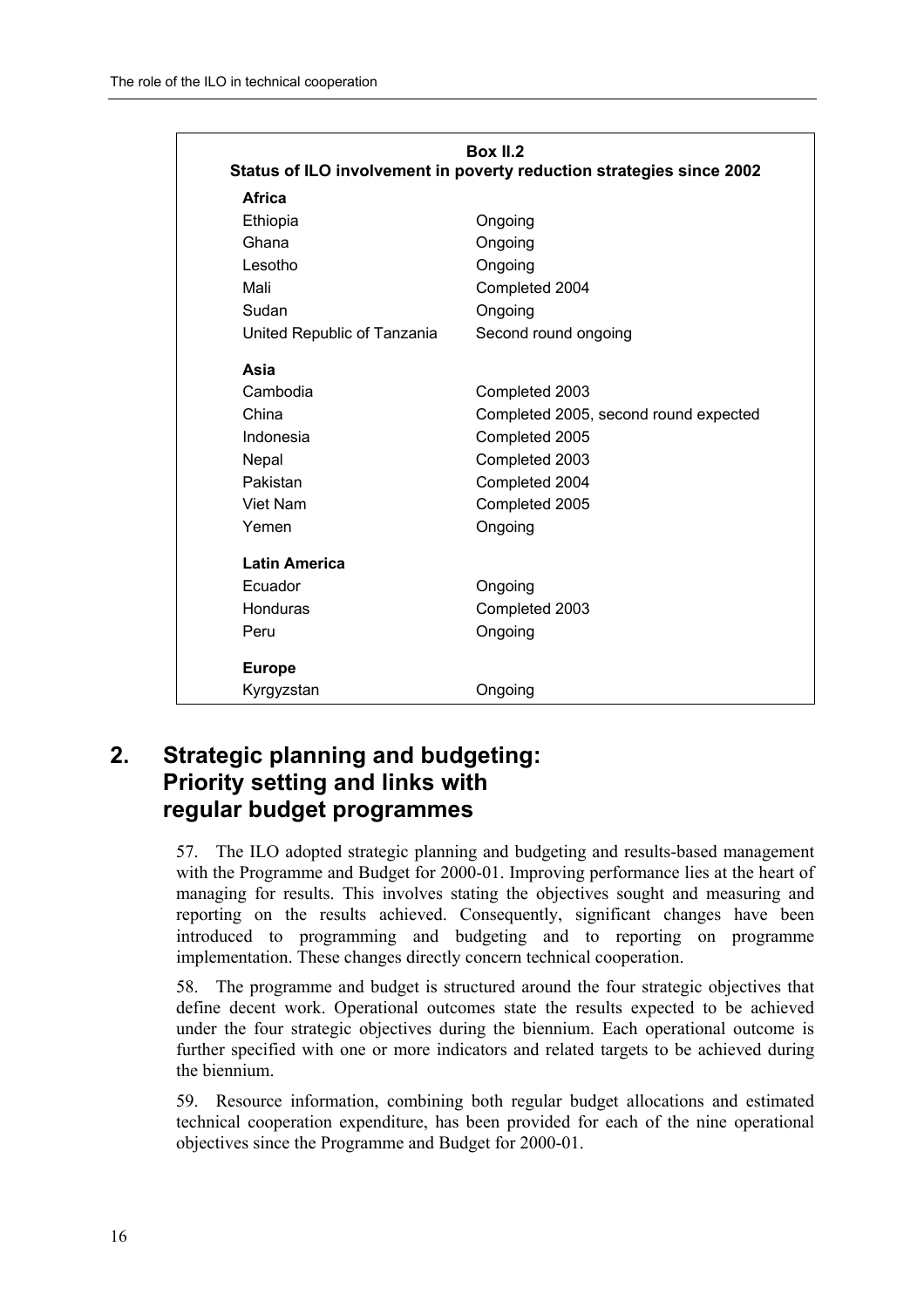| <b>Box II.2</b><br>Status of ILO involvement in poverty reduction strategies since 2002 |                                       |  |  |  |  |
|-----------------------------------------------------------------------------------------|---------------------------------------|--|--|--|--|
| Africa                                                                                  |                                       |  |  |  |  |
| Ethiopia                                                                                | Ongoing                               |  |  |  |  |
| Ghana                                                                                   | Ongoing                               |  |  |  |  |
| Lesotho                                                                                 | Ongoing                               |  |  |  |  |
| Mali                                                                                    | Completed 2004                        |  |  |  |  |
| Sudan                                                                                   | Ongoing                               |  |  |  |  |
| United Republic of Tanzania                                                             | Second round ongoing                  |  |  |  |  |
| Asia                                                                                    |                                       |  |  |  |  |
| Cambodia                                                                                | Completed 2003                        |  |  |  |  |
| China                                                                                   | Completed 2005, second round expected |  |  |  |  |
| Indonesia                                                                               | Completed 2005                        |  |  |  |  |
| Nepal                                                                                   | Completed 2003                        |  |  |  |  |
| Pakistan                                                                                | Completed 2004                        |  |  |  |  |
| Viet Nam                                                                                | Completed 2005                        |  |  |  |  |
| Yemen                                                                                   | Ongoing                               |  |  |  |  |
| <b>Latin America</b>                                                                    |                                       |  |  |  |  |
| Ecuador                                                                                 | Ongoing                               |  |  |  |  |
| Honduras                                                                                | Completed 2003                        |  |  |  |  |
| Peru                                                                                    | Ongoing                               |  |  |  |  |
| <b>Europe</b>                                                                           |                                       |  |  |  |  |
| Kyrgyzstan                                                                              | Ongoing                               |  |  |  |  |

### **2. Strategic planning and budgeting: Priority setting and links with regular budget programmes**

57. The ILO adopted strategic planning and budgeting and results-based management with the Programme and Budget for 2000-01. Improving performance lies at the heart of managing for results. This involves stating the objectives sought and measuring and reporting on the results achieved. Consequently, significant changes have been introduced to programming and budgeting and to reporting on programme implementation. These changes directly concern technical cooperation.

58. The programme and budget is structured around the four strategic objectives that define decent work. Operational outcomes state the results expected to be achieved under the four strategic objectives during the biennium. Each operational outcome is further specified with one or more indicators and related targets to be achieved during the biennium.

59. Resource information, combining both regular budget allocations and estimated technical cooperation expenditure, has been provided for each of the nine operational objectives since the Programme and Budget for 2000-01.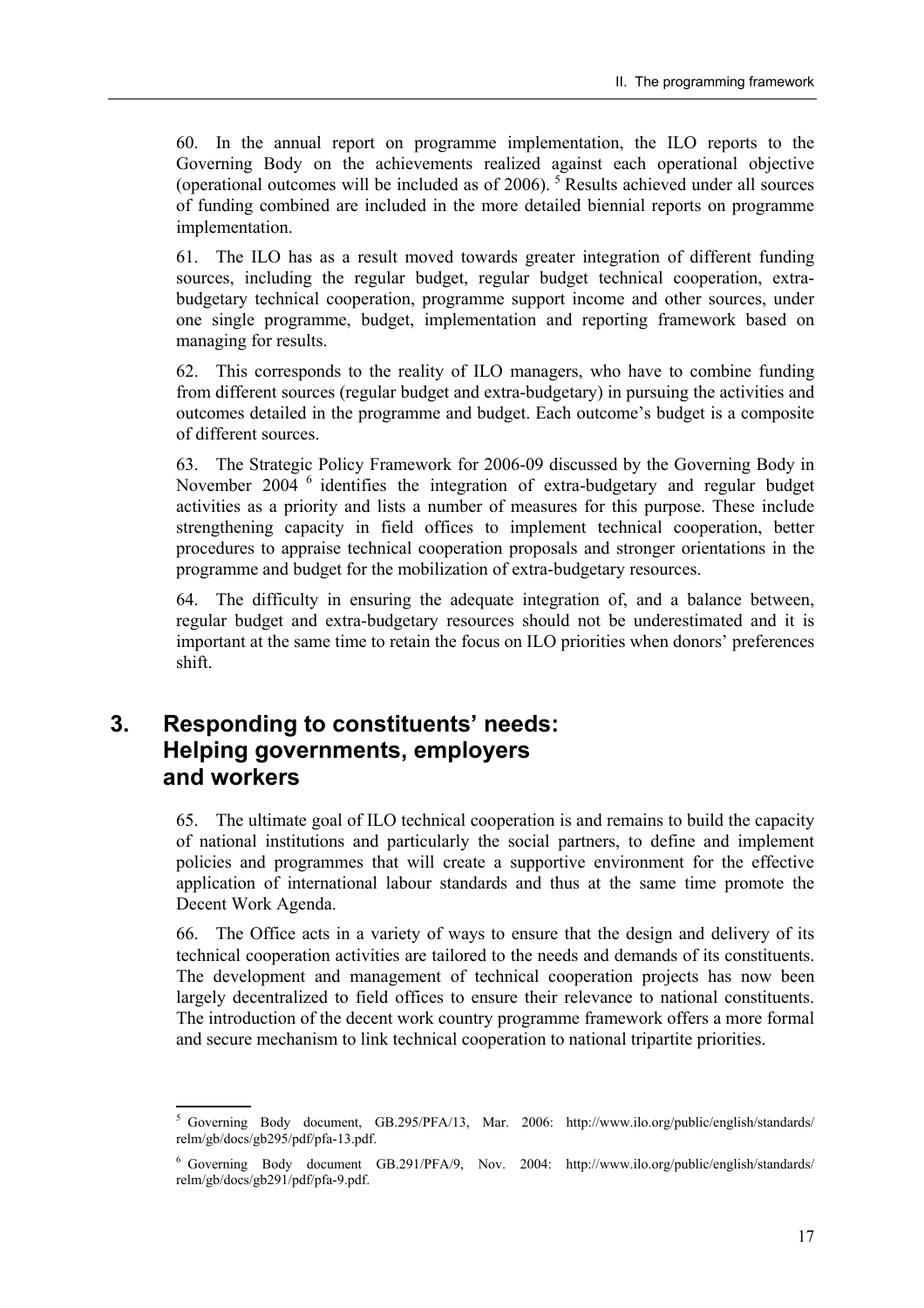60. In the annual report on programme implementation, the ILO reports to the Governing Body on the achievements realized against each operational objective (operational outcomes will be included as of 2006).  $5$  Results achieved under all sources of funding combined are included in the more detailed biennial reports on programme implementation.

61. The ILO has as a result moved towards greater integration of different funding sources, including the regular budget, regular budget technical cooperation, extrabudgetary technical cooperation, programme support income and other sources, under one single programme, budget, implementation and reporting framework based on managing for results.

62. This corresponds to the reality of ILO managers, who have to combine funding from different sources (regular budget and extra-budgetary) in pursuing the activities and outcomes detailed in the programme and budget. Each outcome's budget is a composite of different sources.

63. The Strategic Policy Framework for 2006-09 discussed by the Governing Body in November 2004 <sup>6</sup> identifies the integration of extra-budgetary and regular budget activities as a priority and lists a number of measures for this purpose. These include strengthening capacity in field offices to implement technical cooperation, better procedures to appraise technical cooperation proposals and stronger orientations in the programme and budget for the mobilization of extra-budgetary resources.

64. The difficulty in ensuring the adequate integration of, and a balance between, regular budget and extra-budgetary resources should not be underestimated and it is important at the same time to retain the focus on ILO priorities when donors' preferences shift.

### **3. Responding to constituentsí needs: Helping governments, employers and workers**

65. The ultimate goal of ILO technical cooperation is and remains to build the capacity of national institutions and particularly the social partners, to define and implement policies and programmes that will create a supportive environment for the effective application of international labour standards and thus at the same time promote the Decent Work Agenda.

66. The Office acts in a variety of ways to ensure that the design and delivery of its technical cooperation activities are tailored to the needs and demands of its constituents. The development and management of technical cooperation projects has now been largely decentralized to field offices to ensure their relevance to national constituents. The introduction of the decent work country programme framework offers a more formal and secure mechanism to link technical cooperation to national tripartite priorities.

 $5$  Governing Body document, GB.295/PFA/13, Mar. 2006: http://www.ilo.org/public/english/standards/ relm/gb/docs/gb295/pdf/pfa-13.pdf.

<sup>6</sup> Governing Body document GB.291/PFA/9, Nov. 2004: http://www.ilo.org/public/english/standards/ relm/gb/docs/gb291/pdf/pfa-9.pdf.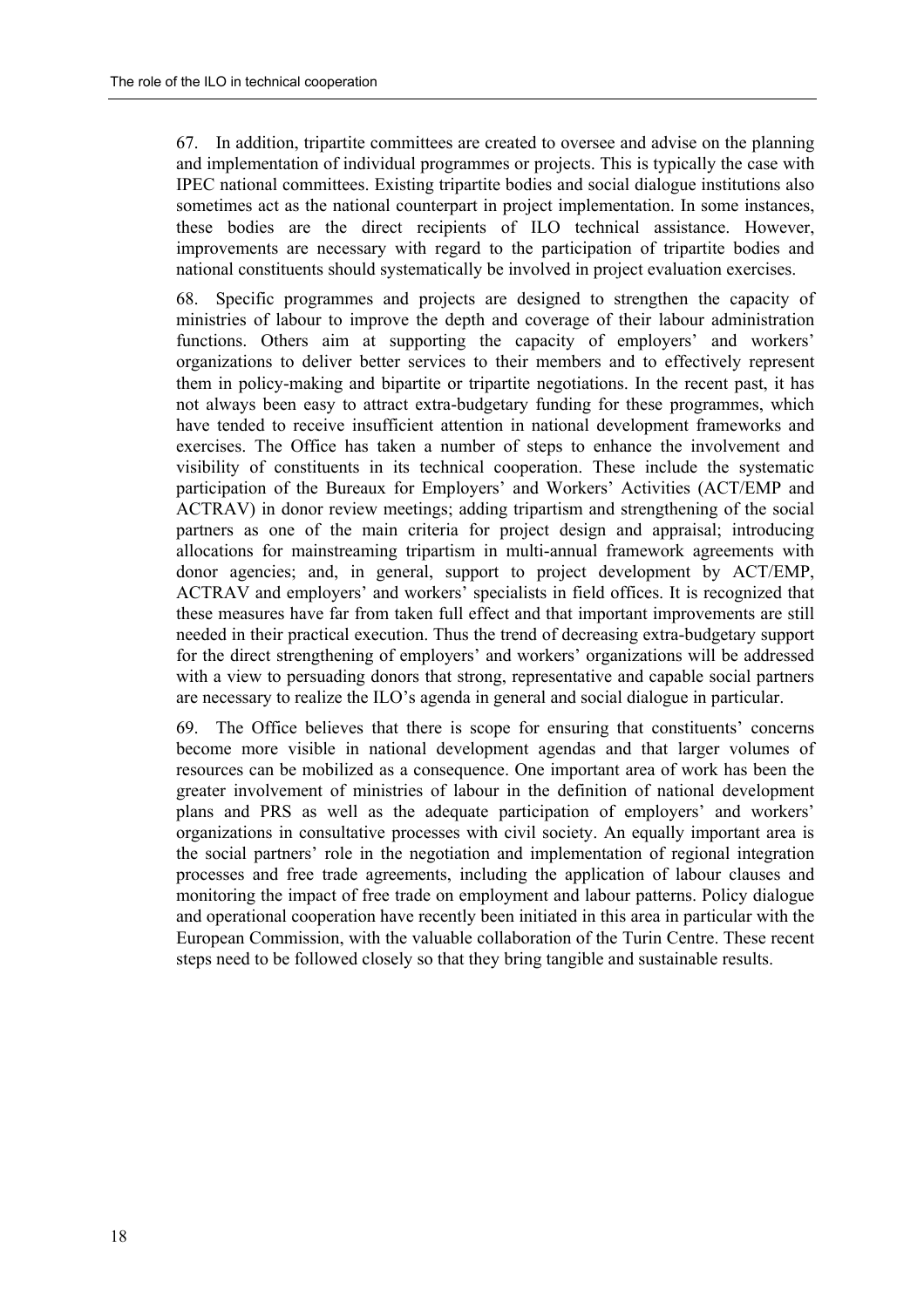67. In addition, tripartite committees are created to oversee and advise on the planning and implementation of individual programmes or projects. This is typically the case with IPEC national committees. Existing tripartite bodies and social dialogue institutions also sometimes act as the national counterpart in project implementation. In some instances, these bodies are the direct recipients of ILO technical assistance. However, improvements are necessary with regard to the participation of tripartite bodies and national constituents should systematically be involved in project evaluation exercises.

68. Specific programmes and projects are designed to strengthen the capacity of ministries of labour to improve the depth and coverage of their labour administration functions. Others aim at supporting the capacity of employers' and workers' organizations to deliver better services to their members and to effectively represent them in policy-making and bipartite or tripartite negotiations. In the recent past, it has not always been easy to attract extra-budgetary funding for these programmes, which have tended to receive insufficient attention in national development frameworks and exercises. The Office has taken a number of steps to enhance the involvement and visibility of constituents in its technical cooperation. These include the systematic participation of the Bureaux for Employers' and Workers' Activities (ACT/EMP and ACTRAV) in donor review meetings; adding tripartism and strengthening of the social partners as one of the main criteria for project design and appraisal; introducing allocations for mainstreaming tripartism in multi-annual framework agreements with donor agencies; and, in general, support to project development by ACT/EMP, ACTRAV and employers' and workers' specialists in field offices. It is recognized that these measures have far from taken full effect and that important improvements are still needed in their practical execution. Thus the trend of decreasing extra-budgetary support for the direct strengthening of employers' and workers' organizations will be addressed with a view to persuading donors that strong, representative and capable social partners are necessary to realize the ILO's agenda in general and social dialogue in particular.

69. The Office believes that there is scope for ensuring that constituents' concerns become more visible in national development agendas and that larger volumes of resources can be mobilized as a consequence. One important area of work has been the greater involvement of ministries of labour in the definition of national development plans and PRS as well as the adequate participation of employers' and workers' organizations in consultative processes with civil society. An equally important area is the social partners' role in the negotiation and implementation of regional integration processes and free trade agreements, including the application of labour clauses and monitoring the impact of free trade on employment and labour patterns. Policy dialogue and operational cooperation have recently been initiated in this area in particular with the European Commission, with the valuable collaboration of the Turin Centre. These recent steps need to be followed closely so that they bring tangible and sustainable results.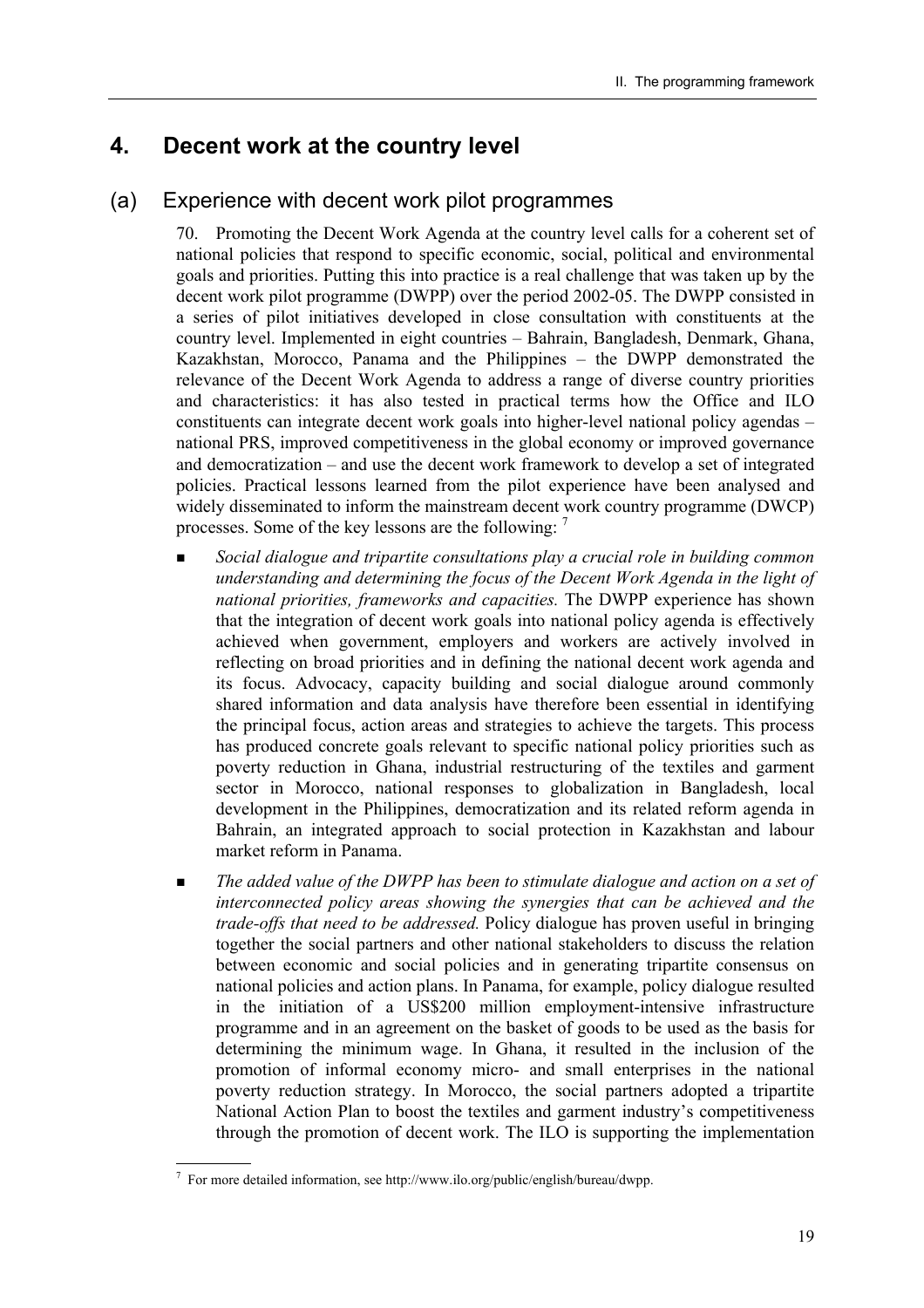### **4. Decent work at the country level**

#### (a) Experience with decent work pilot programmes

70. Promoting the Decent Work Agenda at the country level calls for a coherent set of national policies that respond to specific economic, social, political and environmental goals and priorities. Putting this into practice is a real challenge that was taken up by the decent work pilot programme (DWPP) over the period 2002-05. The DWPP consisted in a series of pilot initiatives developed in close consultation with constituents at the country level. Implemented in eight countries – Bahrain, Bangladesh, Denmark, Ghana, Kazakhstan, Morocco, Panama and the Philippines - the DWPP demonstrated the relevance of the Decent Work Agenda to address a range of diverse country priorities and characteristics: it has also tested in practical terms how the Office and ILO constituents can integrate decent work goals into higher-level national policy agendas  $$ national PRS, improved competitiveness in the global economy or improved governance and democratization  $-$  and use the decent work framework to develop a set of integrated policies. Practical lessons learned from the pilot experience have been analysed and widely disseminated to inform the mainstream decent work country programme (DWCP) processes. Some of the key lessons are the following: 7

- ! *Social dialogue and tripartite consultations play a crucial role in building common understanding and determining the focus of the Decent Work Agenda in the light of national priorities, frameworks and capacities.* The DWPP experience has shown that the integration of decent work goals into national policy agenda is effectively achieved when government, employers and workers are actively involved in reflecting on broad priorities and in defining the national decent work agenda and its focus. Advocacy, capacity building and social dialogue around commonly shared information and data analysis have therefore been essential in identifying the principal focus, action areas and strategies to achieve the targets. This process has produced concrete goals relevant to specific national policy priorities such as poverty reduction in Ghana, industrial restructuring of the textiles and garment sector in Morocco, national responses to globalization in Bangladesh, local development in the Philippines, democratization and its related reform agenda in Bahrain, an integrated approach to social protection in Kazakhstan and labour market reform in Panama.
- ! *The added value of the DWPP has been to stimulate dialogue and action on a set of interconnected policy areas showing the synergies that can be achieved and the trade-offs that need to be addressed.* Policy dialogue has proven useful in bringing together the social partners and other national stakeholders to discuss the relation between economic and social policies and in generating tripartite consensus on national policies and action plans. In Panama, for example, policy dialogue resulted in the initiation of a US\$200 million employment-intensive infrastructure programme and in an agreement on the basket of goods to be used as the basis for determining the minimum wage. In Ghana, it resulted in the inclusion of the promotion of informal economy micro- and small enterprises in the national poverty reduction strategy. In Morocco, the social partners adopted a tripartite National Action Plan to boost the textiles and garment industry's competitiveness through the promotion of decent work. The ILO is supporting the implementation

  $^7$  For more detailed information, see http://www.ilo.org/public/english/bureau/dwpp.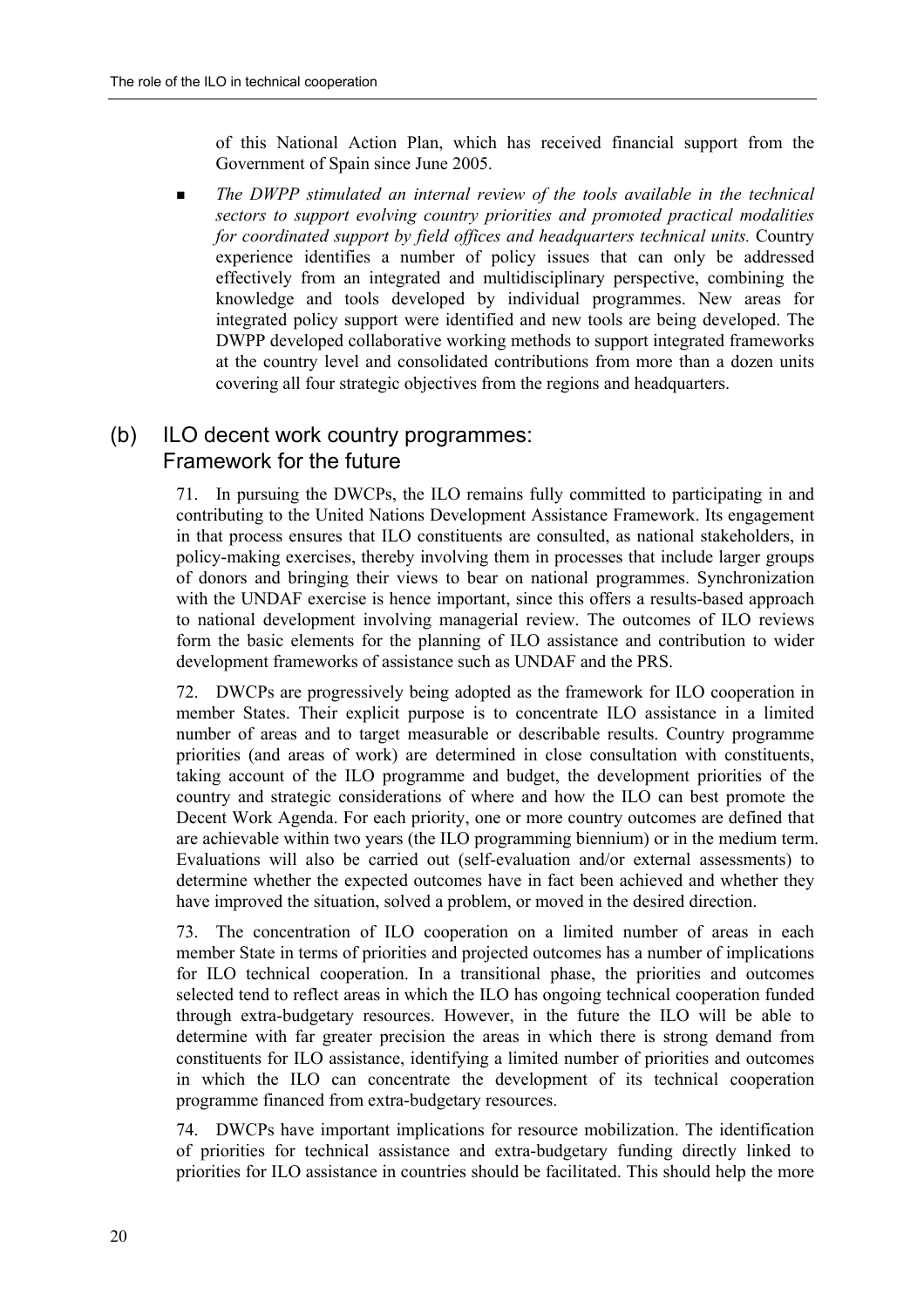of this National Action Plan, which has received financial support from the Government of Spain since June 2005.

 $\blacksquare$  *The DWPP stimulated an internal review of the tools available in the technical sectors to support evolving country priorities and promoted practical modalities for coordinated support by field offices and headquarters technical units.* Country experience identifies a number of policy issues that can only be addressed effectively from an integrated and multidisciplinary perspective, combining the knowledge and tools developed by individual programmes. New areas for integrated policy support were identified and new tools are being developed. The DWPP developed collaborative working methods to support integrated frameworks at the country level and consolidated contributions from more than a dozen units covering all four strategic objectives from the regions and headquarters.

### (b) ILO decent work country programmes: Framework for the future

71. In pursuing the DWCPs, the ILO remains fully committed to participating in and contributing to the United Nations Development Assistance Framework. Its engagement in that process ensures that ILO constituents are consulted, as national stakeholders, in policy-making exercises, thereby involving them in processes that include larger groups of donors and bringing their views to bear on national programmes. Synchronization with the UNDAF exercise is hence important, since this offers a results-based approach to national development involving managerial review. The outcomes of ILO reviews form the basic elements for the planning of ILO assistance and contribution to wider development frameworks of assistance such as UNDAF and the PRS.

72. DWCPs are progressively being adopted as the framework for ILO cooperation in member States. Their explicit purpose is to concentrate ILO assistance in a limited number of areas and to target measurable or describable results. Country programme priorities (and areas of work) are determined in close consultation with constituents, taking account of the ILO programme and budget, the development priorities of the country and strategic considerations of where and how the ILO can best promote the Decent Work Agenda. For each priority, one or more country outcomes are defined that are achievable within two years (the ILO programming biennium) or in the medium term. Evaluations will also be carried out (self-evaluation and/or external assessments) to determine whether the expected outcomes have in fact been achieved and whether they have improved the situation, solved a problem, or moved in the desired direction.

73. The concentration of ILO cooperation on a limited number of areas in each member State in terms of priorities and projected outcomes has a number of implications for ILO technical cooperation. In a transitional phase, the priorities and outcomes selected tend to reflect areas in which the ILO has ongoing technical cooperation funded through extra-budgetary resources. However, in the future the ILO will be able to determine with far greater precision the areas in which there is strong demand from constituents for ILO assistance, identifying a limited number of priorities and outcomes in which the ILO can concentrate the development of its technical cooperation programme financed from extra-budgetary resources.

74. DWCPs have important implications for resource mobilization. The identification of priorities for technical assistance and extra-budgetary funding directly linked to priorities for ILO assistance in countries should be facilitated. This should help the more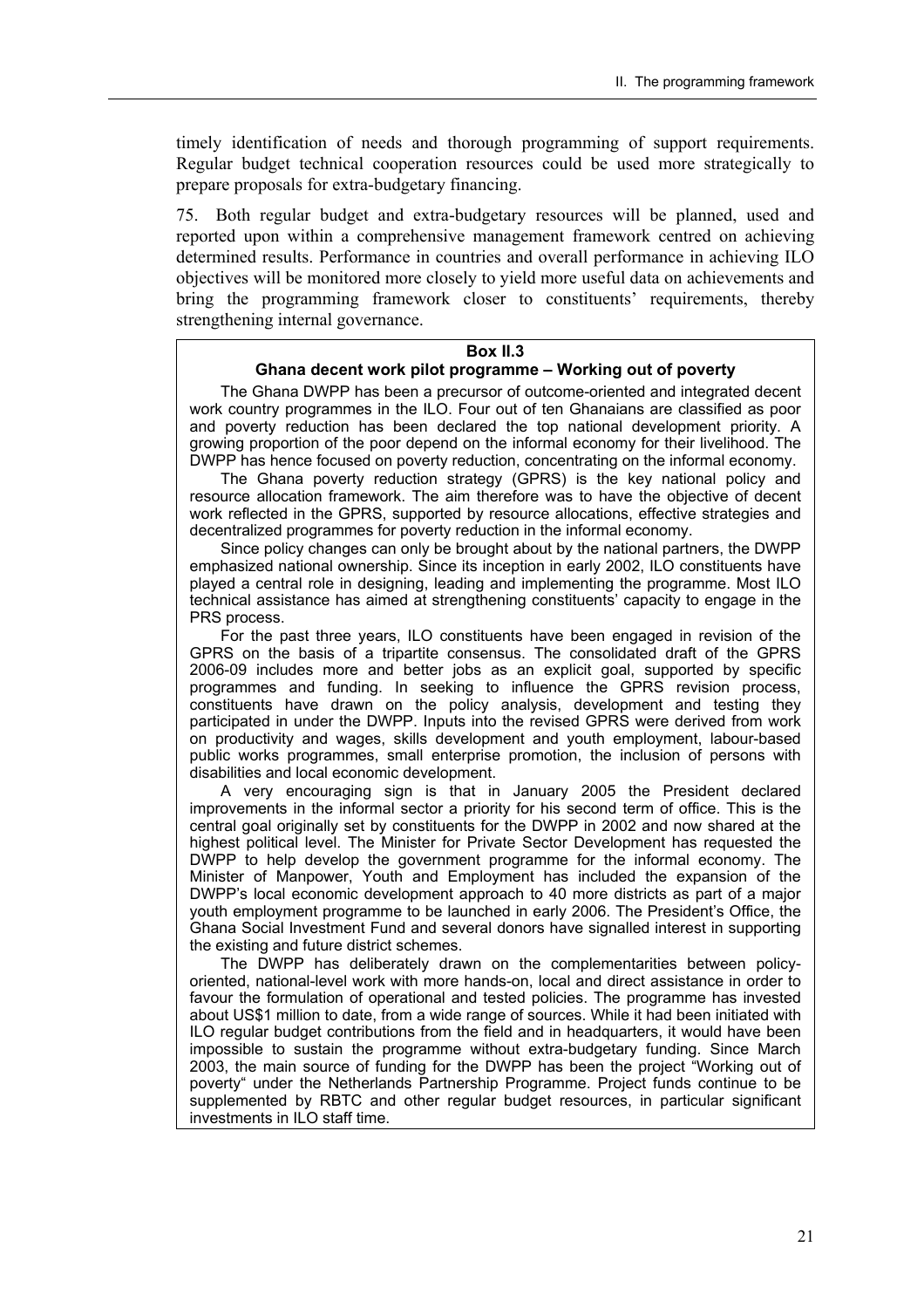timely identification of needs and thorough programming of support requirements. Regular budget technical cooperation resources could be used more strategically to prepare proposals for extra-budgetary financing.

75. Both regular budget and extra-budgetary resources will be planned, used and reported upon within a comprehensive management framework centred on achieving determined results. Performance in countries and overall performance in achieving ILO objectives will be monitored more closely to yield more useful data on achievements and bring the programming framework closer to constituents' requirements, thereby strengthening internal governance.

#### **Box II.3**

#### **Ghana decent work pilot programme – Working out of poverty**

The Ghana DWPP has been a precursor of outcome-oriented and integrated decent work country programmes in the ILO. Four out of ten Ghanaians are classified as poor and poverty reduction has been declared the top national development priority. A growing proportion of the poor depend on the informal economy for their livelihood. The DWPP has hence focused on poverty reduction, concentrating on the informal economy.

The Ghana poverty reduction strategy (GPRS) is the key national policy and resource allocation framework. The aim therefore was to have the objective of decent work reflected in the GPRS, supported by resource allocations, effective strategies and decentralized programmes for poverty reduction in the informal economy.

Since policy changes can only be brought about by the national partners, the DWPP emphasized national ownership. Since its inception in early 2002, ILO constituents have played a central role in designing, leading and implementing the programme. Most ILO technical assistance has aimed at strengthening constituents' capacity to engage in the PRS process.

For the past three years, ILO constituents have been engaged in revision of the GPRS on the basis of a tripartite consensus. The consolidated draft of the GPRS 2006-09 includes more and better jobs as an explicit goal, supported by specific programmes and funding. In seeking to influence the GPRS revision process, constituents have drawn on the policy analysis, development and testing they participated in under the DWPP. Inputs into the revised GPRS were derived from work on productivity and wages, skills development and youth employment, labour-based public works programmes, small enterprise promotion, the inclusion of persons with disabilities and local economic development.

A very encouraging sign is that in January 2005 the President declared improvements in the informal sector a priority for his second term of office. This is the central goal originally set by constituents for the DWPP in 2002 and now shared at the highest political level. The Minister for Private Sector Development has requested the DWPP to help develop the government programme for the informal economy. The Minister of Manpower, Youth and Employment has included the expansion of the DWPP's local economic development approach to 40 more districts as part of a major youth employment programme to be launched in early 2006. The Presidentís Office, the Ghana Social Investment Fund and several donors have signalled interest in supporting the existing and future district schemes.

The DWPP has deliberately drawn on the complementarities between policyoriented, national-level work with more hands-on, local and direct assistance in order to favour the formulation of operational and tested policies. The programme has invested about US\$1 million to date, from a wide range of sources. While it had been initiated with ILO regular budget contributions from the field and in headquarters, it would have been impossible to sustain the programme without extra-budgetary funding. Since March 2003, the main source of funding for the DWPP has been the project "Working out of poverty" under the Netherlands Partnership Programme. Project funds continue to be supplemented by RBTC and other regular budget resources, in particular significant investments in ILO staff time.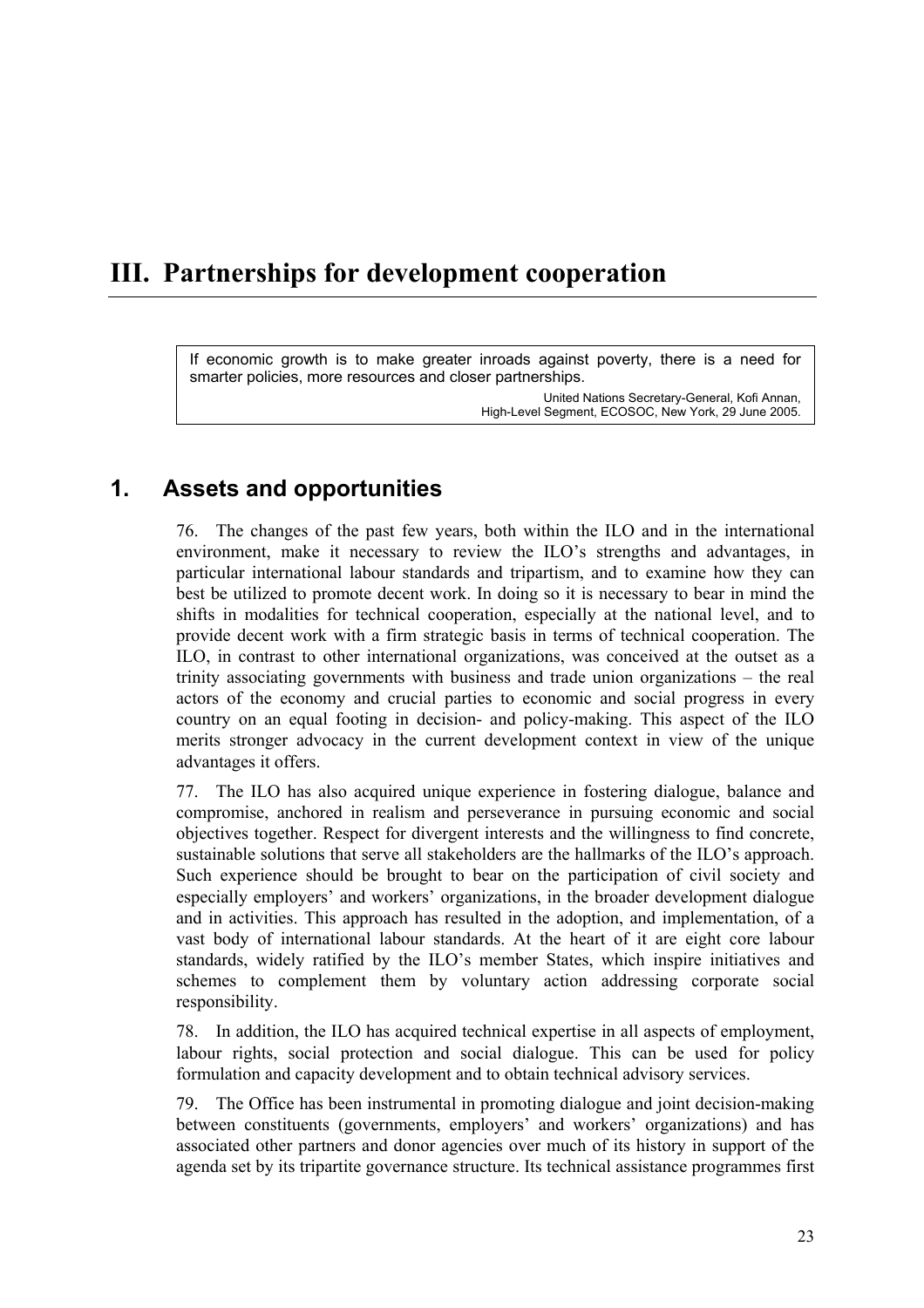# **III. Partnerships for development cooperation**

If economic growth is to make greater inroads against poverty, there is a need for smarter policies, more resources and closer partnerships.

> United Nations Secretary-General, Kofi Annan, High-Level Segment, ECOSOC, New York, 29 June 2005.

### **1. Assets and opportunities**

76. The changes of the past few years, both within the ILO and in the international environment, make it necessary to review the ILO's strengths and advantages, in particular international labour standards and tripartism, and to examine how they can best be utilized to promote decent work. In doing so it is necessary to bear in mind the shifts in modalities for technical cooperation, especially at the national level, and to provide decent work with a firm strategic basis in terms of technical cooperation. The ILO, in contrast to other international organizations, was conceived at the outset as a trinity associating governments with business and trade union organizations  $-$  the real actors of the economy and crucial parties to economic and social progress in every country on an equal footing in decision- and policy-making. This aspect of the ILO merits stronger advocacy in the current development context in view of the unique advantages it offers.

77. The ILO has also acquired unique experience in fostering dialogue, balance and compromise, anchored in realism and perseverance in pursuing economic and social objectives together. Respect for divergent interests and the willingness to find concrete, sustainable solutions that serve all stakeholders are the hallmarks of the ILO's approach. Such experience should be brought to bear on the participation of civil society and especially employers' and workers' organizations, in the broader development dialogue and in activities. This approach has resulted in the adoption, and implementation, of a vast body of international labour standards. At the heart of it are eight core labour standards, widely ratified by the ILO's member States, which inspire initiatives and schemes to complement them by voluntary action addressing corporate social responsibility.

78. In addition, the ILO has acquired technical expertise in all aspects of employment, labour rights, social protection and social dialogue. This can be used for policy formulation and capacity development and to obtain technical advisory services.

79. The Office has been instrumental in promoting dialogue and joint decision-making between constituents (governments, employers' and workers' organizations) and has associated other partners and donor agencies over much of its history in support of the agenda set by its tripartite governance structure. Its technical assistance programmes first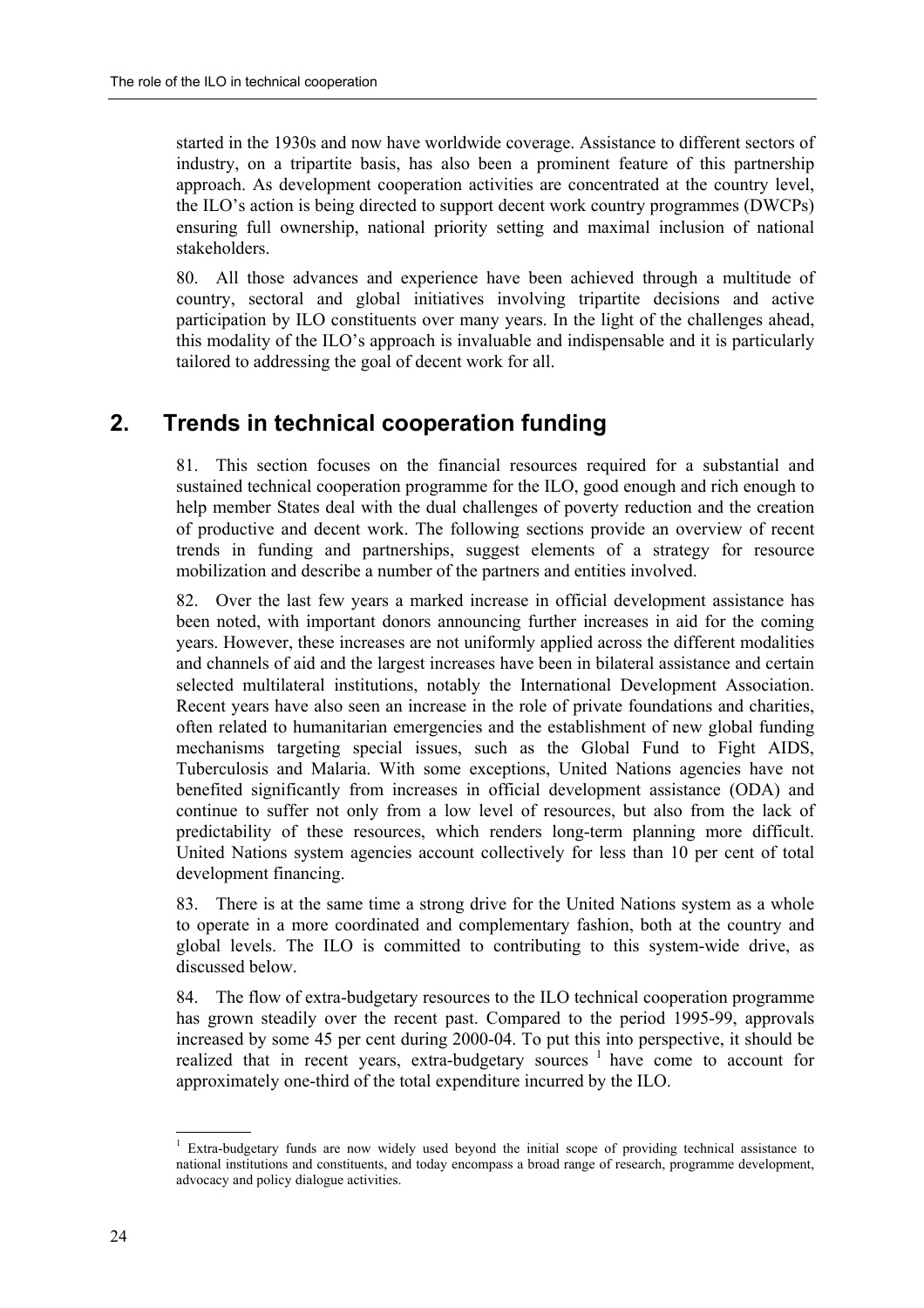started in the 1930s and now have worldwide coverage. Assistance to different sectors of industry, on a tripartite basis, has also been a prominent feature of this partnership approach. As development cooperation activities are concentrated at the country level, the ILO's action is being directed to support decent work country programmes (DWCPs) ensuring full ownership, national priority setting and maximal inclusion of national stakeholders.

80. All those advances and experience have been achieved through a multitude of country, sectoral and global initiatives involving tripartite decisions and active participation by ILO constituents over many years. In the light of the challenges ahead, this modality of the ILO's approach is invaluable and indispensable and it is particularly tailored to addressing the goal of decent work for all.

### **2. Trends in technical cooperation funding**

81. This section focuses on the financial resources required for a substantial and sustained technical cooperation programme for the ILO, good enough and rich enough to help member States deal with the dual challenges of poverty reduction and the creation of productive and decent work. The following sections provide an overview of recent trends in funding and partnerships, suggest elements of a strategy for resource mobilization and describe a number of the partners and entities involved.

82. Over the last few years a marked increase in official development assistance has been noted, with important donors announcing further increases in aid for the coming years. However, these increases are not uniformly applied across the different modalities and channels of aid and the largest increases have been in bilateral assistance and certain selected multilateral institutions, notably the International Development Association. Recent years have also seen an increase in the role of private foundations and charities, often related to humanitarian emergencies and the establishment of new global funding mechanisms targeting special issues, such as the Global Fund to Fight AIDS, Tuberculosis and Malaria. With some exceptions, United Nations agencies have not benefited significantly from increases in official development assistance (ODA) and continue to suffer not only from a low level of resources, but also from the lack of predictability of these resources, which renders long-term planning more difficult. United Nations system agencies account collectively for less than 10 per cent of total development financing.

83. There is at the same time a strong drive for the United Nations system as a whole to operate in a more coordinated and complementary fashion, both at the country and global levels. The ILO is committed to contributing to this system-wide drive, as discussed below.

84. The flow of extra-budgetary resources to the ILO technical cooperation programme has grown steadily over the recent past. Compared to the period 1995-99, approvals increased by some 45 per cent during 2000-04. To put this into perspective, it should be realized that in recent years, extra-budgetary sources  $1$  have come to account for approximately one-third of the total expenditure incurred by the ILO.

 $\overline{a}$ 

<sup>1</sup> Extra-budgetary funds are now widely used beyond the initial scope of providing technical assistance to national institutions and constituents, and today encompass a broad range of research, programme development, advocacy and policy dialogue activities.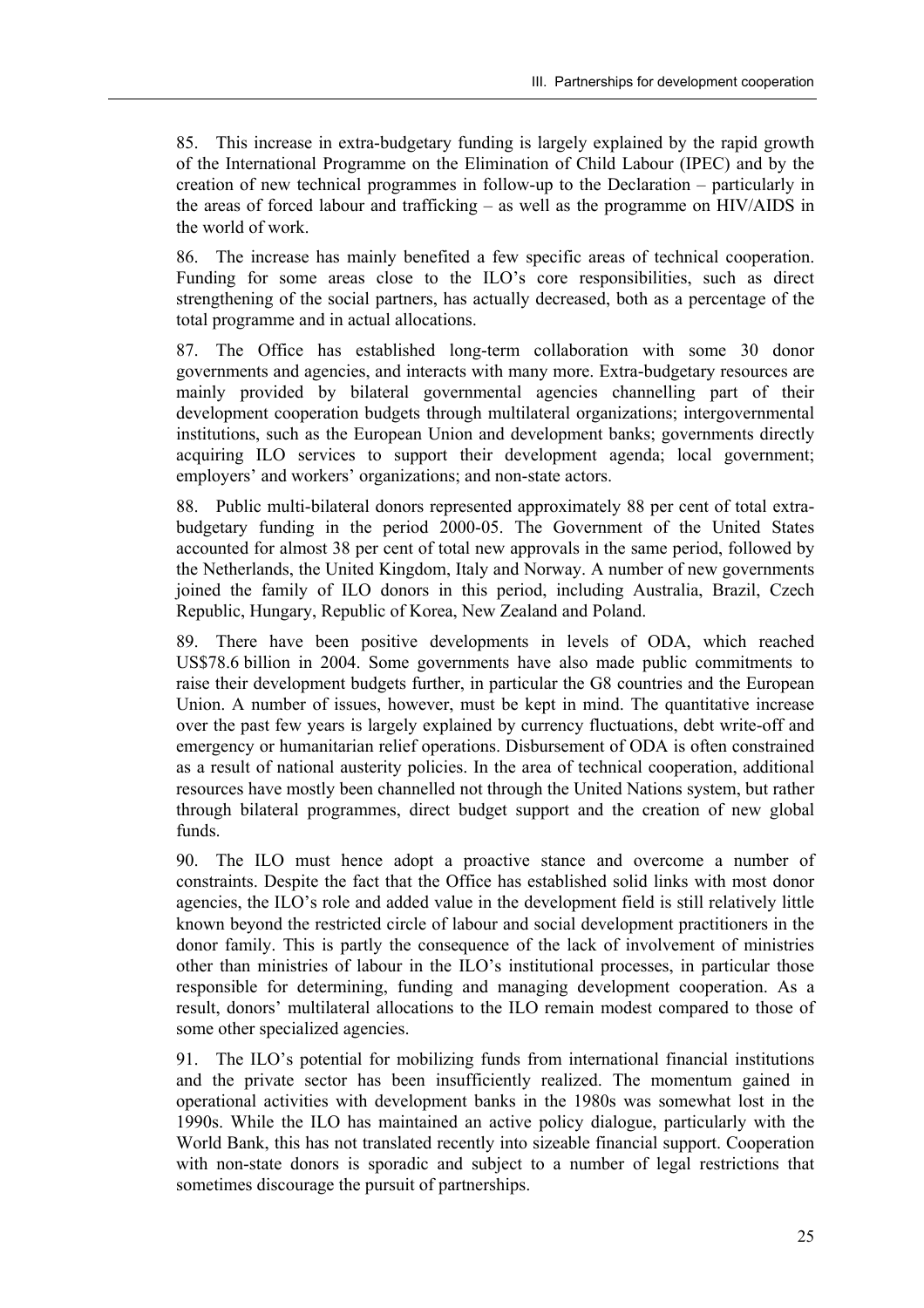85. This increase in extra-budgetary funding is largely explained by the rapid growth of the International Programme on the Elimination of Child Labour (IPEC) and by the creation of new technical programmes in follow-up to the Declaration  $-$  particularly in the areas of forced labour and trafficking  $-$  as well as the programme on HIV/AIDS in the world of work.

86. The increase has mainly benefited a few specific areas of technical cooperation. Funding for some areas close to the ILO's core responsibilities, such as direct strengthening of the social partners, has actually decreased, both as a percentage of the total programme and in actual allocations.

87. The Office has established long-term collaboration with some 30 donor governments and agencies, and interacts with many more. Extra-budgetary resources are mainly provided by bilateral governmental agencies channelling part of their development cooperation budgets through multilateral organizations; intergovernmental institutions, such as the European Union and development banks; governments directly acquiring ILO services to support their development agenda; local government; employers' and workers' organizations; and non-state actors.

88. Public multi-bilateral donors represented approximately 88 per cent of total extrabudgetary funding in the period 2000-05. The Government of the United States accounted for almost 38 per cent of total new approvals in the same period, followed by the Netherlands, the United Kingdom, Italy and Norway. A number of new governments joined the family of ILO donors in this period, including Australia, Brazil, Czech Republic, Hungary, Republic of Korea, New Zealand and Poland.

89. There have been positive developments in levels of ODA, which reached US\$78.6 billion in 2004. Some governments have also made public commitments to raise their development budgets further, in particular the G8 countries and the European Union. A number of issues, however, must be kept in mind. The quantitative increase over the past few years is largely explained by currency fluctuations, debt write-off and emergency or humanitarian relief operations. Disbursement of ODA is often constrained as a result of national austerity policies. In the area of technical cooperation, additional resources have mostly been channelled not through the United Nations system, but rather through bilateral programmes, direct budget support and the creation of new global funds.

90. The ILO must hence adopt a proactive stance and overcome a number of constraints. Despite the fact that the Office has established solid links with most donor agencies, the ILO's role and added value in the development field is still relatively little known beyond the restricted circle of labour and social development practitioners in the donor family. This is partly the consequence of the lack of involvement of ministries other than ministries of labour in the ILO's institutional processes, in particular those responsible for determining, funding and managing development cooperation. As a result, donors' multilateral allocations to the ILO remain modest compared to those of some other specialized agencies.

91. The ILO's potential for mobilizing funds from international financial institutions and the private sector has been insufficiently realized. The momentum gained in operational activities with development banks in the 1980s was somewhat lost in the 1990s. While the ILO has maintained an active policy dialogue, particularly with the World Bank, this has not translated recently into sizeable financial support. Cooperation with non-state donors is sporadic and subject to a number of legal restrictions that sometimes discourage the pursuit of partnerships.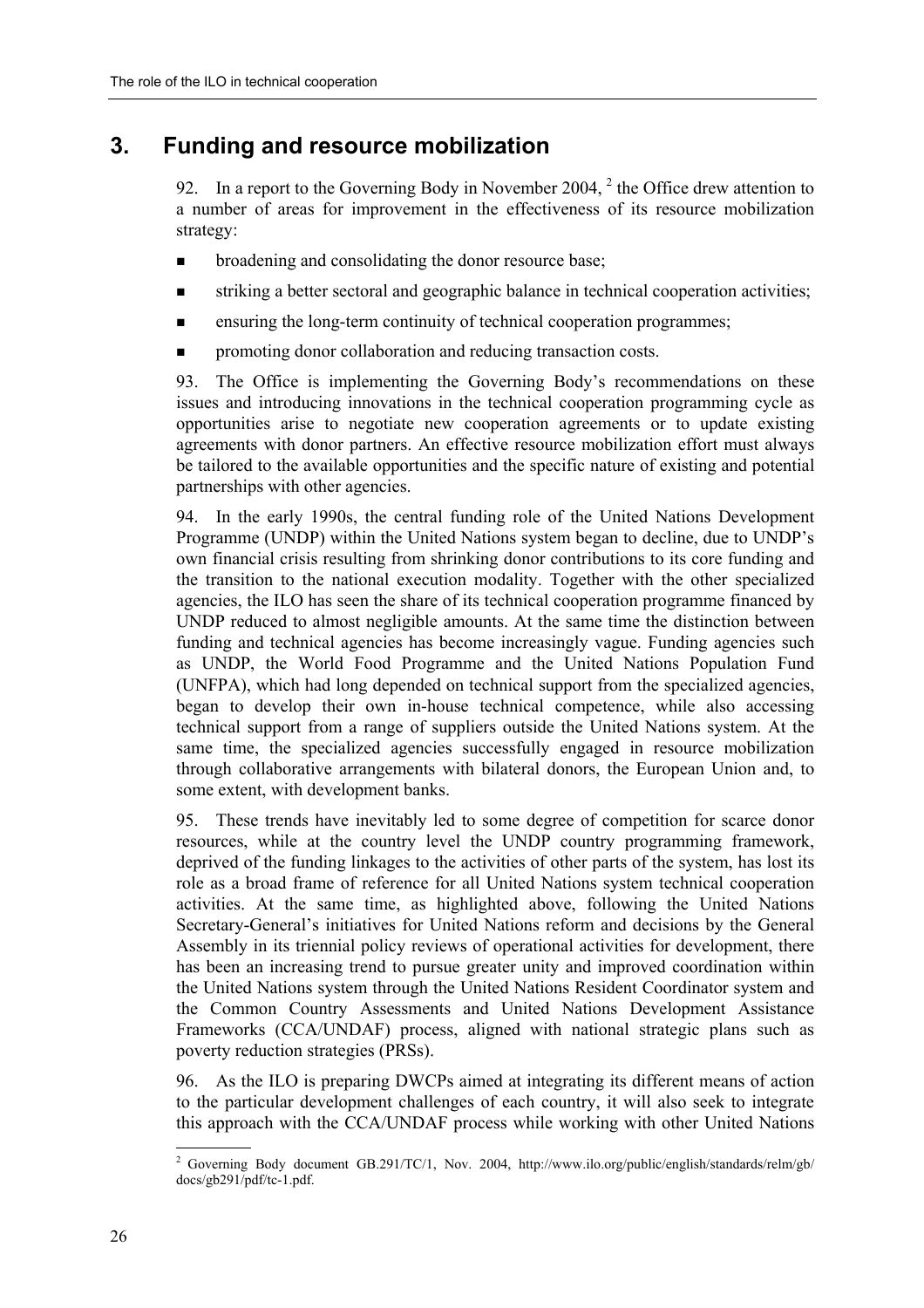### **3. Funding and resource mobilization**

92. In a report to the Governing Body in November 2004,  $2$  the Office drew attention to a number of areas for improvement in the effectiveness of its resource mobilization strategy:

- ! broadening and consolidating the donor resource base;
- ! striking a better sectoral and geographic balance in technical cooperation activities;
- ! ensuring the long-term continuity of technical cooperation programmes;
- promoting donor collaboration and reducing transaction costs.

93. The Office is implementing the Governing Body's recommendations on these issues and introducing innovations in the technical cooperation programming cycle as opportunities arise to negotiate new cooperation agreements or to update existing agreements with donor partners. An effective resource mobilization effort must always be tailored to the available opportunities and the specific nature of existing and potential partnerships with other agencies.

94. In the early 1990s, the central funding role of the United Nations Development Programme (UNDP) within the United Nations system began to decline, due to UNDP's own financial crisis resulting from shrinking donor contributions to its core funding and the transition to the national execution modality. Together with the other specialized agencies, the ILO has seen the share of its technical cooperation programme financed by UNDP reduced to almost negligible amounts. At the same time the distinction between funding and technical agencies has become increasingly vague. Funding agencies such as UNDP, the World Food Programme and the United Nations Population Fund (UNFPA), which had long depended on technical support from the specialized agencies, began to develop their own in-house technical competence, while also accessing technical support from a range of suppliers outside the United Nations system. At the same time, the specialized agencies successfully engaged in resource mobilization through collaborative arrangements with bilateral donors, the European Union and, to some extent, with development banks.

95. These trends have inevitably led to some degree of competition for scarce donor resources, while at the country level the UNDP country programming framework, deprived of the funding linkages to the activities of other parts of the system, has lost its role as a broad frame of reference for all United Nations system technical cooperation activities. At the same time, as highlighted above, following the United Nations Secretary-General's initiatives for United Nations reform and decisions by the General Assembly in its triennial policy reviews of operational activities for development, there has been an increasing trend to pursue greater unity and improved coordination within the United Nations system through the United Nations Resident Coordinator system and the Common Country Assessments and United Nations Development Assistance Frameworks (CCA/UNDAF) process, aligned with national strategic plans such as poverty reduction strategies (PRSs).

96. As the ILO is preparing DWCPs aimed at integrating its different means of action to the particular development challenges of each country, it will also seek to integrate this approach with the CCA/UNDAF process while working with other United Nations

<sup>&</sup>lt;sup>2</sup> Governing Body document GB.291/TC/1, Nov. 2004, http://www.ilo.org/public/english/standards/relm/gb/ docs/gb291/pdf/tc-1.pdf.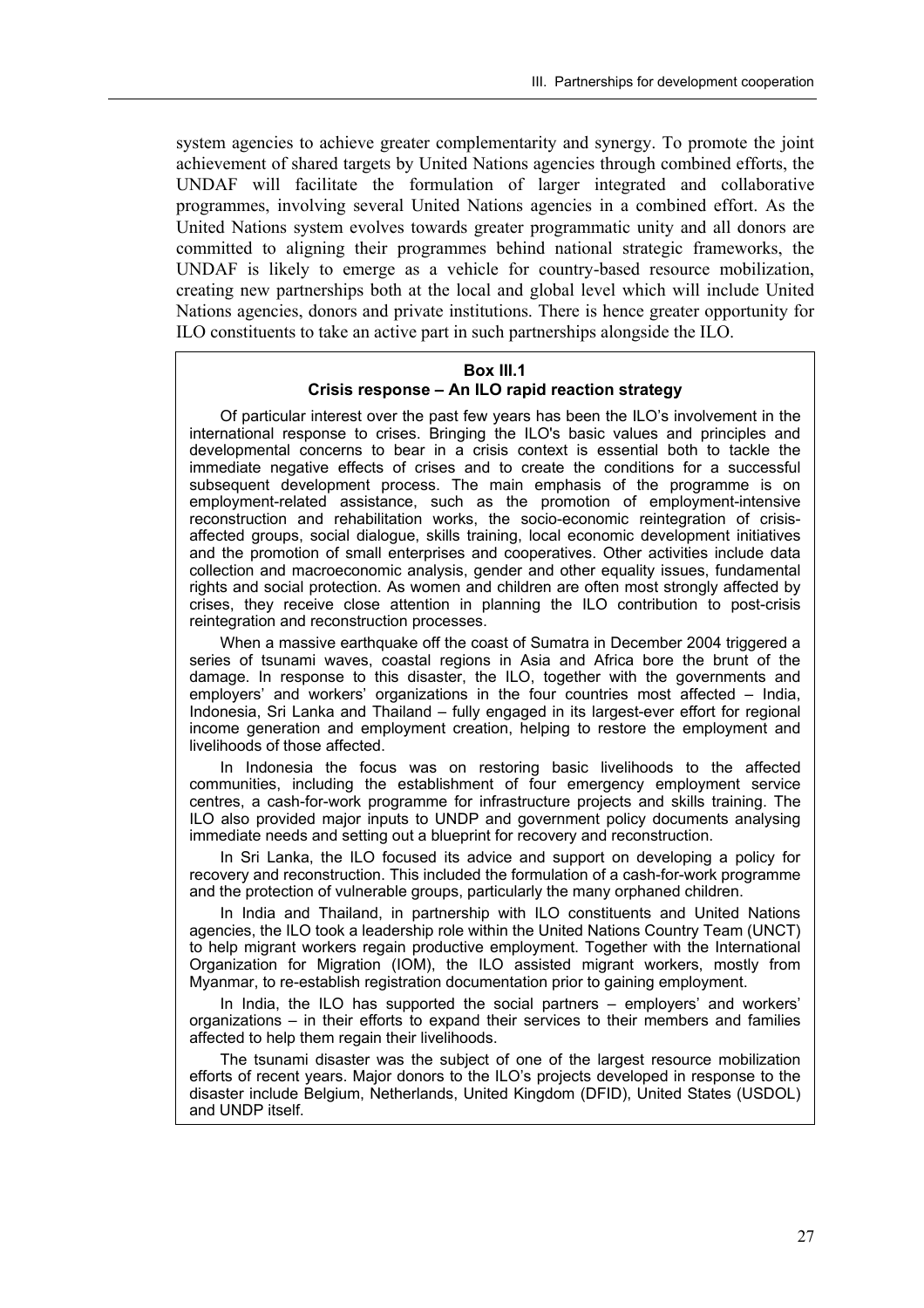system agencies to achieve greater complementarity and synergy. To promote the joint achievement of shared targets by United Nations agencies through combined efforts, the UNDAF will facilitate the formulation of larger integrated and collaborative programmes, involving several United Nations agencies in a combined effort. As the United Nations system evolves towards greater programmatic unity and all donors are committed to aligning their programmes behind national strategic frameworks, the UNDAF is likely to emerge as a vehicle for country-based resource mobilization, creating new partnerships both at the local and global level which will include United Nations agencies, donors and private institutions. There is hence greater opportunity for ILO constituents to take an active part in such partnerships alongside the ILO.

#### **Box III.1**

#### Crisis response - An ILO rapid reaction strategy

Of particular interest over the past few years has been the ILOís involvement in the international response to crises. Bringing the ILO's basic values and principles and developmental concerns to bear in a crisis context is essential both to tackle the immediate negative effects of crises and to create the conditions for a successful subsequent development process. The main emphasis of the programme is on employment-related assistance, such as the promotion of employment-intensive reconstruction and rehabilitation works, the socio-economic reintegration of crisisaffected groups, social dialogue, skills training, local economic development initiatives and the promotion of small enterprises and cooperatives. Other activities include data collection and macroeconomic analysis, gender and other equality issues, fundamental rights and social protection. As women and children are often most strongly affected by crises, they receive close attention in planning the ILO contribution to post-crisis reintegration and reconstruction processes.

When a massive earthquake off the coast of Sumatra in December 2004 triggered a series of tsunami waves, coastal regions in Asia and Africa bore the brunt of the damage. In response to this disaster, the ILO, together with the governments and employers' and workers' organizations in the four countries most affected  $-$  India, Indonesia, Sri Lanka and Thailand - fully engaged in its largest-ever effort for regional income generation and employment creation, helping to restore the employment and livelihoods of those affected.

In Indonesia the focus was on restoring basic livelihoods to the affected communities, including the establishment of four emergency employment service centres, a cash-for-work programme for infrastructure projects and skills training. The ILO also provided major inputs to UNDP and government policy documents analysing immediate needs and setting out a blueprint for recovery and reconstruction.

In Sri Lanka, the ILO focused its advice and support on developing a policy for recovery and reconstruction. This included the formulation of a cash-for-work programme and the protection of vulnerable groups, particularly the many orphaned children.

In India and Thailand, in partnership with ILO constituents and United Nations agencies, the ILO took a leadership role within the United Nations Country Team (UNCT) to help migrant workers regain productive employment. Together with the International Organization for Migration (IOM), the ILO assisted migrant workers, mostly from Myanmar, to re-establish registration documentation prior to gaining employment.

In India, the ILO has supported the social partners – employers' and workers' organizations  $-$  in their efforts to expand their services to their members and families affected to help them regain their livelihoods.

The tsunami disaster was the subject of one of the largest resource mobilization efforts of recent years. Major donors to the ILO's projects developed in response to the disaster include Belgium, Netherlands, United Kingdom (DFID), United States (USDOL) and UNDP itself.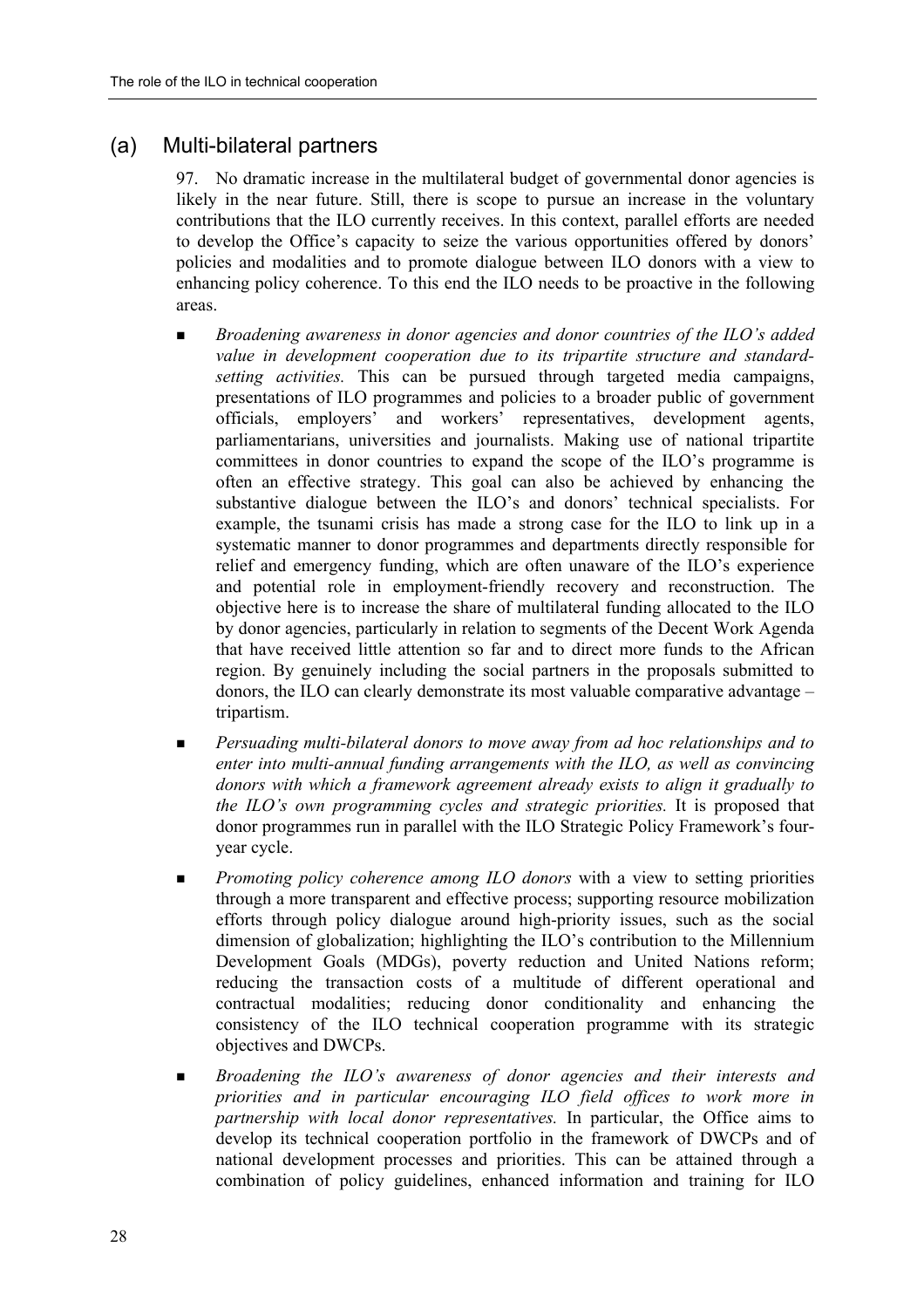#### (a) Multi-bilateral partners

97. No dramatic increase in the multilateral budget of governmental donor agencies is likely in the near future. Still, there is scope to pursue an increase in the voluntary contributions that the ILO currently receives. In this context, parallel efforts are needed to develop the Office's capacity to seize the various opportunities offered by donors' policies and modalities and to promote dialogue between ILO donors with a view to enhancing policy coherence. To this end the ILO needs to be proactive in the following areas.

- $\blacksquare$  *Broadening awareness in donor agencies and donor countries of the ILO's added value in development cooperation due to its tripartite structure and standardsetting activities.* This can be pursued through targeted media campaigns, presentations of ILO programmes and policies to a broader public of government officials, employers' and workers' representatives, development agents, parliamentarians, universities and journalists. Making use of national tripartite committees in donor countries to expand the scope of the ILO's programme is often an effective strategy. This goal can also be achieved by enhancing the substantive dialogue between the ILO's and donors' technical specialists. For example, the tsunami crisis has made a strong case for the ILO to link up in a systematic manner to donor programmes and departments directly responsible for relief and emergency funding, which are often unaware of the  $\rm ILO$ 's experience and potential role in employment-friendly recovery and reconstruction. The objective here is to increase the share of multilateral funding allocated to the ILO by donor agencies, particularly in relation to segments of the Decent Work Agenda that have received little attention so far and to direct more funds to the African region. By genuinely including the social partners in the proposals submitted to donors, the ILO can clearly demonstrate its most valuable comparative advantage  $$ tripartism.
- ! *Persuading multi-bilateral donors to move away from ad hoc relationships and to enter into multi-annual funding arrangements with the ILO, as well as convincing donors with which a framework agreement already exists to align it gradually to the ILOís own programming cycles and strategic priorities.* It is proposed that donor programmes run in parallel with the ILO Strategic Policy Framework's fouryear cycle.
- **EXECUTE:** *Promoting policy coherence among ILO donors* with a view to setting priorities through a more transparent and effective process; supporting resource mobilization efforts through policy dialogue around high-priority issues, such as the social dimension of globalization; highlighting the ILO's contribution to the Millennium Development Goals (MDGs), poverty reduction and United Nations reform; reducing the transaction costs of a multitude of different operational and contractual modalities; reducing donor conditionality and enhancing the consistency of the ILO technical cooperation programme with its strategic objectives and DWCPs.
- ! *Broadening the ILOís awareness of donor agencies and their interests and priorities and in particular encouraging ILO field offices to work more in partnership with local donor representatives.* In particular, the Office aims to develop its technical cooperation portfolio in the framework of DWCPs and of national development processes and priorities. This can be attained through a combination of policy guidelines, enhanced information and training for ILO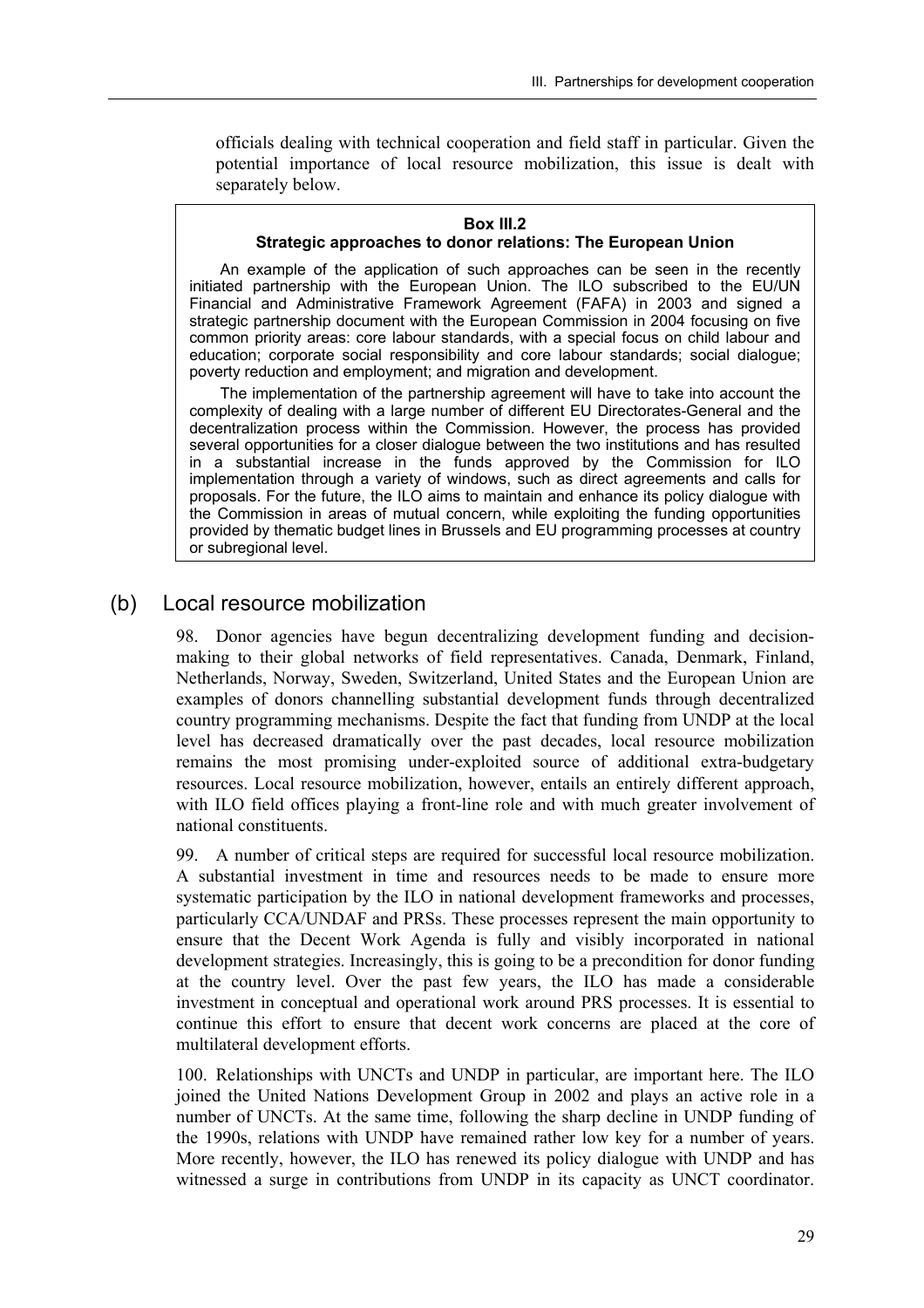officials dealing with technical cooperation and field staff in particular. Given the potential importance of local resource mobilization, this issue is dealt with separately below.

#### **Box III.2**

#### **Strategic approaches to donor relations: The European Union**

An example of the application of such approaches can be seen in the recently initiated partnership with the European Union. The ILO subscribed to the EU/UN Financial and Administrative Framework Agreement (FAFA) in 2003 and signed a strategic partnership document with the European Commission in 2004 focusing on five common priority areas: core labour standards, with a special focus on child labour and education; corporate social responsibility and core labour standards; social dialogue; poverty reduction and employment; and migration and development.

The implementation of the partnership agreement will have to take into account the complexity of dealing with a large number of different EU Directorates-General and the decentralization process within the Commission. However, the process has provided several opportunities for a closer dialogue between the two institutions and has resulted in a substantial increase in the funds approved by the Commission for ILO implementation through a variety of windows, such as direct agreements and calls for proposals. For the future, the ILO aims to maintain and enhance its policy dialogue with the Commission in areas of mutual concern, while exploiting the funding opportunities provided by thematic budget lines in Brussels and EU programming processes at country or subregional level.

#### (b) Local resource mobilization

98. Donor agencies have begun decentralizing development funding and decisionmaking to their global networks of field representatives. Canada, Denmark, Finland, Netherlands, Norway, Sweden, Switzerland, United States and the European Union are examples of donors channelling substantial development funds through decentralized country programming mechanisms. Despite the fact that funding from UNDP at the local level has decreased dramatically over the past decades, local resource mobilization remains the most promising under-exploited source of additional extra-budgetary resources. Local resource mobilization, however, entails an entirely different approach, with ILO field offices playing a front-line role and with much greater involvement of national constituents.

99. A number of critical steps are required for successful local resource mobilization. A substantial investment in time and resources needs to be made to ensure more systematic participation by the ILO in national development frameworks and processes, particularly CCA/UNDAF and PRSs. These processes represent the main opportunity to ensure that the Decent Work Agenda is fully and visibly incorporated in national development strategies. Increasingly, this is going to be a precondition for donor funding at the country level. Over the past few years, the ILO has made a considerable investment in conceptual and operational work around PRS processes. It is essential to continue this effort to ensure that decent work concerns are placed at the core of multilateral development efforts.

100. Relationships with UNCTs and UNDP in particular, are important here. The ILO joined the United Nations Development Group in 2002 and plays an active role in a number of UNCTs. At the same time, following the sharp decline in UNDP funding of the 1990s, relations with UNDP have remained rather low key for a number of years. More recently, however, the ILO has renewed its policy dialogue with UNDP and has witnessed a surge in contributions from UNDP in its capacity as UNCT coordinator.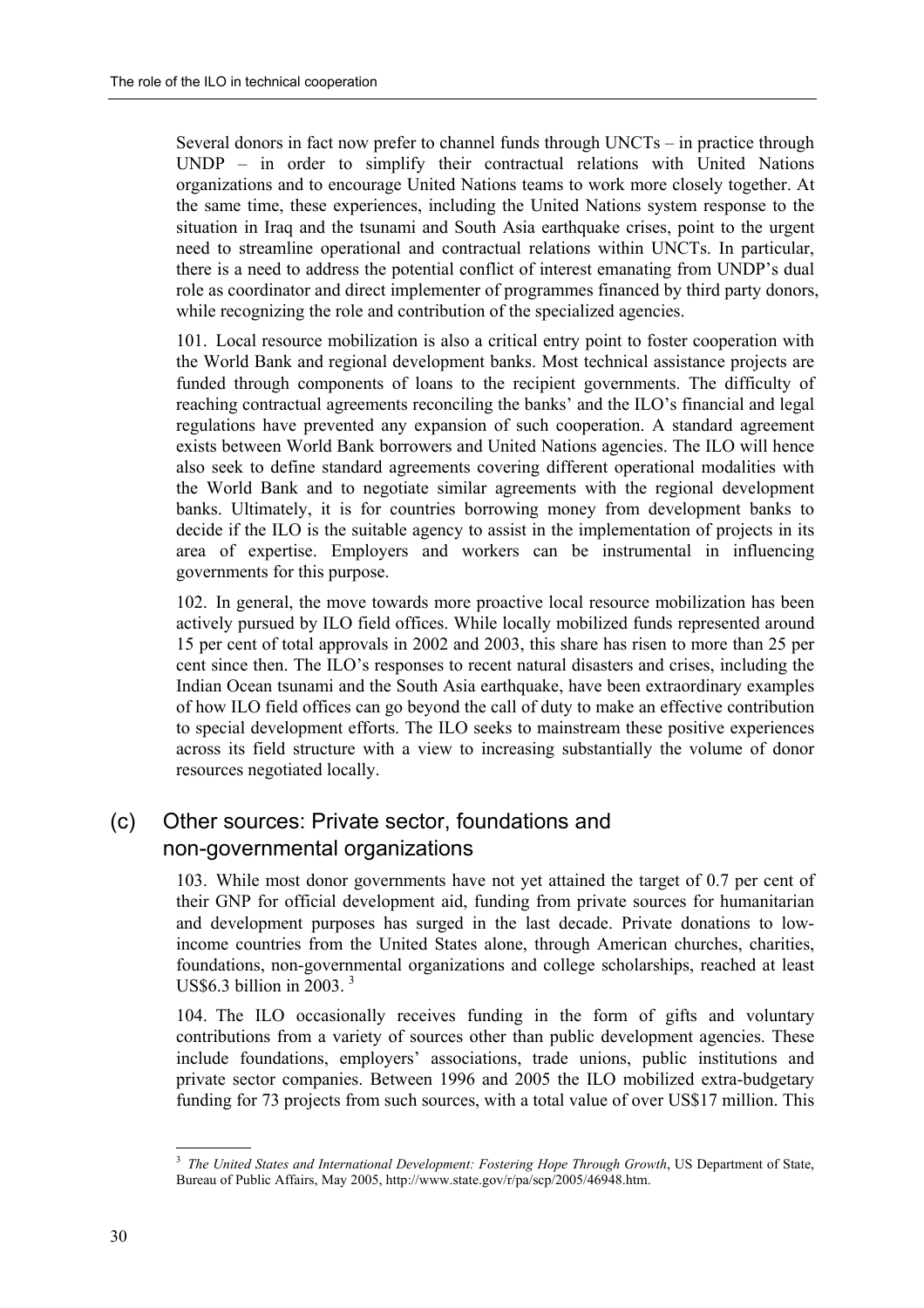Several donors in fact now prefer to channel funds through  $UNCTs - in$  practice through  $UNDP - in order to simplify their contractual relations with United Nations$ organizations and to encourage United Nations teams to work more closely together. At the same time, these experiences, including the United Nations system response to the situation in Iraq and the tsunami and South Asia earthquake crises, point to the urgent need to streamline operational and contractual relations within UNCTs. In particular, there is a need to address the potential conflict of interest emanating from UNDP's dual role as coordinator and direct implementer of programmes financed by third party donors, while recognizing the role and contribution of the specialized agencies.

101. Local resource mobilization is also a critical entry point to foster cooperation with the World Bank and regional development banks. Most technical assistance projects are funded through components of loans to the recipient governments. The difficulty of reaching contractual agreements reconciling the banks' and the ILO's financial and legal regulations have prevented any expansion of such cooperation. A standard agreement exists between World Bank borrowers and United Nations agencies. The ILO will hence also seek to define standard agreements covering different operational modalities with the World Bank and to negotiate similar agreements with the regional development banks. Ultimately, it is for countries borrowing money from development banks to decide if the ILO is the suitable agency to assist in the implementation of projects in its area of expertise. Employers and workers can be instrumental in influencing governments for this purpose.

102. In general, the move towards more proactive local resource mobilization has been actively pursued by ILO field offices. While locally mobilized funds represented around 15 per cent of total approvals in 2002 and 2003, this share has risen to more than 25 per cent since then. The ILO's responses to recent natural disasters and crises, including the Indian Ocean tsunami and the South Asia earthquake, have been extraordinary examples of how ILO field offices can go beyond the call of duty to make an effective contribution to special development efforts. The ILO seeks to mainstream these positive experiences across its field structure with a view to increasing substantially the volume of donor resources negotiated locally.

### (c) Other sources: Private sector, foundations and non-governmental organizations

103. While most donor governments have not yet attained the target of 0.7 per cent of their GNP for official development aid, funding from private sources for humanitarian and development purposes has surged in the last decade. Private donations to lowincome countries from the United States alone, through American churches, charities, foundations, non-governmental organizations and college scholarships, reached at least US\$6.3 billion in  $2003<sup>3</sup>$ 

104. The ILO occasionally receives funding in the form of gifts and voluntary contributions from a variety of sources other than public development agencies. These include foundations, employers' associations, trade unions, public institutions and private sector companies. Between 1996 and 2005 the ILO mobilized extra-budgetary funding for 73 projects from such sources, with a total value of over US\$17 million. This

 <sup>3</sup> *The United States and International Development: Fostering Hope Through Growth*, US Department of State, Bureau of Public Affairs, May 2005, http://www.state.gov/r/pa/scp/2005/46948.htm.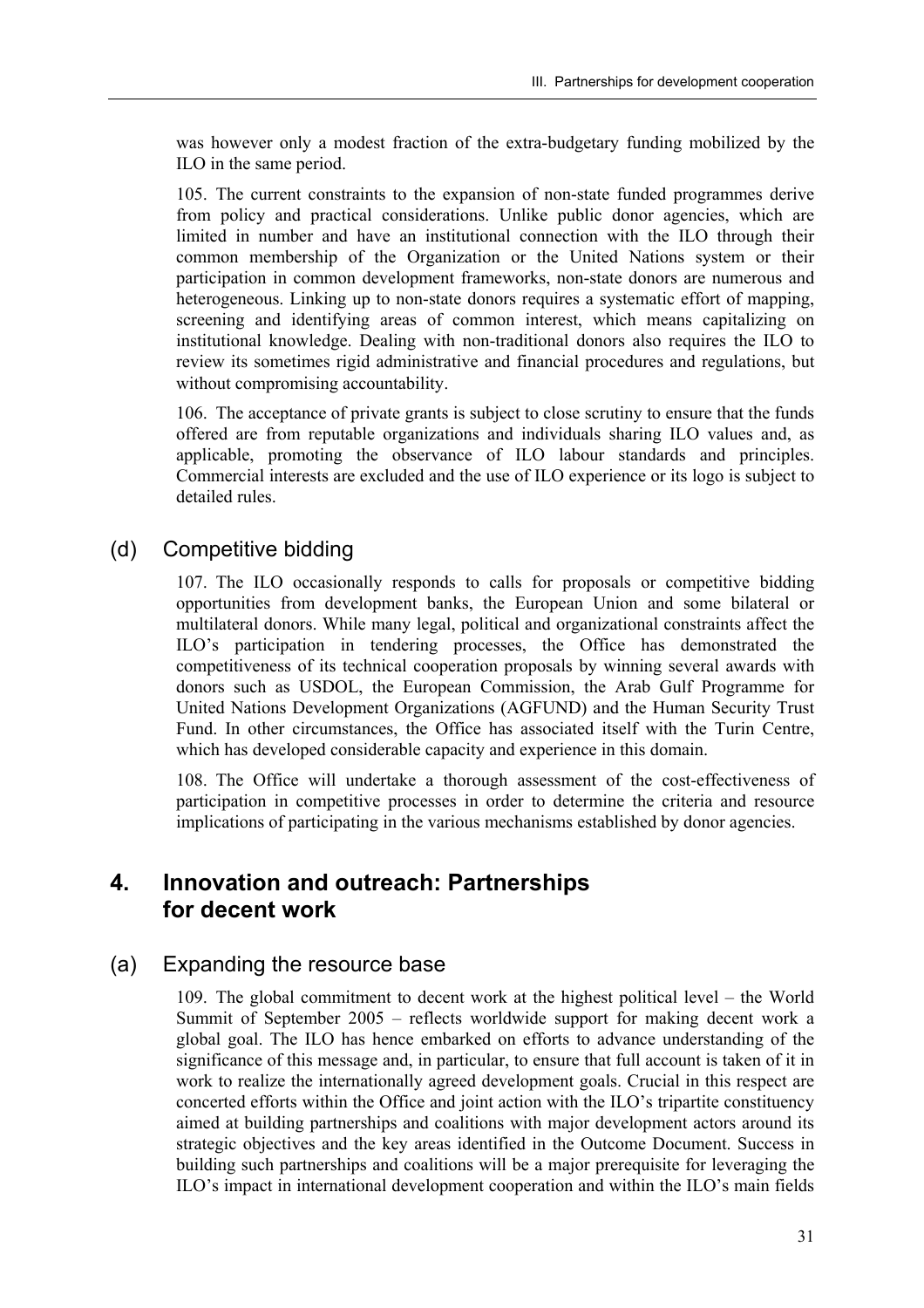was however only a modest fraction of the extra-budgetary funding mobilized by the ILO in the same period.

105. The current constraints to the expansion of non-state funded programmes derive from policy and practical considerations. Unlike public donor agencies, which are limited in number and have an institutional connection with the ILO through their common membership of the Organization or the United Nations system or their participation in common development frameworks, non-state donors are numerous and heterogeneous. Linking up to non-state donors requires a systematic effort of mapping, screening and identifying areas of common interest, which means capitalizing on institutional knowledge. Dealing with non-traditional donors also requires the ILO to review its sometimes rigid administrative and financial procedures and regulations, but without compromising accountability.

106. The acceptance of private grants is subject to close scrutiny to ensure that the funds offered are from reputable organizations and individuals sharing ILO values and, as applicable, promoting the observance of ILO labour standards and principles. Commercial interests are excluded and the use of ILO experience or its logo is subject to detailed rules.

#### (d) Competitive bidding

107. The ILO occasionally responds to calls for proposals or competitive bidding opportunities from development banks, the European Union and some bilateral or multilateral donors. While many legal, political and organizational constraints affect the ILO's participation in tendering processes, the Office has demonstrated the competitiveness of its technical cooperation proposals by winning several awards with donors such as USDOL, the European Commission, the Arab Gulf Programme for United Nations Development Organizations (AGFUND) and the Human Security Trust Fund. In other circumstances, the Office has associated itself with the Turin Centre, which has developed considerable capacity and experience in this domain.

108. The Office will undertake a thorough assessment of the cost-effectiveness of participation in competitive processes in order to determine the criteria and resource implications of participating in the various mechanisms established by donor agencies.

### **4. Innovation and outreach: Partnerships for decent work**

#### (a) Expanding the resource base

109. The global commitment to decent work at the highest political level  $-$  the World Summit of September  $2005$  – reflects worldwide support for making decent work a global goal. The ILO has hence embarked on efforts to advance understanding of the significance of this message and, in particular, to ensure that full account is taken of it in work to realize the internationally agreed development goals. Crucial in this respect are concerted efforts within the Office and joint action with the  $ILO$ 's tripartite constituency aimed at building partnerships and coalitions with major development actors around its strategic objectives and the key areas identified in the Outcome Document. Success in building such partnerships and coalitions will be a major prerequisite for leveraging the ILO's impact in international development cooperation and within the ILO's main fields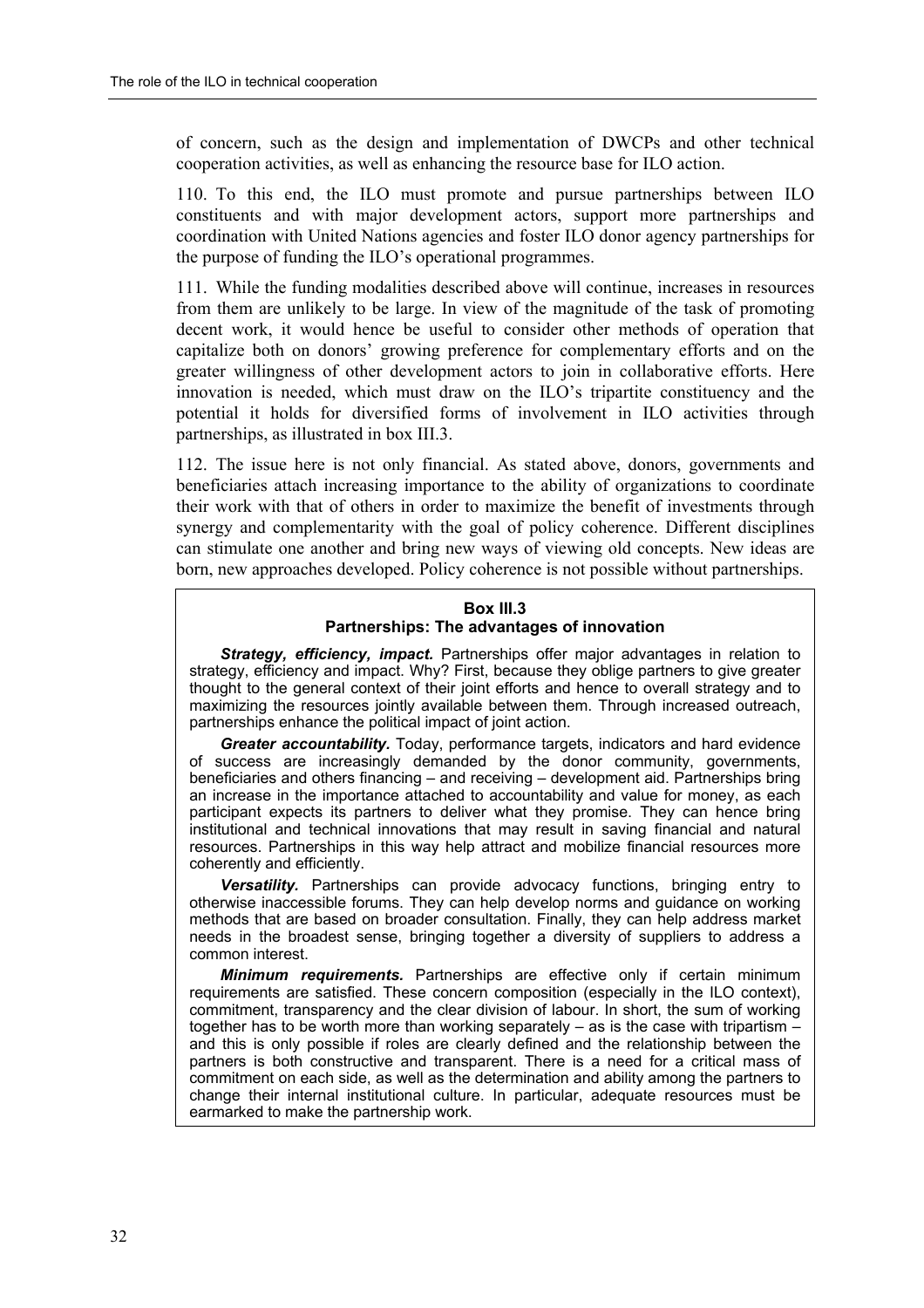of concern, such as the design and implementation of DWCPs and other technical cooperation activities, as well as enhancing the resource base for ILO action.

110. To this end, the ILO must promote and pursue partnerships between ILO constituents and with major development actors, support more partnerships and coordination with United Nations agencies and foster ILO donor agency partnerships for the purpose of funding the ILO's operational programmes.

111. While the funding modalities described above will continue, increases in resources from them are unlikely to be large. In view of the magnitude of the task of promoting decent work, it would hence be useful to consider other methods of operation that capitalize both on donors' growing preference for complementary efforts and on the greater willingness of other development actors to join in collaborative efforts. Here innovation is needed, which must draw on the  $\rm ILO$ 's tripartite constituency and the potential it holds for diversified forms of involvement in ILO activities through partnerships, as illustrated in box III.3.

112. The issue here is not only financial. As stated above, donors, governments and beneficiaries attach increasing importance to the ability of organizations to coordinate their work with that of others in order to maximize the benefit of investments through synergy and complementarity with the goal of policy coherence. Different disciplines can stimulate one another and bring new ways of viewing old concepts. New ideas are born, new approaches developed. Policy coherence is not possible without partnerships.

#### **Box III.3 Partnerships: The advantages of innovation**

*Strategy, efficiency, impact.* Partnerships offer major advantages in relation to strategy, efficiency and impact. Why? First, because they oblige partners to give greater thought to the general context of their joint efforts and hence to overall strategy and to maximizing the resources jointly available between them. Through increased outreach, partnerships enhance the political impact of joint action.

*Greater accountability.* Today, performance targets, indicators and hard evidence of success are increasingly demanded by the donor community, governments, beneficiaries and others financing  $-$  and receiving  $-$  development aid. Partnerships bring an increase in the importance attached to accountability and value for money, as each participant expects its partners to deliver what they promise. They can hence bring institutional and technical innovations that may result in saving financial and natural resources. Partnerships in this way help attract and mobilize financial resources more coherently and efficiently.

*Versatility.* Partnerships can provide advocacy functions, bringing entry to otherwise inaccessible forums. They can help develop norms and guidance on working methods that are based on broader consultation. Finally, they can help address market needs in the broadest sense, bringing together a diversity of suppliers to address a common interest.

*Minimum requirements.* Partnerships are effective only if certain minimum requirements are satisfied. These concern composition (especially in the ILO context), commitment, transparency and the clear division of labour. In short, the sum of working together has to be worth more than working separately  $-$  as is the case with tripartism  $$ and this is only possible if roles are clearly defined and the relationship between the partners is both constructive and transparent. There is a need for a critical mass of commitment on each side, as well as the determination and ability among the partners to change their internal institutional culture. In particular, adequate resources must be earmarked to make the partnership work.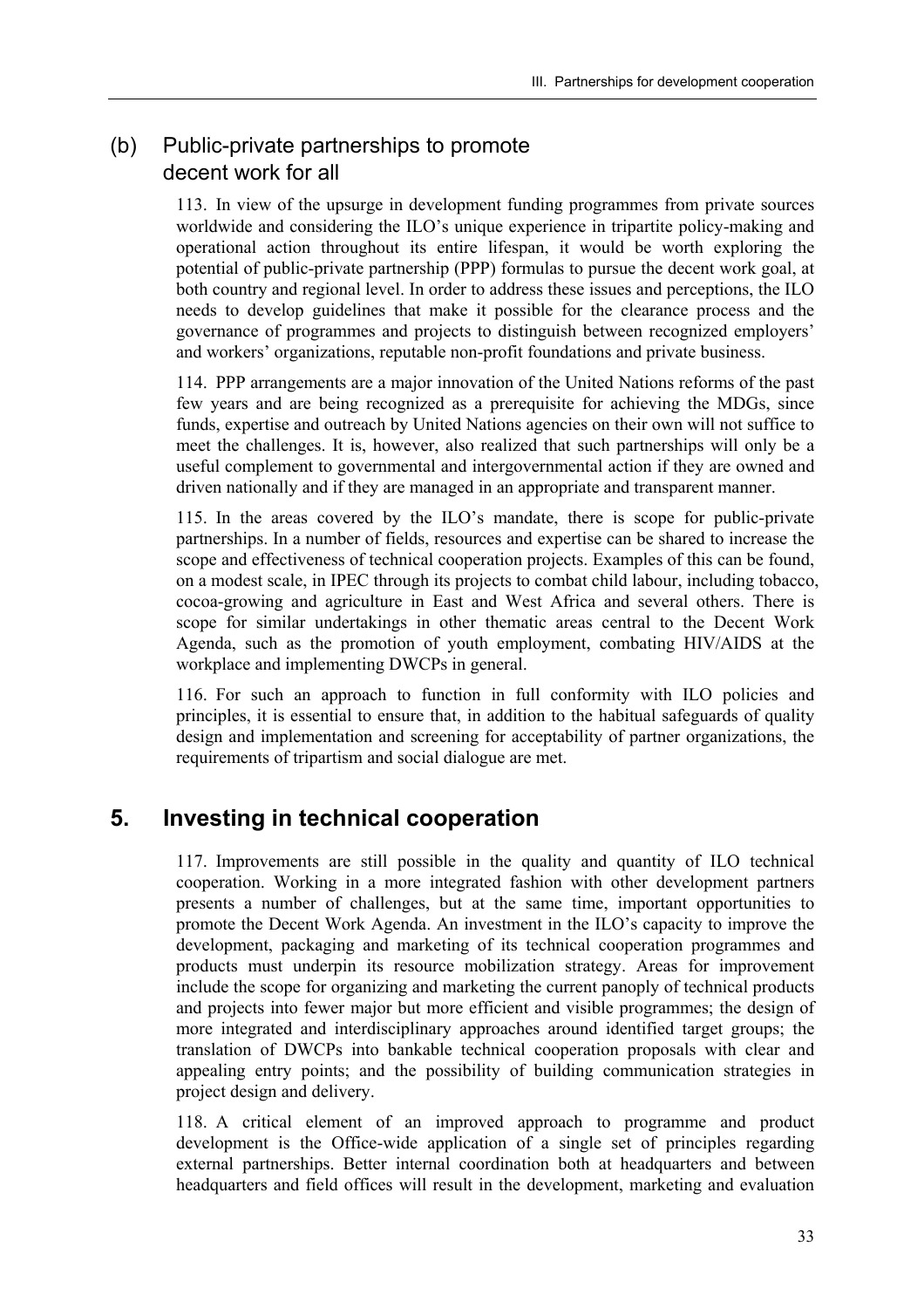### (b) Public-private partnerships to promote decent work for all

113. In view of the upsurge in development funding programmes from private sources worldwide and considering the ILO's unique experience in tripartite policy-making and operational action throughout its entire lifespan, it would be worth exploring the potential of public-private partnership (PPP) formulas to pursue the decent work goal, at both country and regional level. In order to address these issues and perceptions, the ILO needs to develop guidelines that make it possible for the clearance process and the governance of programmes and projects to distinguish between recognized employers' and workers' organizations, reputable non-profit foundations and private business.

114. PPP arrangements are a major innovation of the United Nations reforms of the past few years and are being recognized as a prerequisite for achieving the MDGs, since funds, expertise and outreach by United Nations agencies on their own will not suffice to meet the challenges. It is, however, also realized that such partnerships will only be a useful complement to governmental and intergovernmental action if they are owned and driven nationally and if they are managed in an appropriate and transparent manner.

115. In the areas covered by the ILO's mandate, there is scope for public-private partnerships. In a number of fields, resources and expertise can be shared to increase the scope and effectiveness of technical cooperation projects. Examples of this can be found, on a modest scale, in IPEC through its projects to combat child labour, including tobacco, cocoa-growing and agriculture in East and West Africa and several others. There is scope for similar undertakings in other thematic areas central to the Decent Work Agenda, such as the promotion of youth employment, combating HIV/AIDS at the workplace and implementing DWCPs in general.

116. For such an approach to function in full conformity with ILO policies and principles, it is essential to ensure that, in addition to the habitual safeguards of quality design and implementation and screening for acceptability of partner organizations, the requirements of tripartism and social dialogue are met.

# **5. Investing in technical cooperation**

117. Improvements are still possible in the quality and quantity of ILO technical cooperation. Working in a more integrated fashion with other development partners presents a number of challenges, but at the same time, important opportunities to promote the Decent Work Agenda. An investment in the ILO's capacity to improve the development, packaging and marketing of its technical cooperation programmes and products must underpin its resource mobilization strategy. Areas for improvement include the scope for organizing and marketing the current panoply of technical products and projects into fewer major but more efficient and visible programmes; the design of more integrated and interdisciplinary approaches around identified target groups; the translation of DWCPs into bankable technical cooperation proposals with clear and appealing entry points; and the possibility of building communication strategies in project design and delivery.

118. A critical element of an improved approach to programme and product development is the Office-wide application of a single set of principles regarding external partnerships. Better internal coordination both at headquarters and between headquarters and field offices will result in the development, marketing and evaluation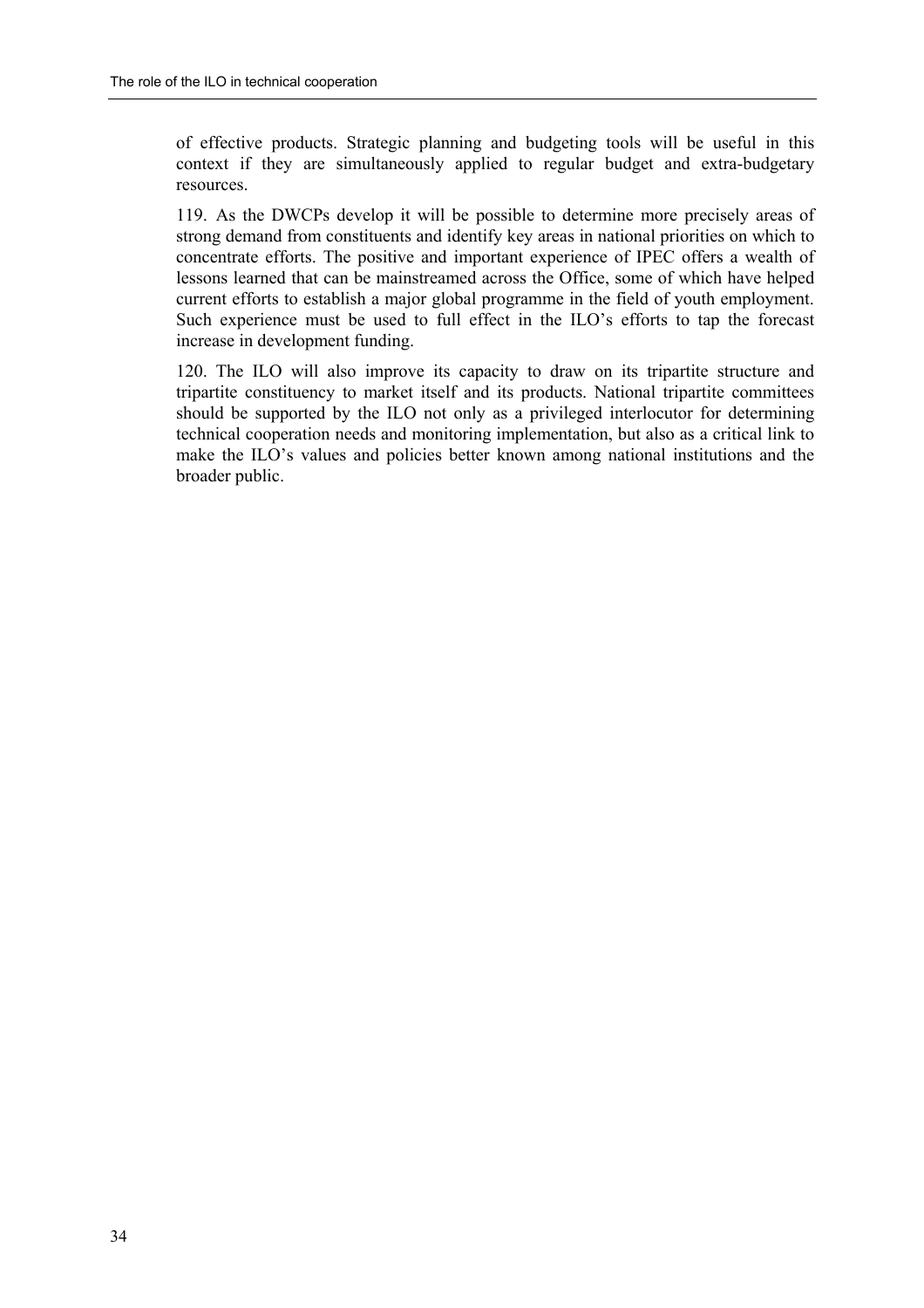of effective products. Strategic planning and budgeting tools will be useful in this context if they are simultaneously applied to regular budget and extra-budgetary resources.

119. As the DWCPs develop it will be possible to determine more precisely areas of strong demand from constituents and identify key areas in national priorities on which to concentrate efforts. The positive and important experience of IPEC offers a wealth of lessons learned that can be mainstreamed across the Office, some of which have helped current efforts to establish a major global programme in the field of youth employment. Such experience must be used to full effect in the ILO's efforts to tap the forecast increase in development funding.

120. The ILO will also improve its capacity to draw on its tripartite structure and tripartite constituency to market itself and its products. National tripartite committees should be supported by the ILO not only as a privileged interlocutor for determining technical cooperation needs and monitoring implementation, but also as a critical link to make the ILO's values and policies better known among national institutions and the broader public.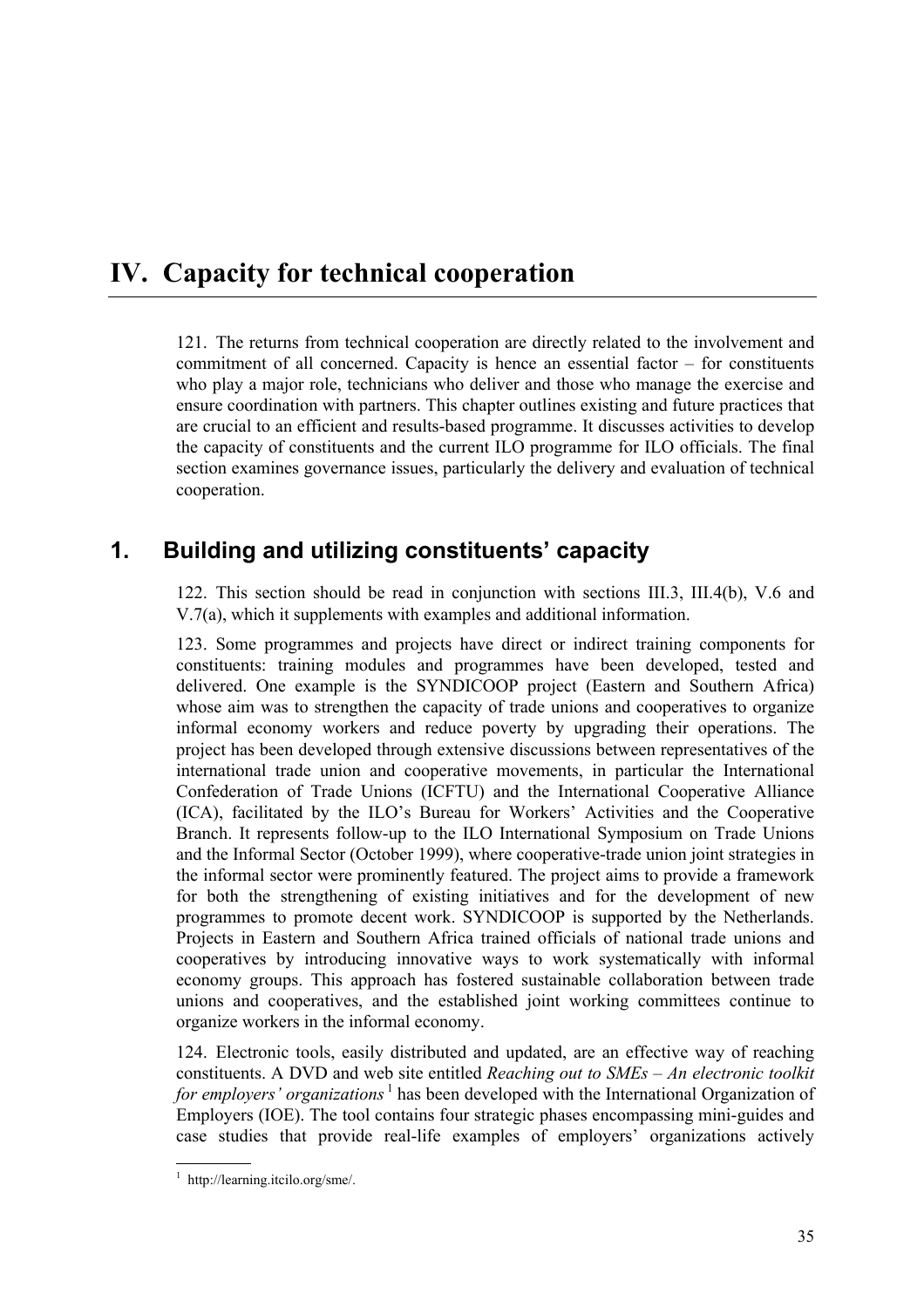# **IV. Capacity for technical cooperation**

121. The returns from technical cooperation are directly related to the involvement and commitment of all concerned. Capacity is hence an essential factor  $-$  for constituents who play a major role, technicians who deliver and those who manage the exercise and ensure coordination with partners. This chapter outlines existing and future practices that are crucial to an efficient and results-based programme. It discusses activities to develop the capacity of constituents and the current ILO programme for ILO officials. The final section examines governance issues, particularly the delivery and evaluation of technical cooperation.

# 1. Building and utilizing constituents' capacity

122. This section should be read in conjunction with sections III.3, III.4(b), V.6 and V.7(a), which it supplements with examples and additional information.

123. Some programmes and projects have direct or indirect training components for constituents: training modules and programmes have been developed, tested and delivered. One example is the SYNDICOOP project (Eastern and Southern Africa) whose aim was to strengthen the capacity of trade unions and cooperatives to organize informal economy workers and reduce poverty by upgrading their operations. The project has been developed through extensive discussions between representatives of the international trade union and cooperative movements, in particular the International Confederation of Trade Unions (ICFTU) and the International Cooperative Alliance (ICA), facilitated by the ILO's Bureau for Workers' Activities and the Cooperative Branch. It represents follow-up to the ILO International Symposium on Trade Unions and the Informal Sector (October 1999), where cooperative-trade union joint strategies in the informal sector were prominently featured. The project aims to provide a framework for both the strengthening of existing initiatives and for the development of new programmes to promote decent work. SYNDICOOP is supported by the Netherlands. Projects in Eastern and Southern Africa trained officials of national trade unions and cooperatives by introducing innovative ways to work systematically with informal economy groups. This approach has fostered sustainable collaboration between trade unions and cooperatives, and the established joint working committees continue to organize workers in the informal economy.

124. Electronic tools, easily distributed and updated, are an effective way of reaching constituents. A DVD and web site entitled *Reaching out to SMEs – An electronic toolkit for employers' organizations* <sup>1</sup> has been developed with the International Organization of Employers (IOE). The tool contains four strategic phases encompassing mini-guides and case studies that provide real-life examples of employers' organizations actively

 1 http://learning.itcilo.org/sme/.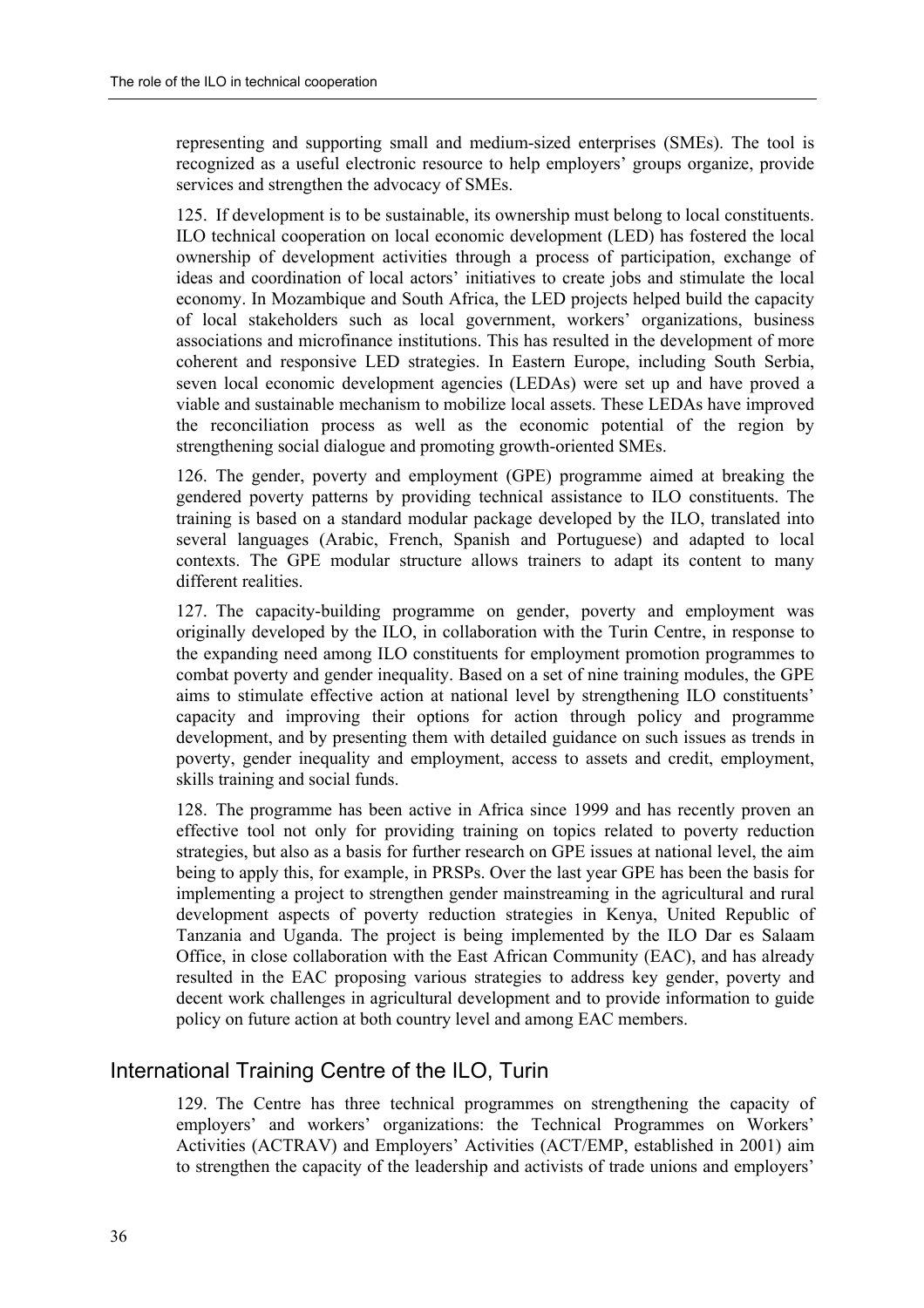representing and supporting small and medium-sized enterprises (SMEs). The tool is recognized as a useful electronic resource to help employers' groups organize, provide services and strengthen the advocacy of SMEs.

125. If development is to be sustainable, its ownership must belong to local constituents. ILO technical cooperation on local economic development (LED) has fostered the local ownership of development activities through a process of participation, exchange of ideas and coordination of local actors' initiatives to create jobs and stimulate the local economy. In Mozambique and South Africa, the LED projects helped build the capacity of local stakeholders such as local government, workers' organizations, business associations and microfinance institutions. This has resulted in the development of more coherent and responsive LED strategies. In Eastern Europe, including South Serbia, seven local economic development agencies (LEDAs) were set up and have proved a viable and sustainable mechanism to mobilize local assets. These LEDAs have improved the reconciliation process as well as the economic potential of the region by strengthening social dialogue and promoting growth-oriented SMEs.

126. The gender, poverty and employment (GPE) programme aimed at breaking the gendered poverty patterns by providing technical assistance to ILO constituents. The training is based on a standard modular package developed by the ILO, translated into several languages (Arabic, French, Spanish and Portuguese) and adapted to local contexts. The GPE modular structure allows trainers to adapt its content to many different realities.

127. The capacity-building programme on gender, poverty and employment was originally developed by the ILO, in collaboration with the Turin Centre, in response to the expanding need among ILO constituents for employment promotion programmes to combat poverty and gender inequality. Based on a set of nine training modules, the GPE aims to stimulate effective action at national level by strengthening ILO constituents' capacity and improving their options for action through policy and programme development, and by presenting them with detailed guidance on such issues as trends in poverty, gender inequality and employment, access to assets and credit, employment, skills training and social funds.

128. The programme has been active in Africa since 1999 and has recently proven an effective tool not only for providing training on topics related to poverty reduction strategies, but also as a basis for further research on GPE issues at national level, the aim being to apply this, for example, in PRSPs. Over the last year GPE has been the basis for implementing a project to strengthen gender mainstreaming in the agricultural and rural development aspects of poverty reduction strategies in Kenya, United Republic of Tanzania and Uganda. The project is being implemented by the ILO Dar es Salaam Office, in close collaboration with the East African Community (EAC), and has already resulted in the EAC proposing various strategies to address key gender, poverty and decent work challenges in agricultural development and to provide information to guide policy on future action at both country level and among EAC members.

### International Training Centre of the ILO, Turin

129. The Centre has three technical programmes on strengthening the capacity of employers' and workers' organizations: the Technical Programmes on Workers' Activities (ACTRAV) and Employers' Activities (ACT/EMP, established in 2001) aim to strengthen the capacity of the leadership and activists of trade unions and employers'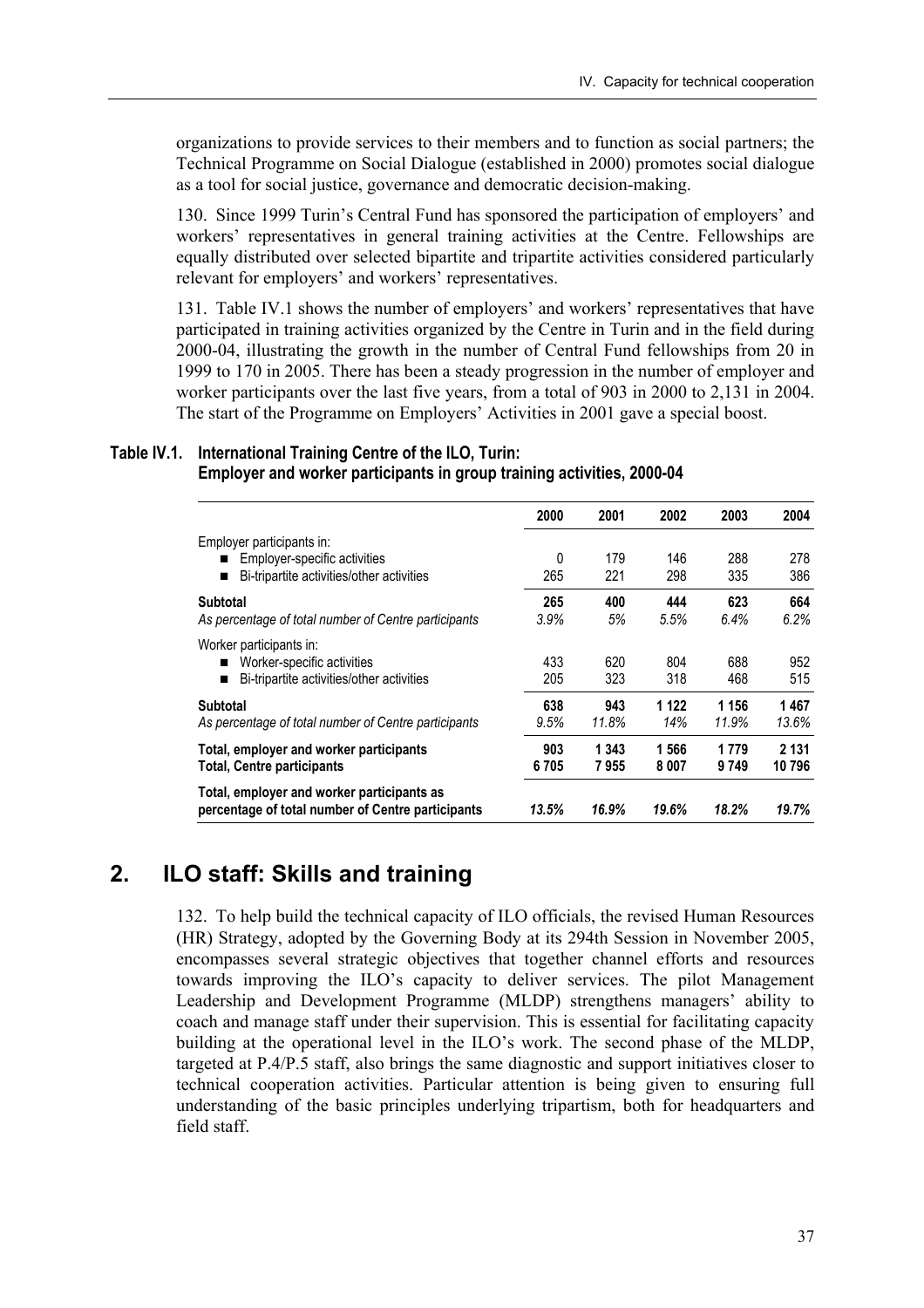organizations to provide services to their members and to function as social partners; the Technical Programme on Social Dialogue (established in 2000) promotes social dialogue as a tool for social justice, governance and democratic decision-making.

130. Since 1999 Turin's Central Fund has sponsored the participation of employers' and workers' representatives in general training activities at the Centre. Fellowships are equally distributed over selected bipartite and tripartite activities considered particularly relevant for employers' and workers' representatives.

131. Table IV.1 shows the number of employers' and workers' representatives that have participated in training activities organized by the Centre in Turin and in the field during 2000-04, illustrating the growth in the number of Central Fund fellowships from 20 in 1999 to 170 in 2005. There has been a steady progression in the number of employer and worker participants over the last five years, from a total of 903 in 2000 to 2,131 in 2004. The start of the Programme on Employers' Activities in 2001 gave a special boost.

### **Table IV.1. International Training Centre of the ILO, Turin: Employer and worker participants in group training activities, 2000-04**

|                                                                                                    | 2000        | 2001             | 2002           | 2003             | 2004              |
|----------------------------------------------------------------------------------------------------|-------------|------------------|----------------|------------------|-------------------|
| Employer participants in:<br>Employer-specific activities                                          | 0           | 179              | 146            | 288              | 278               |
| Bi-tripartite activities/other activities                                                          | 265         | 221              | 298            | 335              | 386               |
| <b>Subtotal</b><br>As percentage of total number of Centre participants                            | 265<br>3.9% | 400<br>5%        | 444<br>5.5%    | 623<br>6.4%      | 664<br>6.2%       |
| Worker participants in:<br>Worker-specific activities<br>Bi-tripartite activities/other activities | 433<br>205  | 620<br>323       | 804<br>318     | 688<br>468       | 952<br>515        |
| <b>Subtotal</b><br>As percentage of total number of Centre participants                            | 638<br>9.5% | 943<br>11.8%     | 1 1 2 2<br>14% | 1 1 5 6<br>11.9% | 1467<br>13.6%     |
| Total, employer and worker participants<br><b>Total, Centre participants</b>                       | 903<br>6705 | 1 3 4 3<br>7 955 | 1566<br>8 007  | 1779<br>9749     | 2 1 3 1<br>10 796 |
| Total, employer and worker participants as<br>percentage of total number of Centre participants    | 13.5%       | 16.9%            | 19.6%          | 18.2%            | 19.7%             |

# **2. ILO staff: Skills and training**

132. To help build the technical capacity of ILO officials, the revised Human Resources (HR) Strategy, adopted by the Governing Body at its 294th Session in November 2005, encompasses several strategic objectives that together channel efforts and resources towards improving the ILO's capacity to deliver services. The pilot Management Leadership and Development Programme (MLDP) strengthens managers' ability to coach and manage staff under their supervision. This is essential for facilitating capacity building at the operational level in the ILO's work. The second phase of the MLDP, targeted at P.4/P.5 staff, also brings the same diagnostic and support initiatives closer to technical cooperation activities. Particular attention is being given to ensuring full understanding of the basic principles underlying tripartism, both for headquarters and field staff.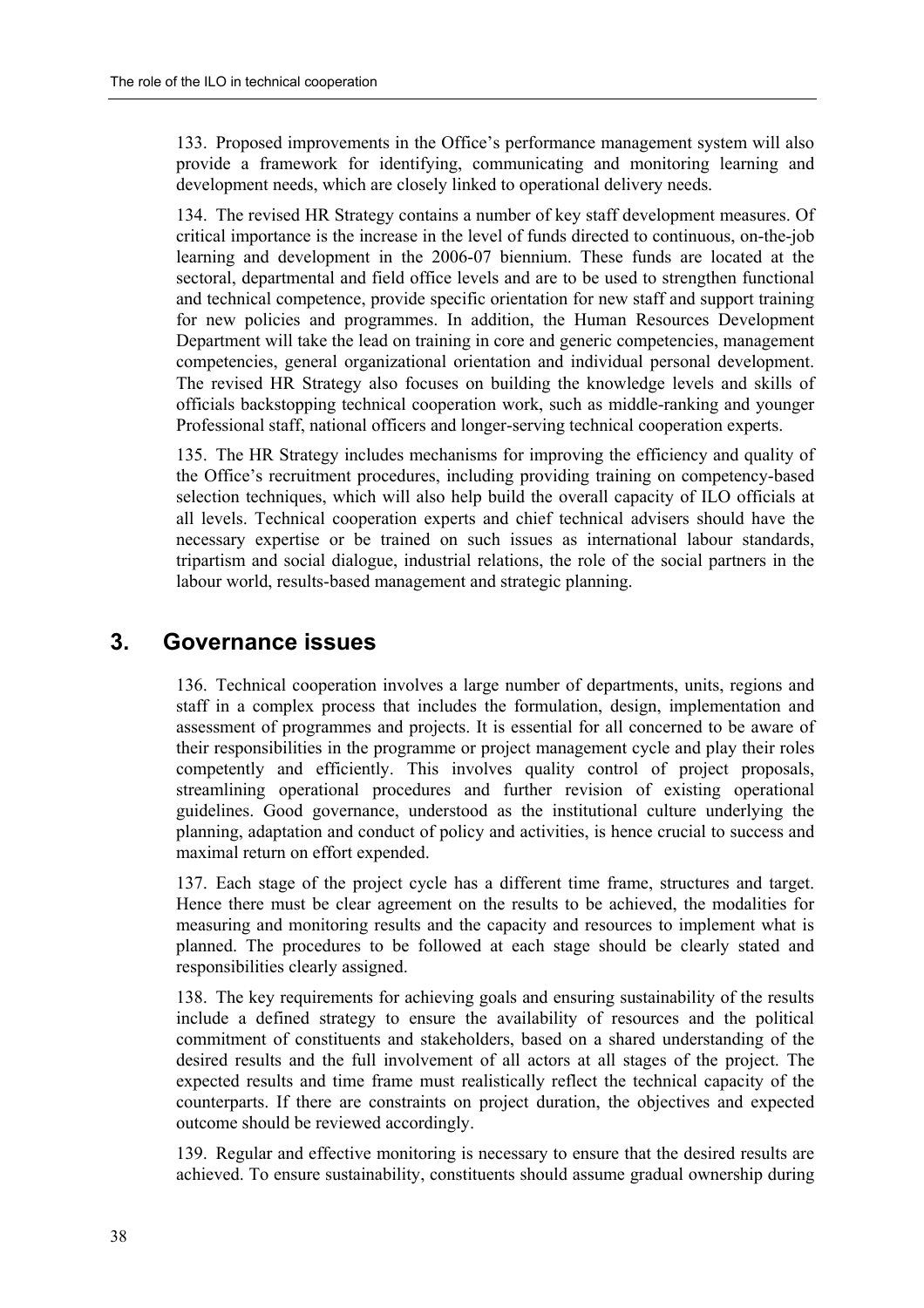133. Proposed improvements in the Office's performance management system will also provide a framework for identifying, communicating and monitoring learning and development needs, which are closely linked to operational delivery needs.

134. The revised HR Strategy contains a number of key staff development measures. Of critical importance is the increase in the level of funds directed to continuous, on-the-job learning and development in the 2006-07 biennium. These funds are located at the sectoral, departmental and field office levels and are to be used to strengthen functional and technical competence, provide specific orientation for new staff and support training for new policies and programmes. In addition, the Human Resources Development Department will take the lead on training in core and generic competencies, management competencies, general organizational orientation and individual personal development. The revised HR Strategy also focuses on building the knowledge levels and skills of officials backstopping technical cooperation work, such as middle-ranking and younger Professional staff, national officers and longer-serving technical cooperation experts.

135. The HR Strategy includes mechanisms for improving the efficiency and quality of the Office's recruitment procedures, including providing training on competency-based selection techniques, which will also help build the overall capacity of ILO officials at all levels. Technical cooperation experts and chief technical advisers should have the necessary expertise or be trained on such issues as international labour standards, tripartism and social dialogue, industrial relations, the role of the social partners in the labour world, results-based management and strategic planning.

## **3. Governance issues**

136. Technical cooperation involves a large number of departments, units, regions and staff in a complex process that includes the formulation, design, implementation and assessment of programmes and projects. It is essential for all concerned to be aware of their responsibilities in the programme or project management cycle and play their roles competently and efficiently. This involves quality control of project proposals, streamlining operational procedures and further revision of existing operational guidelines. Good governance, understood as the institutional culture underlying the planning, adaptation and conduct of policy and activities, is hence crucial to success and maximal return on effort expended.

137. Each stage of the project cycle has a different time frame, structures and target. Hence there must be clear agreement on the results to be achieved, the modalities for measuring and monitoring results and the capacity and resources to implement what is planned. The procedures to be followed at each stage should be clearly stated and responsibilities clearly assigned.

138. The key requirements for achieving goals and ensuring sustainability of the results include a defined strategy to ensure the availability of resources and the political commitment of constituents and stakeholders, based on a shared understanding of the desired results and the full involvement of all actors at all stages of the project. The expected results and time frame must realistically reflect the technical capacity of the counterparts. If there are constraints on project duration, the objectives and expected outcome should be reviewed accordingly.

139. Regular and effective monitoring is necessary to ensure that the desired results are achieved. To ensure sustainability, constituents should assume gradual ownership during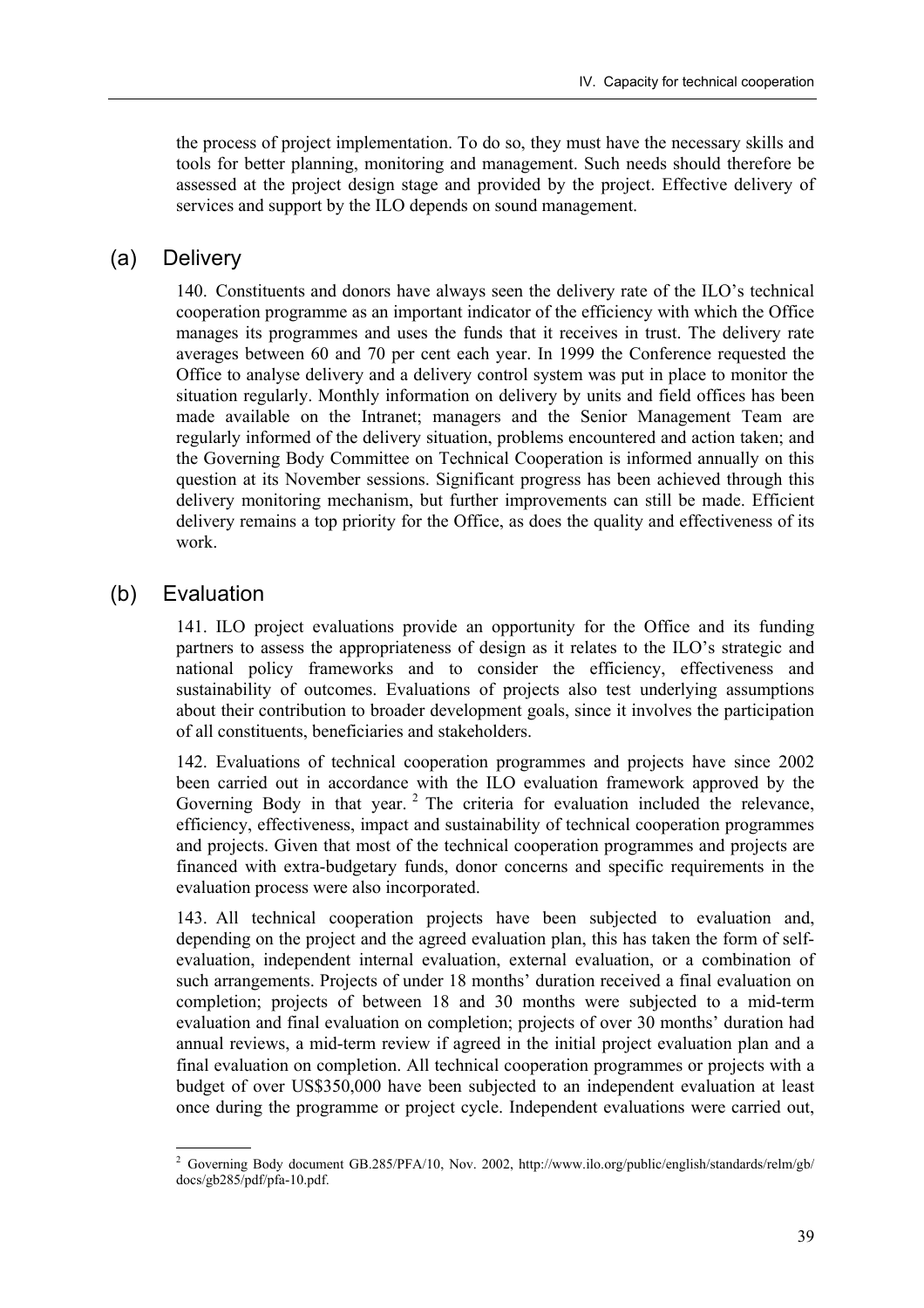the process of project implementation. To do so, they must have the necessary skills and tools for better planning, monitoring and management. Such needs should therefore be assessed at the project design stage and provided by the project. Effective delivery of services and support by the ILO depends on sound management.

### (a) Delivery

140. Constituents and donors have always seen the delivery rate of the ILO's technical cooperation programme as an important indicator of the efficiency with which the Office manages its programmes and uses the funds that it receives in trust. The delivery rate averages between 60 and 70 per cent each year. In 1999 the Conference requested the Office to analyse delivery and a delivery control system was put in place to monitor the situation regularly. Monthly information on delivery by units and field offices has been made available on the Intranet; managers and the Senior Management Team are regularly informed of the delivery situation, problems encountered and action taken; and the Governing Body Committee on Technical Cooperation is informed annually on this question at its November sessions. Significant progress has been achieved through this delivery monitoring mechanism, but further improvements can still be made. Efficient delivery remains a top priority for the Office, as does the quality and effectiveness of its work.

### (b) Evaluation

141. ILO project evaluations provide an opportunity for the Office and its funding partners to assess the appropriateness of design as it relates to the ILO's strategic and national policy frameworks and to consider the efficiency, effectiveness and sustainability of outcomes. Evaluations of projects also test underlying assumptions about their contribution to broader development goals, since it involves the participation of all constituents, beneficiaries and stakeholders.

142. Evaluations of technical cooperation programmes and projects have since 2002 been carried out in accordance with the ILO evaluation framework approved by the Governing Body in that year.<sup>2</sup> The criteria for evaluation included the relevance, efficiency, effectiveness, impact and sustainability of technical cooperation programmes and projects. Given that most of the technical cooperation programmes and projects are financed with extra-budgetary funds, donor concerns and specific requirements in the evaluation process were also incorporated.

143. All technical cooperation projects have been subjected to evaluation and, depending on the project and the agreed evaluation plan, this has taken the form of selfevaluation, independent internal evaluation, external evaluation, or a combination of such arrangements. Projects of under 18 months' duration received a final evaluation on completion; projects of between 18 and 30 months were subjected to a mid-term evaluation and final evaluation on completion; projects of over 30 months' duration had annual reviews, a mid-term review if agreed in the initial project evaluation plan and a final evaluation on completion. All technical cooperation programmes or projects with a budget of over US\$350,000 have been subjected to an independent evaluation at least once during the programme or project cycle. Independent evaluations were carried out,

<sup>2</sup> Governing Body document GB.285/PFA/10, Nov. 2002, http://www.ilo.org/public/english/standards/relm/gb/ docs/gb285/pdf/pfa-10.pdf.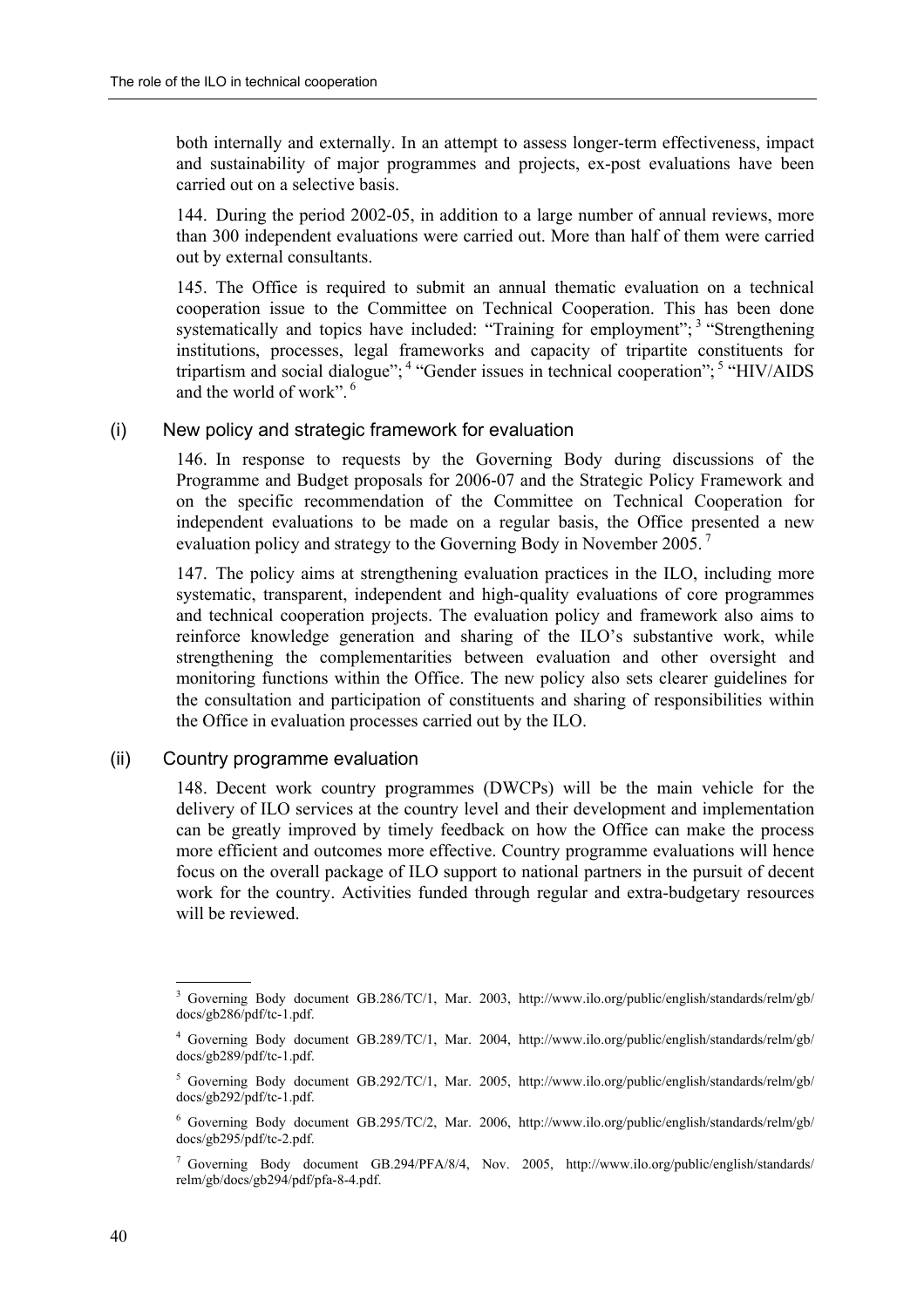both internally and externally. In an attempt to assess longer-term effectiveness, impact and sustainability of major programmes and projects, ex-post evaluations have been carried out on a selective basis.

144. During the period 2002-05, in addition to a large number of annual reviews, more than 300 independent evaluations were carried out. More than half of them were carried out by external consultants.

145. The Office is required to submit an annual thematic evaluation on a technical cooperation issue to the Committee on Technical Cooperation. This has been done systematically and topics have included: "Training for employment";  $3$  "Strengthening institutions, processes, legal frameworks and capacity of tripartite constituents for tripartism and social dialogue";  $\frac{4}{3}$  "Gender issues in technical cooperation";  $\frac{5}{3}$  "HIV/AIDS and the world of work".  $6$ 

#### (i) New policy and strategic framework for evaluation

146. In response to requests by the Governing Body during discussions of the Programme and Budget proposals for 2006-07 and the Strategic Policy Framework and on the specific recommendation of the Committee on Technical Cooperation for independent evaluations to be made on a regular basis, the Office presented a new evaluation policy and strategy to the Governing Body in November 2005. 7

147. The policy aims at strengthening evaluation practices in the ILO, including more systematic, transparent, independent and high-quality evaluations of core programmes and technical cooperation projects. The evaluation policy and framework also aims to reinforce knowledge generation and sharing of the ILO's substantive work, while strengthening the complementarities between evaluation and other oversight and monitoring functions within the Office. The new policy also sets clearer guidelines for the consultation and participation of constituents and sharing of responsibilities within the Office in evaluation processes carried out by the ILO.

#### (ii) Country programme evaluation

148. Decent work country programmes (DWCPs) will be the main vehicle for the delivery of ILO services at the country level and their development and implementation can be greatly improved by timely feedback on how the Office can make the process more efficient and outcomes more effective. Country programme evaluations will hence focus on the overall package of ILO support to national partners in the pursuit of decent work for the country. Activities funded through regular and extra-budgetary resources will be reviewed.

<sup>&</sup>lt;sup>3</sup> Governing Body document GB.286/TC/1, Mar. 2003, http://www.ilo.org/public/english/standards/relm/gb/ docs/gb286/pdf/tc-1.pdf.

<sup>4</sup> Governing Body document GB.289/TC/1, Mar. 2004, http://www.ilo.org/public/english/standards/relm/gb/ docs/gb289/pdf/tc-1.pdf.

 $^5$  Governing Body document GB.292/TC/1, Mar. 2005, http://www.ilo.org/public/english/standards/relm/gb/ docs/gb292/pdf/tc-1.pdf.

<sup>6</sup> Governing Body document GB.295/TC/2, Mar. 2006, http://www.ilo.org/public/english/standards/relm/gb/ docs/gb295/pdf/tc-2.pdf.

<sup>7</sup> Governing Body document GB.294/PFA/8/4, Nov. 2005, http://www.ilo.org/public/english/standards/ relm/gb/docs/gb294/pdf/pfa-8-4.pdf.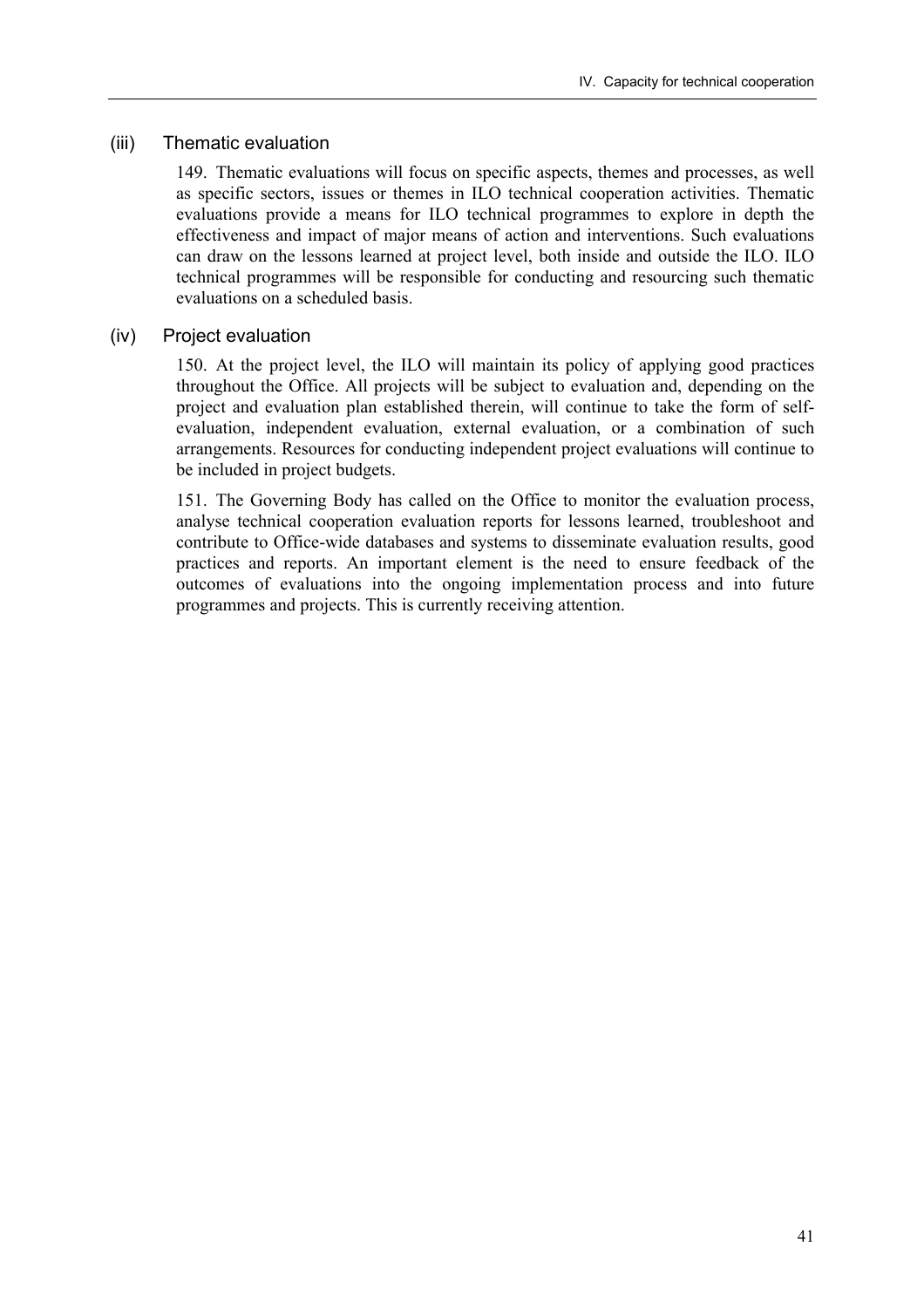### (iii) Thematic evaluation

149. Thematic evaluations will focus on specific aspects, themes and processes, as well as specific sectors, issues or themes in ILO technical cooperation activities. Thematic evaluations provide a means for ILO technical programmes to explore in depth the effectiveness and impact of major means of action and interventions. Such evaluations can draw on the lessons learned at project level, both inside and outside the ILO. ILO technical programmes will be responsible for conducting and resourcing such thematic evaluations on a scheduled basis.

#### (iv) Project evaluation

150. At the project level, the ILO will maintain its policy of applying good practices throughout the Office. All projects will be subject to evaluation and, depending on the project and evaluation plan established therein, will continue to take the form of selfevaluation, independent evaluation, external evaluation, or a combination of such arrangements. Resources for conducting independent project evaluations will continue to be included in project budgets.

151. The Governing Body has called on the Office to monitor the evaluation process, analyse technical cooperation evaluation reports for lessons learned, troubleshoot and contribute to Office-wide databases and systems to disseminate evaluation results, good practices and reports. An important element is the need to ensure feedback of the outcomes of evaluations into the ongoing implementation process and into future programmes and projects. This is currently receiving attention.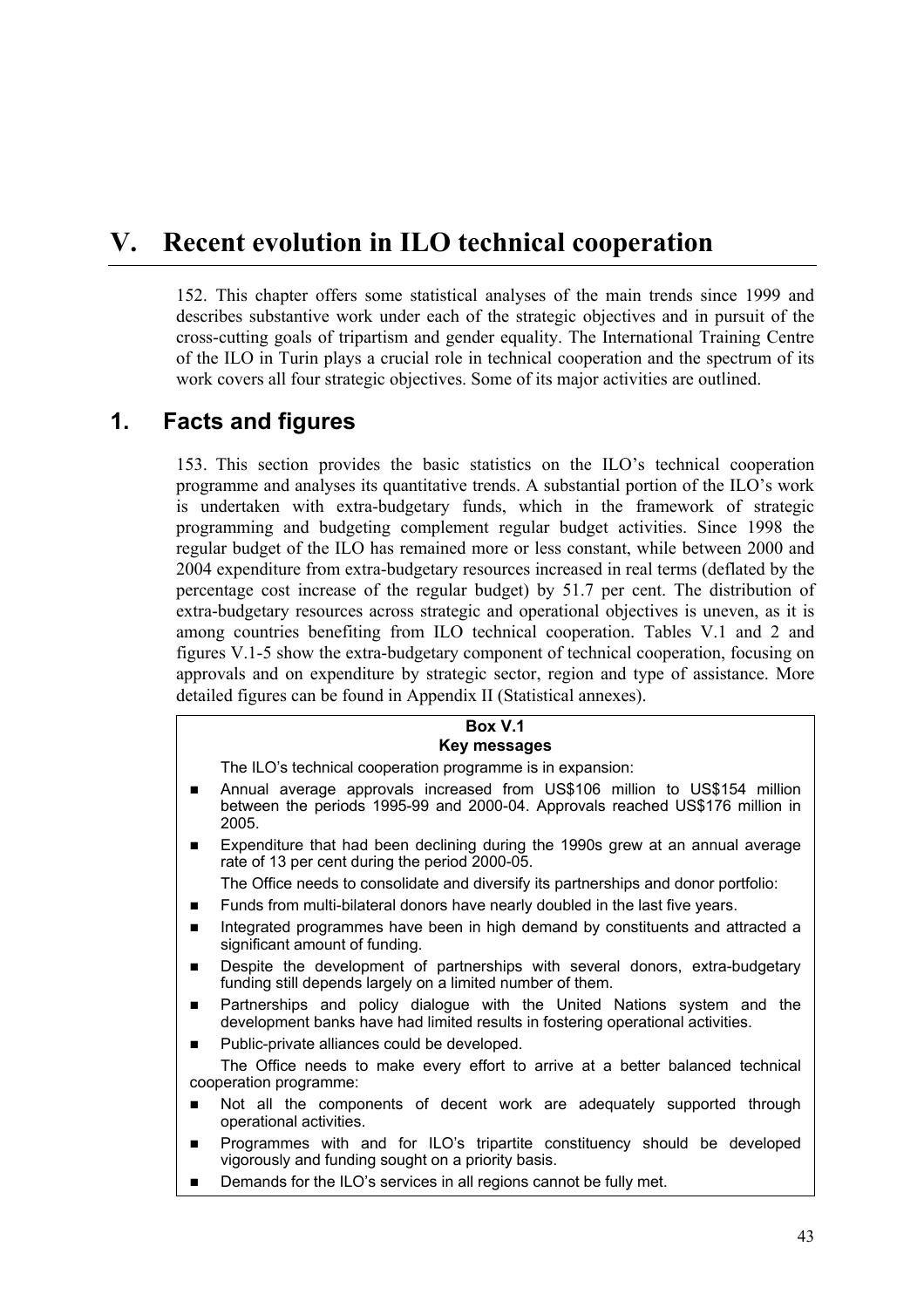# **V. Recent evolution in ILO technical cooperation**

152. This chapter offers some statistical analyses of the main trends since 1999 and describes substantive work under each of the strategic objectives and in pursuit of the cross-cutting goals of tripartism and gender equality. The International Training Centre of the ILO in Turin plays a crucial role in technical cooperation and the spectrum of its work covers all four strategic objectives. Some of its major activities are outlined.

# **1. Facts and figures**

153. This section provides the basic statistics on the ILO's technical cooperation programme and analyses its quantitative trends. A substantial portion of the ILO's work is undertaken with extra-budgetary funds, which in the framework of strategic programming and budgeting complement regular budget activities. Since 1998 the regular budget of the ILO has remained more or less constant, while between 2000 and 2004 expenditure from extra-budgetary resources increased in real terms (deflated by the percentage cost increase of the regular budget) by 51.7 per cent. The distribution of extra-budgetary resources across strategic and operational objectives is uneven, as it is among countries benefiting from ILO technical cooperation. Tables V.1 and 2 and figures V.1-5 show the extra-budgetary component of technical cooperation, focusing on approvals and on expenditure by strategic sector, region and type of assistance. More detailed figures can be found in Appendix II (Statistical annexes).

#### **Box V.1 Key messages**

The ILO's technical cooperation programme is in expansion:

- ! Annual average approvals increased from US\$106 million to US\$154 million between the periods 1995-99 and 2000-04. Approvals reached US\$176 million in 2005.
- ! Expenditure that had been declining during the 1990s grew at an annual average rate of 13 per cent during the period 2000-05.

The Office needs to consolidate and diversify its partnerships and donor portfolio:

- **EXECT:** Funds from multi-bilateral donors have nearly doubled in the last five years.
- **Integrated programmes have been in high demand by constituents and attracted a** significant amount of funding.
- **.** Despite the development of partnerships with several donors, extra-budgetary funding still depends largely on a limited number of them.
- **EXE** Partnerships and policy dialogue with the United Nations system and the development banks have had limited results in fostering operational activities.
- Public-private alliances could be developed.

The Office needs to make every effort to arrive at a better balanced technical cooperation programme:

- **In** Not all the components of decent work are adequately supported through operational activities.
- **.** Programmes with and for ILO's tripartite constituency should be developed vigorously and funding sought on a priority basis.
- Demands for the ILO's services in all regions cannot be fully met.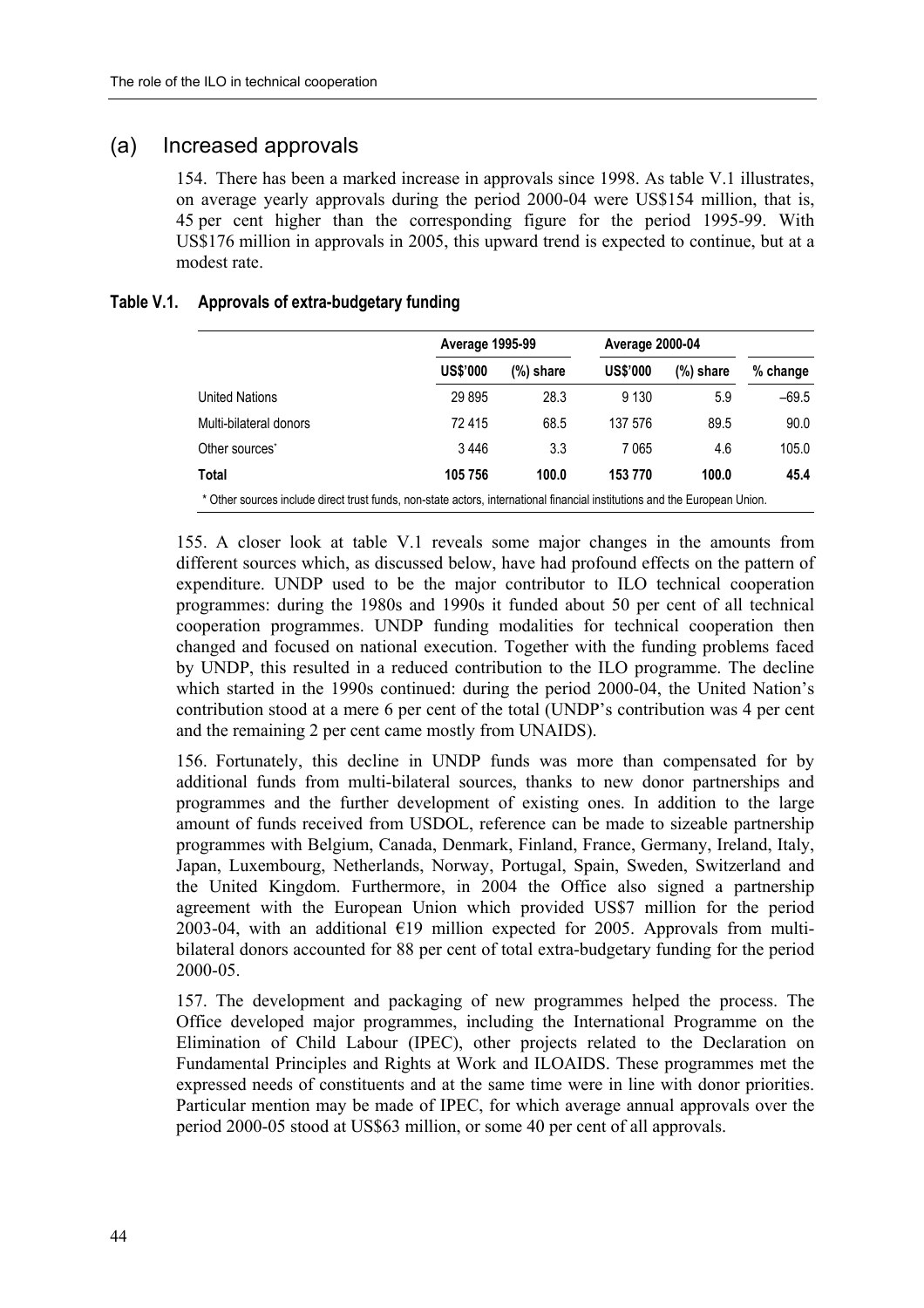### (a) Increased approvals

154. There has been a marked increase in approvals since 1998. As table V.1 illustrates, on average yearly approvals during the period 2000-04 were US\$154 million, that is, 45 per cent higher than the corresponding figure for the period 1995-99. With US\$176 million in approvals in 2005, this upward trend is expected to continue, but at a modest rate.

#### **Table V.1. Approvals of extra-budgetary funding**

|                                                                                                                            |                 | <b>Average 1995-99</b> |                 | <b>Average 2000-04</b> |          |  |
|----------------------------------------------------------------------------------------------------------------------------|-----------------|------------------------|-----------------|------------------------|----------|--|
|                                                                                                                            | <b>US\$'000</b> | (%) share              | <b>US\$'000</b> | $(\%)$ share           | % change |  |
| <b>United Nations</b>                                                                                                      | 29895           | 28.3                   | 9 1 3 0         | 5.9                    | $-69.5$  |  |
| Multi-bilateral donors                                                                                                     | 72415           | 68.5                   | 137 576         | 89.5                   | 90.0     |  |
| Other sources <sup>*</sup>                                                                                                 | 3446            | 3.3                    | 7065            | 4.6                    | 105.0    |  |
| Total                                                                                                                      | 105 756         | 100.0                  | 153 770         | 100.0                  | 45.4     |  |
| * Other sources include direct trust funds, non-state actors, international financial institutions and the European Union. |                 |                        |                 |                        |          |  |

155. A closer look at table V.1 reveals some major changes in the amounts from different sources which, as discussed below, have had profound effects on the pattern of expenditure. UNDP used to be the major contributor to ILO technical cooperation programmes: during the 1980s and 1990s it funded about 50 per cent of all technical cooperation programmes. UNDP funding modalities for technical cooperation then changed and focused on national execution. Together with the funding problems faced by UNDP, this resulted in a reduced contribution to the ILO programme. The decline which started in the 1990s continued: during the period 2000-04, the United Nation's contribution stood at a mere 6 per cent of the total (UNDP's contribution was 4 per cent and the remaining 2 per cent came mostly from UNAIDS).

156. Fortunately, this decline in UNDP funds was more than compensated for by additional funds from multi-bilateral sources, thanks to new donor partnerships and programmes and the further development of existing ones. In addition to the large amount of funds received from USDOL, reference can be made to sizeable partnership programmes with Belgium, Canada, Denmark, Finland, France, Germany, Ireland, Italy, Japan, Luxembourg, Netherlands, Norway, Portugal, Spain, Sweden, Switzerland and the United Kingdom. Furthermore, in 2004 the Office also signed a partnership agreement with the European Union which provided US\$7 million for the period 2003-04, with an additional  $E19$  million expected for 2005. Approvals from multibilateral donors accounted for 88 per cent of total extra-budgetary funding for the period 2000-05.

157. The development and packaging of new programmes helped the process. The Office developed major programmes, including the International Programme on the Elimination of Child Labour (IPEC), other projects related to the Declaration on Fundamental Principles and Rights at Work and ILOAIDS. These programmes met the expressed needs of constituents and at the same time were in line with donor priorities. Particular mention may be made of IPEC, for which average annual approvals over the period 2000-05 stood at US\$63 million, or some 40 per cent of all approvals.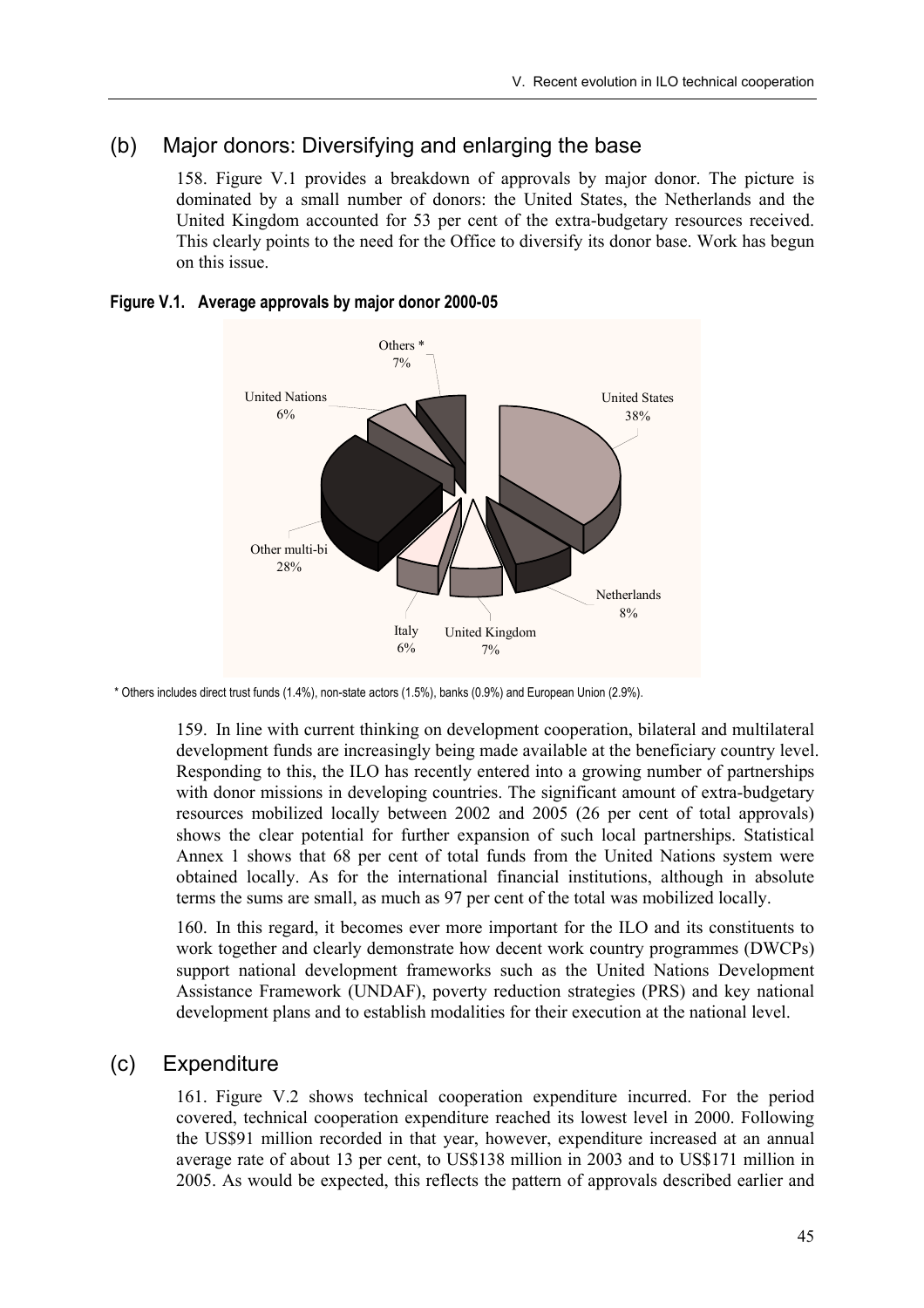### (b) Major donors: Diversifying and enlarging the base

158. Figure V.1 provides a breakdown of approvals by major donor. The picture is dominated by a small number of donors: the United States, the Netherlands and the United Kingdom accounted for 53 per cent of the extra-budgetary resources received. This clearly points to the need for the Office to diversify its donor base. Work has begun on this issue.

### **Figure V.1. Average approvals by major donor 2000-05**



\* Others includes direct trust funds (1.4%), non-state actors (1.5%), banks (0.9%) and European Union (2.9%).

159. In line with current thinking on development cooperation, bilateral and multilateral development funds are increasingly being made available at the beneficiary country level. Responding to this, the ILO has recently entered into a growing number of partnerships with donor missions in developing countries. The significant amount of extra-budgetary resources mobilized locally between 2002 and 2005 (26 per cent of total approvals) shows the clear potential for further expansion of such local partnerships. Statistical Annex 1 shows that 68 per cent of total funds from the United Nations system were obtained locally. As for the international financial institutions, although in absolute terms the sums are small, as much as 97 per cent of the total was mobilized locally.

160. In this regard, it becomes ever more important for the ILO and its constituents to work together and clearly demonstrate how decent work country programmes (DWCPs) support national development frameworks such as the United Nations Development Assistance Framework (UNDAF), poverty reduction strategies (PRS) and key national development plans and to establish modalities for their execution at the national level.

### (c) Expenditure

161. Figure V.2 shows technical cooperation expenditure incurred. For the period covered, technical cooperation expenditure reached its lowest level in 2000. Following the US\$91 million recorded in that year, however, expenditure increased at an annual average rate of about 13 per cent, to US\$138 million in 2003 and to US\$171 million in 2005. As would be expected, this reflects the pattern of approvals described earlier and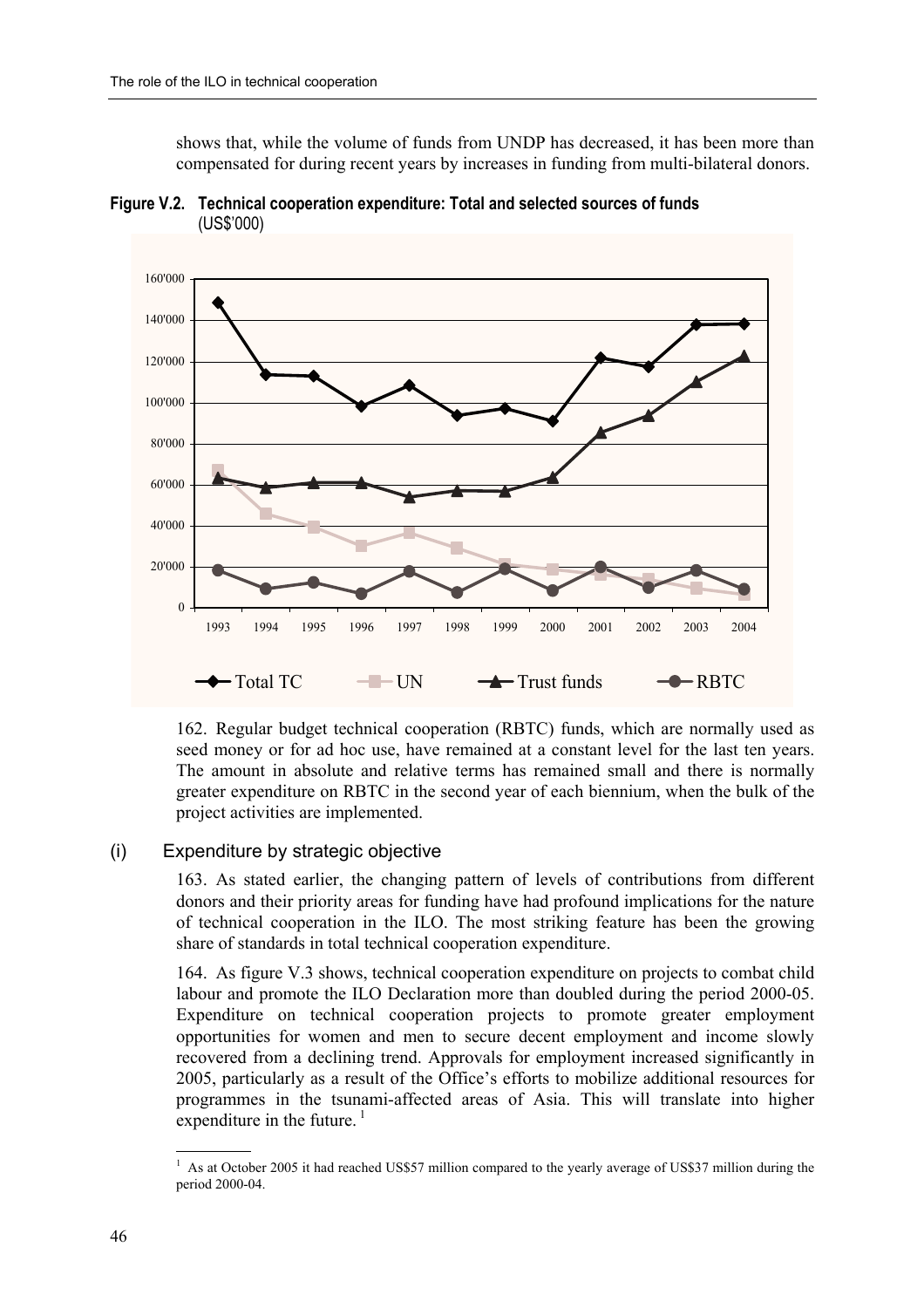shows that, while the volume of funds from UNDP has decreased, it has been more than compensated for during recent years by increases in funding from multi-bilateral donors.





162. Regular budget technical cooperation (RBTC) funds, which are normally used as seed money or for ad hoc use, have remained at a constant level for the last ten years. The amount in absolute and relative terms has remained small and there is normally greater expenditure on RBTC in the second year of each biennium, when the bulk of the project activities are implemented.

### (i) Expenditure by strategic objective

163. As stated earlier, the changing pattern of levels of contributions from different donors and their priority areas for funding have had profound implications for the nature of technical cooperation in the ILO. The most striking feature has been the growing share of standards in total technical cooperation expenditure.

164. As figure V.3 shows, technical cooperation expenditure on projects to combat child labour and promote the ILO Declaration more than doubled during the period 2000-05. Expenditure on technical cooperation projects to promote greater employment opportunities for women and men to secure decent employment and income slowly recovered from a declining trend. Approvals for employment increased significantly in 2005, particularly as a result of the Office's efforts to mobilize additional resources for programmes in the tsunami-affected areas of Asia. This will translate into higher expenditure in the future. $\frac{1}{1}$ 

 $\overline{a}$ 1 As at October 2005 it had reached US\$57 million compared to the yearly average of US\$37 million during the period 2000-04.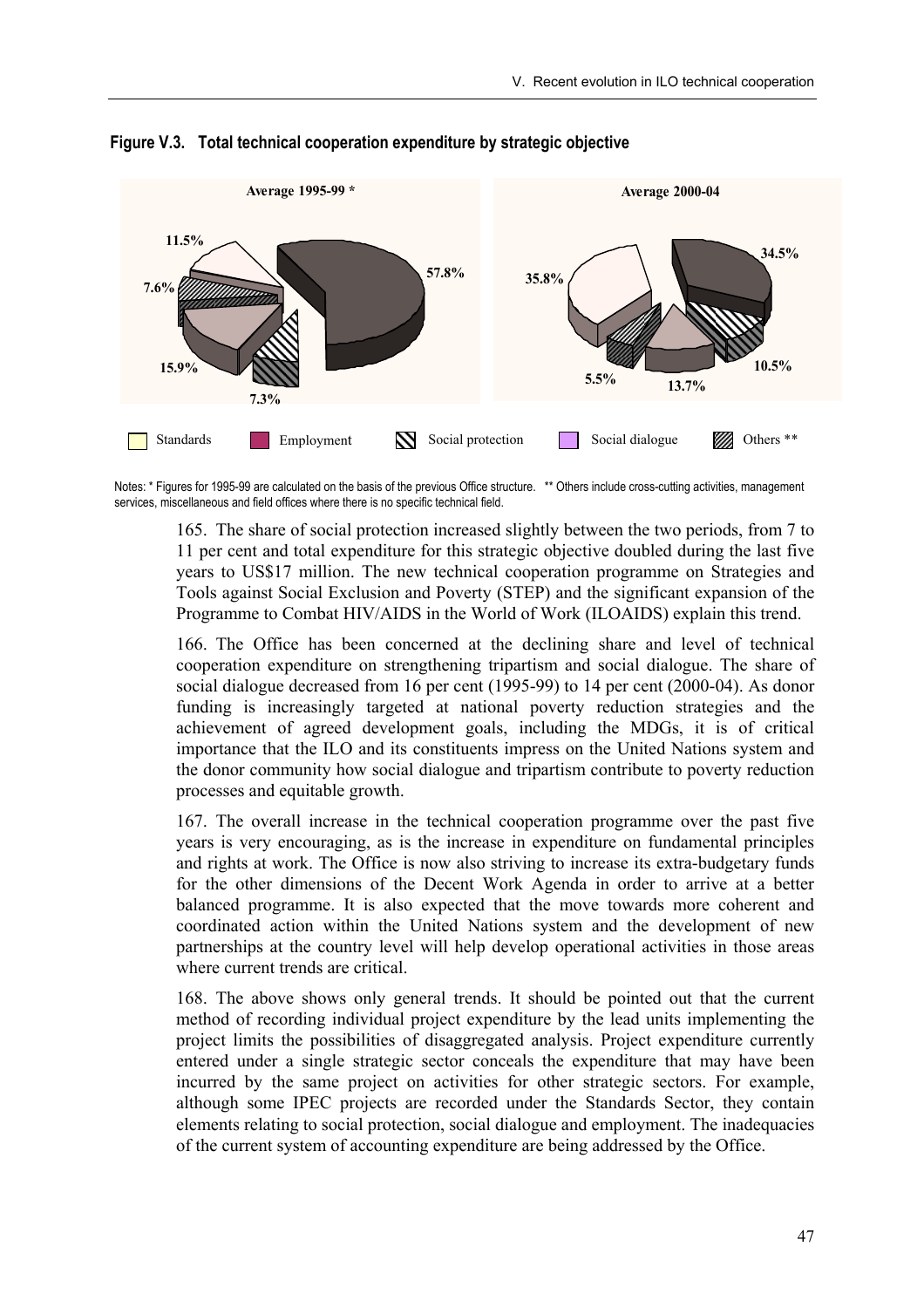

#### **Figure V.3. Total technical cooperation expenditure by strategic objective**

Notes: \* Figures for 1995-99 are calculated on the basis of the previous Office structure. \*\* Others include cross-cutting activities, management services, miscellaneous and field offices where there is no specific technical field.

165. The share of social protection increased slightly between the two periods, from 7 to 11 per cent and total expenditure for this strategic objective doubled during the last five years to US\$17 million. The new technical cooperation programme on Strategies and Tools against Social Exclusion and Poverty (STEP) and the significant expansion of the Programme to Combat HIV/AIDS in the World of Work (ILOAIDS) explain this trend.

166. The Office has been concerned at the declining share and level of technical cooperation expenditure on strengthening tripartism and social dialogue. The share of social dialogue decreased from 16 per cent (1995-99) to 14 per cent (2000-04). As donor funding is increasingly targeted at national poverty reduction strategies and the achievement of agreed development goals, including the MDGs, it is of critical importance that the ILO and its constituents impress on the United Nations system and the donor community how social dialogue and tripartism contribute to poverty reduction processes and equitable growth.

167. The overall increase in the technical cooperation programme over the past five years is very encouraging, as is the increase in expenditure on fundamental principles and rights at work. The Office is now also striving to increase its extra-budgetary funds for the other dimensions of the Decent Work Agenda in order to arrive at a better balanced programme. It is also expected that the move towards more coherent and coordinated action within the United Nations system and the development of new partnerships at the country level will help develop operational activities in those areas where current trends are critical.

168. The above shows only general trends. It should be pointed out that the current method of recording individual project expenditure by the lead units implementing the project limits the possibilities of disaggregated analysis. Project expenditure currently entered under a single strategic sector conceals the expenditure that may have been incurred by the same project on activities for other strategic sectors. For example, although some IPEC projects are recorded under the Standards Sector, they contain elements relating to social protection, social dialogue and employment. The inadequacies of the current system of accounting expenditure are being addressed by the Office.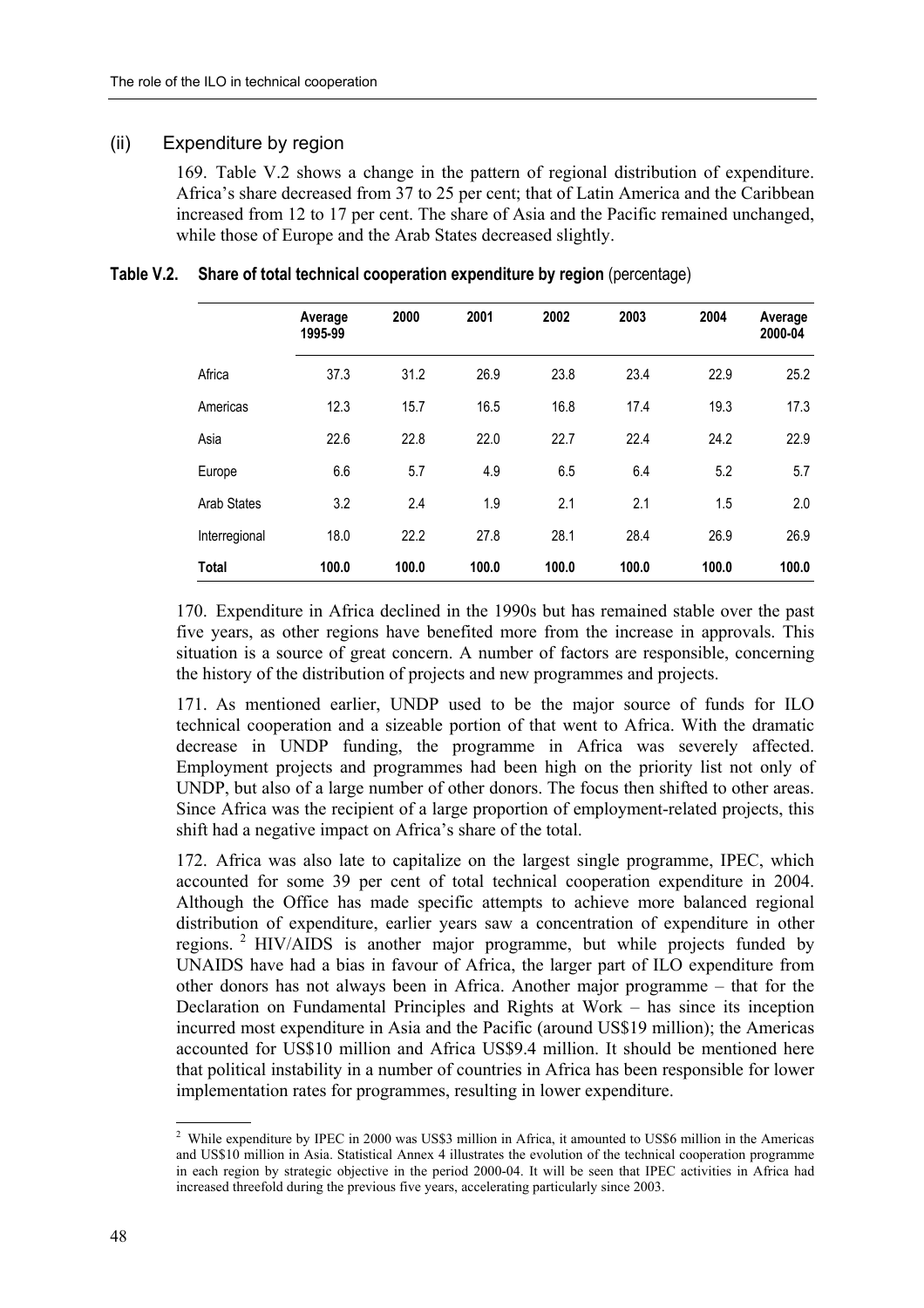### (ii) Expenditure by region

169. Table V.2 shows a change in the pattern of regional distribution of expenditure. Africa's share decreased from 37 to 25 per cent; that of Latin America and the Caribbean increased from 12 to 17 per cent. The share of Asia and the Pacific remained unchanged, while those of Europe and the Arab States decreased slightly.

|                    | Average<br>1995-99 | 2000  | 2001  | 2002  | 2003  | 2004  | Average<br>2000-04 |
|--------------------|--------------------|-------|-------|-------|-------|-------|--------------------|
| Africa             | 37.3               | 31.2  | 26.9  | 23.8  | 23.4  | 22.9  | 25.2               |
| Americas           | 12.3               | 15.7  | 16.5  | 16.8  | 17.4  | 19.3  | 17.3               |
| Asia               | 22.6               | 22.8  | 22.0  | 22.7  | 22.4  | 24.2  | 22.9               |
| Europe             | 6.6                | 5.7   | 4.9   | 6.5   | 6.4   | 5.2   | 5.7                |
| <b>Arab States</b> | 3.2                | 2.4   | 1.9   | 2.1   | 2.1   | 1.5   | 2.0                |
| Interregional      | 18.0               | 22.2  | 27.8  | 28.1  | 28.4  | 26.9  | 26.9               |
| <b>Total</b>       | 100.0              | 100.0 | 100.0 | 100.0 | 100.0 | 100.0 | 100.0              |

#### **Table V.2. Share of total technical cooperation expenditure by region** (percentage)

170. Expenditure in Africa declined in the 1990s but has remained stable over the past five years, as other regions have benefited more from the increase in approvals. This situation is a source of great concern. A number of factors are responsible, concerning the history of the distribution of projects and new programmes and projects.

171. As mentioned earlier, UNDP used to be the major source of funds for ILO technical cooperation and a sizeable portion of that went to Africa. With the dramatic decrease in UNDP funding, the programme in Africa was severely affected. Employment projects and programmes had been high on the priority list not only of UNDP, but also of a large number of other donors. The focus then shifted to other areas. Since Africa was the recipient of a large proportion of employment-related projects, this shift had a negative impact on Africa's share of the total.

172. Africa was also late to capitalize on the largest single programme, IPEC, which accounted for some 39 per cent of total technical cooperation expenditure in 2004. Although the Office has made specific attempts to achieve more balanced regional distribution of expenditure, earlier years saw a concentration of expenditure in other regions. 2 HIV/AIDS is another major programme, but while projects funded by UNAIDS have had a bias in favour of Africa, the larger part of ILO expenditure from other donors has not always been in Africa. Another major programme  $-$  that for the Declaration on Fundamental Principles and Rights at Work  $-$  has since its inception incurred most expenditure in Asia and the Pacific (around US\$19 million); the Americas accounted for US\$10 million and Africa US\$9.4 million. It should be mentioned here that political instability in a number of countries in Africa has been responsible for lower implementation rates for programmes, resulting in lower expenditure.

<sup>&</sup>lt;sup>2</sup> While expenditure by IPEC in 2000 was US\$3 million in Africa, it amounted to US\$6 million in the Americas and US\$10 million in Asia. Statistical Annex 4 illustrates the evolution of the technical cooperation programme in each region by strategic objective in the period 2000-04. It will be seen that IPEC activities in Africa had increased threefold during the previous five years, accelerating particularly since 2003.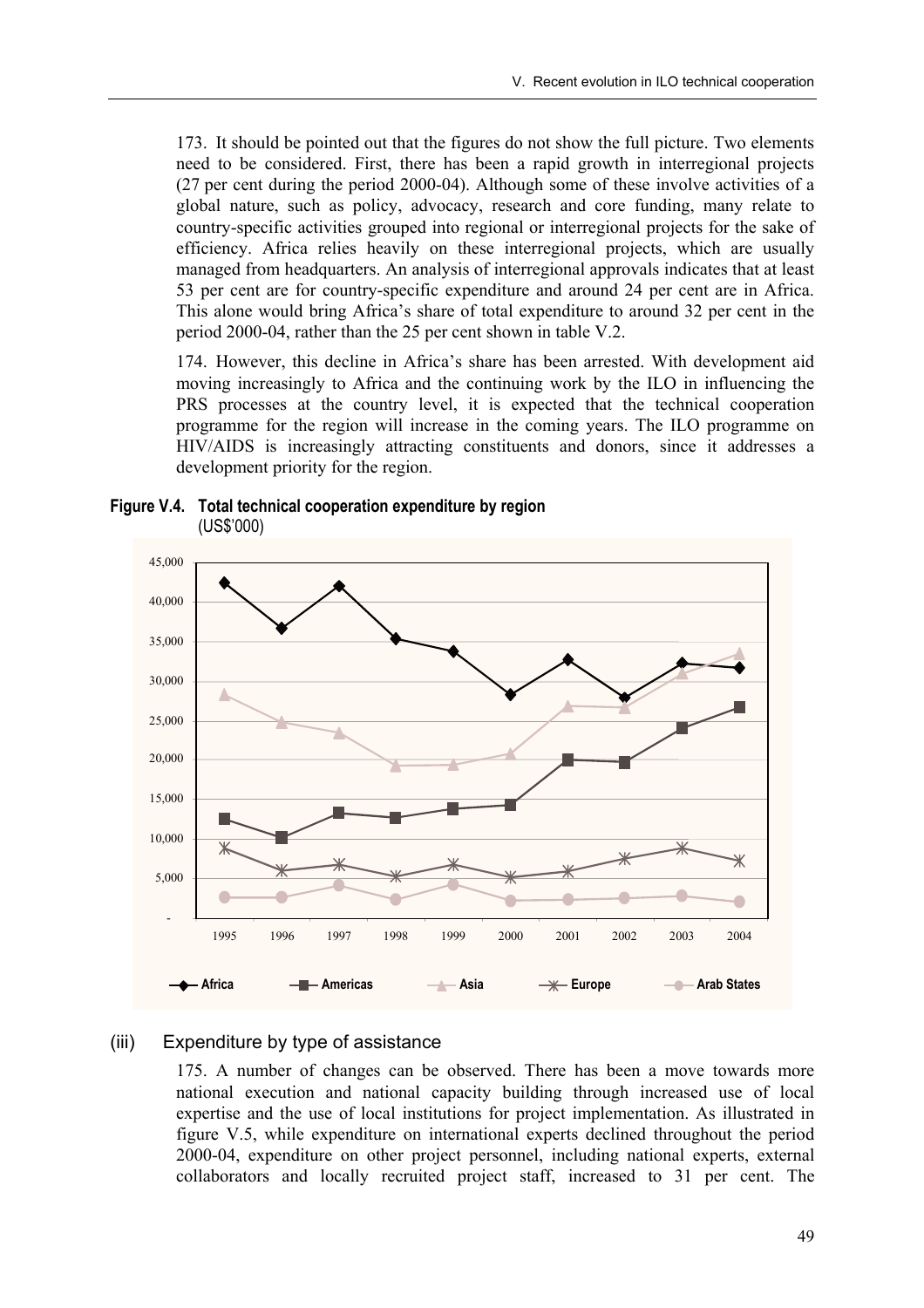173. It should be pointed out that the figures do not show the full picture. Two elements need to be considered. First, there has been a rapid growth in interregional projects (27 per cent during the period 2000-04). Although some of these involve activities of a global nature, such as policy, advocacy, research and core funding, many relate to country-specific activities grouped into regional or interregional projects for the sake of efficiency. Africa relies heavily on these interregional projects, which are usually managed from headquarters. An analysis of interregional approvals indicates that at least 53 per cent are for country-specific expenditure and around 24 per cent are in Africa. This alone would bring Africa's share of total expenditure to around 32 per cent in the period 2000-04, rather than the 25 per cent shown in table V.2.

174. However, this decline in Africaís share has been arrested. With development aid moving increasingly to Africa and the continuing work by the ILO in influencing the PRS processes at the country level, it is expected that the technical cooperation programme for the region will increase in the coming years. The ILO programme on HIV/AIDS is increasingly attracting constituents and donors, since it addresses a development priority for the region.



**Figure V.4. Total technical cooperation expenditure by region**  (US\$í000)

#### (iii) Expenditure by type of assistance

175. A number of changes can be observed. There has been a move towards more national execution and national capacity building through increased use of local expertise and the use of local institutions for project implementation. As illustrated in figure V.5, while expenditure on international experts declined throughout the period 2000-04, expenditure on other project personnel, including national experts, external collaborators and locally recruited project staff, increased to 31 per cent. The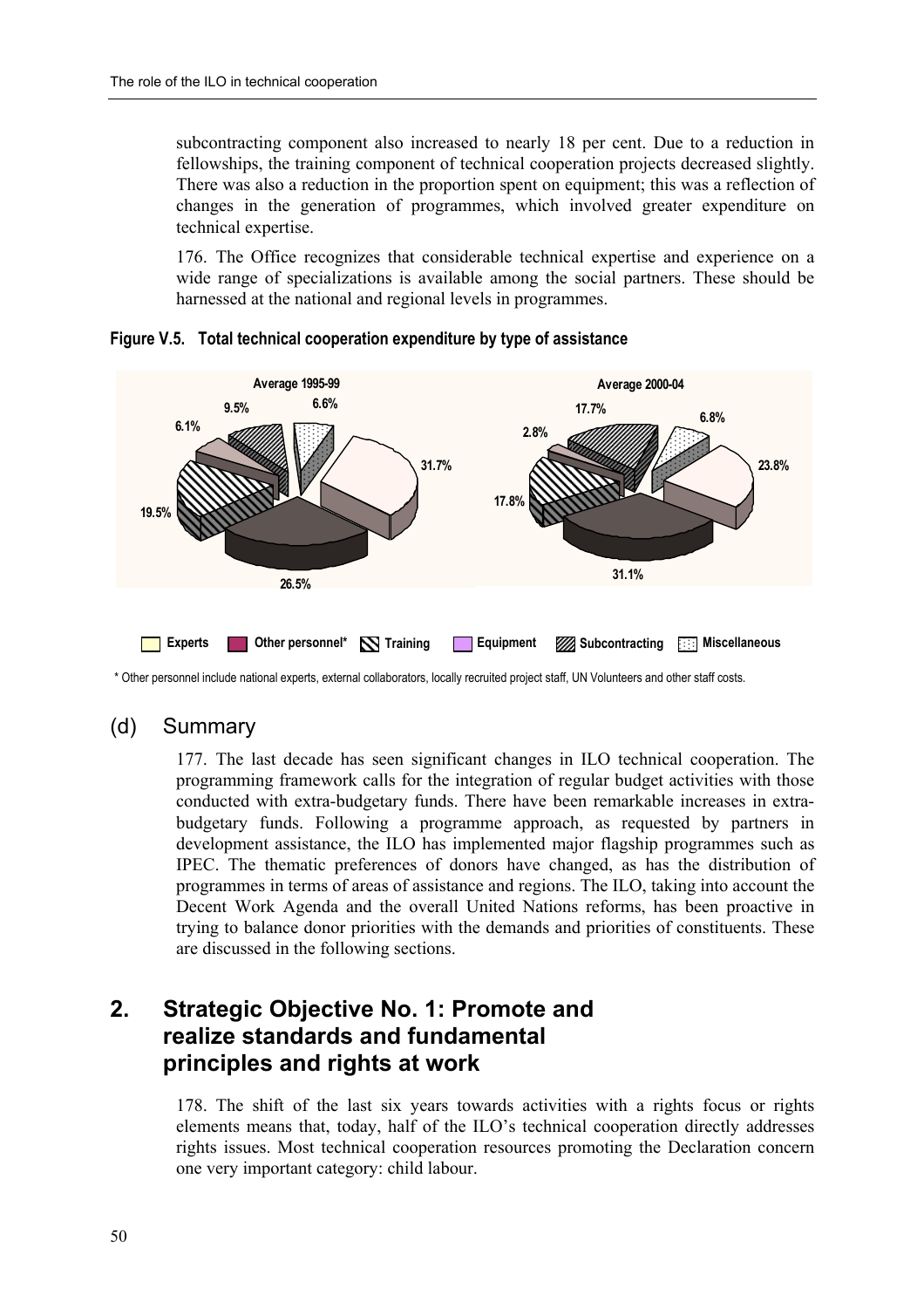subcontracting component also increased to nearly 18 per cent. Due to a reduction in fellowships, the training component of technical cooperation projects decreased slightly. There was also a reduction in the proportion spent on equipment; this was a reflection of changes in the generation of programmes, which involved greater expenditure on technical expertise.

176. The Office recognizes that considerable technical expertise and experience on a wide range of specializations is available among the social partners. These should be harnessed at the national and regional levels in programmes.



**Figure V.5. Total technical cooperation expenditure by type of assistance** 

\* Other personnel include national experts, external collaborators, locally recruited project staff, UN Volunteers and other staff costs.

### (d) Summary

177. The last decade has seen significant changes in ILO technical cooperation. The programming framework calls for the integration of regular budget activities with those conducted with extra-budgetary funds. There have been remarkable increases in extrabudgetary funds. Following a programme approach, as requested by partners in development assistance, the ILO has implemented major flagship programmes such as IPEC. The thematic preferences of donors have changed, as has the distribution of programmes in terms of areas of assistance and regions. The ILO, taking into account the Decent Work Agenda and the overall United Nations reforms, has been proactive in trying to balance donor priorities with the demands and priorities of constituents. These are discussed in the following sections.

# **2. Strategic Objective No. 1: Promote and realize standards and fundamental principles and rights at work**

178. The shift of the last six years towards activities with a rights focus or rights elements means that, today, half of the ILO's technical cooperation directly addresses rights issues. Most technical cooperation resources promoting the Declaration concern one very important category: child labour.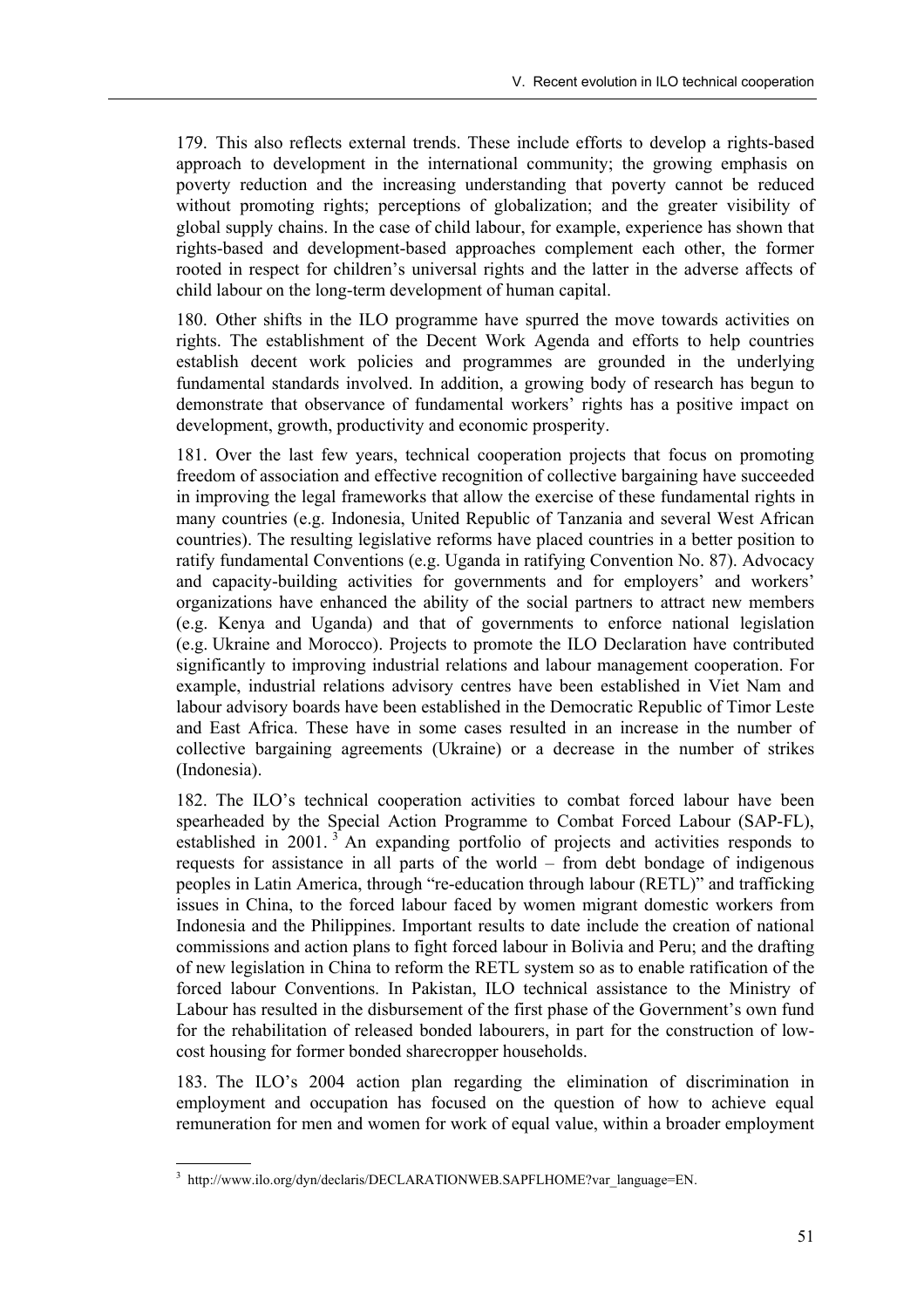179. This also reflects external trends. These include efforts to develop a rights-based approach to development in the international community; the growing emphasis on poverty reduction and the increasing understanding that poverty cannot be reduced without promoting rights; perceptions of globalization; and the greater visibility of global supply chains. In the case of child labour, for example, experience has shown that rights-based and development-based approaches complement each other, the former rooted in respect for children's universal rights and the latter in the adverse affects of child labour on the long-term development of human capital.

180. Other shifts in the ILO programme have spurred the move towards activities on rights. The establishment of the Decent Work Agenda and efforts to help countries establish decent work policies and programmes are grounded in the underlying fundamental standards involved. In addition, a growing body of research has begun to demonstrate that observance of fundamental workers' rights has a positive impact on development, growth, productivity and economic prosperity.

181. Over the last few years, technical cooperation projects that focus on promoting freedom of association and effective recognition of collective bargaining have succeeded in improving the legal frameworks that allow the exercise of these fundamental rights in many countries (e.g. Indonesia, United Republic of Tanzania and several West African countries). The resulting legislative reforms have placed countries in a better position to ratify fundamental Conventions (e.g. Uganda in ratifying Convention No. 87). Advocacy and capacity-building activities for governments and for employers' and workers' organizations have enhanced the ability of the social partners to attract new members (e.g. Kenya and Uganda) and that of governments to enforce national legislation (e.g. Ukraine and Morocco). Projects to promote the ILO Declaration have contributed significantly to improving industrial relations and labour management cooperation. For example, industrial relations advisory centres have been established in Viet Nam and labour advisory boards have been established in the Democratic Republic of Timor Leste and East Africa. These have in some cases resulted in an increase in the number of collective bargaining agreements (Ukraine) or a decrease in the number of strikes (Indonesia).

182. The ILO's technical cooperation activities to combat forced labour have been spearheaded by the Special Action Programme to Combat Forced Labour (SAP-FL), established in 2001.<sup>3</sup> An expanding portfolio of projects and activities responds to requests for assistance in all parts of the world  $-$  from debt bondage of indigenous peoples in Latin America, through "re-education through labour (RETL)" and trafficking issues in China, to the forced labour faced by women migrant domestic workers from Indonesia and the Philippines. Important results to date include the creation of national commissions and action plans to fight forced labour in Bolivia and Peru; and the drafting of new legislation in China to reform the RETL system so as to enable ratification of the forced labour Conventions. In Pakistan, ILO technical assistance to the Ministry of Labour has resulted in the disbursement of the first phase of the Government's own fund for the rehabilitation of released bonded labourers, in part for the construction of lowcost housing for former bonded sharecropper households.

183. The ILO's 2004 action plan regarding the elimination of discrimination in employment and occupation has focused on the question of how to achieve equal remuneration for men and women for work of equal value, within a broader employment

 <sup>3</sup> http://www.ilo.org/dyn/declaris/DECLARATIONWEB.SAPFLHOME?var\_language=EN.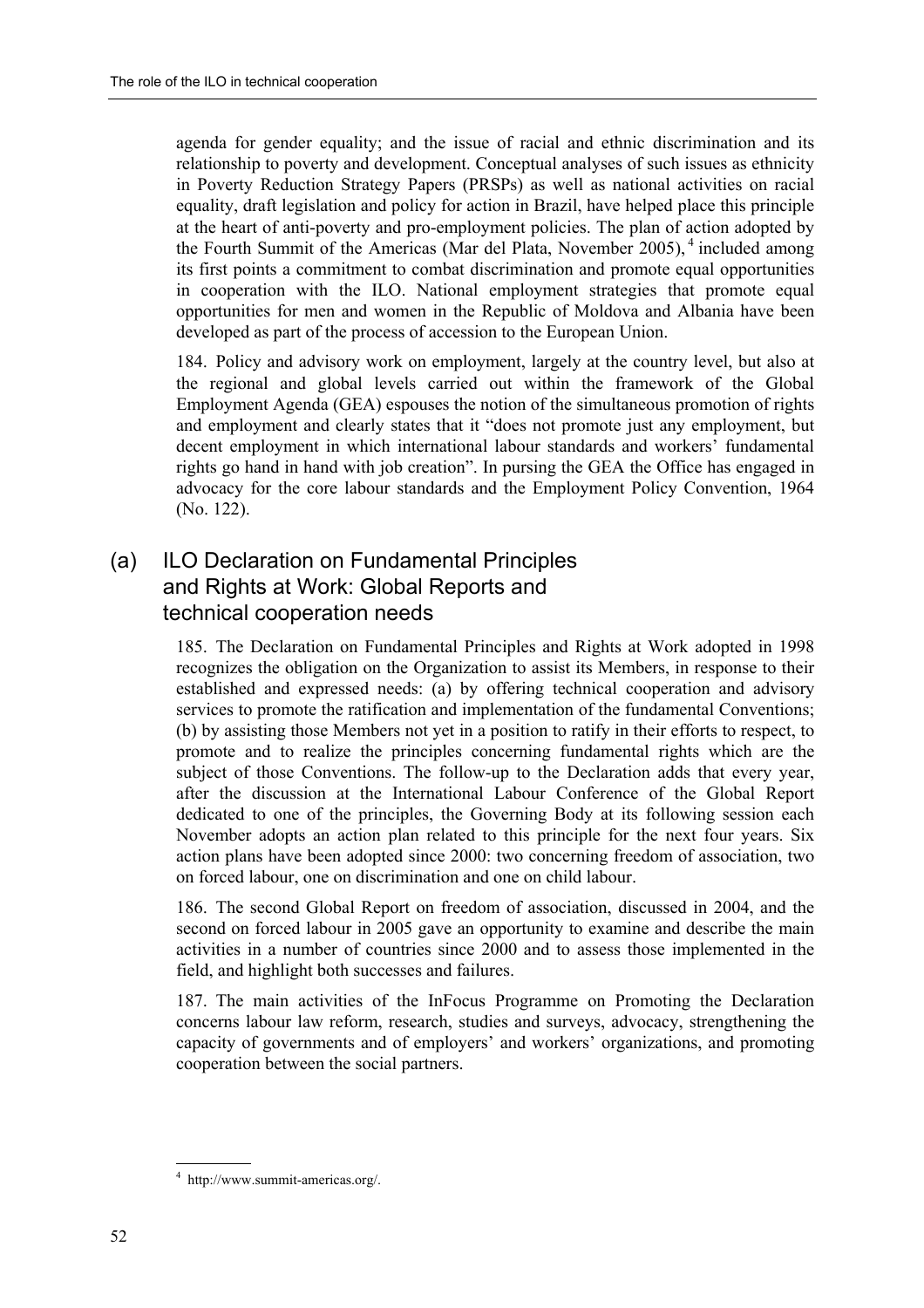agenda for gender equality; and the issue of racial and ethnic discrimination and its relationship to poverty and development. Conceptual analyses of such issues as ethnicity in Poverty Reduction Strategy Papers (PRSPs) as well as national activities on racial equality, draft legislation and policy for action in Brazil, have helped place this principle at the heart of anti-poverty and pro-employment policies. The plan of action adopted by the Fourth Summit of the Americas (Mar del Plata, November 2005), <sup>4</sup> included among its first points a commitment to combat discrimination and promote equal opportunities in cooperation with the ILO. National employment strategies that promote equal opportunities for men and women in the Republic of Moldova and Albania have been developed as part of the process of accession to the European Union.

184. Policy and advisory work on employment, largely at the country level, but also at the regional and global levels carried out within the framework of the Global Employment Agenda (GEA) espouses the notion of the simultaneous promotion of rights and employment and clearly states that it "does not promote just any employment, but decent employment in which international labour standards and workers' fundamental rights go hand in hand with job creationî. In pursing the GEA the Office has engaged in advocacy for the core labour standards and the Employment Policy Convention, 1964 (No. 122).

# (a) ILO Declaration on Fundamental Principles and Rights at Work: Global Reports and technical cooperation needs

185. The Declaration on Fundamental Principles and Rights at Work adopted in 1998 recognizes the obligation on the Organization to assist its Members, in response to their established and expressed needs: (a) by offering technical cooperation and advisory services to promote the ratification and implementation of the fundamental Conventions; (b) by assisting those Members not yet in a position to ratify in their efforts to respect, to promote and to realize the principles concerning fundamental rights which are the subject of those Conventions. The follow-up to the Declaration adds that every year, after the discussion at the International Labour Conference of the Global Report dedicated to one of the principles, the Governing Body at its following session each November adopts an action plan related to this principle for the next four years. Six action plans have been adopted since 2000: two concerning freedom of association, two on forced labour, one on discrimination and one on child labour.

186. The second Global Report on freedom of association, discussed in 2004, and the second on forced labour in 2005 gave an opportunity to examine and describe the main activities in a number of countries since 2000 and to assess those implemented in the field, and highlight both successes and failures.

187. The main activities of the InFocus Programme on Promoting the Declaration concerns labour law reform, research, studies and surveys, advocacy, strengthening the capacity of governments and of employers' and workers' organizations, and promoting cooperation between the social partners.

<sup>4</sup> http://www.summit-americas.org/.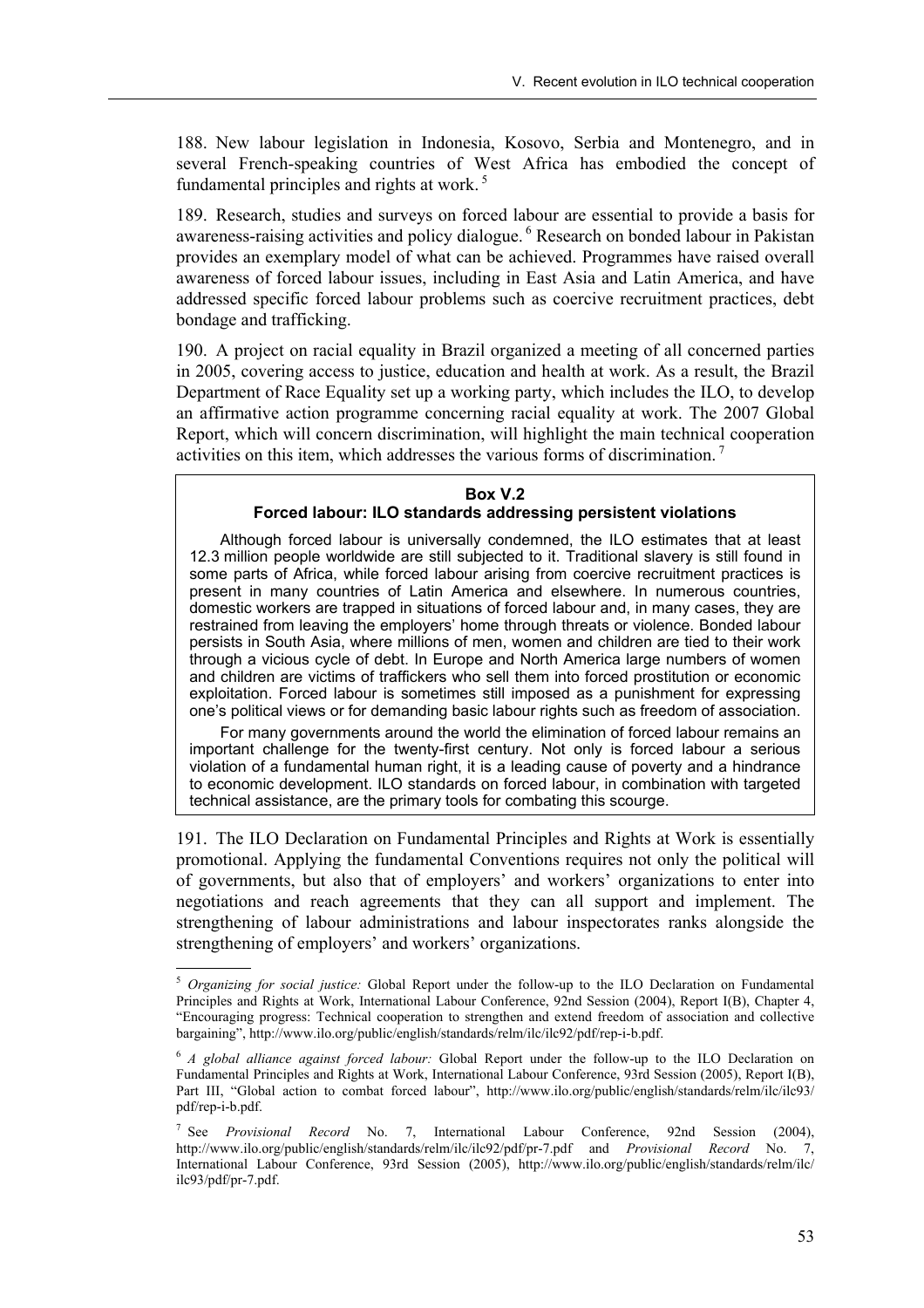188. New labour legislation in Indonesia, Kosovo, Serbia and Montenegro, and in several French-speaking countries of West Africa has embodied the concept of fundamental principles and rights at work. 5

189. Research, studies and surveys on forced labour are essential to provide a basis for awareness-raising activities and policy dialogue. 6 Research on bonded labour in Pakistan provides an exemplary model of what can be achieved. Programmes have raised overall awareness of forced labour issues, including in East Asia and Latin America, and have addressed specific forced labour problems such as coercive recruitment practices, debt bondage and trafficking.

190. A project on racial equality in Brazil organized a meeting of all concerned parties in 2005, covering access to justice, education and health at work. As a result, the Brazil Department of Race Equality set up a working party, which includes the ILO, to develop an affirmative action programme concerning racial equality at work. The 2007 Global Report, which will concern discrimination, will highlight the main technical cooperation activities on this item, which addresses the various forms of discrimination.<sup>7</sup>

### **Box V.2**

### **Forced labour: ILO standards addressing persistent violations**

Although forced labour is universally condemned, the ILO estimates that at least 12.3 million people worldwide are still subjected to it. Traditional slavery is still found in some parts of Africa, while forced labour arising from coercive recruitment practices is present in many countries of Latin America and elsewhere. In numerous countries, domestic workers are trapped in situations of forced labour and, in many cases, they are restrained from leaving the employers' home through threats or violence. Bonded labour persists in South Asia, where millions of men, women and children are tied to their work through a vicious cycle of debt. In Europe and North America large numbers of women and children are victims of traffickers who sell them into forced prostitution or economic exploitation. Forced labour is sometimes still imposed as a punishment for expressing oneís political views or for demanding basic labour rights such as freedom of association.

For many governments around the world the elimination of forced labour remains an important challenge for the twenty-first century. Not only is forced labour a serious violation of a fundamental human right, it is a leading cause of poverty and a hindrance to economic development. ILO standards on forced labour, in combination with targeted technical assistance, are the primary tools for combating this scourge.

191. The ILO Declaration on Fundamental Principles and Rights at Work is essentially promotional. Applying the fundamental Conventions requires not only the political will of governments, but also that of employers' and workers' organizations to enter into negotiations and reach agreements that they can all support and implement. The strengthening of labour administrations and labour inspectorates ranks alongside the strengthening of employers' and workers' organizations.

<sup>5</sup> *Organizing for social justice:* Global Report under the follow-up to the ILO Declaration on Fundamental Principles and Rights at Work, International Labour Conference, 92nd Session (2004), Report I(B), Chapter 4, ìEncouraging progress: Technical cooperation to strengthen and extend freedom of association and collective bargainingî, http://www.ilo.org/public/english/standards/relm/ilc/ilc92/pdf/rep-i-b.pdf.

<sup>6</sup> *A global alliance against forced labour:* Global Report under the follow-up to the ILO Declaration on Fundamental Principles and Rights at Work, International Labour Conference, 93rd Session (2005), Report I(B), Part III, "Global action to combat forced labour", http://www.ilo.org/public/english/standards/relm/ilc/ilc93/ pdf/rep-i-b.pdf.

<sup>7</sup> See *Provisional Record* No. 7, International Labour Conference, 92nd Session (2004), http://www.ilo.org/public/english/standards/relm/ilc/ilc92/pdf/pr-7.pdf and *Provisional Record* No. 7, International Labour Conference, 93rd Session (2005), http://www.ilo.org/public/english/standards/relm/ilc/ ilc93/pdf/pr-7.pdf.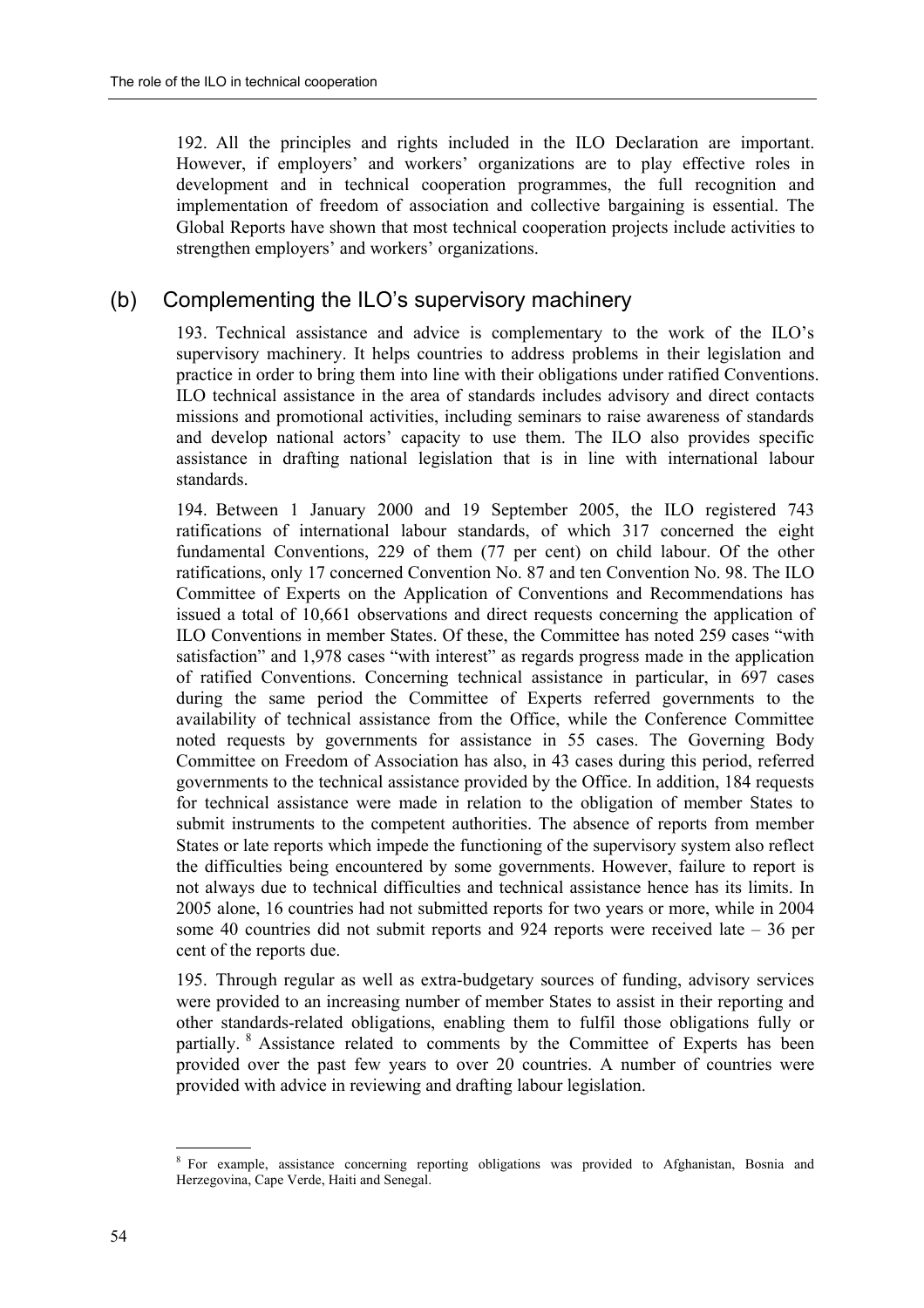192. All the principles and rights included in the ILO Declaration are important. However, if employers' and workers' organizations are to play effective roles in development and in technical cooperation programmes, the full recognition and implementation of freedom of association and collective bargaining is essential. The Global Reports have shown that most technical cooperation projects include activities to strengthen employers' and workers' organizations.

### (b) Complementing the ILO's supervisory machinery

193. Technical assistance and advice is complementary to the work of the ILO's supervisory machinery. It helps countries to address problems in their legislation and practice in order to bring them into line with their obligations under ratified Conventions. ILO technical assistance in the area of standards includes advisory and direct contacts missions and promotional activities, including seminars to raise awareness of standards and develop national actors' capacity to use them. The ILO also provides specific assistance in drafting national legislation that is in line with international labour standards.

194. Between 1 January 2000 and 19 September 2005, the ILO registered 743 ratifications of international labour standards, of which 317 concerned the eight fundamental Conventions, 229 of them (77 per cent) on child labour. Of the other ratifications, only 17 concerned Convention No. 87 and ten Convention No. 98. The ILO Committee of Experts on the Application of Conventions and Recommendations has issued a total of 10,661 observations and direct requests concerning the application of ILO Conventions in member States. Of these, the Committee has noted 259 cases "with satisfaction" and 1,978 cases "with interest" as regards progress made in the application of ratified Conventions. Concerning technical assistance in particular, in 697 cases during the same period the Committee of Experts referred governments to the availability of technical assistance from the Office, while the Conference Committee noted requests by governments for assistance in 55 cases. The Governing Body Committee on Freedom of Association has also, in 43 cases during this period, referred governments to the technical assistance provided by the Office. In addition, 184 requests for technical assistance were made in relation to the obligation of member States to submit instruments to the competent authorities. The absence of reports from member States or late reports which impede the functioning of the supervisory system also reflect the difficulties being encountered by some governments. However, failure to report is not always due to technical difficulties and technical assistance hence has its limits. In 2005 alone, 16 countries had not submitted reports for two years or more, while in 2004 some 40 countries did not submit reports and 924 reports were received late  $-36$  per cent of the reports due.

195. Through regular as well as extra-budgetary sources of funding, advisory services were provided to an increasing number of member States to assist in their reporting and other standards-related obligations, enabling them to fulfil those obligations fully or partially. <sup>8</sup> Assistance related to comments by the Committee of Experts has been provided over the past few years to over 20 countries. A number of countries were provided with advice in reviewing and drafting labour legislation.

 8 For example, assistance concerning reporting obligations was provided to Afghanistan, Bosnia and Herzegovina, Cape Verde, Haiti and Senegal.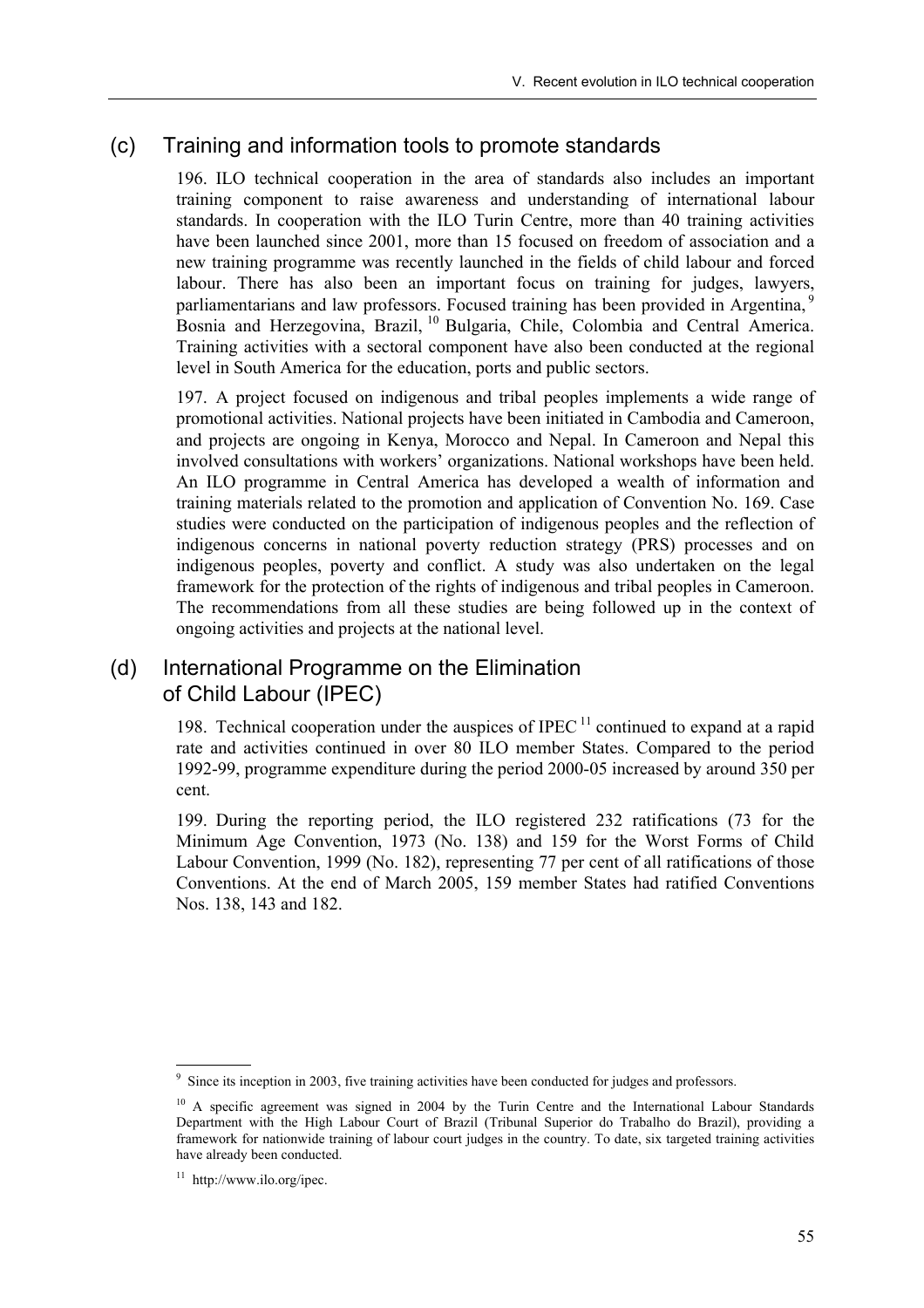### (c) Training and information tools to promote standards

196. ILO technical cooperation in the area of standards also includes an important training component to raise awareness and understanding of international labour standards. In cooperation with the ILO Turin Centre, more than 40 training activities have been launched since 2001, more than 15 focused on freedom of association and a new training programme was recently launched in the fields of child labour and forced labour. There has also been an important focus on training for judges, lawyers, parliamentarians and law professors. Focused training has been provided in Argentina,<sup>5</sup> Bosnia and Herzegovina, Brazil, <sup>10</sup> Bulgaria, Chile, Colombia and Central America. Training activities with a sectoral component have also been conducted at the regional level in South America for the education, ports and public sectors.

197. A project focused on indigenous and tribal peoples implements a wide range of promotional activities. National projects have been initiated in Cambodia and Cameroon, and projects are ongoing in Kenya, Morocco and Nepal. In Cameroon and Nepal this involved consultations with workers' organizations. National workshops have been held. An ILO programme in Central America has developed a wealth of information and training materials related to the promotion and application of Convention No. 169. Case studies were conducted on the participation of indigenous peoples and the reflection of indigenous concerns in national poverty reduction strategy (PRS) processes and on indigenous peoples, poverty and conflict. A study was also undertaken on the legal framework for the protection of the rights of indigenous and tribal peoples in Cameroon. The recommendations from all these studies are being followed up in the context of ongoing activities and projects at the national level.

### (d) International Programme on the Elimination of Child Labour (IPEC)

198. Technical cooperation under the auspices of IPEC  $<sup>11</sup>$  continued to expand at a rapid</sup> rate and activities continued in over 80 ILO member States. Compared to the period 1992-99, programme expenditure during the period 2000-05 increased by around 350 per cent.

199. During the reporting period, the ILO registered 232 ratifications (73 for the Minimum Age Convention, 1973 (No. 138) and 159 for the Worst Forms of Child Labour Convention, 1999 (No. 182), representing 77 per cent of all ratifications of those Conventions. At the end of March 2005, 159 member States had ratified Conventions Nos. 138, 143 and 182.

<sup>&</sup>lt;sup>9</sup> Since its inception in 2003, five training activities have been conducted for judges and professors.

<sup>&</sup>lt;sup>10</sup> A specific agreement was signed in 2004 by the Turin Centre and the International Labour Standards Department with the High Labour Court of Brazil (Tribunal Superior do Trabalho do Brazil), providing a framework for nationwide training of labour court judges in the country. To date, six targeted training activities have already been conducted.

 $11$  http://www.ilo.org/ipec.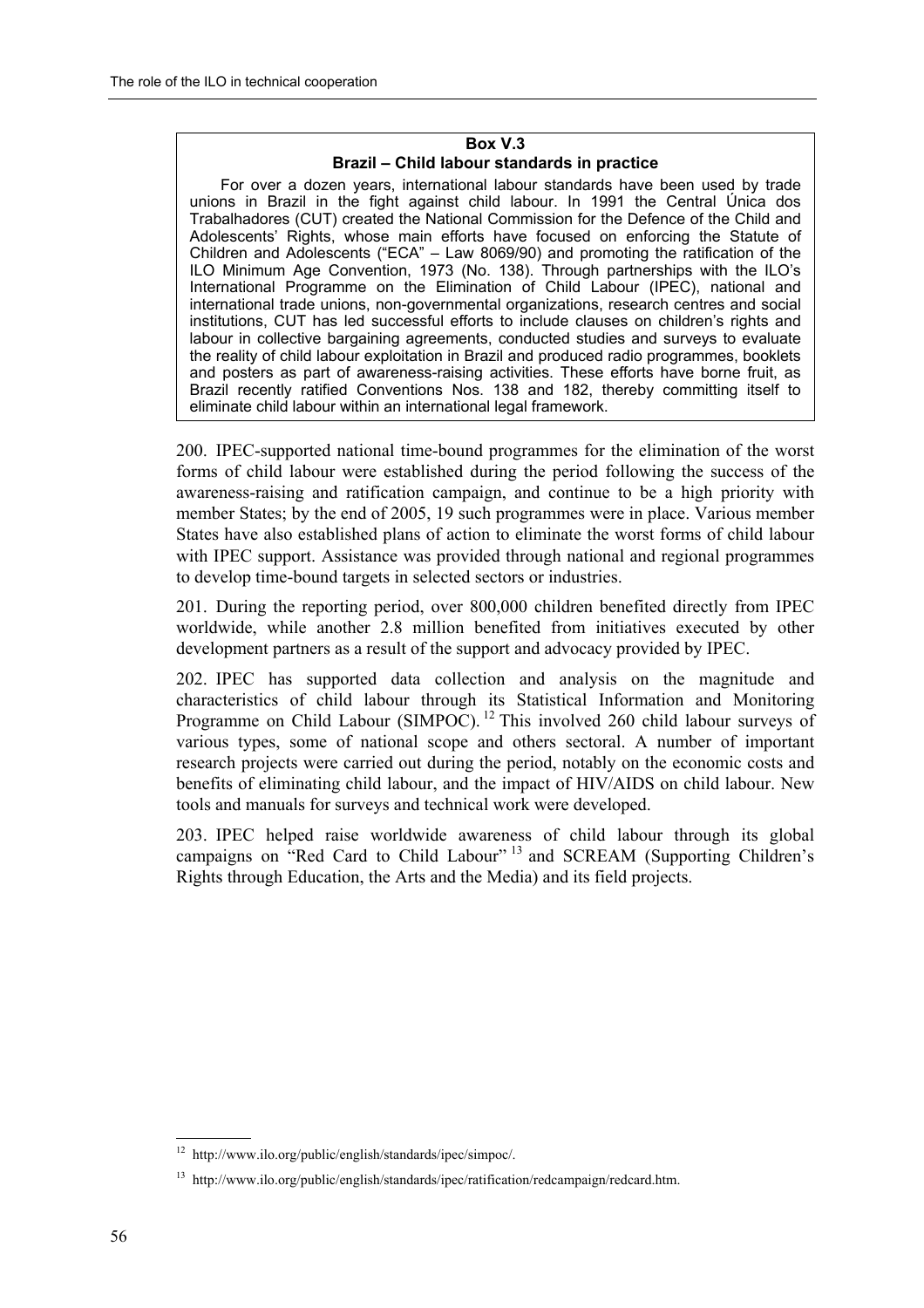#### **Box V.3**  Brazil - Child labour standards in practice

For over a dozen years, international labour standards have been used by trade unions in Brazil in the fight against child labour. In 1991 the Central Única dos Trabalhadores (CUT) created the National Commission for the Defence of the Child and Adolescents' Rights, whose main efforts have focused on enforcing the Statute of Children and Adolescents ("ECA"  $-$  Law 8069/90) and promoting the ratification of the ILO Minimum Age Convention, 1973 (No. 138). Through partnerships with the ILOís International Programme on the Elimination of Child Labour (IPEC), national and international trade unions, non-governmental organizations, research centres and social institutions, CUT has led successful efforts to include clauses on children's rights and labour in collective bargaining agreements, conducted studies and surveys to evaluate the reality of child labour exploitation in Brazil and produced radio programmes, booklets and posters as part of awareness-raising activities. These efforts have borne fruit, as Brazil recently ratified Conventions Nos. 138 and 182, thereby committing itself to eliminate child labour within an international legal framework.

200. IPEC-supported national time-bound programmes for the elimination of the worst forms of child labour were established during the period following the success of the awareness-raising and ratification campaign, and continue to be a high priority with member States; by the end of 2005, 19 such programmes were in place. Various member States have also established plans of action to eliminate the worst forms of child labour with IPEC support. Assistance was provided through national and regional programmes to develop time-bound targets in selected sectors or industries.

201. During the reporting period, over 800,000 children benefited directly from IPEC worldwide, while another 2.8 million benefited from initiatives executed by other development partners as a result of the support and advocacy provided by IPEC.

202. IPEC has supported data collection and analysis on the magnitude and characteristics of child labour through its Statistical Information and Monitoring Programme on Child Labour (SIMPOC).<sup>12</sup> This involved 260 child labour surveys of various types, some of national scope and others sectoral. A number of important research projects were carried out during the period, notably on the economic costs and benefits of eliminating child labour, and the impact of HIV/AIDS on child labour. New tools and manuals for surveys and technical work were developed.

203. IPEC helped raise worldwide awareness of child labour through its global campaigns on "Red Card to Child Labour"<sup>13</sup> and SCREAM (Supporting Children's Rights through Education, the Arts and the Media) and its field projects.

 12 http://www.ilo.org/public/english/standards/ipec/simpoc/.

<sup>13</sup> http://www.ilo.org/public/english/standards/ipec/ratification/redcampaign/redcard.htm.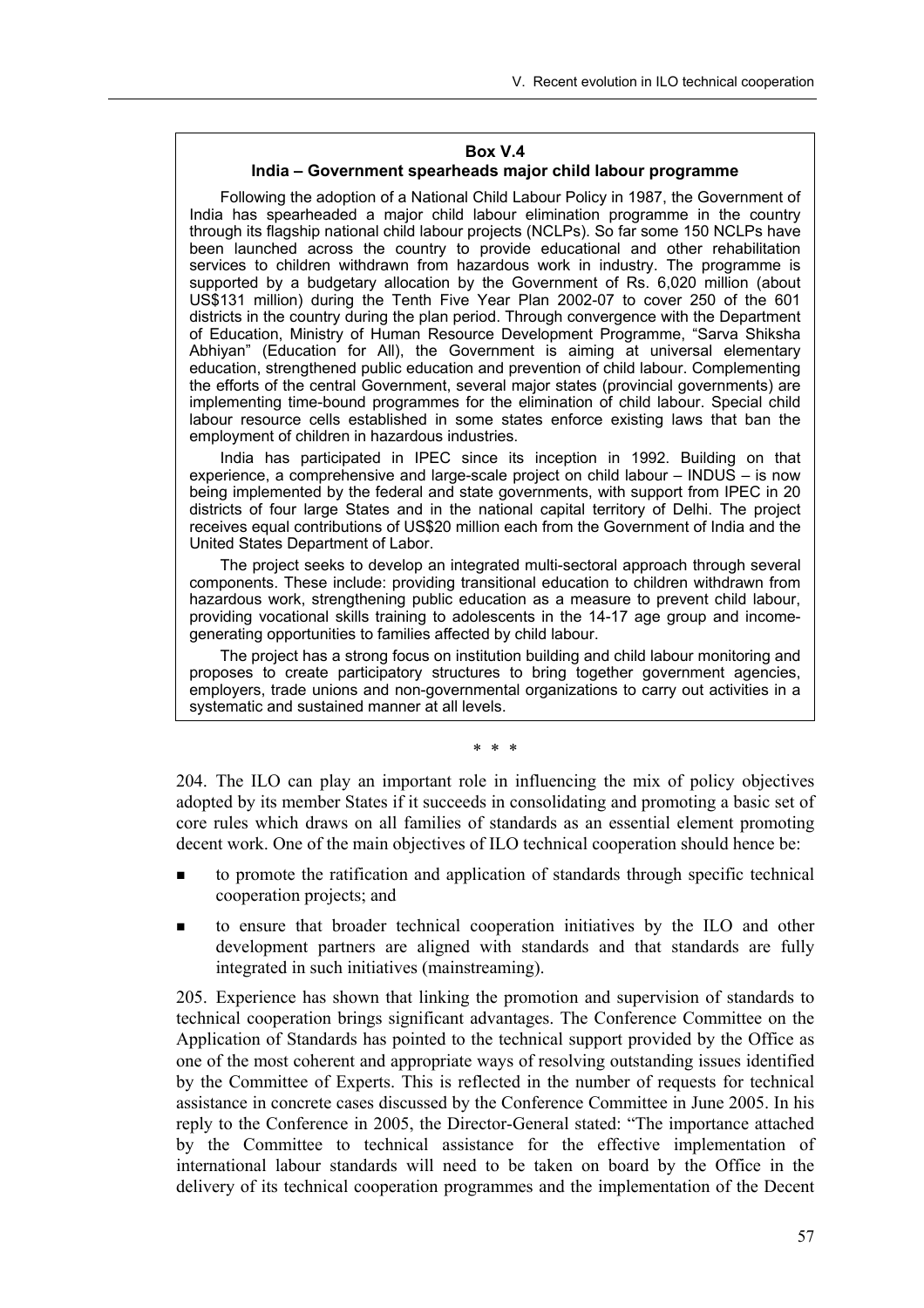#### **Box V.4**

#### **India – Government spearheads major child labour programme**

Following the adoption of a National Child Labour Policy in 1987, the Government of India has spearheaded a major child labour elimination programme in the country through its flagship national child labour projects (NCLPs). So far some 150 NCLPs have been launched across the country to provide educational and other rehabilitation services to children withdrawn from hazardous work in industry. The programme is supported by a budgetary allocation by the Government of Rs. 6,020 million (about US\$131 million) during the Tenth Five Year Plan 2002-07 to cover 250 of the 601 districts in the country during the plan period. Through convergence with the Department of Education, Ministry of Human Resource Development Programme, "Sarva Shiksha Abhiyanî (Education for All), the Government is aiming at universal elementary education, strengthened public education and prevention of child labour. Complementing the efforts of the central Government, several major states (provincial governments) are implementing time-bound programmes for the elimination of child labour. Special child labour resource cells established in some states enforce existing laws that ban the employment of children in hazardous industries.

India has participated in IPEC since its inception in 1992. Building on that experience, a comprehensive and large-scale project on child labour  $-$  INDUS  $-$  is now being implemented by the federal and state governments, with support from IPEC in 20 districts of four large States and in the national capital territory of Delhi. The project receives equal contributions of US\$20 million each from the Government of India and the United States Department of Labor.

The project seeks to develop an integrated multi-sectoral approach through several components. These include: providing transitional education to children withdrawn from hazardous work, strengthening public education as a measure to prevent child labour, providing vocational skills training to adolescents in the 14-17 age group and incomegenerating opportunities to families affected by child labour.

The project has a strong focus on institution building and child labour monitoring and proposes to create participatory structures to bring together government agencies, employers, trade unions and non-governmental organizations to carry out activities in a systematic and sustained manner at all levels.

\* \* \*

204. The ILO can play an important role in influencing the mix of policy objectives adopted by its member States if it succeeds in consolidating and promoting a basic set of core rules which draws on all families of standards as an essential element promoting decent work. One of the main objectives of ILO technical cooperation should hence be:

- ! to promote the ratification and application of standards through specific technical cooperation projects; and
- to ensure that broader technical cooperation initiatives by the ILO and other development partners are aligned with standards and that standards are fully integrated in such initiatives (mainstreaming).

205. Experience has shown that linking the promotion and supervision of standards to technical cooperation brings significant advantages. The Conference Committee on the Application of Standards has pointed to the technical support provided by the Office as one of the most coherent and appropriate ways of resolving outstanding issues identified by the Committee of Experts. This is reflected in the number of requests for technical assistance in concrete cases discussed by the Conference Committee in June 2005. In his reply to the Conference in 2005, the Director-General stated: "The importance attached by the Committee to technical assistance for the effective implementation of international labour standards will need to be taken on board by the Office in the delivery of its technical cooperation programmes and the implementation of the Decent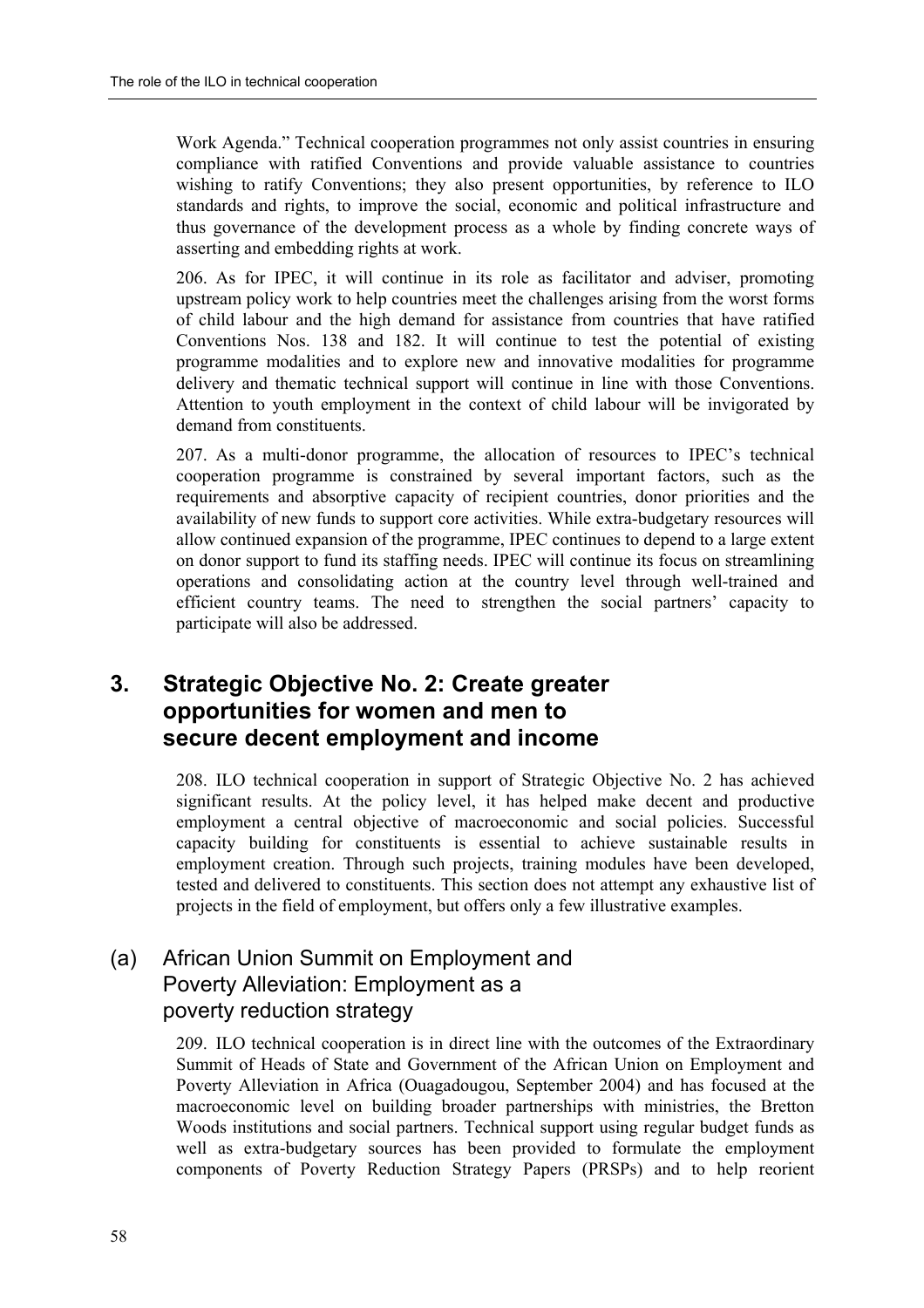Work Agenda." Technical cooperation programmes not only assist countries in ensuring compliance with ratified Conventions and provide valuable assistance to countries wishing to ratify Conventions; they also present opportunities, by reference to ILO standards and rights, to improve the social, economic and political infrastructure and thus governance of the development process as a whole by finding concrete ways of asserting and embedding rights at work.

206. As for IPEC, it will continue in its role as facilitator and adviser, promoting upstream policy work to help countries meet the challenges arising from the worst forms of child labour and the high demand for assistance from countries that have ratified Conventions Nos. 138 and 182. It will continue to test the potential of existing programme modalities and to explore new and innovative modalities for programme delivery and thematic technical support will continue in line with those Conventions. Attention to youth employment in the context of child labour will be invigorated by demand from constituents.

207. As a multi-donor programme, the allocation of resources to IPEC's technical cooperation programme is constrained by several important factors, such as the requirements and absorptive capacity of recipient countries, donor priorities and the availability of new funds to support core activities. While extra-budgetary resources will allow continued expansion of the programme, IPEC continues to depend to a large extent on donor support to fund its staffing needs. IPEC will continue its focus on streamlining operations and consolidating action at the country level through well-trained and efficient country teams. The need to strengthen the social partners' capacity to participate will also be addressed.

# **3. Strategic Objective No. 2: Create greater opportunities for women and men to secure decent employment and income**

208. ILO technical cooperation in support of Strategic Objective No. 2 has achieved significant results. At the policy level, it has helped make decent and productive employment a central objective of macroeconomic and social policies. Successful capacity building for constituents is essential to achieve sustainable results in employment creation. Through such projects, training modules have been developed, tested and delivered to constituents. This section does not attempt any exhaustive list of projects in the field of employment, but offers only a few illustrative examples.

# (a) African Union Summit on Employment and Poverty Alleviation: Employment as a poverty reduction strategy

209. ILO technical cooperation is in direct line with the outcomes of the Extraordinary Summit of Heads of State and Government of the African Union on Employment and Poverty Alleviation in Africa (Ouagadougou, September 2004) and has focused at the macroeconomic level on building broader partnerships with ministries, the Bretton Woods institutions and social partners. Technical support using regular budget funds as well as extra-budgetary sources has been provided to formulate the employment components of Poverty Reduction Strategy Papers (PRSPs) and to help reorient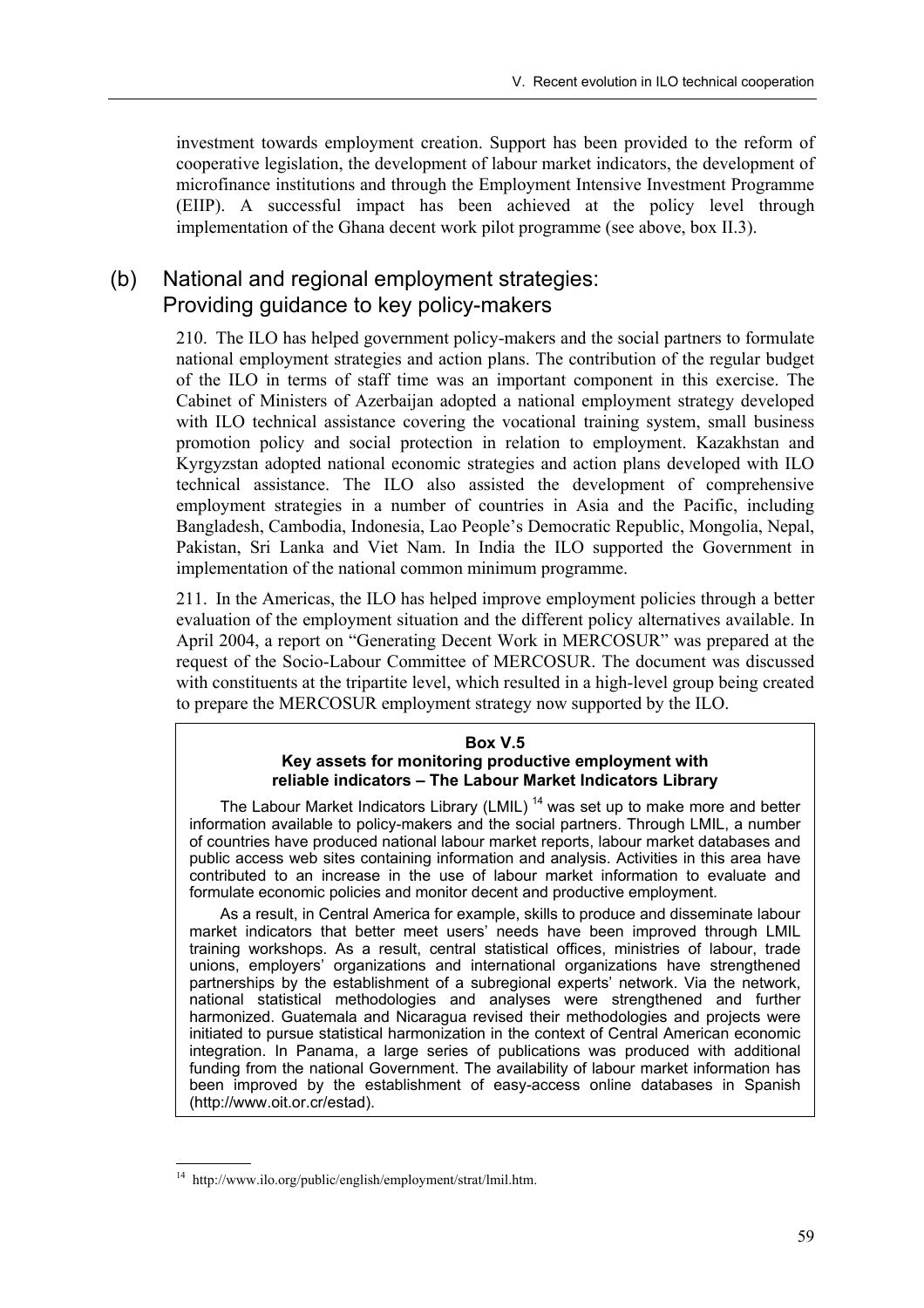investment towards employment creation. Support has been provided to the reform of cooperative legislation, the development of labour market indicators, the development of microfinance institutions and through the Employment Intensive Investment Programme (EIIP). A successful impact has been achieved at the policy level through implementation of the Ghana decent work pilot programme (see above, box II.3).

# (b) National and regional employment strategies: Providing guidance to key policy-makers

210. The ILO has helped government policy-makers and the social partners to formulate national employment strategies and action plans. The contribution of the regular budget of the ILO in terms of staff time was an important component in this exercise. The Cabinet of Ministers of Azerbaijan adopted a national employment strategy developed with ILO technical assistance covering the vocational training system, small business promotion policy and social protection in relation to employment. Kazakhstan and Kyrgyzstan adopted national economic strategies and action plans developed with ILO technical assistance. The ILO also assisted the development of comprehensive employment strategies in a number of countries in Asia and the Pacific, including Bangladesh, Cambodia, Indonesia, Lao People's Democratic Republic, Mongolia, Nepal, Pakistan, Sri Lanka and Viet Nam. In India the ILO supported the Government in implementation of the national common minimum programme.

211. In the Americas, the ILO has helped improve employment policies through a better evaluation of the employment situation and the different policy alternatives available. In April 2004, a report on "Generating Decent Work in MERCOSUR" was prepared at the request of the Socio-Labour Committee of MERCOSUR. The document was discussed with constituents at the tripartite level, which resulted in a high-level group being created to prepare the MERCOSUR employment strategy now supported by the ILO.

#### **Box V.5 Key assets for monitoring productive employment with**  reliable indicators - The Labour Market Indicators Library

The Labour Market Indicators Library (LMIL)<sup>14</sup> was set up to make more and better information available to policy-makers and the social partners. Through LMIL, a number of countries have produced national labour market reports, labour market databases and public access web sites containing information and analysis. Activities in this area have contributed to an increase in the use of labour market information to evaluate and formulate economic policies and monitor decent and productive employment.

As a result, in Central America for example, skills to produce and disseminate labour market indicators that better meet users' needs have been improved through LMIL training workshops. As a result, central statistical offices, ministries of labour, trade unions, employersí organizations and international organizations have strengthened partnerships by the establishment of a subregional experts' network. Via the network, national statistical methodologies and analyses were strengthened and further harmonized. Guatemala and Nicaragua revised their methodologies and projects were initiated to pursue statistical harmonization in the context of Central American economic integration. In Panama, a large series of publications was produced with additional funding from the national Government. The availability of labour market information has been improved by the establishment of easy-access online databases in Spanish (http://www.oit.or.cr/estad).

 14 http://www.ilo.org/public/english/employment/strat/lmil.htm.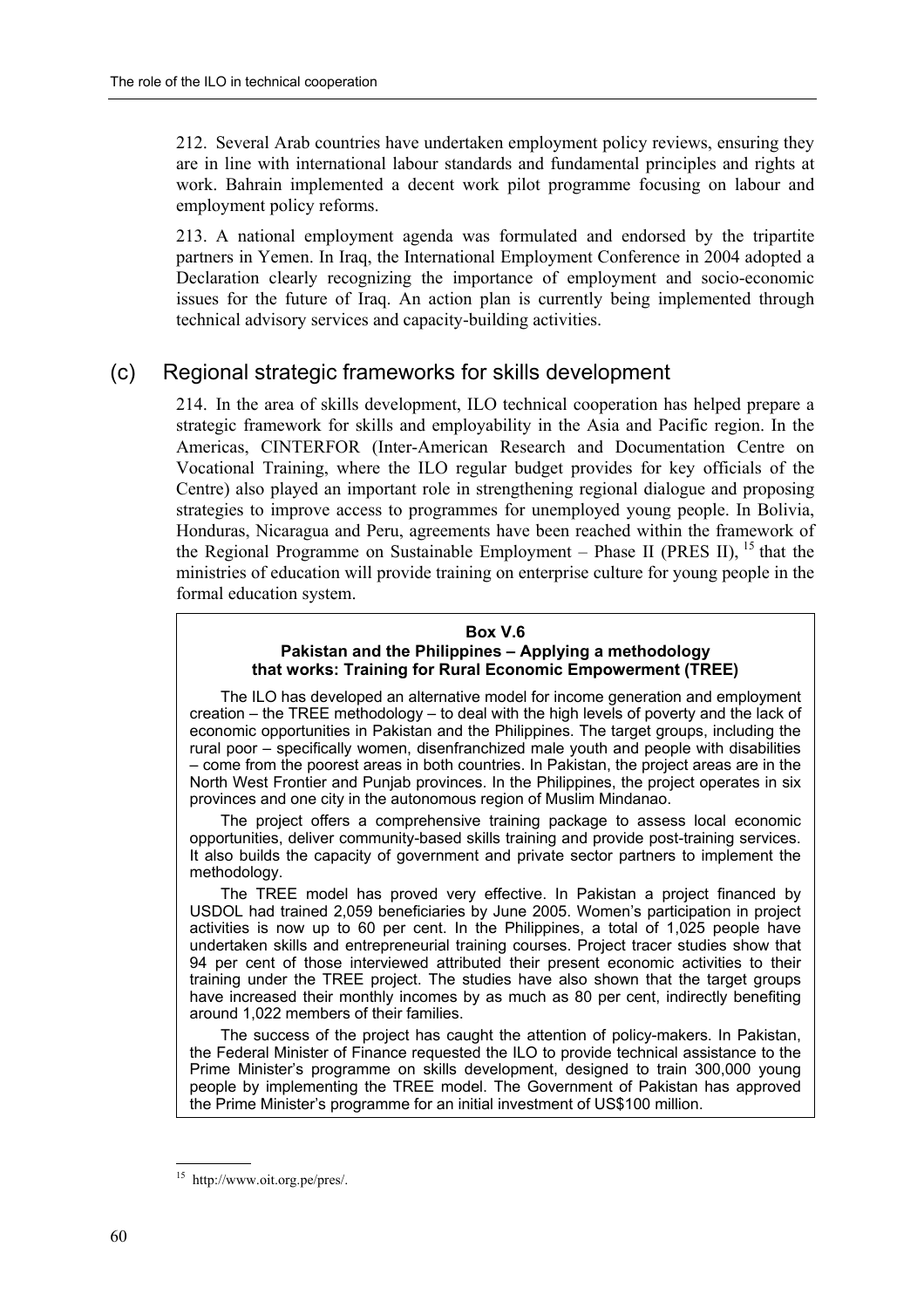212. Several Arab countries have undertaken employment policy reviews, ensuring they are in line with international labour standards and fundamental principles and rights at work. Bahrain implemented a decent work pilot programme focusing on labour and employment policy reforms.

213. A national employment agenda was formulated and endorsed by the tripartite partners in Yemen. In Iraq, the International Employment Conference in 2004 adopted a Declaration clearly recognizing the importance of employment and socio-economic issues for the future of Iraq. An action plan is currently being implemented through technical advisory services and capacity-building activities.

### (c) Regional strategic frameworks for skills development

214. In the area of skills development, ILO technical cooperation has helped prepare a strategic framework for skills and employability in the Asia and Pacific region. In the Americas, CINTERFOR (Inter-American Research and Documentation Centre on Vocational Training, where the ILO regular budget provides for key officials of the Centre) also played an important role in strengthening regional dialogue and proposing strategies to improve access to programmes for unemployed young people. In Bolivia, Honduras, Nicaragua and Peru, agreements have been reached within the framework of the Regional Programme on Sustainable Employment – Phase II (PRES II),  $^{15}$  that the ministries of education will provide training on enterprise culture for young people in the formal education system.

#### **Box V.6**  Pakistan and the Philippines - Applying a methodology **that works: Training for Rural Economic Empowerment (TREE)**

The ILO has developed an alternative model for income generation and employment creation  $-$  the TREE methodology  $-$  to deal with the high levels of poverty and the lack of economic opportunities in Pakistan and the Philippines. The target groups, including the rural poor – specifically women, disenfranchized male youth and people with disabilities – come from the poorest areas in both countries. In Pakistan, the project areas are in the North West Frontier and Punjab provinces. In the Philippines, the project operates in six provinces and one city in the autonomous region of Muslim Mindanao.

The project offers a comprehensive training package to assess local economic opportunities, deliver community-based skills training and provide post-training services. It also builds the capacity of government and private sector partners to implement the methodology.

The TREE model has proved very effective. In Pakistan a project financed by USDOL had trained 2,059 beneficiaries by June 2005. Womenís participation in project activities is now up to 60 per cent. In the Philippines, a total of 1,025 people have undertaken skills and entrepreneurial training courses. Project tracer studies show that 94 per cent of those interviewed attributed their present economic activities to their training under the TREE project. The studies have also shown that the target groups have increased their monthly incomes by as much as 80 per cent, indirectly benefiting around 1,022 members of their families.

The success of the project has caught the attention of policy-makers. In Pakistan, the Federal Minister of Finance requested the ILO to provide technical assistance to the Prime Ministerís programme on skills development, designed to train 300,000 young people by implementing the TREE model. The Government of Pakistan has approved the Prime Ministerís programme for an initial investment of US\$100 million.

<sup>15</sup> http://www.oit.org.pe/pres/.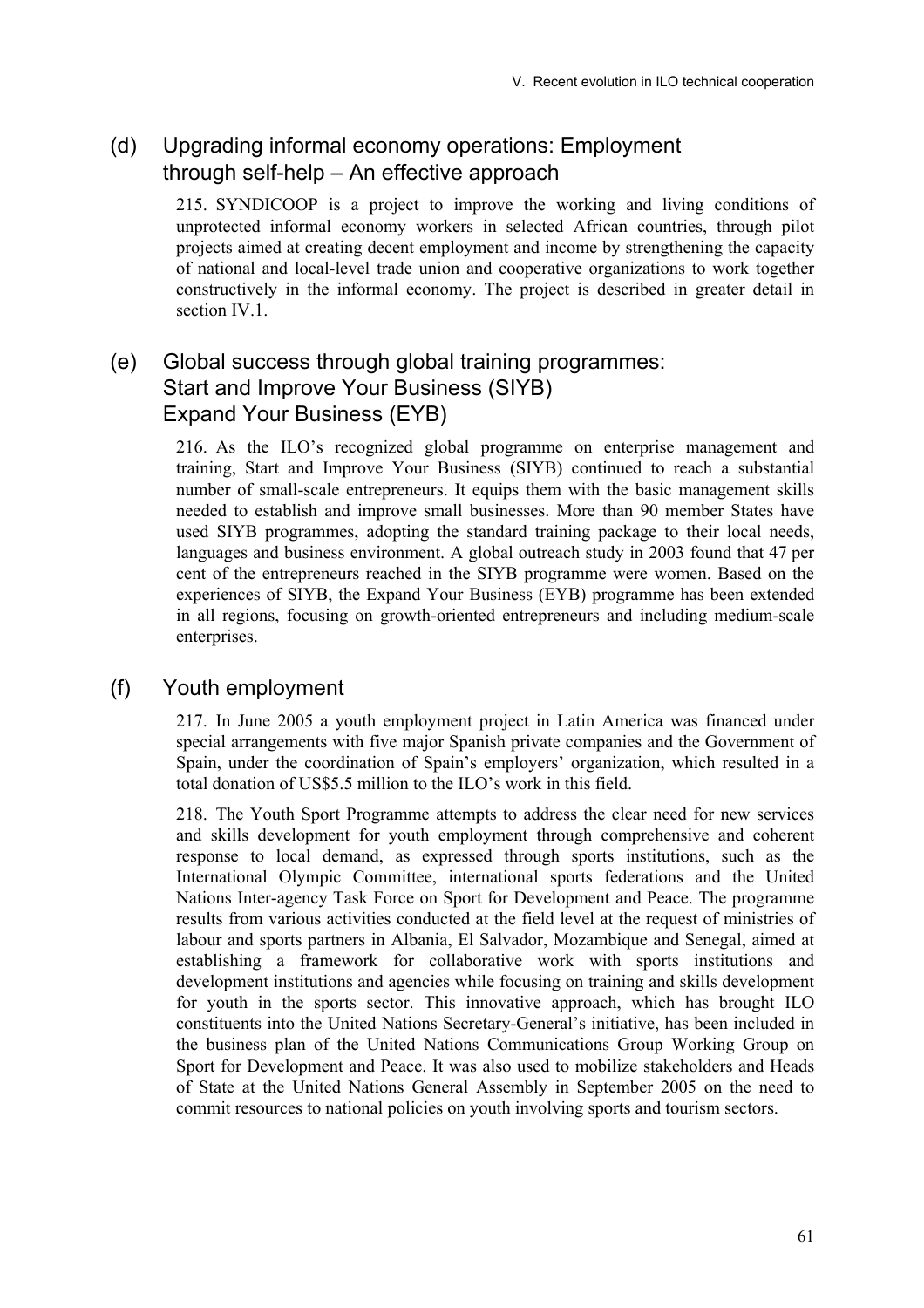# (d) Upgrading informal economy operations: Employment through self-help  $-$  An effective approach

215. SYNDICOOP is a project to improve the working and living conditions of unprotected informal economy workers in selected African countries, through pilot projects aimed at creating decent employment and income by strengthening the capacity of national and local-level trade union and cooperative organizations to work together constructively in the informal economy. The project is described in greater detail in section IV.1.

# (e) Global success through global training programmes: Start and Improve Your Business (SIYB) Expand Your Business (EYB)

216. As the ILO's recognized global programme on enterprise management and training, Start and Improve Your Business (SIYB) continued to reach a substantial number of small-scale entrepreneurs. It equips them with the basic management skills needed to establish and improve small businesses. More than 90 member States have used SIYB programmes, adopting the standard training package to their local needs, languages and business environment. A global outreach study in 2003 found that 47 per cent of the entrepreneurs reached in the SIYB programme were women. Based on the experiences of SIYB, the Expand Your Business (EYB) programme has been extended in all regions, focusing on growth-oriented entrepreneurs and including medium-scale enterprises.

# (f) Youth employment

217. In June 2005 a youth employment project in Latin America was financed under special arrangements with five major Spanish private companies and the Government of Spain, under the coordination of Spain's employers' organization, which resulted in a total donation of US\$5.5 million to the ILO's work in this field.

218. The Youth Sport Programme attempts to address the clear need for new services and skills development for youth employment through comprehensive and coherent response to local demand, as expressed through sports institutions, such as the International Olympic Committee, international sports federations and the United Nations Inter-agency Task Force on Sport for Development and Peace. The programme results from various activities conducted at the field level at the request of ministries of labour and sports partners in Albania, El Salvador, Mozambique and Senegal, aimed at establishing a framework for collaborative work with sports institutions and development institutions and agencies while focusing on training and skills development for youth in the sports sector. This innovative approach, which has brought ILO constituents into the United Nations Secretary-General's initiative, has been included in the business plan of the United Nations Communications Group Working Group on Sport for Development and Peace. It was also used to mobilize stakeholders and Heads of State at the United Nations General Assembly in September 2005 on the need to commit resources to national policies on youth involving sports and tourism sectors.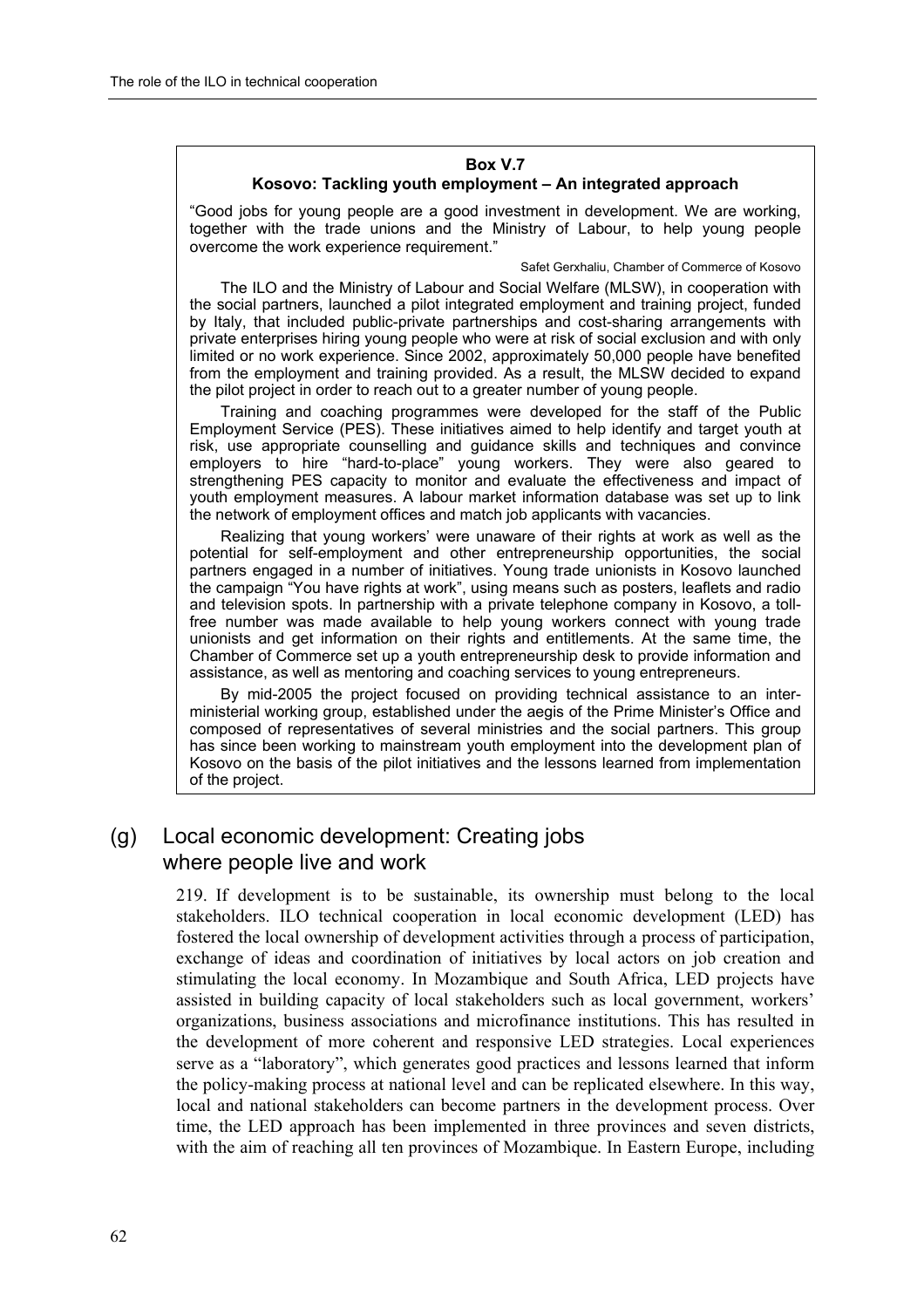#### **Box V.7**  Kosovo: Tackling youth employment - An integrated approach

ìGood jobs for young people are a good investment in development. We are working, together with the trade unions and the Ministry of Labour, to help young people overcome the work experience requirement."

Safet Gerxhaliu, Chamber of Commerce of Kosovo

The ILO and the Ministry of Labour and Social Welfare (MLSW), in cooperation with the social partners, launched a pilot integrated employment and training project, funded by Italy, that included public-private partnerships and cost-sharing arrangements with private enterprises hiring young people who were at risk of social exclusion and with only limited or no work experience. Since 2002, approximately 50,000 people have benefited from the employment and training provided. As a result, the MLSW decided to expand the pilot project in order to reach out to a greater number of young people.

Training and coaching programmes were developed for the staff of the Public Employment Service (PES). These initiatives aimed to help identify and target youth at risk, use appropriate counselling and guidance skills and techniques and convince employers to hire "hard-to-place" young workers. They were also geared to strengthening PES capacity to monitor and evaluate the effectiveness and impact of youth employment measures. A labour market information database was set up to link the network of employment offices and match job applicants with vacancies.

Realizing that young workersí were unaware of their rights at work as well as the potential for self-employment and other entrepreneurship opportunities, the social partners engaged in a number of initiatives. Young trade unionists in Kosovo launched the campaign "You have rights at work", using means such as posters, leaflets and radio and television spots. In partnership with a private telephone company in Kosovo, a tollfree number was made available to help young workers connect with young trade unionists and get information on their rights and entitlements. At the same time, the Chamber of Commerce set up a youth entrepreneurship desk to provide information and assistance, as well as mentoring and coaching services to young entrepreneurs.

By mid-2005 the project focused on providing technical assistance to an interministerial working group, established under the aegis of the Prime Ministerís Office and composed of representatives of several ministries and the social partners. This group has since been working to mainstream youth employment into the development plan of Kosovo on the basis of the pilot initiatives and the lessons learned from implementation of the project.

### (g) Local economic development: Creating jobs where people live and work

219. If development is to be sustainable, its ownership must belong to the local stakeholders. ILO technical cooperation in local economic development (LED) has fostered the local ownership of development activities through a process of participation, exchange of ideas and coordination of initiatives by local actors on job creation and stimulating the local economy. In Mozambique and South Africa, LED projects have assisted in building capacity of local stakeholders such as local government, workers' organizations, business associations and microfinance institutions. This has resulted in the development of more coherent and responsive LED strategies. Local experiences serve as a "laboratory", which generates good practices and lessons learned that inform the policy-making process at national level and can be replicated elsewhere. In this way, local and national stakeholders can become partners in the development process. Over time, the LED approach has been implemented in three provinces and seven districts, with the aim of reaching all ten provinces of Mozambique. In Eastern Europe, including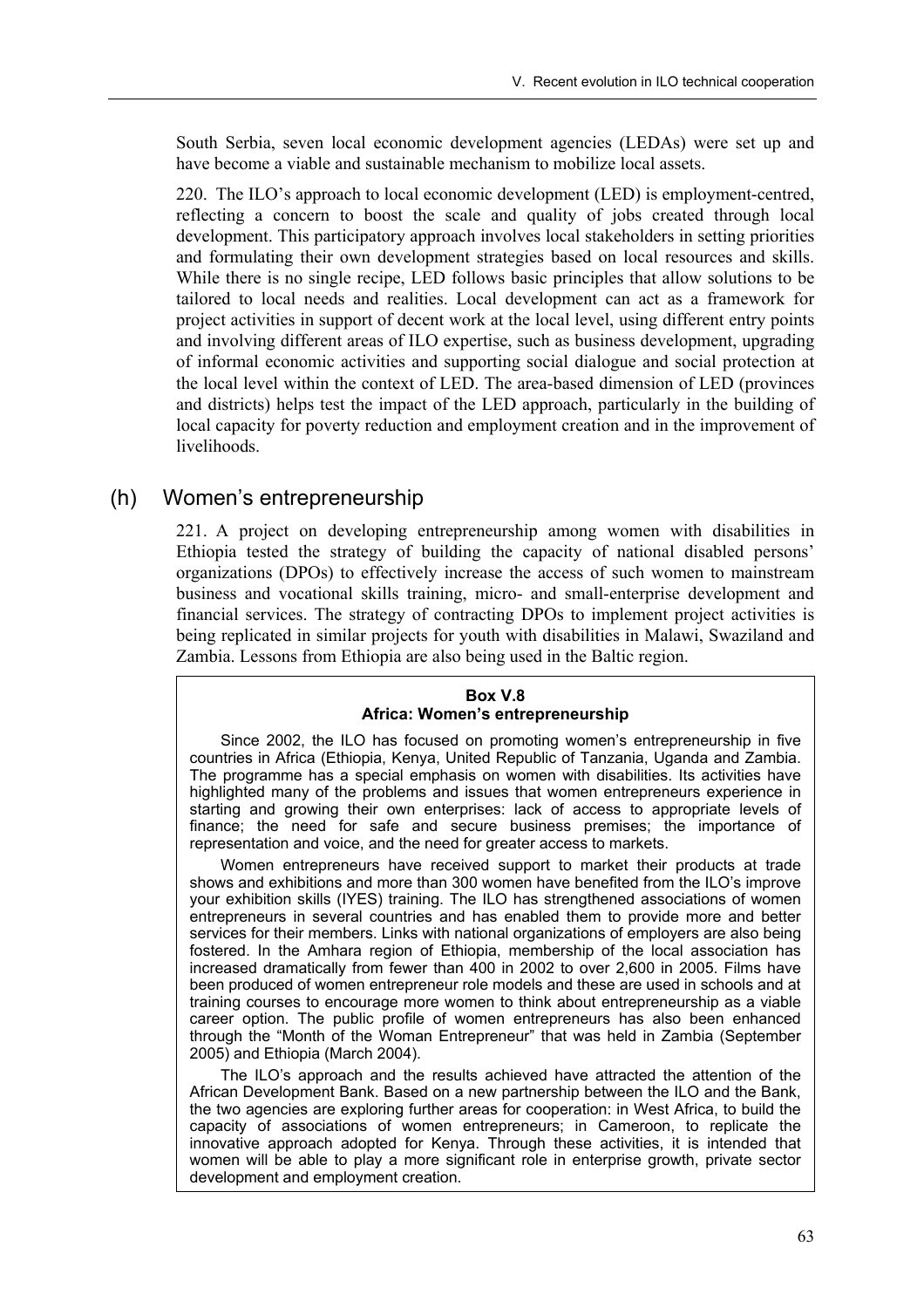South Serbia, seven local economic development agencies (LEDAs) were set up and have become a viable and sustainable mechanism to mobilize local assets.

220. The ILO's approach to local economic development (LED) is employment-centred, reflecting a concern to boost the scale and quality of jobs created through local development. This participatory approach involves local stakeholders in setting priorities and formulating their own development strategies based on local resources and skills. While there is no single recipe, LED follows basic principles that allow solutions to be tailored to local needs and realities. Local development can act as a framework for project activities in support of decent work at the local level, using different entry points and involving different areas of ILO expertise, such as business development, upgrading of informal economic activities and supporting social dialogue and social protection at the local level within the context of LED. The area-based dimension of LED (provinces and districts) helps test the impact of the LED approach, particularly in the building of local capacity for poverty reduction and employment creation and in the improvement of livelihoods.

### (h) Womenís entrepreneurship

221. A project on developing entrepreneurship among women with disabilities in Ethiopia tested the strategy of building the capacity of national disabled persons' organizations (DPOs) to effectively increase the access of such women to mainstream business and vocational skills training, micro- and small-enterprise development and financial services. The strategy of contracting DPOs to implement project activities is being replicated in similar projects for youth with disabilities in Malawi, Swaziland and Zambia. Lessons from Ethiopia are also being used in the Baltic region.

#### **Box V.8 Africa: Womenís entrepreneurship**

Since 2002, the ILO has focused on promoting womenís entrepreneurship in five countries in Africa (Ethiopia, Kenya, United Republic of Tanzania, Uganda and Zambia. The programme has a special emphasis on women with disabilities. Its activities have highlighted many of the problems and issues that women entrepreneurs experience in starting and growing their own enterprises: lack of access to appropriate levels of finance; the need for safe and secure business premises; the importance of representation and voice, and the need for greater access to markets.

Women entrepreneurs have received support to market their products at trade shows and exhibitions and more than 300 women have benefited from the ILO's improve your exhibition skills (IYES) training. The ILO has strengthened associations of women entrepreneurs in several countries and has enabled them to provide more and better services for their members. Links with national organizations of employers are also being fostered. In the Amhara region of Ethiopia, membership of the local association has increased dramatically from fewer than 400 in 2002 to over 2,600 in 2005. Films have been produced of women entrepreneur role models and these are used in schools and at training courses to encourage more women to think about entrepreneurship as a viable career option. The public profile of women entrepreneurs has also been enhanced through the "Month of the Woman Entrepreneur" that was held in Zambia (September 2005) and Ethiopia (March 2004).

The ILO's approach and the results achieved have attracted the attention of the African Development Bank. Based on a new partnership between the ILO and the Bank, the two agencies are exploring further areas for cooperation: in West Africa, to build the capacity of associations of women entrepreneurs; in Cameroon, to replicate the innovative approach adopted for Kenya. Through these activities, it is intended that women will be able to play a more significant role in enterprise growth, private sector development and employment creation.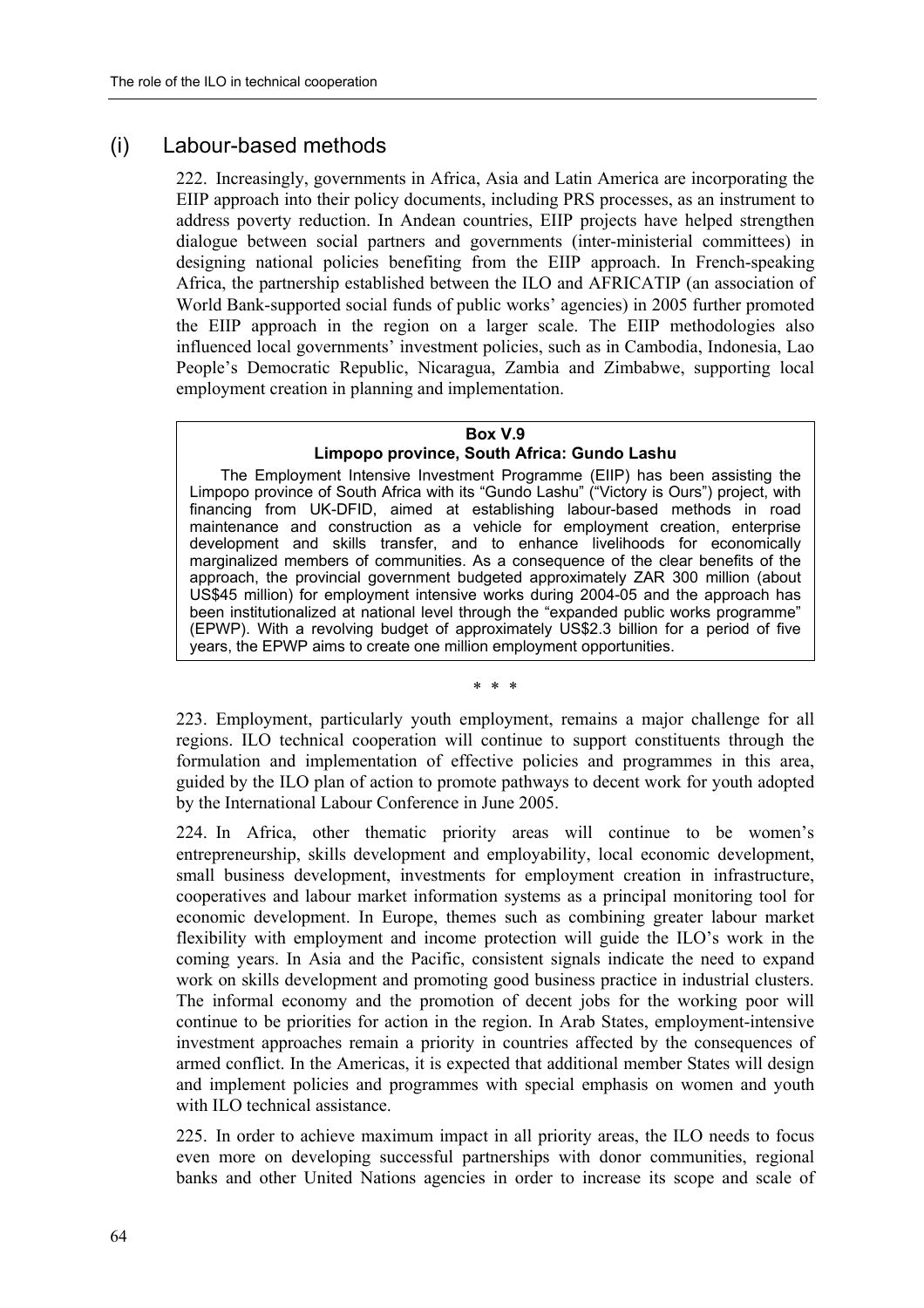### (i) Labour-based methods

222. Increasingly, governments in Africa, Asia and Latin America are incorporating the EIIP approach into their policy documents, including PRS processes, as an instrument to address poverty reduction. In Andean countries, EIIP projects have helped strengthen dialogue between social partners and governments (inter-ministerial committees) in designing national policies benefiting from the EIIP approach. In French-speaking Africa, the partnership established between the ILO and AFRICATIP (an association of World Bank-supported social funds of public works' agencies) in 2005 further promoted the EIIP approach in the region on a larger scale. The EIIP methodologies also influenced local governments' investment policies, such as in Cambodia, Indonesia, Lao People's Democratic Republic, Nicaragua, Zambia and Zimbabwe, supporting local employment creation in planning and implementation.

#### **Box V.9**

#### **Limpopo province, South Africa: Gundo Lashu**

The Employment Intensive Investment Programme (EIIP) has been assisting the Limpopo province of South Africa with its "Gundo Lashu" ("Victory is Ours") project, with financing from UK-DFID, aimed at establishing labour-based methods in road maintenance and construction as a vehicle for employment creation, enterprise development and skills transfer, and to enhance livelihoods for economically marginalized members of communities. As a consequence of the clear benefits of the approach, the provincial government budgeted approximately ZAR 300 million (about US\$45 million) for employment intensive works during 2004-05 and the approach has been institutionalized at national level through the "expanded public works programme" (EPWP). With a revolving budget of approximately US\$2.3 billion for a period of five years, the EPWP aims to create one million employment opportunities.

\* \* \*

223. Employment, particularly youth employment, remains a major challenge for all regions. ILO technical cooperation will continue to support constituents through the formulation and implementation of effective policies and programmes in this area, guided by the ILO plan of action to promote pathways to decent work for youth adopted by the International Labour Conference in June 2005.

224. In Africa, other thematic priority areas will continue to be women's entrepreneurship, skills development and employability, local economic development, small business development, investments for employment creation in infrastructure, cooperatives and labour market information systems as a principal monitoring tool for economic development. In Europe, themes such as combining greater labour market flexibility with employment and income protection will guide the ILO's work in the coming years. In Asia and the Pacific, consistent signals indicate the need to expand work on skills development and promoting good business practice in industrial clusters. The informal economy and the promotion of decent jobs for the working poor will continue to be priorities for action in the region. In Arab States, employment-intensive investment approaches remain a priority in countries affected by the consequences of armed conflict. In the Americas, it is expected that additional member States will design and implement policies and programmes with special emphasis on women and youth with ILO technical assistance.

225. In order to achieve maximum impact in all priority areas, the ILO needs to focus even more on developing successful partnerships with donor communities, regional banks and other United Nations agencies in order to increase its scope and scale of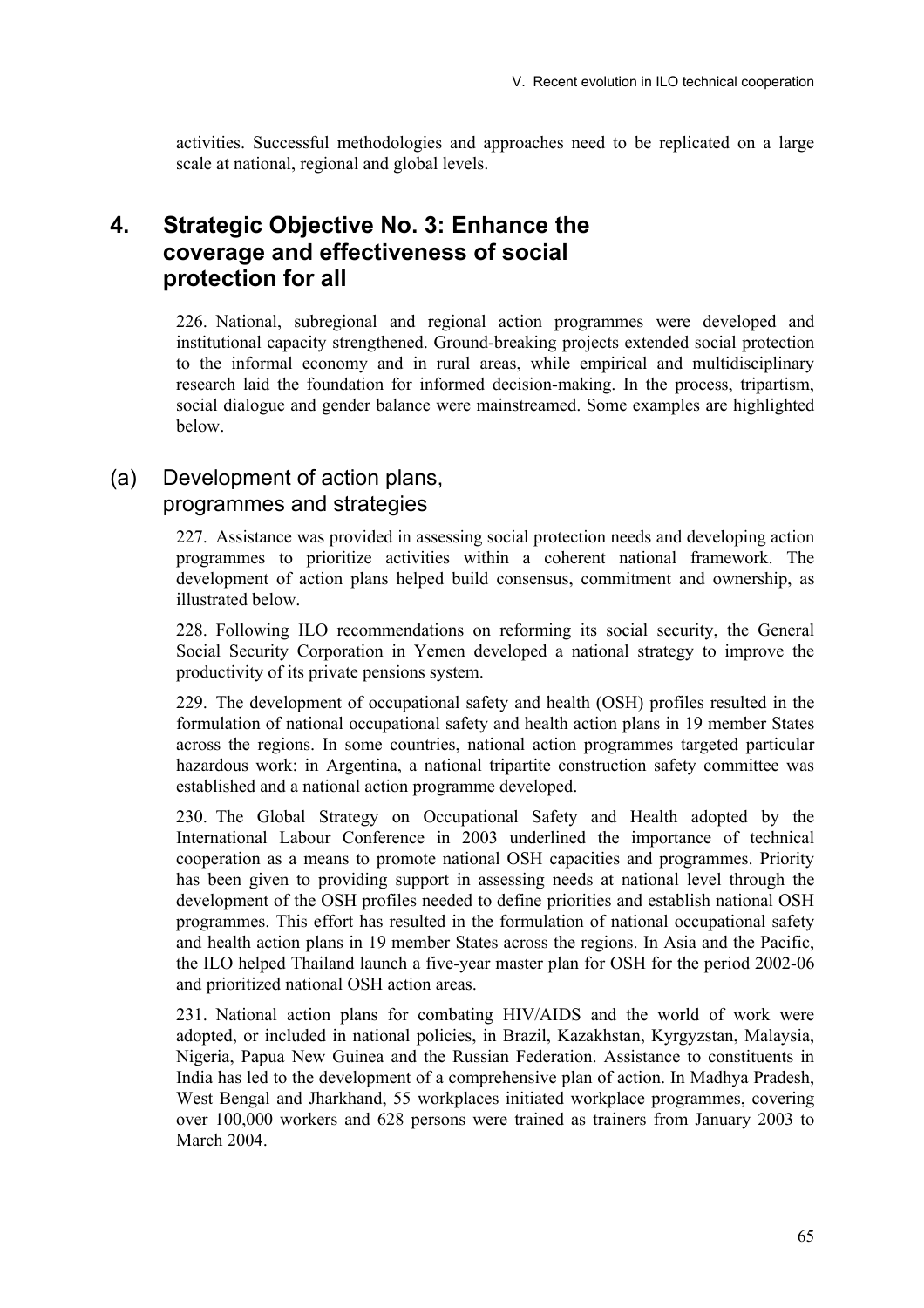activities. Successful methodologies and approaches need to be replicated on a large scale at national, regional and global levels.

# **4. Strategic Objective No. 3: Enhance the coverage and effectiveness of social protection for all**

226. National, subregional and regional action programmes were developed and institutional capacity strengthened. Ground-breaking projects extended social protection to the informal economy and in rural areas, while empirical and multidisciplinary research laid the foundation for informed decision-making. In the process, tripartism, social dialogue and gender balance were mainstreamed. Some examples are highlighted below.

### (a) Development of action plans, programmes and strategies

227. Assistance was provided in assessing social protection needs and developing action programmes to prioritize activities within a coherent national framework. The development of action plans helped build consensus, commitment and ownership, as illustrated below.

228. Following ILO recommendations on reforming its social security, the General Social Security Corporation in Yemen developed a national strategy to improve the productivity of its private pensions system.

229. The development of occupational safety and health (OSH) profiles resulted in the formulation of national occupational safety and health action plans in 19 member States across the regions. In some countries, national action programmes targeted particular hazardous work: in Argentina, a national tripartite construction safety committee was established and a national action programme developed.

230. The Global Strategy on Occupational Safety and Health adopted by the International Labour Conference in 2003 underlined the importance of technical cooperation as a means to promote national OSH capacities and programmes. Priority has been given to providing support in assessing needs at national level through the development of the OSH profiles needed to define priorities and establish national OSH programmes. This effort has resulted in the formulation of national occupational safety and health action plans in 19 member States across the regions. In Asia and the Pacific, the ILO helped Thailand launch a five-year master plan for OSH for the period 2002-06 and prioritized national OSH action areas.

231. National action plans for combating HIV/AIDS and the world of work were adopted, or included in national policies, in Brazil, Kazakhstan, Kyrgyzstan, Malaysia, Nigeria, Papua New Guinea and the Russian Federation. Assistance to constituents in India has led to the development of a comprehensive plan of action. In Madhya Pradesh, West Bengal and Jharkhand, 55 workplaces initiated workplace programmes, covering over 100,000 workers and 628 persons were trained as trainers from January 2003 to March 2004.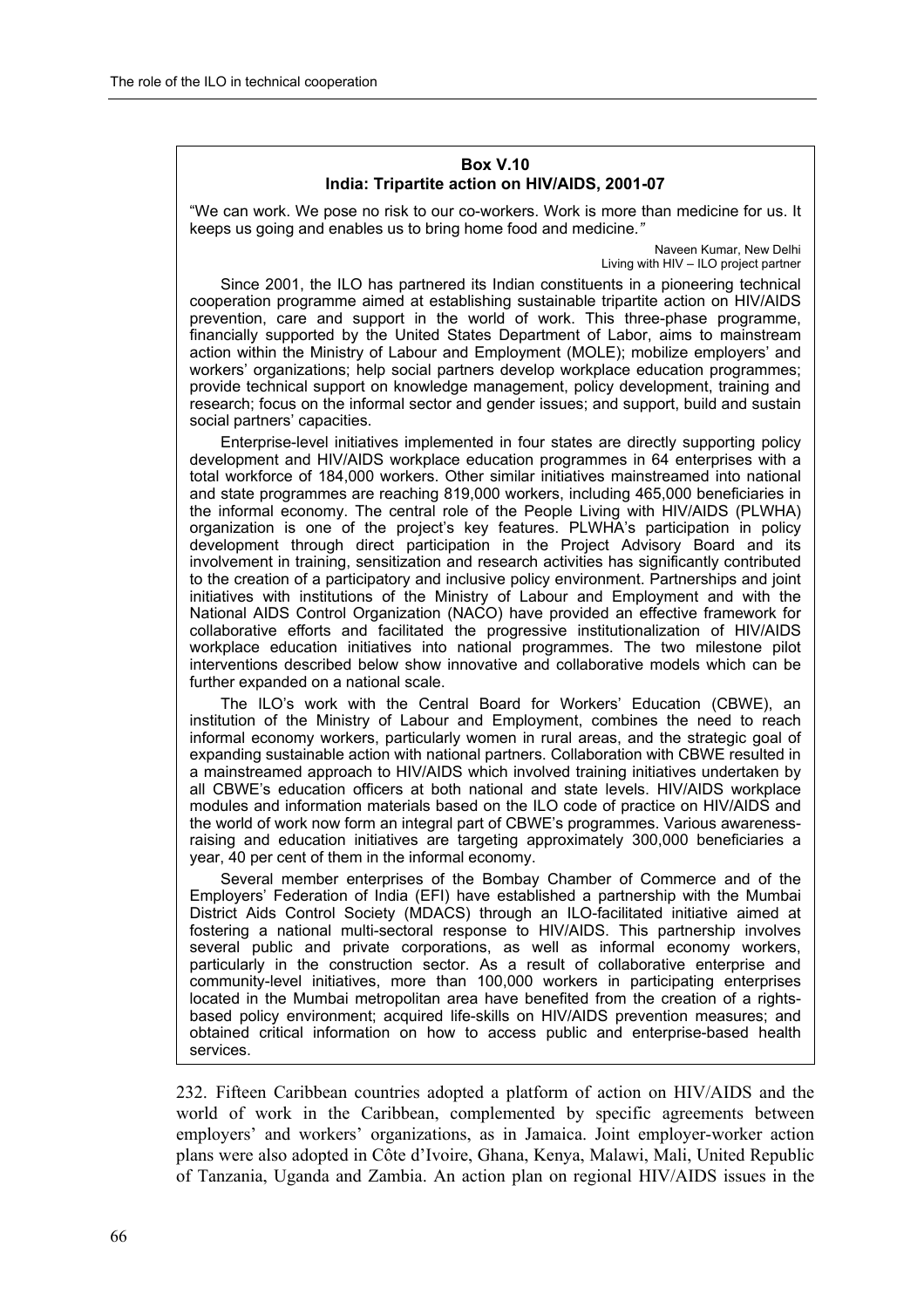#### **Box V.10 India: Tripartite action on HIV/AIDS, 2001-07**

"We can work. We pose no risk to our co-workers. Work is more than medicine for us. It keeps us going and enables us to bring home food and medicine*.î*

> Naveen Kumar, New Delhi Living with  $HIV - ILO$  project partner

Since 2001, the ILO has partnered its Indian constituents in a pioneering technical cooperation programme aimed at establishing sustainable tripartite action on HIV/AIDS prevention, care and support in the world of work. This three-phase programme, financially supported by the United States Department of Labor, aims to mainstream action within the Ministry of Labour and Employment (MOLE); mobilize employersí and workersí organizations; help social partners develop workplace education programmes; provide technical support on knowledge management, policy development, training and research; focus on the informal sector and gender issues; and support, build and sustain social partners' capacities.

Enterprise-level initiatives implemented in four states are directly supporting policy development and HIV/AIDS workplace education programmes in 64 enterprises with a total workforce of 184,000 workers. Other similar initiatives mainstreamed into national and state programmes are reaching 819,000 workers, including 465,000 beneficiaries in the informal economy. The central role of the People Living with HIV/AIDS (PLWHA) organization is one of the project's key features. PLWHA's participation in policy development through direct participation in the Project Advisory Board and its involvement in training, sensitization and research activities has significantly contributed to the creation of a participatory and inclusive policy environment. Partnerships and joint initiatives with institutions of the Ministry of Labour and Employment and with the National AIDS Control Organization (NACO) have provided an effective framework for collaborative efforts and facilitated the progressive institutionalization of HIV/AIDS workplace education initiatives into national programmes. The two milestone pilot interventions described below show innovative and collaborative models which can be further expanded on a national scale.

The ILO's work with the Central Board for Workers' Education (CBWE), an institution of the Ministry of Labour and Employment, combines the need to reach informal economy workers, particularly women in rural areas, and the strategic goal of expanding sustainable action with national partners. Collaboration with CBWE resulted in a mainstreamed approach to HIV/AIDS which involved training initiatives undertaken by all CBWEís education officers at both national and state levels. HIV/AIDS workplace modules and information materials based on the ILO code of practice on HIV/AIDS and the world of work now form an integral part of CBWEís programmes. Various awarenessraising and education initiatives are targeting approximately 300,000 beneficiaries a year, 40 per cent of them in the informal economy.

Several member enterprises of the Bombay Chamber of Commerce and of the Employersí Federation of India (EFI) have established a partnership with the Mumbai District Aids Control Society (MDACS) through an ILO-facilitated initiative aimed at fostering a national multi-sectoral response to HIV/AIDS. This partnership involves several public and private corporations, as well as informal economy workers, particularly in the construction sector. As a result of collaborative enterprise and community-level initiatives, more than 100,000 workers in participating enterprises located in the Mumbai metropolitan area have benefited from the creation of a rightsbased policy environment; acquired life-skills on HIV/AIDS prevention measures; and obtained critical information on how to access public and enterprise-based health services.

232. Fifteen Caribbean countries adopted a platform of action on HIV/AIDS and the world of work in the Caribbean, complemented by specific agreements between employers' and workers' organizations, as in Jamaica. Joint employer-worker action plans were also adopted in Côte d'Ivoire, Ghana, Kenya, Malawi, Mali, United Republic of Tanzania, Uganda and Zambia. An action plan on regional HIV/AIDS issues in the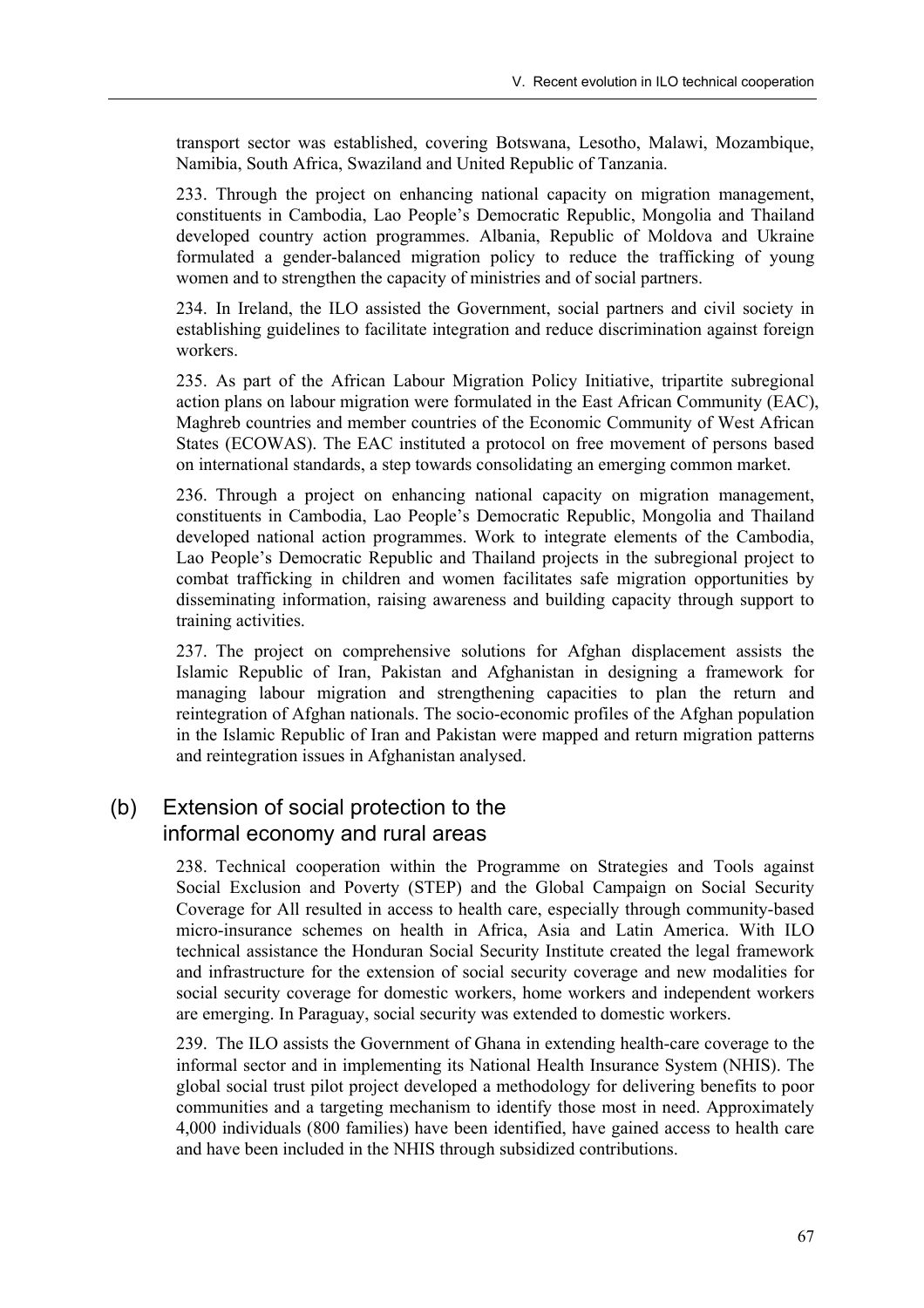transport sector was established, covering Botswana, Lesotho, Malawi, Mozambique, Namibia, South Africa, Swaziland and United Republic of Tanzania.

233. Through the project on enhancing national capacity on migration management, constituents in Cambodia, Lao People's Democratic Republic, Mongolia and Thailand developed country action programmes. Albania, Republic of Moldova and Ukraine formulated a gender-balanced migration policy to reduce the trafficking of young women and to strengthen the capacity of ministries and of social partners.

234. In Ireland, the ILO assisted the Government, social partners and civil society in establishing guidelines to facilitate integration and reduce discrimination against foreign workers.

235. As part of the African Labour Migration Policy Initiative, tripartite subregional action plans on labour migration were formulated in the East African Community (EAC), Maghreb countries and member countries of the Economic Community of West African States (ECOWAS). The EAC instituted a protocol on free movement of persons based on international standards, a step towards consolidating an emerging common market.

236. Through a project on enhancing national capacity on migration management, constituents in Cambodia, Lao People's Democratic Republic, Mongolia and Thailand developed national action programmes. Work to integrate elements of the Cambodia, Lao People's Democratic Republic and Thailand projects in the subregional project to combat trafficking in children and women facilitates safe migration opportunities by disseminating information, raising awareness and building capacity through support to training activities.

237. The project on comprehensive solutions for Afghan displacement assists the Islamic Republic of Iran, Pakistan and Afghanistan in designing a framework for managing labour migration and strengthening capacities to plan the return and reintegration of Afghan nationals. The socio-economic profiles of the Afghan population in the Islamic Republic of Iran and Pakistan were mapped and return migration patterns and reintegration issues in Afghanistan analysed.

### (b) Extension of social protection to the informal economy and rural areas

238. Technical cooperation within the Programme on Strategies and Tools against Social Exclusion and Poverty (STEP) and the Global Campaign on Social Security Coverage for All resulted in access to health care, especially through community-based micro-insurance schemes on health in Africa, Asia and Latin America. With ILO technical assistance the Honduran Social Security Institute created the legal framework and infrastructure for the extension of social security coverage and new modalities for social security coverage for domestic workers, home workers and independent workers are emerging. In Paraguay, social security was extended to domestic workers.

239. The ILO assists the Government of Ghana in extending health-care coverage to the informal sector and in implementing its National Health Insurance System (NHIS). The global social trust pilot project developed a methodology for delivering benefits to poor communities and a targeting mechanism to identify those most in need. Approximately 4,000 individuals (800 families) have been identified, have gained access to health care and have been included in the NHIS through subsidized contributions.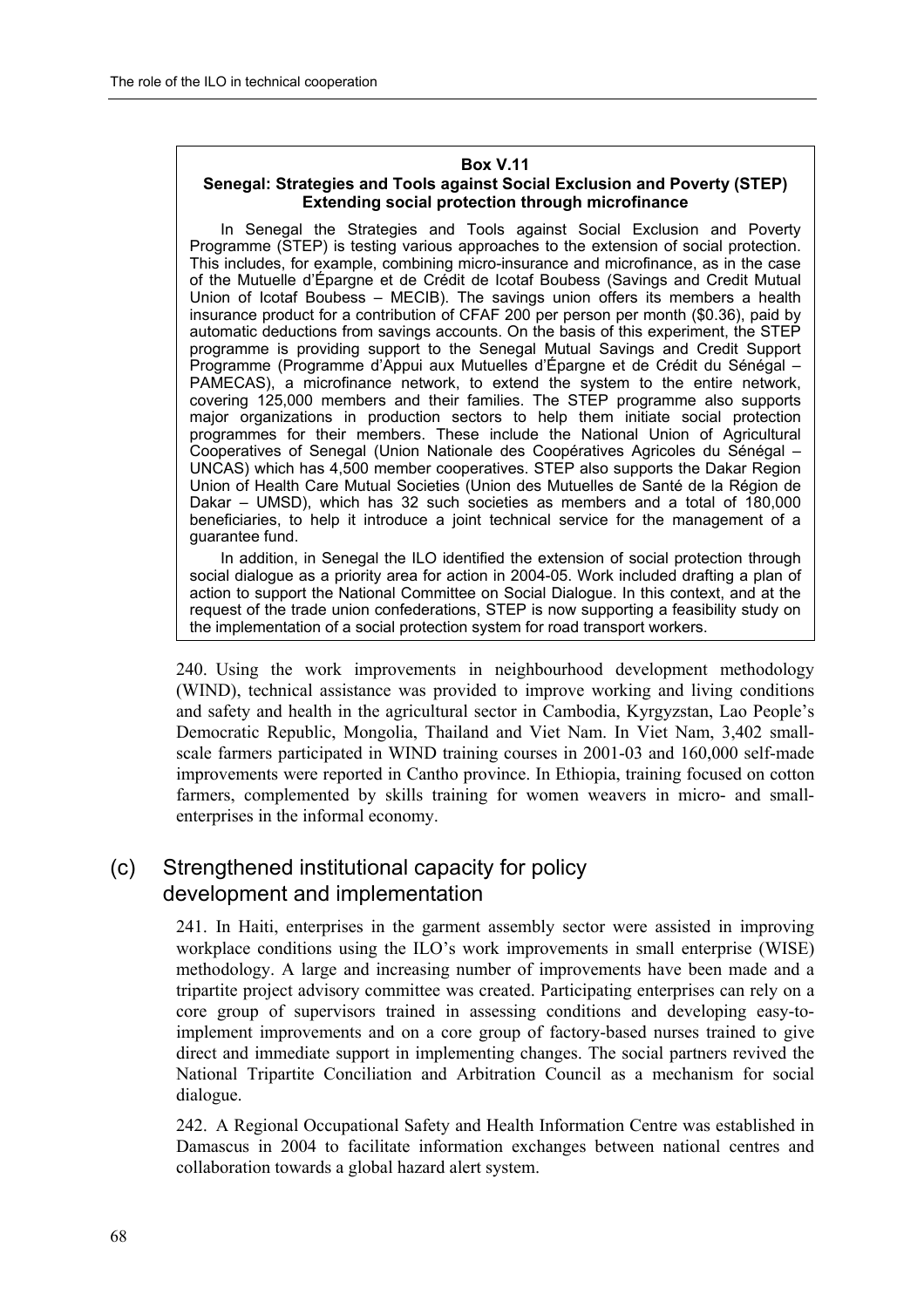#### **Box V.11**

#### **Senegal: Strategies and Tools against Social Exclusion and Poverty (STEP) Extending social protection through microfinance**

In Senegal the Strategies and Tools against Social Exclusion and Poverty Programme (STEP) is testing various approaches to the extension of social protection. This includes, for example, combining micro-insurance and microfinance, as in the case of the Mutuelle d'Épargne et de Crédit de Icotaf Boubess (Savings and Credit Mutual Union of Icotaf Boubess – MECIB). The savings union offers its members a health insurance product for a contribution of CFAF 200 per person per month (\$0.36), paid by automatic deductions from savings accounts. On the basis of this experiment, the STEP programme is providing support to the Senegal Mutual Savings and Credit Support Programme (Programme d'Appui aux Mutuelles d'Épargne et de Crédit du Sénégal – PAMECAS), a microfinance network, to extend the system to the entire network, covering 125,000 members and their families. The STEP programme also supports major organizations in production sectors to help them initiate social protection programmes for their members. These include the National Union of Agricultural Cooperatives of Senegal (Union Nationale des Coopératives Agricoles du Sénégal -UNCAS) which has 4,500 member cooperatives. STEP also supports the Dakar Region Union of Health Care Mutual Societies (Union des Mutuelles de Santé de la Région de Dakar  $-$  UMSD), which has 32 such societies as members and a total of 180,000 beneficiaries, to help it introduce a joint technical service for the management of a guarantee fund.

In addition, in Senegal the ILO identified the extension of social protection through social dialogue as a priority area for action in 2004-05. Work included drafting a plan of action to support the National Committee on Social Dialogue. In this context, and at the request of the trade union confederations, STEP is now supporting a feasibility study on the implementation of a social protection system for road transport workers.

240. Using the work improvements in neighbourhood development methodology (WIND), technical assistance was provided to improve working and living conditions and safety and health in the agricultural sector in Cambodia, Kyrgyzstan, Lao People's Democratic Republic, Mongolia, Thailand and Viet Nam. In Viet Nam, 3,402 smallscale farmers participated in WIND training courses in 2001-03 and 160,000 self-made improvements were reported in Cantho province. In Ethiopia, training focused on cotton farmers, complemented by skills training for women weavers in micro- and smallenterprises in the informal economy.

### (c) Strengthened institutional capacity for policy development and implementation

241. In Haiti, enterprises in the garment assembly sector were assisted in improving workplace conditions using the ILO's work improvements in small enterprise (WISE) methodology. A large and increasing number of improvements have been made and a tripartite project advisory committee was created. Participating enterprises can rely on a core group of supervisors trained in assessing conditions and developing easy-toimplement improvements and on a core group of factory-based nurses trained to give direct and immediate support in implementing changes. The social partners revived the National Tripartite Conciliation and Arbitration Council as a mechanism for social dialogue.

242. A Regional Occupational Safety and Health Information Centre was established in Damascus in 2004 to facilitate information exchanges between national centres and collaboration towards a global hazard alert system.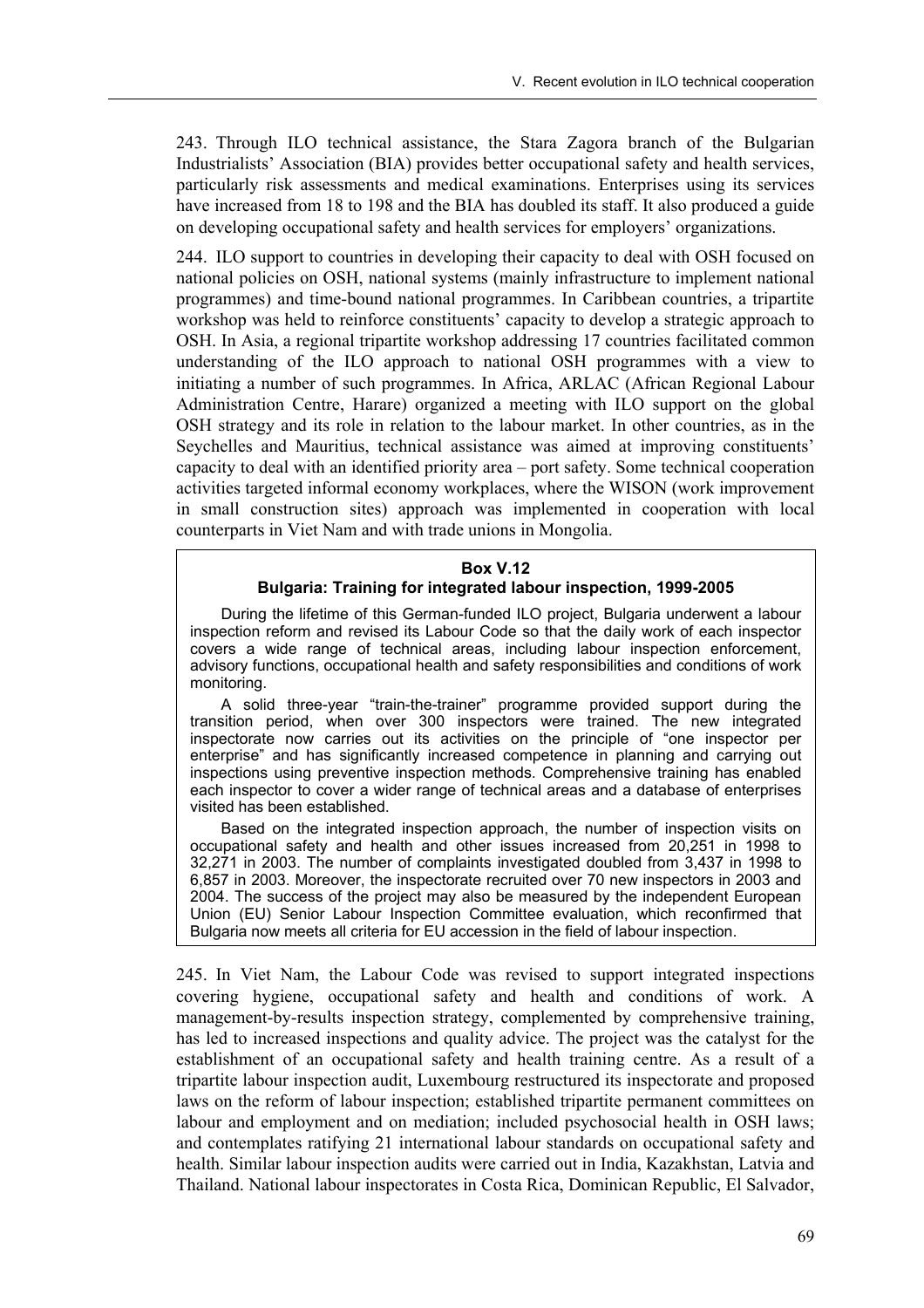243. Through ILO technical assistance, the Stara Zagora branch of the Bulgarian Industrialists<sup>'</sup> Association (BIA) provides better occupational safety and health services, particularly risk assessments and medical examinations. Enterprises using its services have increased from 18 to 198 and the BIA has doubled its staff. It also produced a guide on developing occupational safety and health services for employers' organizations.

244. ILO support to countries in developing their capacity to deal with OSH focused on national policies on OSH, national systems (mainly infrastructure to implement national programmes) and time-bound national programmes. In Caribbean countries, a tripartite workshop was held to reinforce constituents' capacity to develop a strategic approach to OSH. In Asia, a regional tripartite workshop addressing 17 countries facilitated common understanding of the ILO approach to national OSH programmes with a view to initiating a number of such programmes. In Africa, ARLAC (African Regional Labour Administration Centre, Harare) organized a meeting with ILO support on the global OSH strategy and its role in relation to the labour market. In other countries, as in the Seychelles and Mauritius, technical assistance was aimed at improving constituents' capacity to deal with an identified priority area  $-$  port safety. Some technical cooperation activities targeted informal economy workplaces, where the WISON (work improvement in small construction sites) approach was implemented in cooperation with local counterparts in Viet Nam and with trade unions in Mongolia.

#### **Box V.12**

#### **Bulgaria: Training for integrated labour inspection, 1999-2005**

During the lifetime of this German-funded ILO project, Bulgaria underwent a labour inspection reform and revised its Labour Code so that the daily work of each inspector covers a wide range of technical areas, including labour inspection enforcement, advisory functions, occupational health and safety responsibilities and conditions of work monitoring.

A solid three-year "train-the-trainer" programme provided support during the transition period, when over 300 inspectors were trained. The new integrated inspectorate now carries out its activities on the principle of "one inspector per enterpriseî and has significantly increased competence in planning and carrying out inspections using preventive inspection methods. Comprehensive training has enabled each inspector to cover a wider range of technical areas and a database of enterprises visited has been established.

Based on the integrated inspection approach, the number of inspection visits on occupational safety and health and other issues increased from 20,251 in 1998 to 32,271 in 2003. The number of complaints investigated doubled from 3,437 in 1998 to 6,857 in 2003. Moreover, the inspectorate recruited over 70 new inspectors in 2003 and 2004. The success of the project may also be measured by the independent European Union (EU) Senior Labour Inspection Committee evaluation, which reconfirmed that Bulgaria now meets all criteria for EU accession in the field of labour inspection.

245. In Viet Nam, the Labour Code was revised to support integrated inspections covering hygiene, occupational safety and health and conditions of work. A management-by-results inspection strategy, complemented by comprehensive training, has led to increased inspections and quality advice. The project was the catalyst for the establishment of an occupational safety and health training centre. As a result of a tripartite labour inspection audit, Luxembourg restructured its inspectorate and proposed laws on the reform of labour inspection; established tripartite permanent committees on labour and employment and on mediation; included psychosocial health in OSH laws; and contemplates ratifying 21 international labour standards on occupational safety and health. Similar labour inspection audits were carried out in India, Kazakhstan, Latvia and Thailand. National labour inspectorates in Costa Rica, Dominican Republic, El Salvador,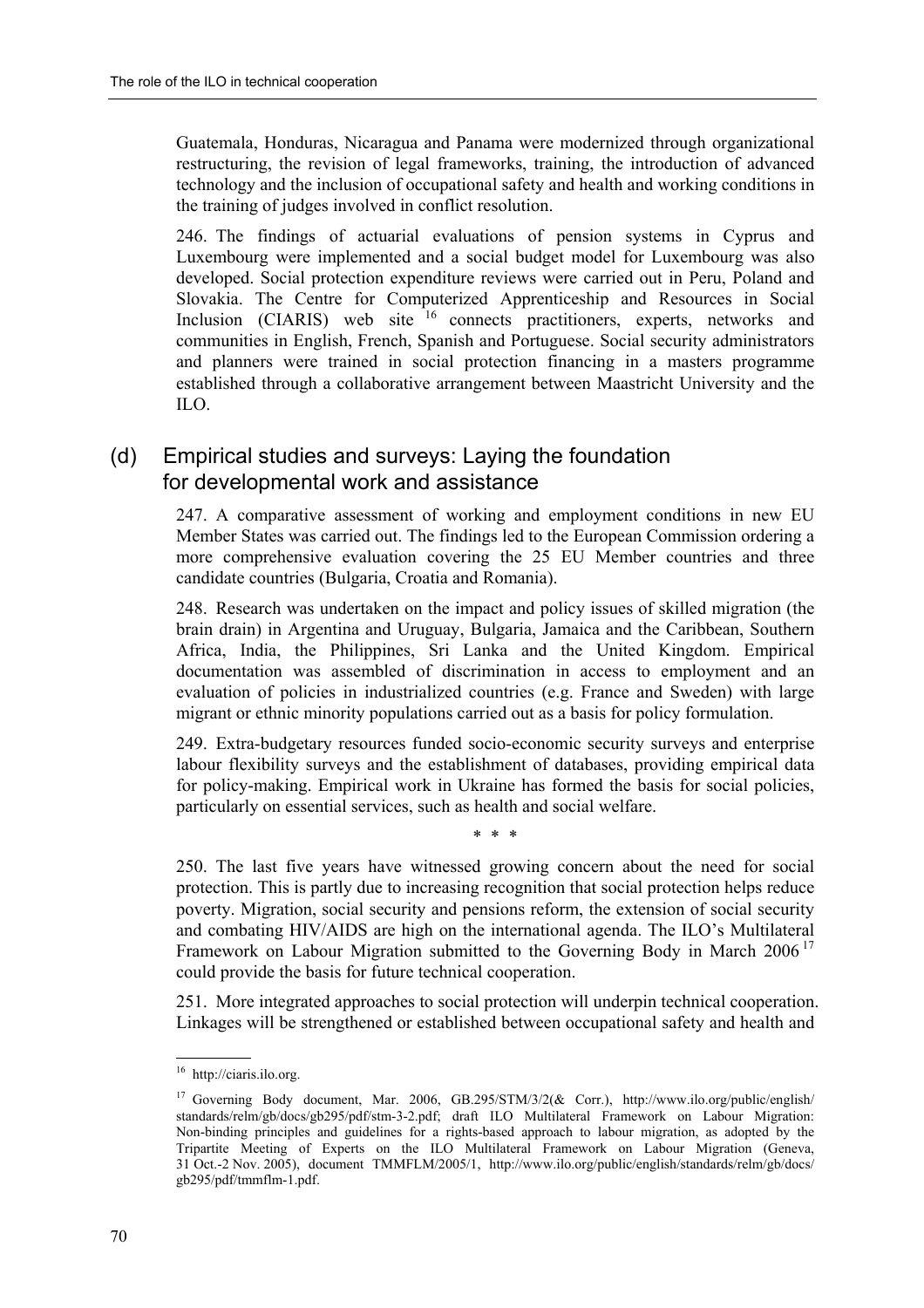Guatemala, Honduras, Nicaragua and Panama were modernized through organizational restructuring, the revision of legal frameworks, training, the introduction of advanced technology and the inclusion of occupational safety and health and working conditions in the training of judges involved in conflict resolution.

246. The findings of actuarial evaluations of pension systems in Cyprus and Luxembourg were implemented and a social budget model for Luxembourg was also developed. Social protection expenditure reviews were carried out in Peru, Poland and Slovakia. The Centre for Computerized Apprenticeship and Resources in Social Inclusion (CIARIS) web site <sup>16</sup> connects practitioners, experts, networks and communities in English, French, Spanish and Portuguese. Social security administrators and planners were trained in social protection financing in a masters programme established through a collaborative arrangement between Maastricht University and the ILO.

## (d) Empirical studies and surveys: Laying the foundation for developmental work and assistance

247. A comparative assessment of working and employment conditions in new EU Member States was carried out. The findings led to the European Commission ordering a more comprehensive evaluation covering the 25 EU Member countries and three candidate countries (Bulgaria, Croatia and Romania).

248. Research was undertaken on the impact and policy issues of skilled migration (the brain drain) in Argentina and Uruguay, Bulgaria, Jamaica and the Caribbean, Southern Africa, India, the Philippines, Sri Lanka and the United Kingdom. Empirical documentation was assembled of discrimination in access to employment and an evaluation of policies in industrialized countries (e.g. France and Sweden) with large migrant or ethnic minority populations carried out as a basis for policy formulation.

249. Extra-budgetary resources funded socio-economic security surveys and enterprise labour flexibility surveys and the establishment of databases, providing empirical data for policy-making. Empirical work in Ukraine has formed the basis for social policies, particularly on essential services, such as health and social welfare.

\* \* \*

250. The last five years have witnessed growing concern about the need for social protection. This is partly due to increasing recognition that social protection helps reduce poverty. Migration, social security and pensions reform, the extension of social security and combating HIV/AIDS are high on the international agenda. The ILO's Multilateral Framework on Labour Migration submitted to the Governing Body in March  $2006<sup>17</sup>$ could provide the basis for future technical cooperation.

251. More integrated approaches to social protection will underpin technical cooperation. Linkages will be strengthened or established between occupational safety and health and

<sup>16</sup> http://ciaris.ilo.org.

<sup>&</sup>lt;sup>17</sup> Governing Body document, Mar. 2006, GB.295/STM/3/2(& Corr.), http://www.ilo.org/public/english/ standards/relm/gb/docs/gb295/pdf/stm-3-2.pdf; draft ILO Multilateral Framework on Labour Migration: Non-binding principles and guidelines for a rights-based approach to labour migration, as adopted by the Tripartite Meeting of Experts on the ILO Multilateral Framework on Labour Migration (Geneva, 31 Oct.-2 Nov. 2005), document TMMFLM/2005/1, http://www.ilo.org/public/english/standards/relm/gb/docs/ gb295/pdf/tmmflm-1.pdf.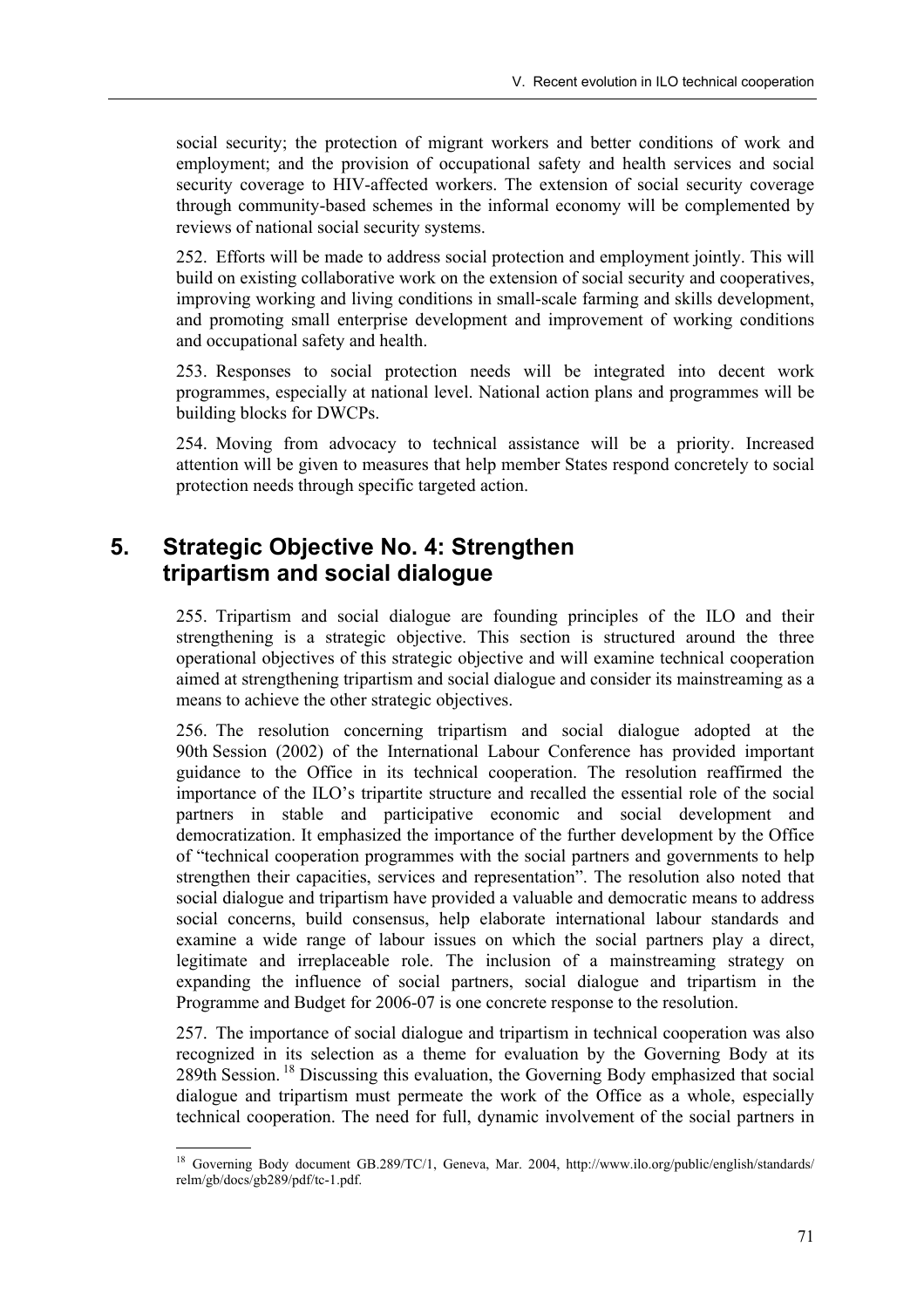social security; the protection of migrant workers and better conditions of work and employment; and the provision of occupational safety and health services and social security coverage to HIV-affected workers. The extension of social security coverage through community-based schemes in the informal economy will be complemented by reviews of national social security systems.

252. Efforts will be made to address social protection and employment jointly. This will build on existing collaborative work on the extension of social security and cooperatives, improving working and living conditions in small-scale farming and skills development, and promoting small enterprise development and improvement of working conditions and occupational safety and health.

253. Responses to social protection needs will be integrated into decent work programmes, especially at national level. National action plans and programmes will be building blocks for DWCPs.

254. Moving from advocacy to technical assistance will be a priority. Increased attention will be given to measures that help member States respond concretely to social protection needs through specific targeted action.

# **5. Strategic Objective No. 4: Strengthen tripartism and social dialogue**

255. Tripartism and social dialogue are founding principles of the ILO and their strengthening is a strategic objective. This section is structured around the three operational objectives of this strategic objective and will examine technical cooperation aimed at strengthening tripartism and social dialogue and consider its mainstreaming as a means to achieve the other strategic objectives.

256. The resolution concerning tripartism and social dialogue adopted at the 90th Session (2002) of the International Labour Conference has provided important guidance to the Office in its technical cooperation. The resolution reaffirmed the importance of the ILO's tripartite structure and recalled the essential role of the social partners in stable and participative economic and social development and democratization. It emphasized the importance of the further development by the Office of "technical cooperation programmes with the social partners and governments to help strengthen their capacities, services and representation". The resolution also noted that social dialogue and tripartism have provided a valuable and democratic means to address social concerns, build consensus, help elaborate international labour standards and examine a wide range of labour issues on which the social partners play a direct, legitimate and irreplaceable role. The inclusion of a mainstreaming strategy on expanding the influence of social partners, social dialogue and tripartism in the Programme and Budget for 2006-07 is one concrete response to the resolution.

257. The importance of social dialogue and tripartism in technical cooperation was also recognized in its selection as a theme for evaluation by the Governing Body at its 289th Session. 18 Discussing this evaluation, the Governing Body emphasized that social dialogue and tripartism must permeate the work of the Office as a whole, especially technical cooperation. The need for full, dynamic involvement of the social partners in

<sup>18</sup> Governing Body document GB.289/TC/1, Geneva, Mar. 2004, http://www.ilo.org/public/english/standards/ relm/gb/docs/gb289/pdf/tc-1.pdf.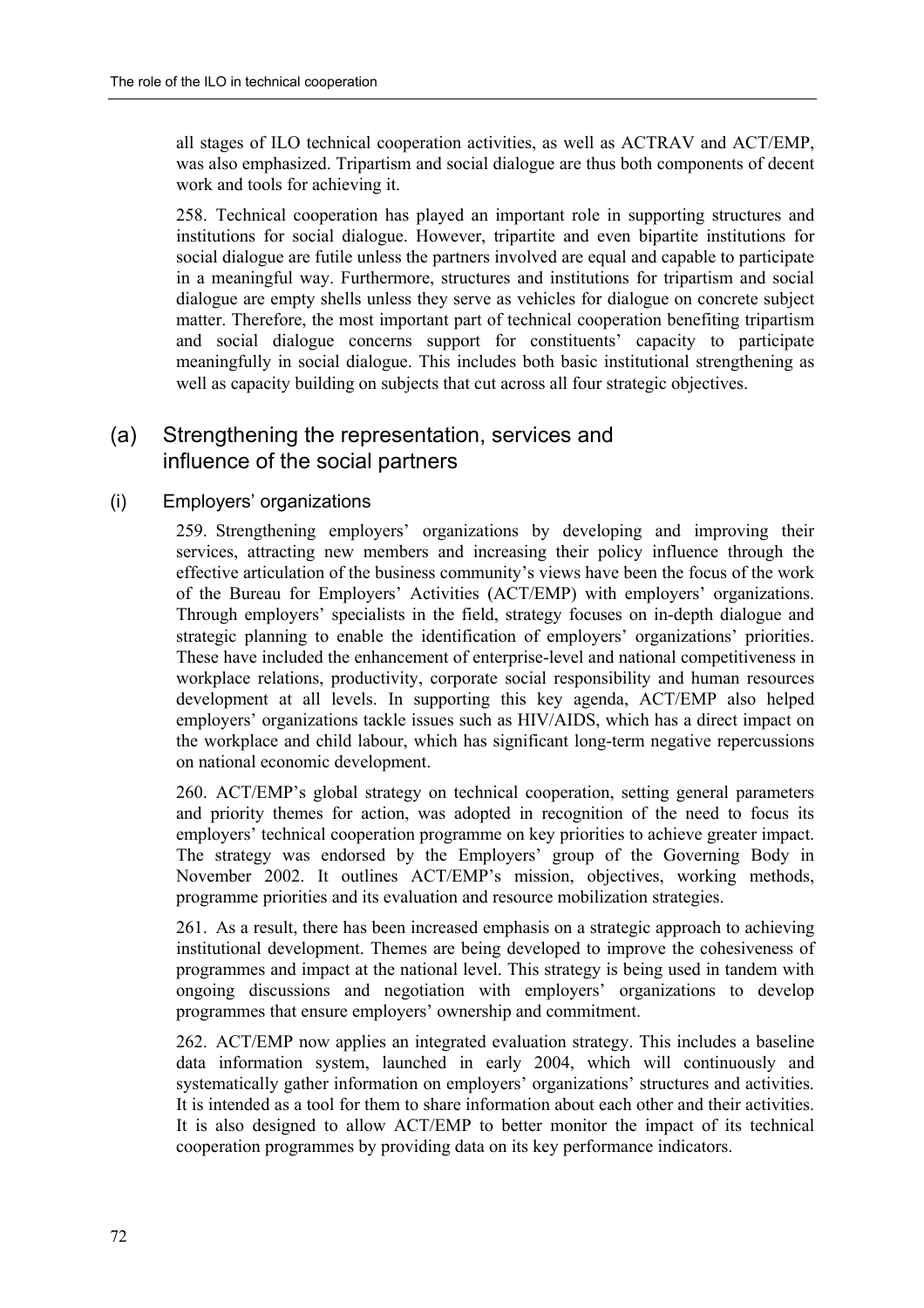all stages of ILO technical cooperation activities, as well as ACTRAV and ACT/EMP, was also emphasized. Tripartism and social dialogue are thus both components of decent work and tools for achieving it.

258. Technical cooperation has played an important role in supporting structures and institutions for social dialogue. However, tripartite and even bipartite institutions for social dialogue are futile unless the partners involved are equal and capable to participate in a meaningful way. Furthermore, structures and institutions for tripartism and social dialogue are empty shells unless they serve as vehicles for dialogue on concrete subject matter. Therefore, the most important part of technical cooperation benefiting tripartism and social dialogue concerns support for constituents' capacity to participate meaningfully in social dialogue. This includes both basic institutional strengthening as well as capacity building on subjects that cut across all four strategic objectives.

## (a) Strengthening the representation, services and influence of the social partners

### (i) Employers' organizations

259. Strengthening employers' organizations by developing and improving their services, attracting new members and increasing their policy influence through the effective articulation of the business community's views have been the focus of the work of the Bureau for Employers' Activities (ACT/EMP) with employers' organizations. Through employers' specialists in the field, strategy focuses on in-depth dialogue and strategic planning to enable the identification of employers' organizations' priorities. These have included the enhancement of enterprise-level and national competitiveness in workplace relations, productivity, corporate social responsibility and human resources development at all levels. In supporting this key agenda, ACT/EMP also helped employers' organizations tackle issues such as HIV/AIDS, which has a direct impact on the workplace and child labour, which has significant long-term negative repercussions on national economic development.

260. ACT/EMP's global strategy on technical cooperation, setting general parameters and priority themes for action, was adopted in recognition of the need to focus its employers' technical cooperation programme on key priorities to achieve greater impact. The strategy was endorsed by the Employers' group of the Governing Body in November 2002. It outlines ACT/EMP's mission, objectives, working methods, programme priorities and its evaluation and resource mobilization strategies.

261. As a result, there has been increased emphasis on a strategic approach to achieving institutional development. Themes are being developed to improve the cohesiveness of programmes and impact at the national level. This strategy is being used in tandem with ongoing discussions and negotiation with employers' organizations to develop programmes that ensure employers' ownership and commitment.

262. ACT/EMP now applies an integrated evaluation strategy. This includes a baseline data information system, launched in early 2004, which will continuously and systematically gather information on employers' organizations' structures and activities. It is intended as a tool for them to share information about each other and their activities. It is also designed to allow ACT/EMP to better monitor the impact of its technical cooperation programmes by providing data on its key performance indicators.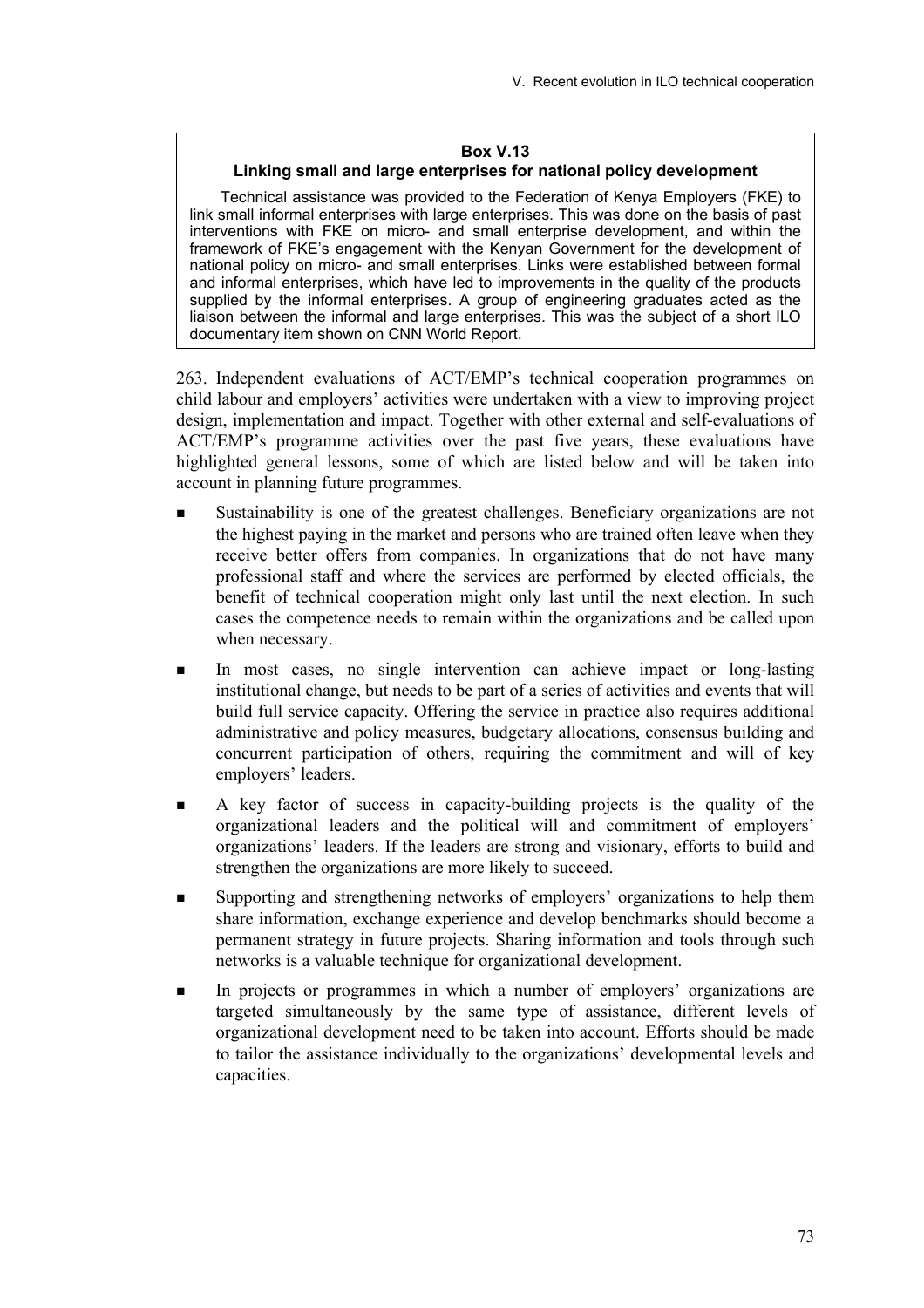#### **Box V.13**

#### **Linking small and large enterprises for national policy development**

Technical assistance was provided to the Federation of Kenya Employers (FKE) to link small informal enterprises with large enterprises. This was done on the basis of past interventions with FKE on micro- and small enterprise development, and within the framework of FKEís engagement with the Kenyan Government for the development of national policy on micro- and small enterprises. Links were established between formal and informal enterprises, which have led to improvements in the quality of the products supplied by the informal enterprises. A group of engineering graduates acted as the liaison between the informal and large enterprises. This was the subject of a short ILO documentary item shown on CNN World Report.

263. Independent evaluations of ACT/EMP's technical cooperation programmes on child labour and employers' activities were undertaken with a view to improving project design, implementation and impact. Together with other external and self-evaluations of ACT/EMPís programme activities over the past five years, these evaluations have highlighted general lessons, some of which are listed below and will be taken into account in planning future programmes.

- Sustainability is one of the greatest challenges. Beneficiary organizations are not the highest paying in the market and persons who are trained often leave when they receive better offers from companies. In organizations that do not have many professional staff and where the services are performed by elected officials, the benefit of technical cooperation might only last until the next election. In such cases the competence needs to remain within the organizations and be called upon when necessary.
- In most cases, no single intervention can achieve impact or long-lasting institutional change, but needs to be part of a series of activities and events that will build full service capacity. Offering the service in practice also requires additional administrative and policy measures, budgetary allocations, consensus building and concurrent participation of others, requiring the commitment and will of key employers' leaders.
- ! A key factor of success in capacity-building projects is the quality of the organizational leaders and the political will and commitment of employers' organizationsí leaders. If the leaders are strong and visionary, efforts to build and strengthen the organizations are more likely to succeed.
- Supporting and strengthening networks of employers' organizations to help them share information, exchange experience and develop benchmarks should become a permanent strategy in future projects. Sharing information and tools through such networks is a valuable technique for organizational development.
- In projects or programmes in which a number of employers' organizations are targeted simultaneously by the same type of assistance, different levels of organizational development need to be taken into account. Efforts should be made to tailor the assistance individually to the organizations' developmental levels and capacities.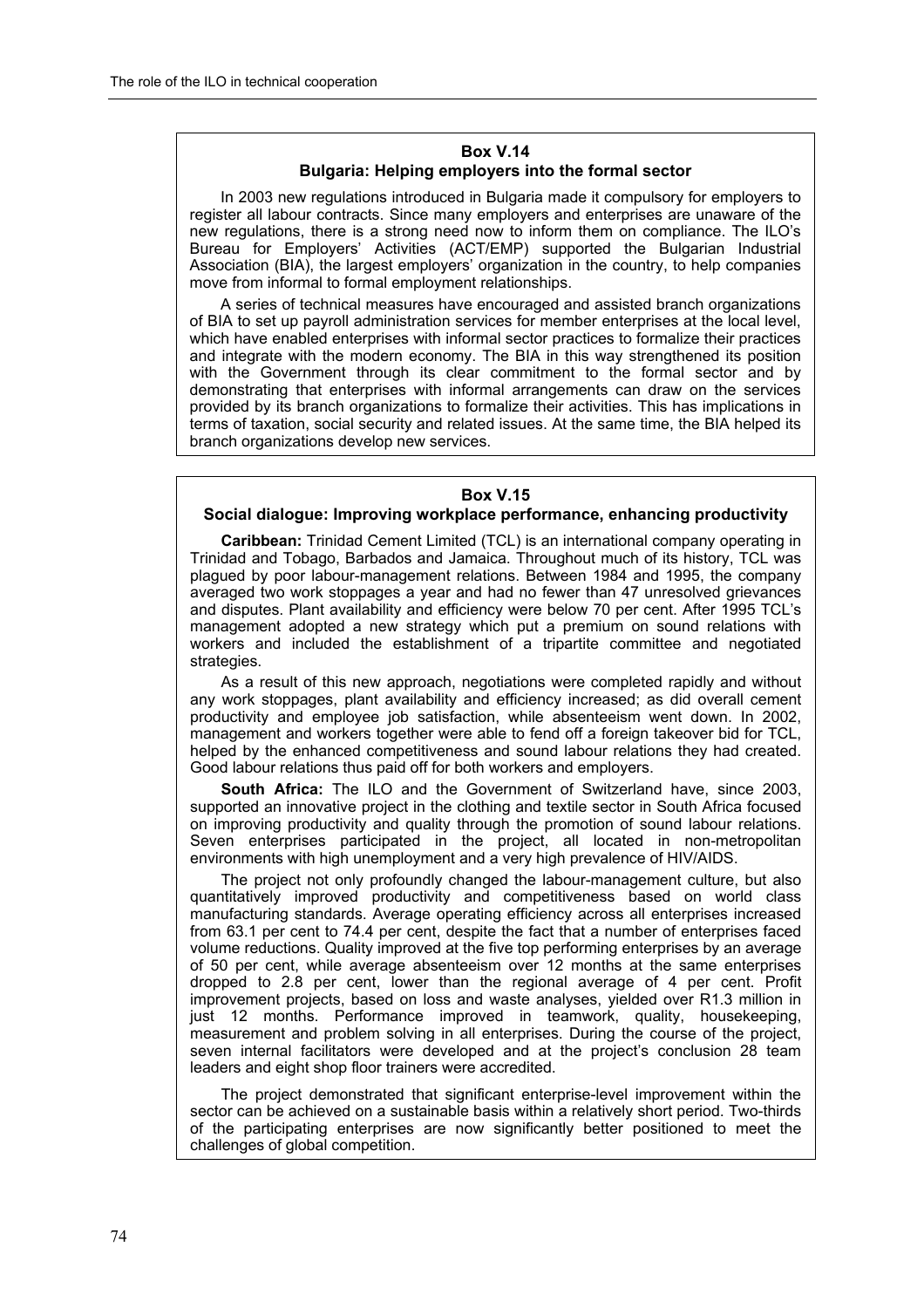#### **Box V.14 Bulgaria: Helping employers into the formal sector**

In 2003 new regulations introduced in Bulgaria made it compulsory for employers to register all labour contracts. Since many employers and enterprises are unaware of the new regulations, there is a strong need now to inform them on compliance. The ILOís Bureau for Employersí Activities (ACT/EMP) supported the Bulgarian Industrial Association (BIA), the largest employersí organization in the country, to help companies move from informal to formal employment relationships.

A series of technical measures have encouraged and assisted branch organizations of BIA to set up payroll administration services for member enterprises at the local level, which have enabled enterprises with informal sector practices to formalize their practices and integrate with the modern economy. The BIA in this way strengthened its position with the Government through its clear commitment to the formal sector and by demonstrating that enterprises with informal arrangements can draw on the services provided by its branch organizations to formalize their activities. This has implications in terms of taxation, social security and related issues. At the same time, the BIA helped its branch organizations develop new services.

#### **Box V.15**

#### **Social dialogue: Improving workplace performance, enhancing productivity**

**Caribbean:** Trinidad Cement Limited (TCL) is an international company operating in Trinidad and Tobago, Barbados and Jamaica. Throughout much of its history, TCL was plagued by poor labour-management relations. Between 1984 and 1995, the company averaged two work stoppages a year and had no fewer than 47 unresolved grievances and disputes. Plant availability and efficiency were below 70 per cent. After 1995 TCLís management adopted a new strategy which put a premium on sound relations with workers and included the establishment of a tripartite committee and negotiated strategies.

As a result of this new approach, negotiations were completed rapidly and without any work stoppages, plant availability and efficiency increased; as did overall cement productivity and employee job satisfaction, while absenteeism went down. In 2002, management and workers together were able to fend off a foreign takeover bid for TCL, helped by the enhanced competitiveness and sound labour relations they had created. Good labour relations thus paid off for both workers and employers.

**South Africa:** The ILO and the Government of Switzerland have, since 2003, supported an innovative project in the clothing and textile sector in South Africa focused on improving productivity and quality through the promotion of sound labour relations. Seven enterprises participated in the project, all located in non-metropolitan environments with high unemployment and a very high prevalence of HIV/AIDS.

The project not only profoundly changed the labour-management culture, but also quantitatively improved productivity and competitiveness based on world class manufacturing standards. Average operating efficiency across all enterprises increased from 63.1 per cent to 74.4 per cent, despite the fact that a number of enterprises faced volume reductions. Quality improved at the five top performing enterprises by an average of 50 per cent, while average absenteeism over 12 months at the same enterprises dropped to 2.8 per cent, lower than the regional average of 4 per cent. Profit improvement projects, based on loss and waste analyses, yielded over R1.3 million in just 12 months. Performance improved in teamwork, quality, housekeeping, measurement and problem solving in all enterprises. During the course of the project, seven internal facilitators were developed and at the project's conclusion 28 team leaders and eight shop floor trainers were accredited.

The project demonstrated that significant enterprise-level improvement within the sector can be achieved on a sustainable basis within a relatively short period. Two-thirds of the participating enterprises are now significantly better positioned to meet the challenges of global competition.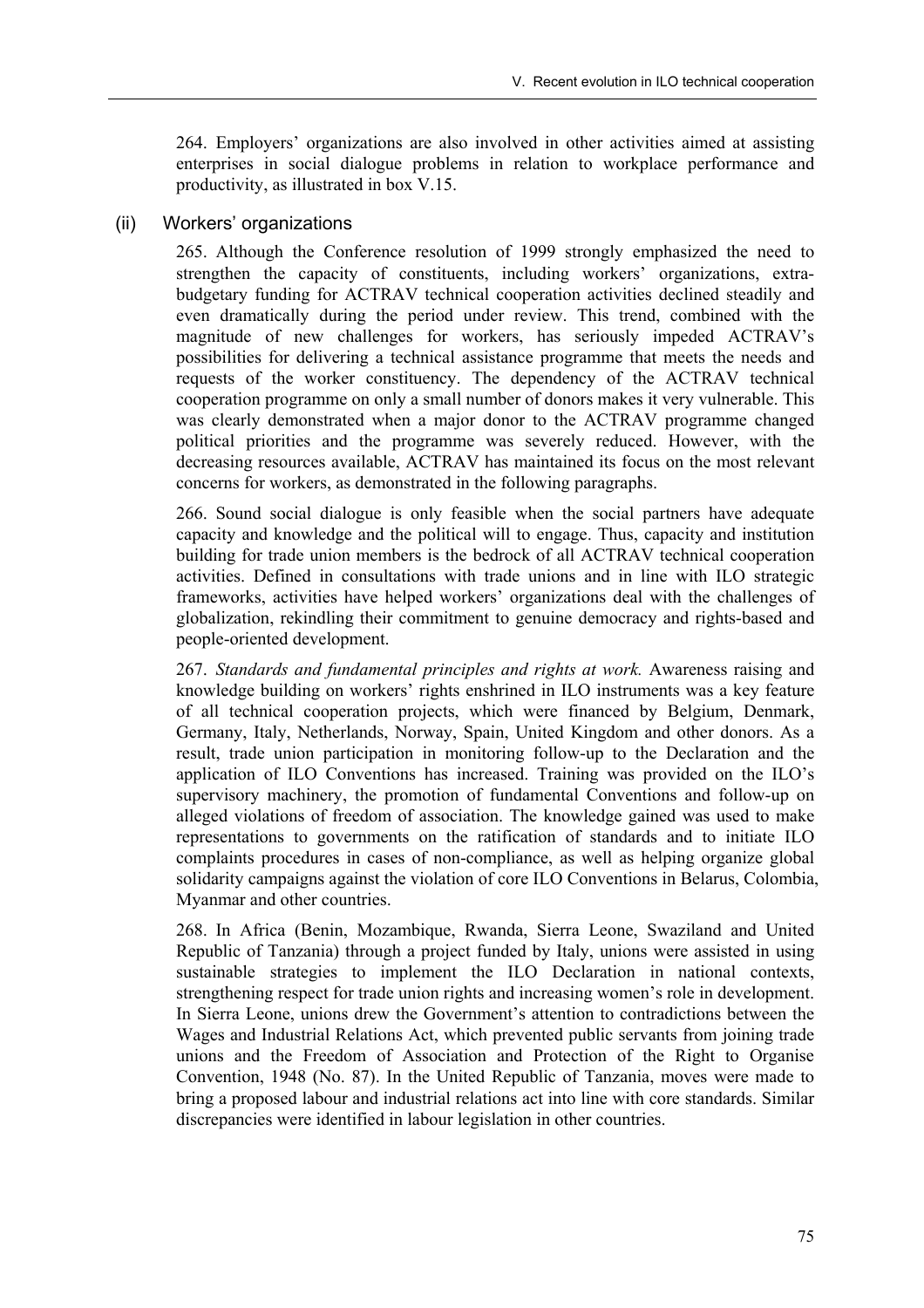264. Employersí organizations are also involved in other activities aimed at assisting enterprises in social dialogue problems in relation to workplace performance and productivity, as illustrated in box V.15.

#### (ii) Workers' organizations

265. Although the Conference resolution of 1999 strongly emphasized the need to strengthen the capacity of constituents, including workers' organizations, extrabudgetary funding for ACTRAV technical cooperation activities declined steadily and even dramatically during the period under review. This trend, combined with the magnitude of new challenges for workers, has seriously impeded ACTRAV's possibilities for delivering a technical assistance programme that meets the needs and requests of the worker constituency. The dependency of the ACTRAV technical cooperation programme on only a small number of donors makes it very vulnerable. This was clearly demonstrated when a major donor to the ACTRAV programme changed political priorities and the programme was severely reduced. However, with the decreasing resources available, ACTRAV has maintained its focus on the most relevant concerns for workers, as demonstrated in the following paragraphs.

266. Sound social dialogue is only feasible when the social partners have adequate capacity and knowledge and the political will to engage. Thus, capacity and institution building for trade union members is the bedrock of all ACTRAV technical cooperation activities. Defined in consultations with trade unions and in line with ILO strategic frameworks, activities have helped workers' organizations deal with the challenges of globalization, rekindling their commitment to genuine democracy and rights-based and people-oriented development.

267. *Standards and fundamental principles and rights at work.* Awareness raising and knowledge building on workers' rights enshrined in ILO instruments was a key feature of all technical cooperation projects, which were financed by Belgium, Denmark, Germany, Italy, Netherlands, Norway, Spain, United Kingdom and other donors. As a result, trade union participation in monitoring follow-up to the Declaration and the application of ILO Conventions has increased. Training was provided on the ILO's supervisory machinery, the promotion of fundamental Conventions and follow-up on alleged violations of freedom of association. The knowledge gained was used to make representations to governments on the ratification of standards and to initiate ILO complaints procedures in cases of non-compliance, as well as helping organize global solidarity campaigns against the violation of core ILO Conventions in Belarus, Colombia, Myanmar and other countries.

268. In Africa (Benin, Mozambique, Rwanda, Sierra Leone, Swaziland and United Republic of Tanzania) through a project funded by Italy, unions were assisted in using sustainable strategies to implement the ILO Declaration in national contexts, strengthening respect for trade union rights and increasing women's role in development. In Sierra Leone, unions drew the Government's attention to contradictions between the Wages and Industrial Relations Act, which prevented public servants from joining trade unions and the Freedom of Association and Protection of the Right to Organise Convention, 1948 (No. 87). In the United Republic of Tanzania, moves were made to bring a proposed labour and industrial relations act into line with core standards. Similar discrepancies were identified in labour legislation in other countries.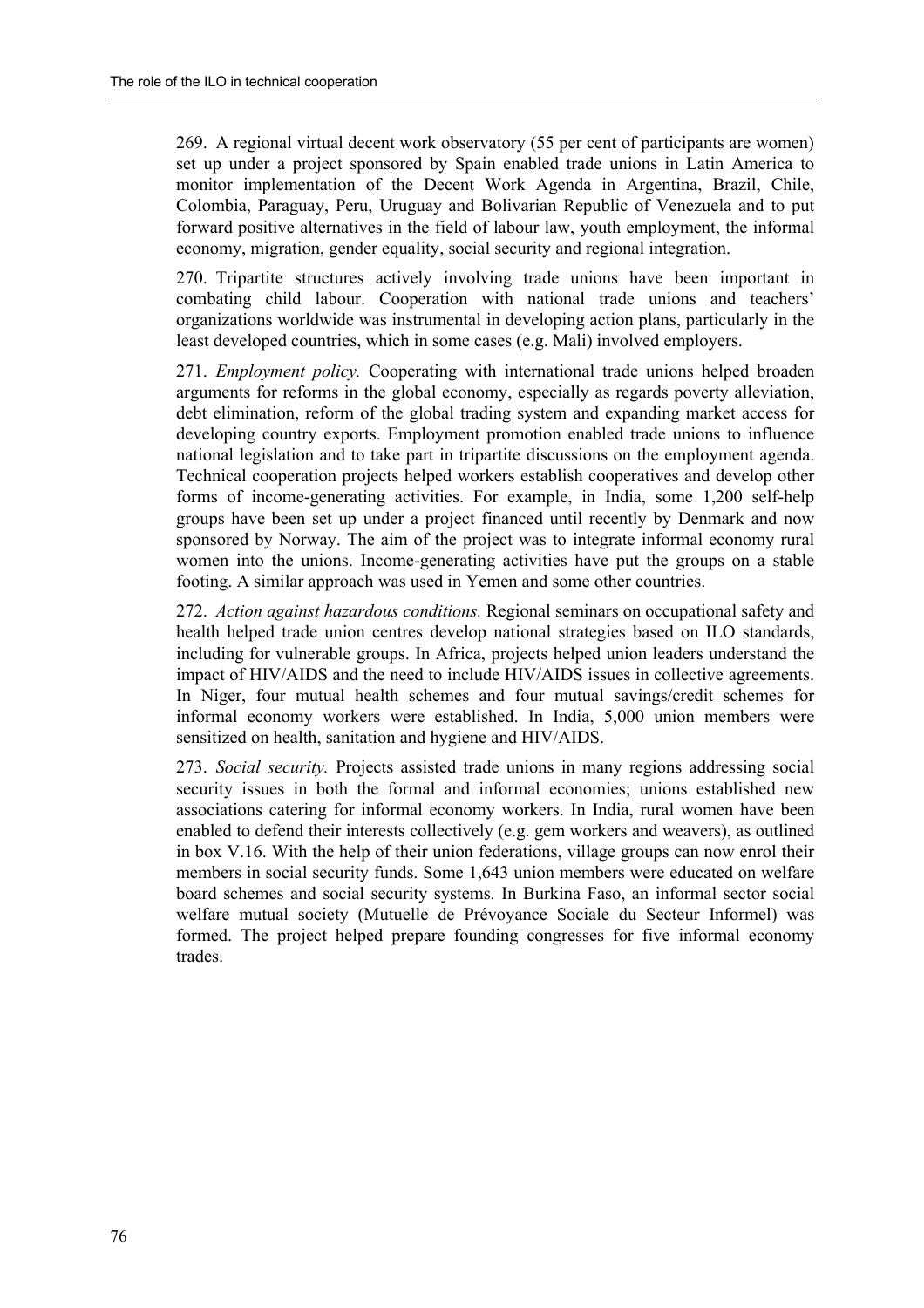269. A regional virtual decent work observatory (55 per cent of participants are women) set up under a project sponsored by Spain enabled trade unions in Latin America to monitor implementation of the Decent Work Agenda in Argentina, Brazil, Chile, Colombia, Paraguay, Peru, Uruguay and Bolivarian Republic of Venezuela and to put forward positive alternatives in the field of labour law, youth employment, the informal economy, migration, gender equality, social security and regional integration.

270. Tripartite structures actively involving trade unions have been important in combating child labour. Cooperation with national trade unions and teachers' organizations worldwide was instrumental in developing action plans, particularly in the least developed countries, which in some cases (e.g. Mali) involved employers.

271. *Employment policy.* Cooperating with international trade unions helped broaden arguments for reforms in the global economy, especially as regards poverty alleviation, debt elimination, reform of the global trading system and expanding market access for developing country exports. Employment promotion enabled trade unions to influence national legislation and to take part in tripartite discussions on the employment agenda. Technical cooperation projects helped workers establish cooperatives and develop other forms of income-generating activities. For example, in India, some 1,200 self-help groups have been set up under a project financed until recently by Denmark and now sponsored by Norway. The aim of the project was to integrate informal economy rural women into the unions. Income-generating activities have put the groups on a stable footing. A similar approach was used in Yemen and some other countries.

272. *Action against hazardous conditions.* Regional seminars on occupational safety and health helped trade union centres develop national strategies based on ILO standards, including for vulnerable groups. In Africa, projects helped union leaders understand the impact of HIV/AIDS and the need to include HIV/AIDS issues in collective agreements. In Niger, four mutual health schemes and four mutual savings/credit schemes for informal economy workers were established. In India, 5,000 union members were sensitized on health, sanitation and hygiene and HIV/AIDS.

273. *Social security.* Projects assisted trade unions in many regions addressing social security issues in both the formal and informal economies; unions established new associations catering for informal economy workers. In India, rural women have been enabled to defend their interests collectively (e.g. gem workers and weavers), as outlined in box V.16. With the help of their union federations, village groups can now enrol their members in social security funds. Some 1,643 union members were educated on welfare board schemes and social security systems. In Burkina Faso, an informal sector social welfare mutual society (Mutuelle de Prévoyance Sociale du Secteur Informel) was formed. The project helped prepare founding congresses for five informal economy trades.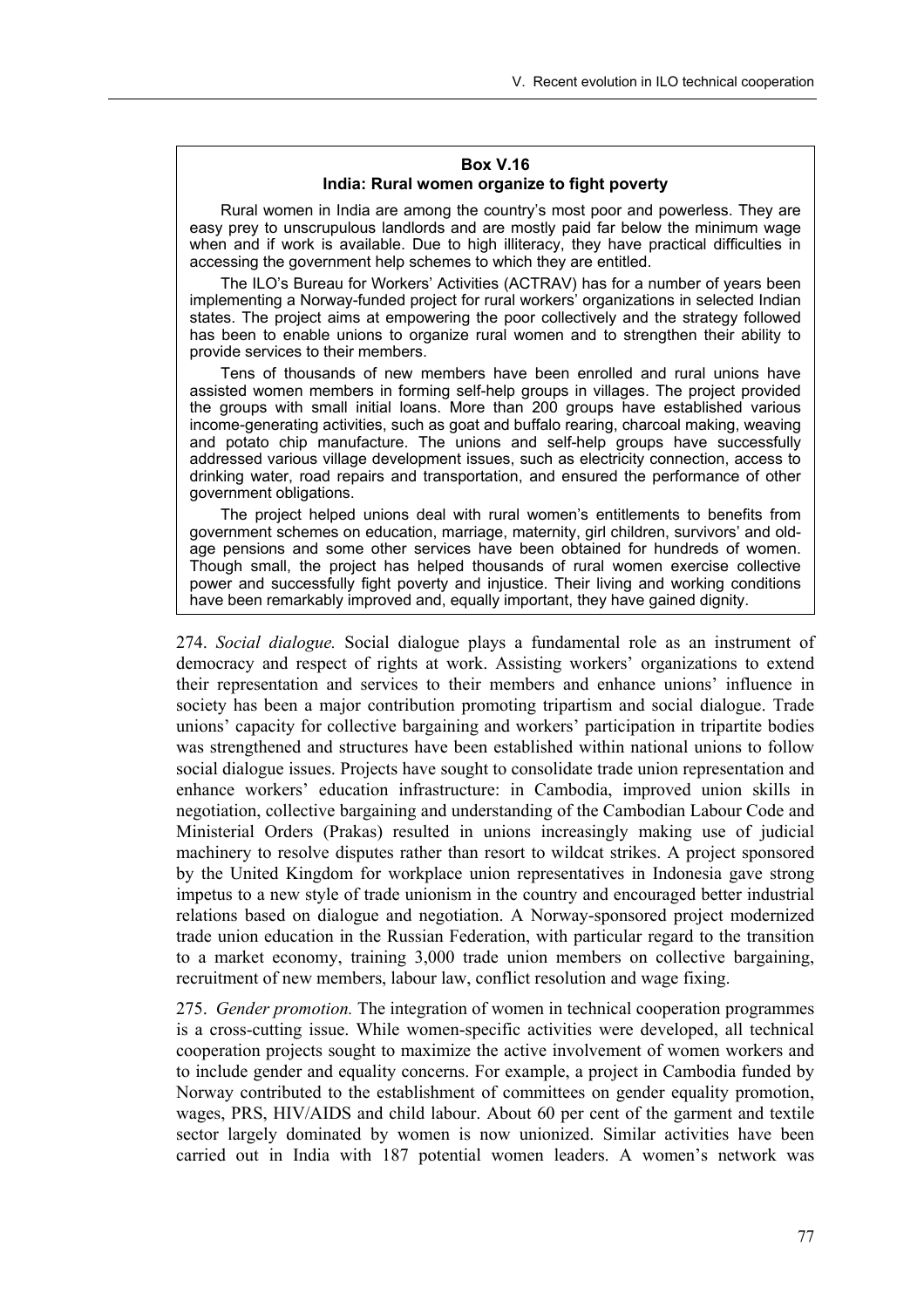#### **Box V.16 India: Rural women organize to fight poverty**

Rural women in India are among the countryís most poor and powerless. They are easy prey to unscrupulous landlords and are mostly paid far below the minimum wage when and if work is available. Due to high illiteracy, they have practical difficulties in accessing the government help schemes to which they are entitled.

The ILOís Bureau for Workersí Activities (ACTRAV) has for a number of years been implementing a Norway-funded project for rural workers' organizations in selected Indian states. The project aims at empowering the poor collectively and the strategy followed has been to enable unions to organize rural women and to strengthen their ability to provide services to their members.

Tens of thousands of new members have been enrolled and rural unions have assisted women members in forming self-help groups in villages. The project provided the groups with small initial loans. More than 200 groups have established various income-generating activities, such as goat and buffalo rearing, charcoal making, weaving and potato chip manufacture. The unions and self-help groups have successfully addressed various village development issues, such as electricity connection, access to drinking water, road repairs and transportation, and ensured the performance of other government obligations.

The project helped unions deal with rural womenís entitlements to benefits from government schemes on education, marriage, maternity, girl children, survivorsí and oldage pensions and some other services have been obtained for hundreds of women. Though small, the project has helped thousands of rural women exercise collective power and successfully fight poverty and injustice. Their living and working conditions have been remarkably improved and, equally important, they have gained dignity.

274. *Social dialogue.* Social dialogue plays a fundamental role as an instrument of democracy and respect of rights at work. Assisting workers' organizations to extend their representation and services to their members and enhance unions' influence in society has been a major contribution promoting tripartism and social dialogue. Trade unions' capacity for collective bargaining and workers' participation in tripartite bodies was strengthened and structures have been established within national unions to follow social dialogue issues. Projects have sought to consolidate trade union representation and enhance workers' education infrastructure: in Cambodia, improved union skills in negotiation, collective bargaining and understanding of the Cambodian Labour Code and Ministerial Orders (Prakas) resulted in unions increasingly making use of judicial machinery to resolve disputes rather than resort to wildcat strikes. A project sponsored by the United Kingdom for workplace union representatives in Indonesia gave strong impetus to a new style of trade unionism in the country and encouraged better industrial relations based on dialogue and negotiation. A Norway-sponsored project modernized trade union education in the Russian Federation, with particular regard to the transition to a market economy, training 3,000 trade union members on collective bargaining, recruitment of new members, labour law, conflict resolution and wage fixing.

275. *Gender promotion.* The integration of women in technical cooperation programmes is a cross-cutting issue. While women-specific activities were developed, all technical cooperation projects sought to maximize the active involvement of women workers and to include gender and equality concerns. For example, a project in Cambodia funded by Norway contributed to the establishment of committees on gender equality promotion, wages, PRS, HIV/AIDS and child labour. About 60 per cent of the garment and textile sector largely dominated by women is now unionized. Similar activities have been carried out in India with 187 potential women leaders. A women's network was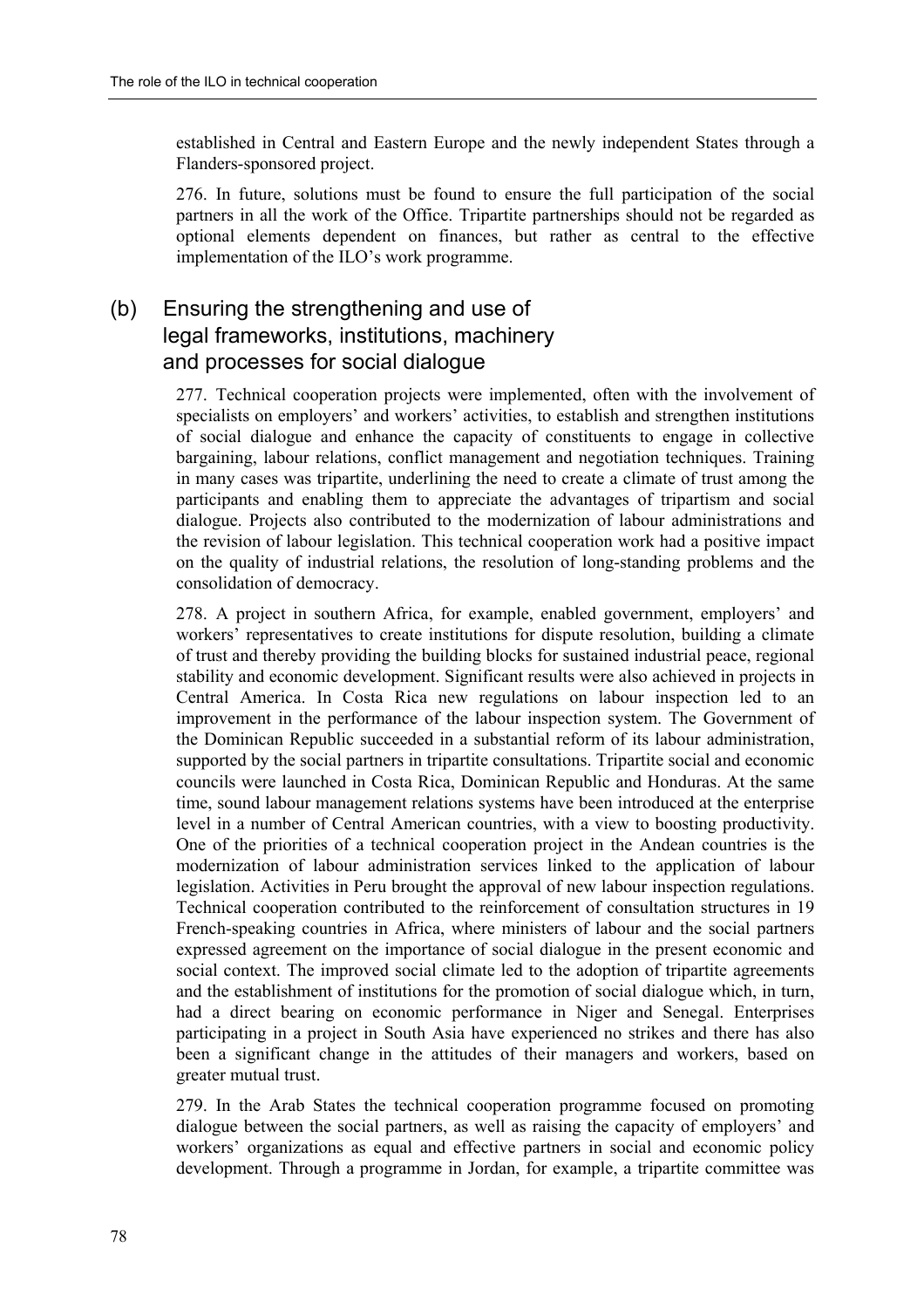established in Central and Eastern Europe and the newly independent States through a Flanders-sponsored project.

276. In future, solutions must be found to ensure the full participation of the social partners in all the work of the Office. Tripartite partnerships should not be regarded as optional elements dependent on finances, but rather as central to the effective implementation of the ILO's work programme.

## (b) Ensuring the strengthening and use of legal frameworks, institutions, machinery and processes for social dialogue

277. Technical cooperation projects were implemented, often with the involvement of specialists on employers' and workers' activities, to establish and strengthen institutions of social dialogue and enhance the capacity of constituents to engage in collective bargaining, labour relations, conflict management and negotiation techniques. Training in many cases was tripartite, underlining the need to create a climate of trust among the participants and enabling them to appreciate the advantages of tripartism and social dialogue. Projects also contributed to the modernization of labour administrations and the revision of labour legislation. This technical cooperation work had a positive impact on the quality of industrial relations, the resolution of long-standing problems and the consolidation of democracy.

278. A project in southern Africa, for example, enabled government, employers' and workers' representatives to create institutions for dispute resolution, building a climate of trust and thereby providing the building blocks for sustained industrial peace, regional stability and economic development. Significant results were also achieved in projects in Central America. In Costa Rica new regulations on labour inspection led to an improvement in the performance of the labour inspection system. The Government of the Dominican Republic succeeded in a substantial reform of its labour administration, supported by the social partners in tripartite consultations. Tripartite social and economic councils were launched in Costa Rica, Dominican Republic and Honduras. At the same time, sound labour management relations systems have been introduced at the enterprise level in a number of Central American countries, with a view to boosting productivity. One of the priorities of a technical cooperation project in the Andean countries is the modernization of labour administration services linked to the application of labour legislation. Activities in Peru brought the approval of new labour inspection regulations. Technical cooperation contributed to the reinforcement of consultation structures in 19 French-speaking countries in Africa, where ministers of labour and the social partners expressed agreement on the importance of social dialogue in the present economic and social context. The improved social climate led to the adoption of tripartite agreements and the establishment of institutions for the promotion of social dialogue which, in turn, had a direct bearing on economic performance in Niger and Senegal. Enterprises participating in a project in South Asia have experienced no strikes and there has also been a significant change in the attitudes of their managers and workers, based on greater mutual trust.

279. In the Arab States the technical cooperation programme focused on promoting dialogue between the social partners, as well as raising the capacity of employers' and workers' organizations as equal and effective partners in social and economic policy development. Through a programme in Jordan, for example, a tripartite committee was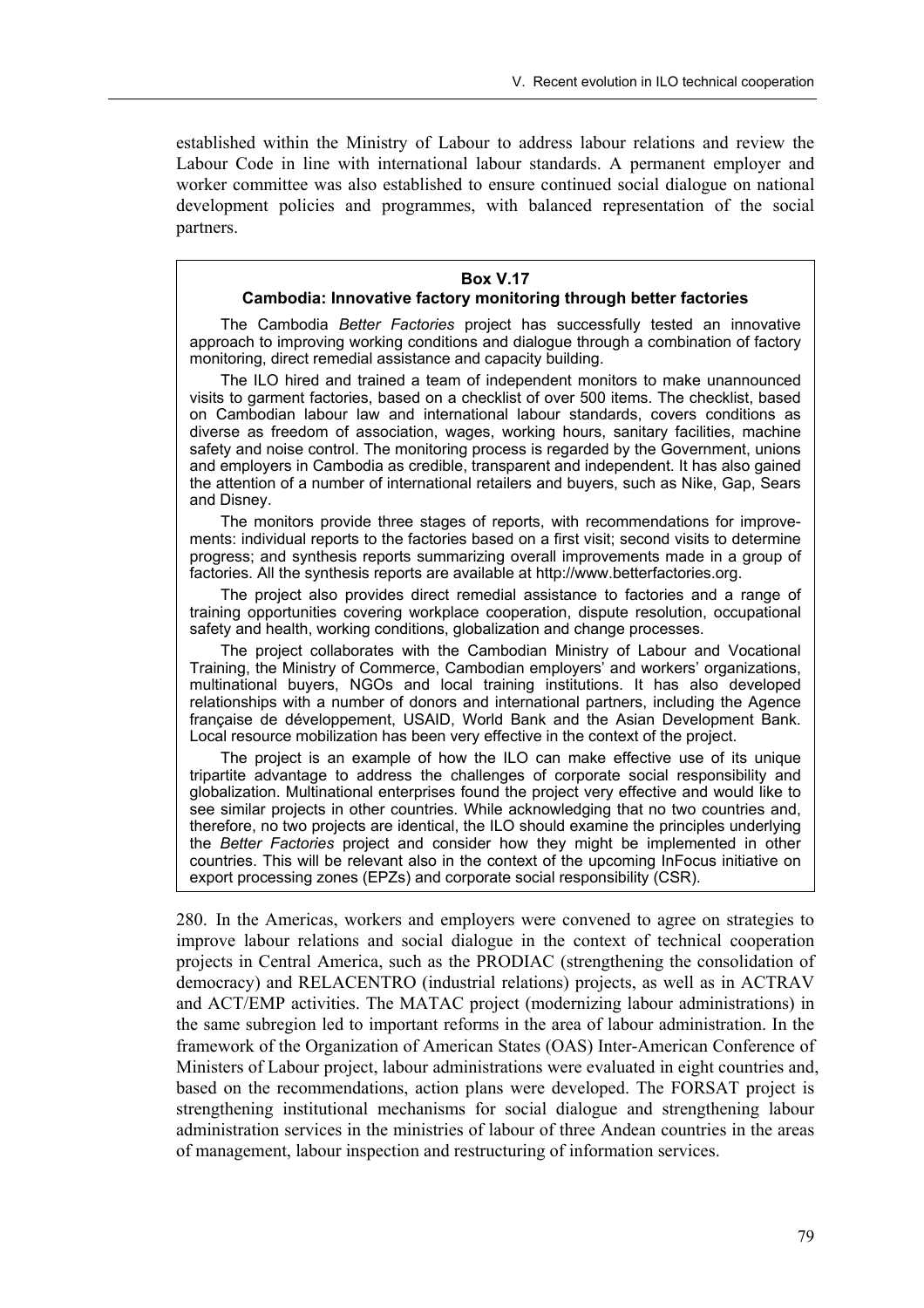established within the Ministry of Labour to address labour relations and review the Labour Code in line with international labour standards. A permanent employer and worker committee was also established to ensure continued social dialogue on national development policies and programmes, with balanced representation of the social partners.

#### **Box V.17**

#### **Cambodia: Innovative factory monitoring through better factories**

The Cambodia *Better Factories* project has successfully tested an innovative approach to improving working conditions and dialogue through a combination of factory monitoring, direct remedial assistance and capacity building.

The ILO hired and trained a team of independent monitors to make unannounced visits to garment factories, based on a checklist of over 500 items. The checklist, based on Cambodian labour law and international labour standards, covers conditions as diverse as freedom of association, wages, working hours, sanitary facilities, machine safety and noise control. The monitoring process is regarded by the Government, unions and employers in Cambodia as credible, transparent and independent. It has also gained the attention of a number of international retailers and buyers, such as Nike, Gap, Sears and Disney.

The monitors provide three stages of reports, with recommendations for improvements: individual reports to the factories based on a first visit; second visits to determine progress; and synthesis reports summarizing overall improvements made in a group of factories. All the synthesis reports are available at http://www.betterfactories.org.

The project also provides direct remedial assistance to factories and a range of training opportunities covering workplace cooperation, dispute resolution, occupational safety and health, working conditions, globalization and change processes.

The project collaborates with the Cambodian Ministry of Labour and Vocational Training, the Ministry of Commerce, Cambodian employers' and workers' organizations, multinational buyers, NGOs and local training institutions. It has also developed relationships with a number of donors and international partners, including the Agence française de développement, USAID, World Bank and the Asian Development Bank. Local resource mobilization has been very effective in the context of the project.

The project is an example of how the ILO can make effective use of its unique tripartite advantage to address the challenges of corporate social responsibility and globalization. Multinational enterprises found the project very effective and would like to see similar projects in other countries. While acknowledging that no two countries and, therefore, no two projects are identical, the ILO should examine the principles underlying the *Better Factories* project and consider how they might be implemented in other countries. This will be relevant also in the context of the upcoming InFocus initiative on export processing zones (EPZs) and corporate social responsibility (CSR).

280. In the Americas, workers and employers were convened to agree on strategies to improve labour relations and social dialogue in the context of technical cooperation projects in Central America, such as the PRODIAC (strengthening the consolidation of democracy) and RELACENTRO (industrial relations) projects, as well as in ACTRAV and ACT/EMP activities. The MATAC project (modernizing labour administrations) in the same subregion led to important reforms in the area of labour administration. In the framework of the Organization of American States (OAS) Inter-American Conference of Ministers of Labour project, labour administrations were evaluated in eight countries and, based on the recommendations, action plans were developed. The FORSAT project is strengthening institutional mechanisms for social dialogue and strengthening labour administration services in the ministries of labour of three Andean countries in the areas of management, labour inspection and restructuring of information services.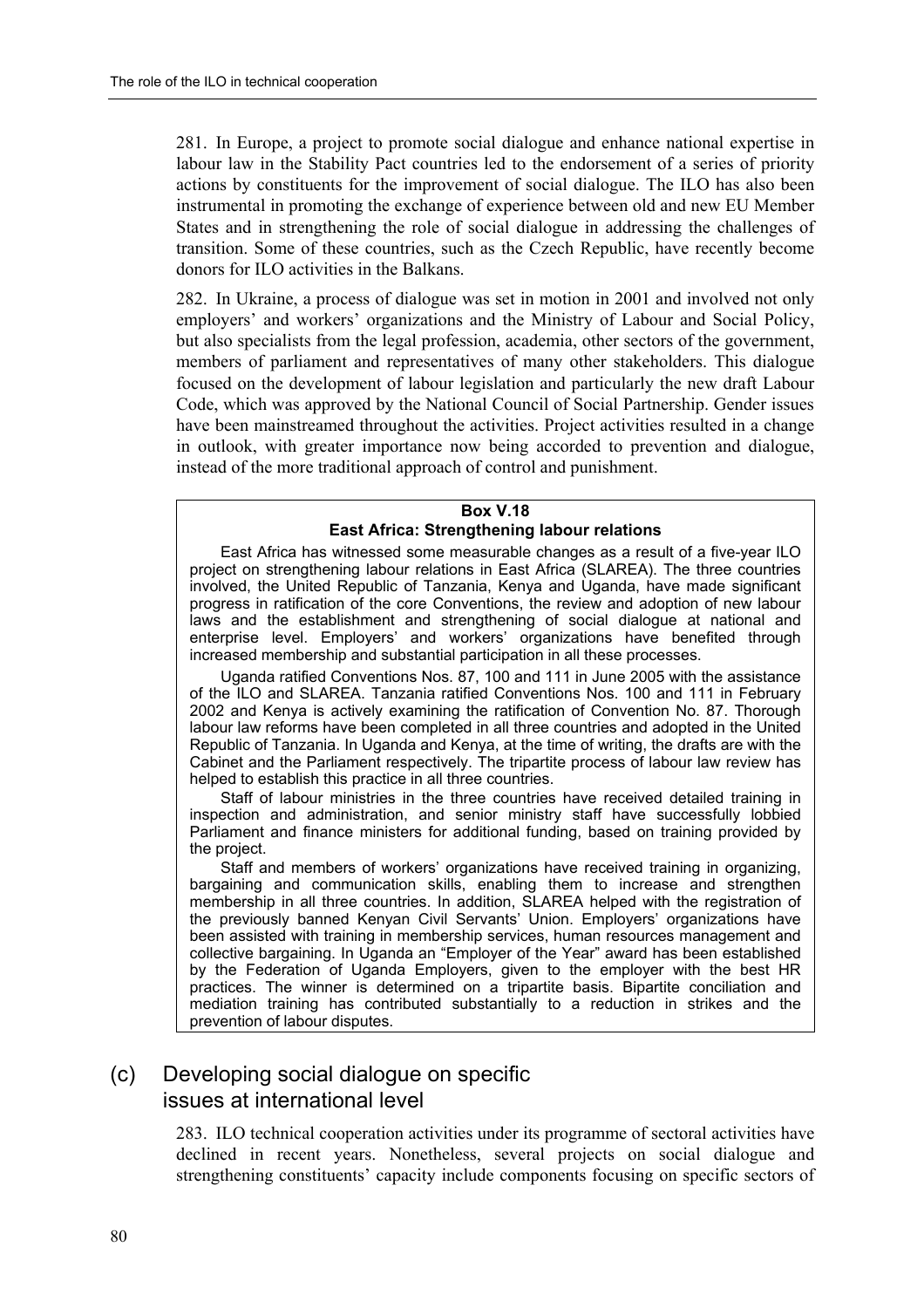281. In Europe, a project to promote social dialogue and enhance national expertise in labour law in the Stability Pact countries led to the endorsement of a series of priority actions by constituents for the improvement of social dialogue. The ILO has also been instrumental in promoting the exchange of experience between old and new EU Member States and in strengthening the role of social dialogue in addressing the challenges of transition. Some of these countries, such as the Czech Republic, have recently become donors for ILO activities in the Balkans.

282. In Ukraine, a process of dialogue was set in motion in 2001 and involved not only employers' and workers' organizations and the Ministry of Labour and Social Policy, but also specialists from the legal profession, academia, other sectors of the government, members of parliament and representatives of many other stakeholders. This dialogue focused on the development of labour legislation and particularly the new draft Labour Code, which was approved by the National Council of Social Partnership. Gender issues have been mainstreamed throughout the activities. Project activities resulted in a change in outlook, with greater importance now being accorded to prevention and dialogue, instead of the more traditional approach of control and punishment.

#### **Box V.18 East Africa: Strengthening labour relations**

East Africa has witnessed some measurable changes as a result of a five-year ILO project on strengthening labour relations in East Africa (SLAREA). The three countries involved, the United Republic of Tanzania, Kenya and Uganda, have made significant progress in ratification of the core Conventions, the review and adoption of new labour laws and the establishment and strengthening of social dialogue at national and enterprise level. Employers' and workers' organizations have benefited through increased membership and substantial participation in all these processes.

Uganda ratified Conventions Nos. 87, 100 and 111 in June 2005 with the assistance of the ILO and SLAREA. Tanzania ratified Conventions Nos. 100 and 111 in February 2002 and Kenya is actively examining the ratification of Convention No. 87. Thorough labour law reforms have been completed in all three countries and adopted in the United Republic of Tanzania. In Uganda and Kenya, at the time of writing, the drafts are with the Cabinet and the Parliament respectively. The tripartite process of labour law review has helped to establish this practice in all three countries.

Staff of labour ministries in the three countries have received detailed training in inspection and administration, and senior ministry staff have successfully lobbied Parliament and finance ministers for additional funding, based on training provided by the project.

Staff and members of workers' organizations have received training in organizing, bargaining and communication skills, enabling them to increase and strengthen membership in all three countries. In addition, SLAREA helped with the registration of the previously banned Kenyan Civil Servants' Union. Employers' organizations have been assisted with training in membership services, human resources management and collective bargaining. In Uganda an "Employer of the Year" award has been established by the Federation of Uganda Employers, given to the employer with the best HR practices. The winner is determined on a tripartite basis. Bipartite conciliation and mediation training has contributed substantially to a reduction in strikes and the prevention of labour disputes.

## (c) Developing social dialogue on specific issues at international level

283. ILO technical cooperation activities under its programme of sectoral activities have declined in recent years. Nonetheless, several projects on social dialogue and strengthening constituents' capacity include components focusing on specific sectors of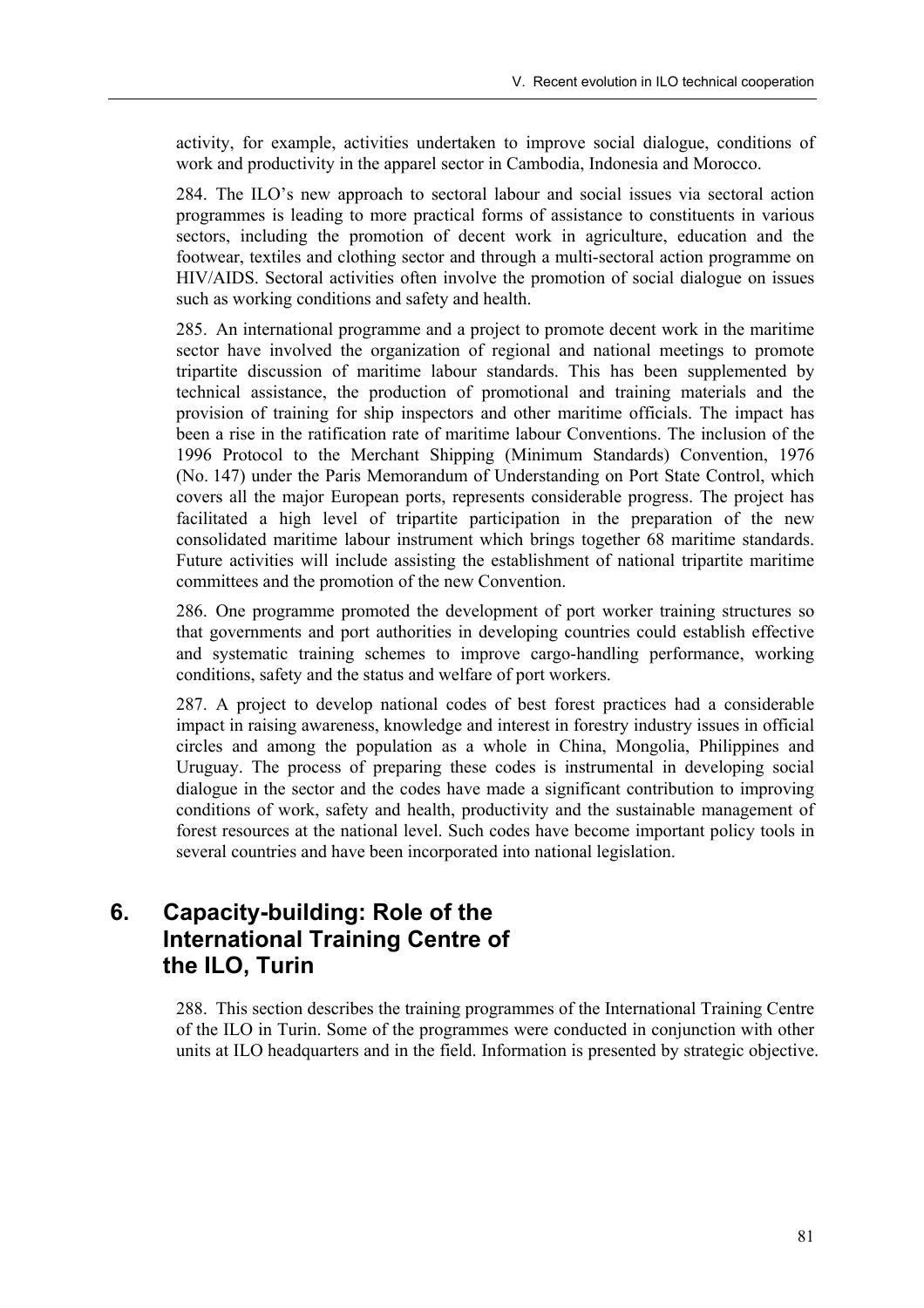activity, for example, activities undertaken to improve social dialogue, conditions of work and productivity in the apparel sector in Cambodia, Indonesia and Morocco.

284. The ILO's new approach to sectoral labour and social issues via sectoral action programmes is leading to more practical forms of assistance to constituents in various sectors, including the promotion of decent work in agriculture, education and the footwear, textiles and clothing sector and through a multi-sectoral action programme on HIV/AIDS. Sectoral activities often involve the promotion of social dialogue on issues such as working conditions and safety and health.

285. An international programme and a project to promote decent work in the maritime sector have involved the organization of regional and national meetings to promote tripartite discussion of maritime labour standards. This has been supplemented by technical assistance, the production of promotional and training materials and the provision of training for ship inspectors and other maritime officials. The impact has been a rise in the ratification rate of maritime labour Conventions. The inclusion of the 1996 Protocol to the Merchant Shipping (Minimum Standards) Convention, 1976 (No. 147) under the Paris Memorandum of Understanding on Port State Control, which covers all the major European ports, represents considerable progress. The project has facilitated a high level of tripartite participation in the preparation of the new consolidated maritime labour instrument which brings together 68 maritime standards. Future activities will include assisting the establishment of national tripartite maritime committees and the promotion of the new Convention.

286. One programme promoted the development of port worker training structures so that governments and port authorities in developing countries could establish effective and systematic training schemes to improve cargo-handling performance, working conditions, safety and the status and welfare of port workers.

287. A project to develop national codes of best forest practices had a considerable impact in raising awareness, knowledge and interest in forestry industry issues in official circles and among the population as a whole in China, Mongolia, Philippines and Uruguay. The process of preparing these codes is instrumental in developing social dialogue in the sector and the codes have made a significant contribution to improving conditions of work, safety and health, productivity and the sustainable management of forest resources at the national level. Such codes have become important policy tools in several countries and have been incorporated into national legislation.

# **6. Capacity-building: Role of the International Training Centre of the ILO, Turin**

288. This section describes the training programmes of the International Training Centre of the ILO in Turin. Some of the programmes were conducted in conjunction with other units at ILO headquarters and in the field. Information is presented by strategic objective.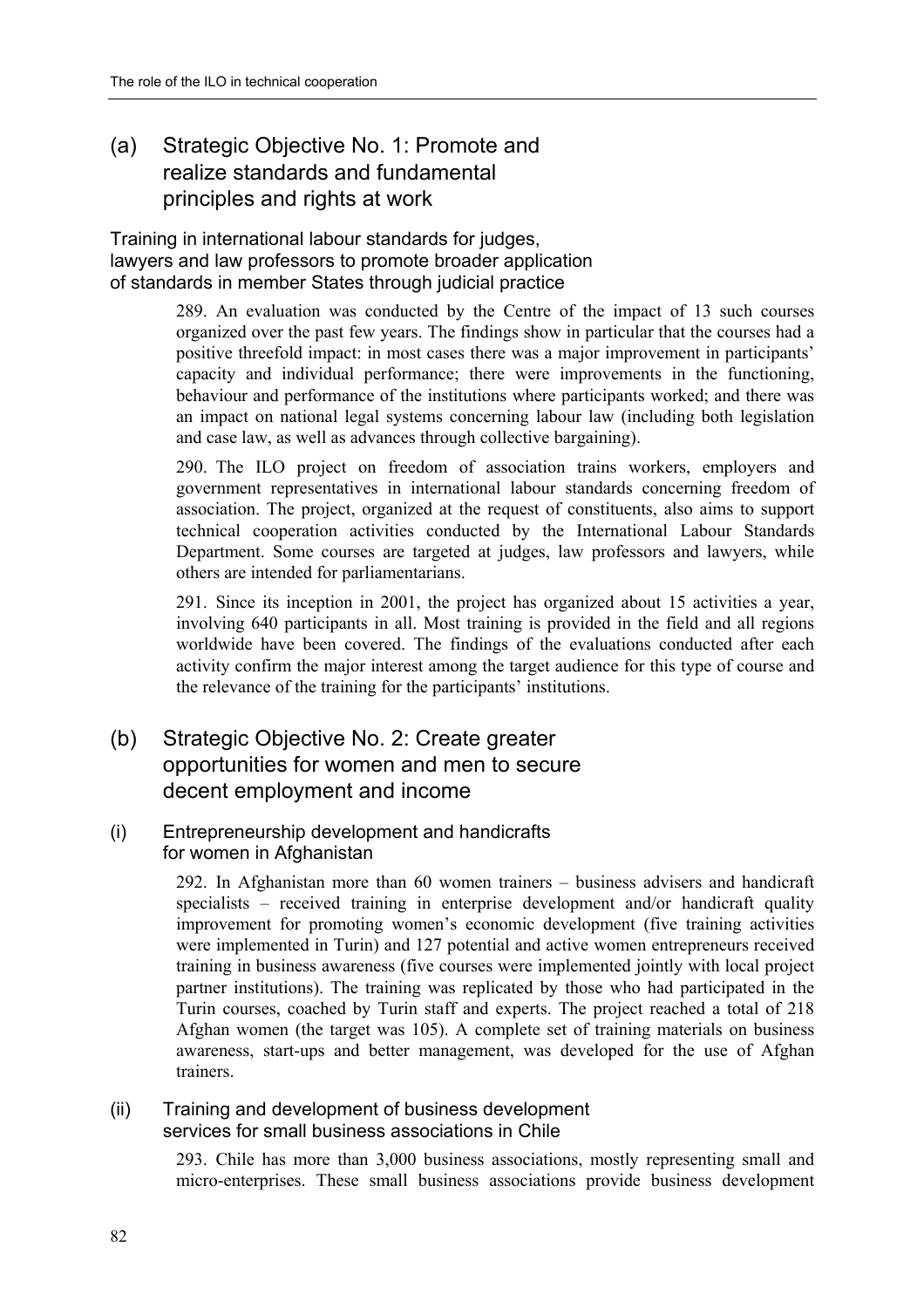## (a) Strategic Objective No. 1: Promote and realize standards and fundamental principles and rights at work

Training in international labour standards for judges, lawyers and law professors to promote broader application of standards in member States through judicial practice

> 289. An evaluation was conducted by the Centre of the impact of 13 such courses organized over the past few years. The findings show in particular that the courses had a positive threefold impact: in most cases there was a major improvement in participants' capacity and individual performance; there were improvements in the functioning, behaviour and performance of the institutions where participants worked; and there was an impact on national legal systems concerning labour law (including both legislation and case law, as well as advances through collective bargaining).

> 290. The ILO project on freedom of association trains workers, employers and government representatives in international labour standards concerning freedom of association. The project, organized at the request of constituents, also aims to support technical cooperation activities conducted by the International Labour Standards Department. Some courses are targeted at judges, law professors and lawyers, while others are intended for parliamentarians.

> 291. Since its inception in 2001, the project has organized about 15 activities a year, involving 640 participants in all. Most training is provided in the field and all regions worldwide have been covered. The findings of the evaluations conducted after each activity confirm the major interest among the target audience for this type of course and the relevance of the training for the participants' institutions.

(b) Strategic Objective No. 2: Create greater opportunities for women and men to secure decent employment and income

## (i) Entrepreneurship development and handicrafts for women in Afghanistan

292. In Afghanistan more than  $60$  women trainers  $-$  business advisers and handicraft specialists  $-$  received training in enterprise development and/or handicraft quality improvement for promoting women's economic development (five training activities were implemented in Turin) and 127 potential and active women entrepreneurs received training in business awareness (five courses were implemented jointly with local project partner institutions). The training was replicated by those who had participated in the Turin courses, coached by Turin staff and experts. The project reached a total of 218 Afghan women (the target was 105). A complete set of training materials on business awareness, start-ups and better management, was developed for the use of Afghan trainers.

### (ii) Training and development of business development services for small business associations in Chile

293. Chile has more than 3,000 business associations, mostly representing small and micro-enterprises. These small business associations provide business development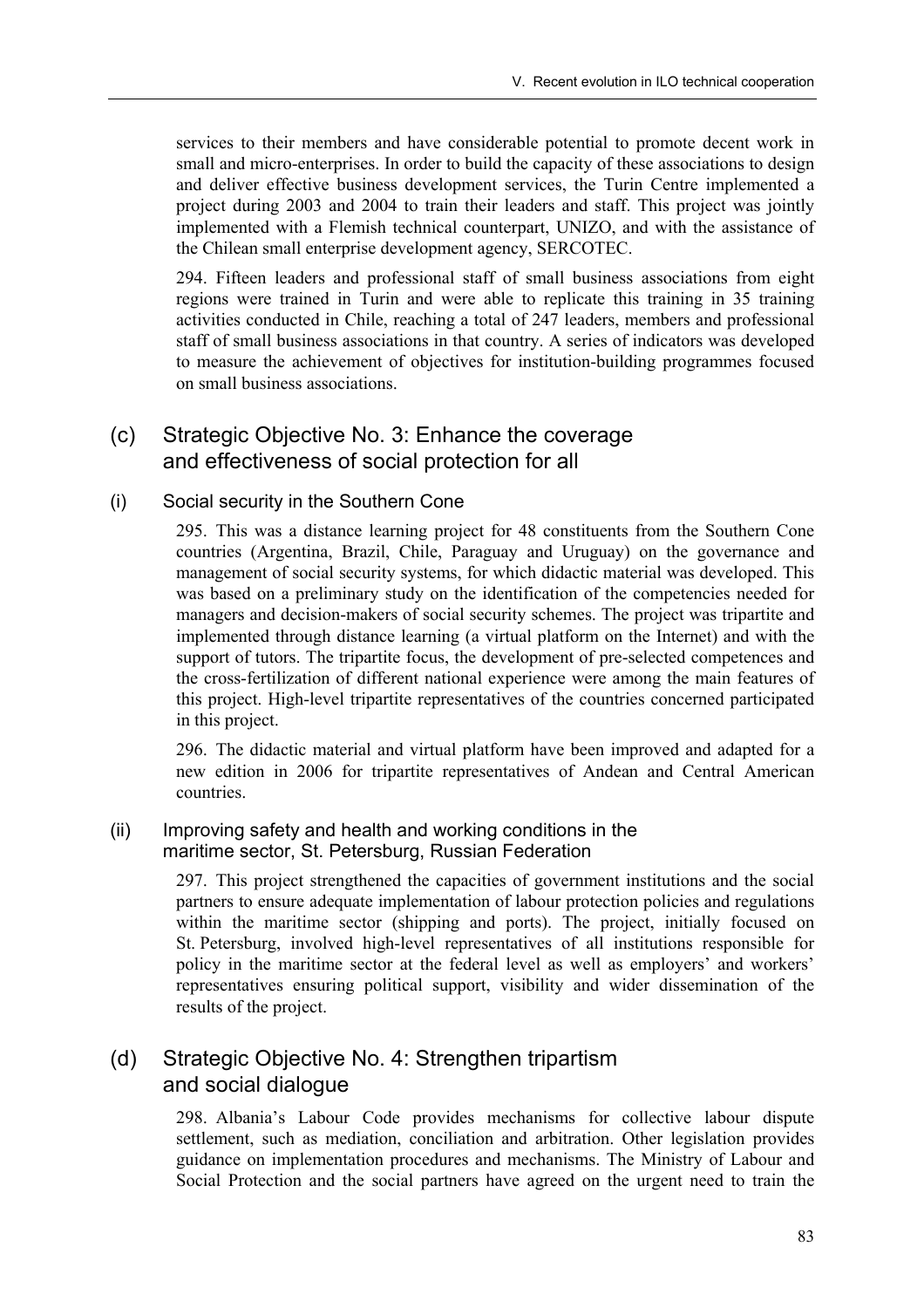services to their members and have considerable potential to promote decent work in small and micro-enterprises. In order to build the capacity of these associations to design and deliver effective business development services, the Turin Centre implemented a project during 2003 and 2004 to train their leaders and staff. This project was jointly implemented with a Flemish technical counterpart, UNIZO, and with the assistance of the Chilean small enterprise development agency, SERCOTEC.

294. Fifteen leaders and professional staff of small business associations from eight regions were trained in Turin and were able to replicate this training in 35 training activities conducted in Chile, reaching a total of 247 leaders, members and professional staff of small business associations in that country. A series of indicators was developed to measure the achievement of objectives for institution-building programmes focused on small business associations.

## (c) Strategic Objective No. 3: Enhance the coverage and effectiveness of social protection for all

#### (i) Social security in the Southern Cone

295. This was a distance learning project for 48 constituents from the Southern Cone countries (Argentina, Brazil, Chile, Paraguay and Uruguay) on the governance and management of social security systems, for which didactic material was developed. This was based on a preliminary study on the identification of the competencies needed for managers and decision-makers of social security schemes. The project was tripartite and implemented through distance learning (a virtual platform on the Internet) and with the support of tutors. The tripartite focus, the development of pre-selected competences and the cross-fertilization of different national experience were among the main features of this project. High-level tripartite representatives of the countries concerned participated in this project.

296. The didactic material and virtual platform have been improved and adapted for a new edition in 2006 for tripartite representatives of Andean and Central American countries.

### (ii) Improving safety and health and working conditions in the maritime sector, St. Petersburg, Russian Federation

297. This project strengthened the capacities of government institutions and the social partners to ensure adequate implementation of labour protection policies and regulations within the maritime sector (shipping and ports). The project, initially focused on St. Petersburg, involved high-level representatives of all institutions responsible for policy in the maritime sector at the federal level as well as employers' and workers' representatives ensuring political support, visibility and wider dissemination of the results of the project.

## (d) Strategic Objective No. 4: Strengthen tripartism and social dialogue

298. Albaniaís Labour Code provides mechanisms for collective labour dispute settlement, such as mediation, conciliation and arbitration. Other legislation provides guidance on implementation procedures and mechanisms. The Ministry of Labour and Social Protection and the social partners have agreed on the urgent need to train the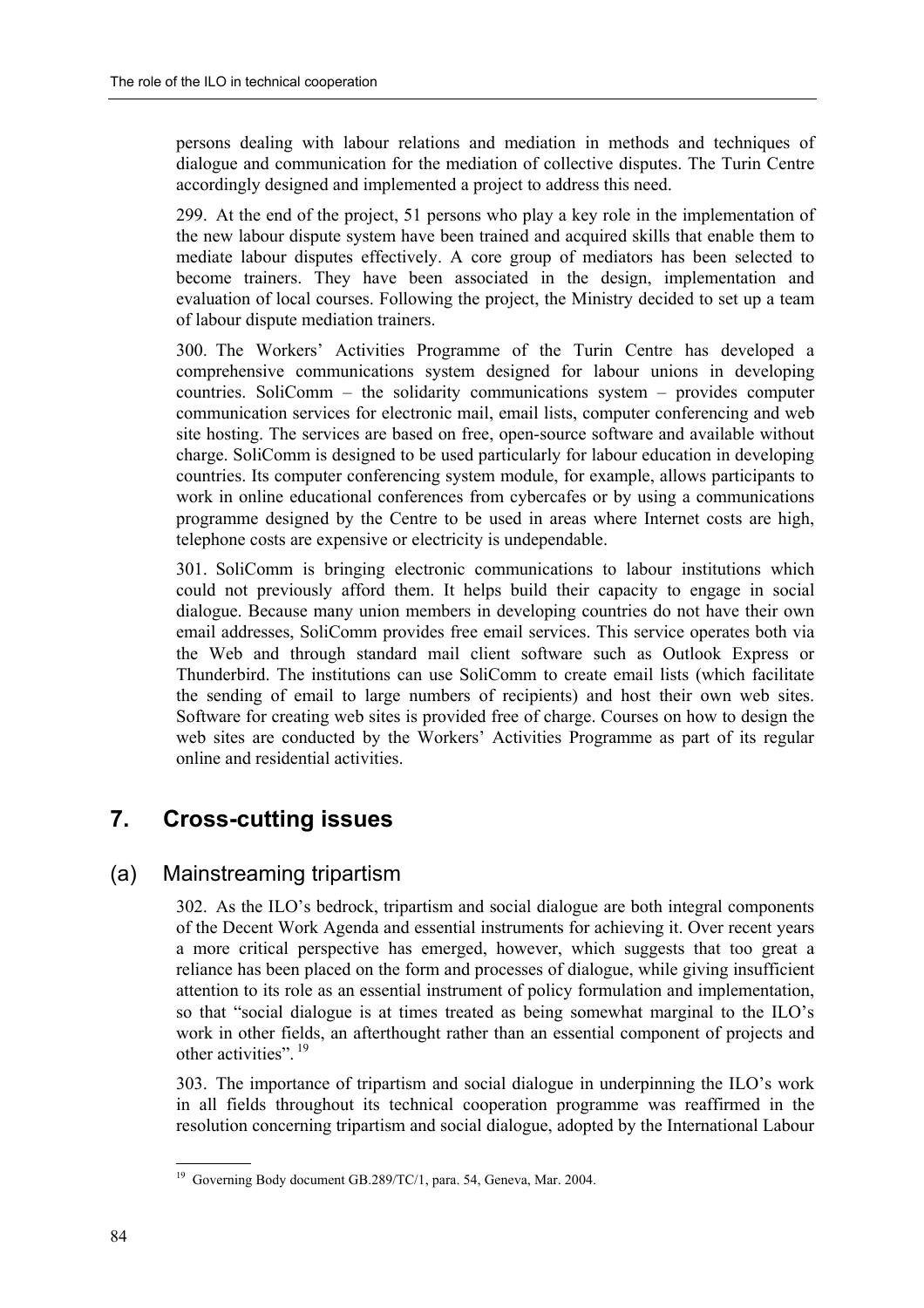persons dealing with labour relations and mediation in methods and techniques of dialogue and communication for the mediation of collective disputes. The Turin Centre accordingly designed and implemented a project to address this need.

299. At the end of the project, 51 persons who play a key role in the implementation of the new labour dispute system have been trained and acquired skills that enable them to mediate labour disputes effectively. A core group of mediators has been selected to become trainers. They have been associated in the design, implementation and evaluation of local courses. Following the project, the Ministry decided to set up a team of labour dispute mediation trainers.

300. The Workersí Activities Programme of the Turin Centre has developed a comprehensive communications system designed for labour unions in developing countries. SoliComm  $-$  the solidarity communications system  $-$  provides computer communication services for electronic mail, email lists, computer conferencing and web site hosting. The services are based on free, open-source software and available without charge. SoliComm is designed to be used particularly for labour education in developing countries. Its computer conferencing system module, for example, allows participants to work in online educational conferences from cybercafes or by using a communications programme designed by the Centre to be used in areas where Internet costs are high, telephone costs are expensive or electricity is undependable.

301. SoliComm is bringing electronic communications to labour institutions which could not previously afford them. It helps build their capacity to engage in social dialogue. Because many union members in developing countries do not have their own email addresses, SoliComm provides free email services. This service operates both via the Web and through standard mail client software such as Outlook Express or Thunderbird. The institutions can use SoliComm to create email lists (which facilitate the sending of email to large numbers of recipients) and host their own web sites. Software for creating web sites is provided free of charge. Courses on how to design the web sites are conducted by the Workers' Activities Programme as part of its regular online and residential activities.

# **7. Cross-cutting issues**

## (a) Mainstreaming tripartism

302. As the ILO's bedrock, tripartism and social dialogue are both integral components of the Decent Work Agenda and essential instruments for achieving it. Over recent years a more critical perspective has emerged, however, which suggests that too great a reliance has been placed on the form and processes of dialogue, while giving insufficient attention to its role as an essential instrument of policy formulation and implementation, so that "social dialogue is at times treated as being somewhat marginal to the ILO's work in other fields, an afterthought rather than an essential component of projects and other activities".<sup>19</sup>

303. The importance of tripartism and social dialogue in underpinning the ILO's work in all fields throughout its technical cooperation programme was reaffirmed in the resolution concerning tripartism and social dialogue, adopted by the International Labour

 19 Governing Body document GB.289/TC/1, para. 54, Geneva, Mar. 2004.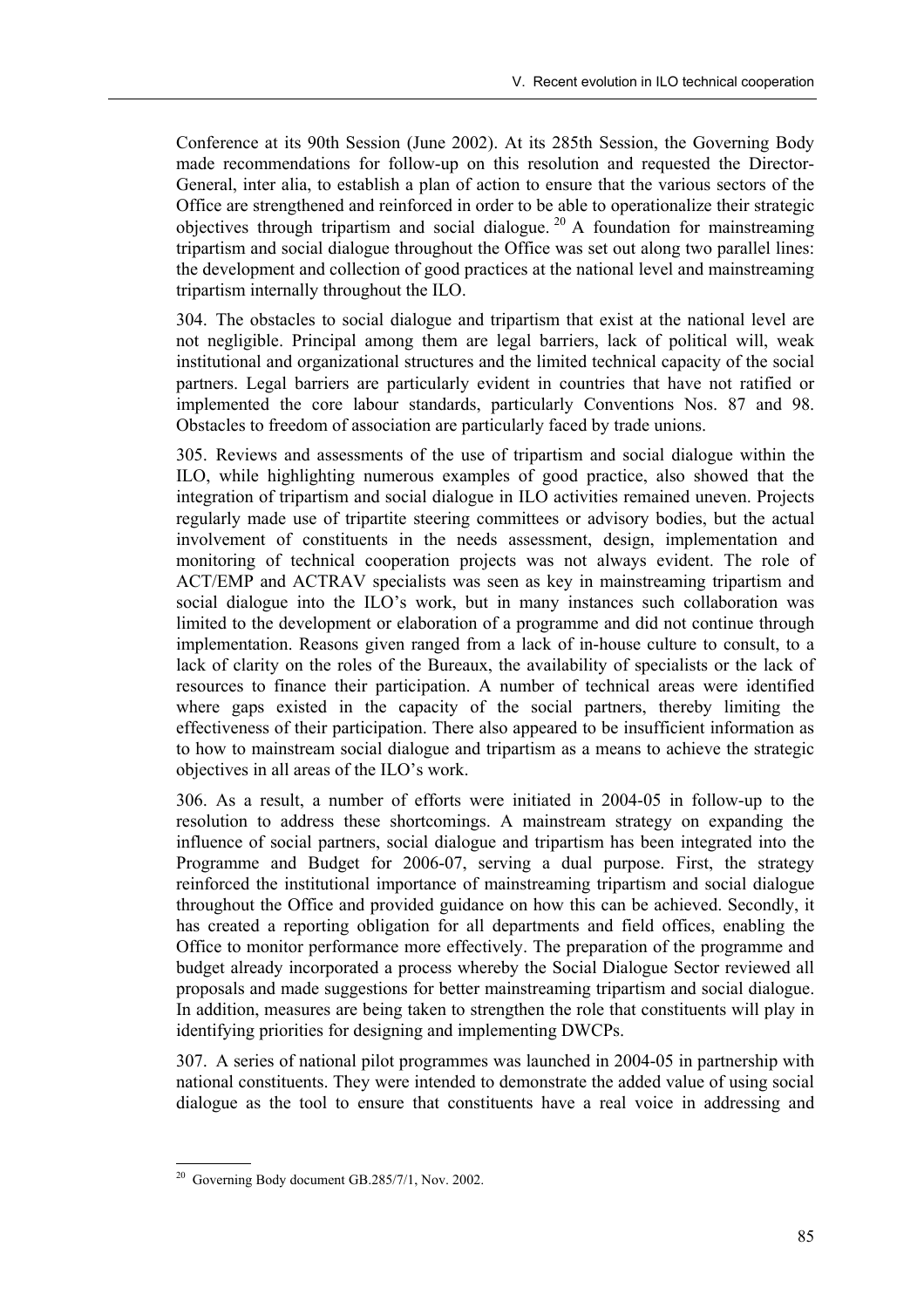Conference at its 90th Session (June 2002). At its 285th Session, the Governing Body made recommendations for follow-up on this resolution and requested the Director-General, inter alia, to establish a plan of action to ensure that the various sectors of the Office are strengthened and reinforced in order to be able to operationalize their strategic objectives through tripartism and social dialogue. 20 A foundation for mainstreaming tripartism and social dialogue throughout the Office was set out along two parallel lines: the development and collection of good practices at the national level and mainstreaming tripartism internally throughout the ILO.

304. The obstacles to social dialogue and tripartism that exist at the national level are not negligible. Principal among them are legal barriers, lack of political will, weak institutional and organizational structures and the limited technical capacity of the social partners. Legal barriers are particularly evident in countries that have not ratified or implemented the core labour standards, particularly Conventions Nos. 87 and 98. Obstacles to freedom of association are particularly faced by trade unions.

305. Reviews and assessments of the use of tripartism and social dialogue within the ILO, while highlighting numerous examples of good practice, also showed that the integration of tripartism and social dialogue in ILO activities remained uneven. Projects regularly made use of tripartite steering committees or advisory bodies, but the actual involvement of constituents in the needs assessment, design, implementation and monitoring of technical cooperation projects was not always evident. The role of ACT/EMP and ACTRAV specialists was seen as key in mainstreaming tripartism and social dialogue into the ILO's work, but in many instances such collaboration was limited to the development or elaboration of a programme and did not continue through implementation. Reasons given ranged from a lack of in-house culture to consult, to a lack of clarity on the roles of the Bureaux, the availability of specialists or the lack of resources to finance their participation. A number of technical areas were identified where gaps existed in the capacity of the social partners, thereby limiting the effectiveness of their participation. There also appeared to be insufficient information as to how to mainstream social dialogue and tripartism as a means to achieve the strategic objectives in all areas of the ILO's work.

306. As a result, a number of efforts were initiated in 2004-05 in follow-up to the resolution to address these shortcomings. A mainstream strategy on expanding the influence of social partners, social dialogue and tripartism has been integrated into the Programme and Budget for 2006-07, serving a dual purpose. First, the strategy reinforced the institutional importance of mainstreaming tripartism and social dialogue throughout the Office and provided guidance on how this can be achieved. Secondly, it has created a reporting obligation for all departments and field offices, enabling the Office to monitor performance more effectively. The preparation of the programme and budget already incorporated a process whereby the Social Dialogue Sector reviewed all proposals and made suggestions for better mainstreaming tripartism and social dialogue. In addition, measures are being taken to strengthen the role that constituents will play in identifying priorities for designing and implementing DWCPs.

307. A series of national pilot programmes was launched in 2004-05 in partnership with national constituents. They were intended to demonstrate the added value of using social dialogue as the tool to ensure that constituents have a real voice in addressing and

  $20$  Governing Body document GB.285/7/1, Nov. 2002.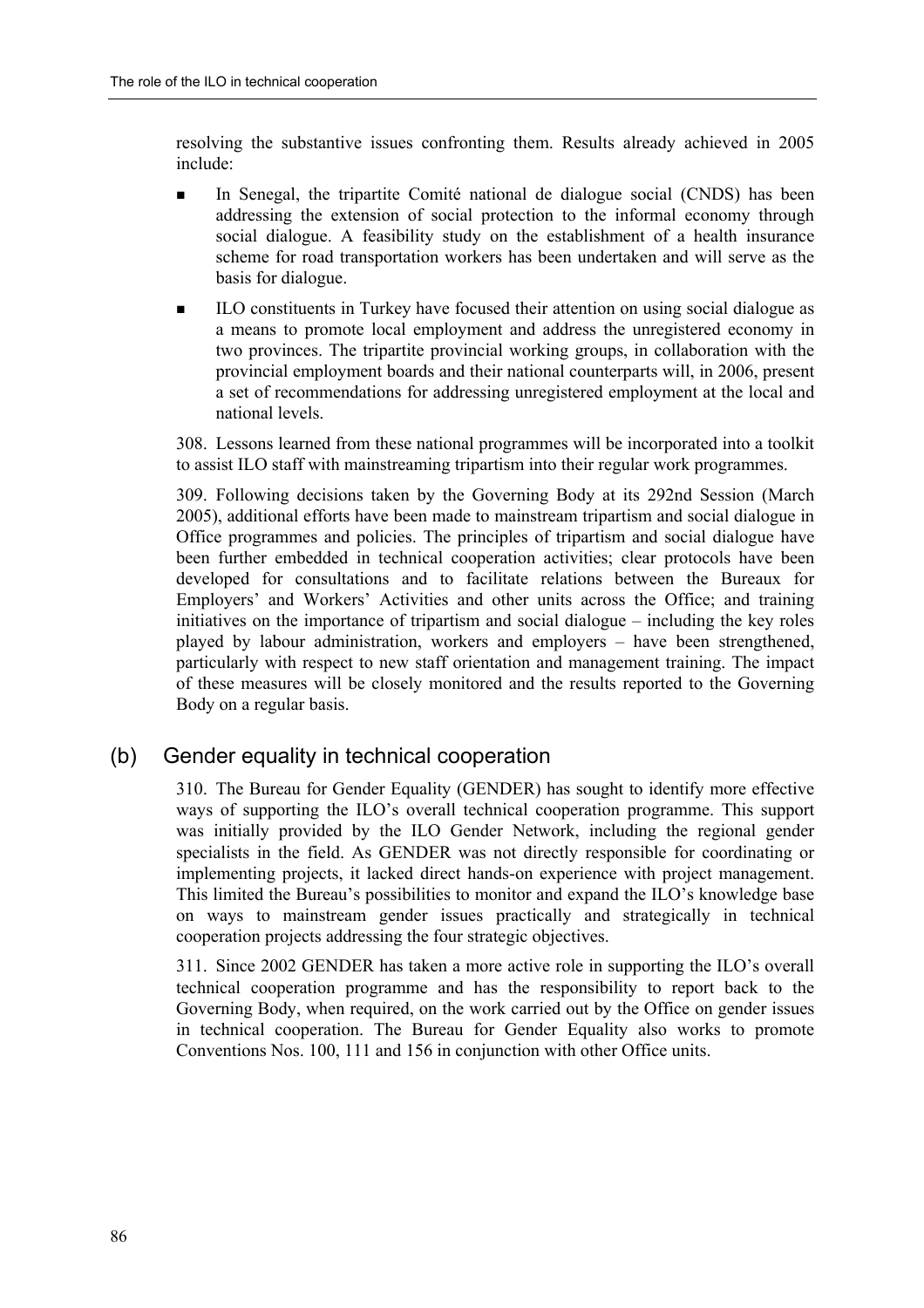resolving the substantive issues confronting them. Results already achieved in 2005 include:

- In Senegal, the tripartite Comité national de dialogue social (CNDS) has been addressing the extension of social protection to the informal economy through social dialogue. A feasibility study on the establishment of a health insurance scheme for road transportation workers has been undertaken and will serve as the basis for dialogue.
- ! ILO constituents in Turkey have focused their attention on using social dialogue as a means to promote local employment and address the unregistered economy in two provinces. The tripartite provincial working groups, in collaboration with the provincial employment boards and their national counterparts will, in 2006, present a set of recommendations for addressing unregistered employment at the local and national levels.

308. Lessons learned from these national programmes will be incorporated into a toolkit to assist ILO staff with mainstreaming tripartism into their regular work programmes.

309. Following decisions taken by the Governing Body at its 292nd Session (March 2005), additional efforts have been made to mainstream tripartism and social dialogue in Office programmes and policies. The principles of tripartism and social dialogue have been further embedded in technical cooperation activities; clear protocols have been developed for consultations and to facilitate relations between the Bureaux for Employers' and Workers' Activities and other units across the Office; and training initiatives on the importance of tripartism and social dialogue  $-$  including the key roles played by labour administration, workers and employers  $-$  have been strengthened, particularly with respect to new staff orientation and management training. The impact of these measures will be closely monitored and the results reported to the Governing Body on a regular basis.

## (b) Gender equality in technical cooperation

310. The Bureau for Gender Equality (GENDER) has sought to identify more effective ways of supporting the ILO's overall technical cooperation programme. This support was initially provided by the ILO Gender Network, including the regional gender specialists in the field. As GENDER was not directly responsible for coordinating or implementing projects, it lacked direct hands-on experience with project management. This limited the Bureau's possibilities to monitor and expand the ILO's knowledge base on ways to mainstream gender issues practically and strategically in technical cooperation projects addressing the four strategic objectives.

311. Since 2002 GENDER has taken a more active role in supporting the ILO's overall technical cooperation programme and has the responsibility to report back to the Governing Body, when required, on the work carried out by the Office on gender issues in technical cooperation. The Bureau for Gender Equality also works to promote Conventions Nos. 100, 111 and 156 in conjunction with other Office units.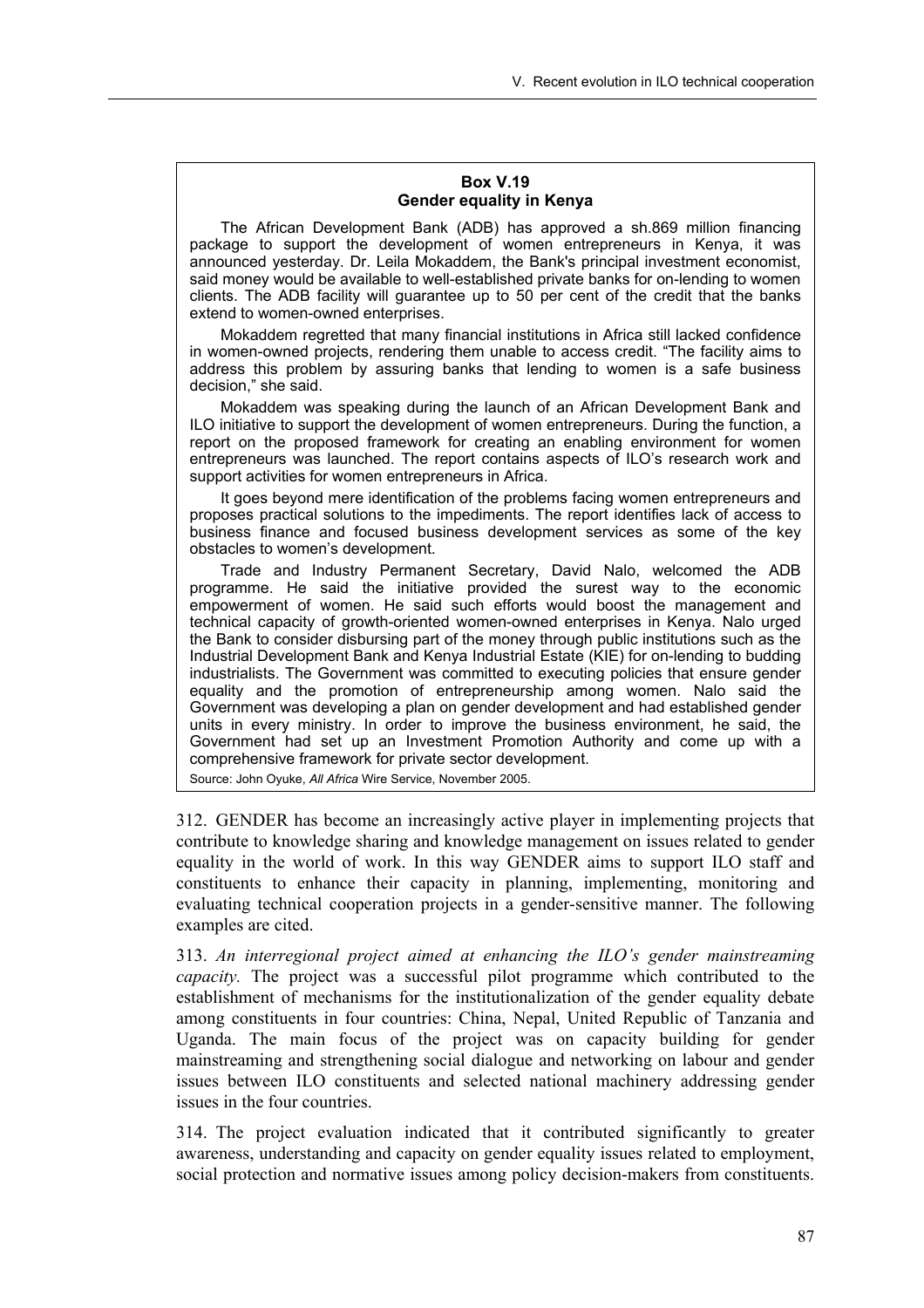#### **Box V.19 Gender equality in Kenya**

The African Development Bank (ADB) has approved a sh.869 million financing package to support the development of women entrepreneurs in Kenya, it was announced yesterday. Dr. Leila Mokaddem, the Bank's principal investment economist, said money would be available to well-established private banks for on-lending to women clients. The ADB facility will guarantee up to 50 per cent of the credit that the banks extend to women-owned enterprises.

Mokaddem regretted that many financial institutions in Africa still lacked confidence in women-owned projects, rendering them unable to access credit. "The facility aims to address this problem by assuring banks that lending to women is a safe business decision," she said.

Mokaddem was speaking during the launch of an African Development Bank and ILO initiative to support the development of women entrepreneurs. During the function, a report on the proposed framework for creating an enabling environment for women entrepreneurs was launched. The report contains aspects of ILO's research work and support activities for women entrepreneurs in Africa.

It goes beyond mere identification of the problems facing women entrepreneurs and proposes practical solutions to the impediments. The report identifies lack of access to business finance and focused business development services as some of the key obstacles to women's development.

Trade and Industry Permanent Secretary, David Nalo, welcomed the ADB programme. He said the initiative provided the surest way to the economic empowerment of women. He said such efforts would boost the management and technical capacity of growth-oriented women-owned enterprises in Kenya. Nalo urged the Bank to consider disbursing part of the money through public institutions such as the Industrial Development Bank and Kenya Industrial Estate (KIE) for on-lending to budding industrialists. The Government was committed to executing policies that ensure gender equality and the promotion of entrepreneurship among women. Nalo said the Government was developing a plan on gender development and had established gender units in every ministry. In order to improve the business environment, he said, the Government had set up an Investment Promotion Authority and come up with a comprehensive framework for private sector development.

Source: John Oyuke, *All Africa* Wire Service, November 2005.

312. GENDER has become an increasingly active player in implementing projects that contribute to knowledge sharing and knowledge management on issues related to gender equality in the world of work. In this way GENDER aims to support ILO staff and constituents to enhance their capacity in planning, implementing, monitoring and evaluating technical cooperation projects in a gender-sensitive manner. The following examples are cited.

313. *An interregional project aimed at enhancing the ILOís gender mainstreaming capacity.* The project was a successful pilot programme which contributed to the establishment of mechanisms for the institutionalization of the gender equality debate among constituents in four countries: China, Nepal, United Republic of Tanzania and Uganda. The main focus of the project was on capacity building for gender mainstreaming and strengthening social dialogue and networking on labour and gender issues between ILO constituents and selected national machinery addressing gender issues in the four countries.

314. The project evaluation indicated that it contributed significantly to greater awareness, understanding and capacity on gender equality issues related to employment, social protection and normative issues among policy decision-makers from constituents.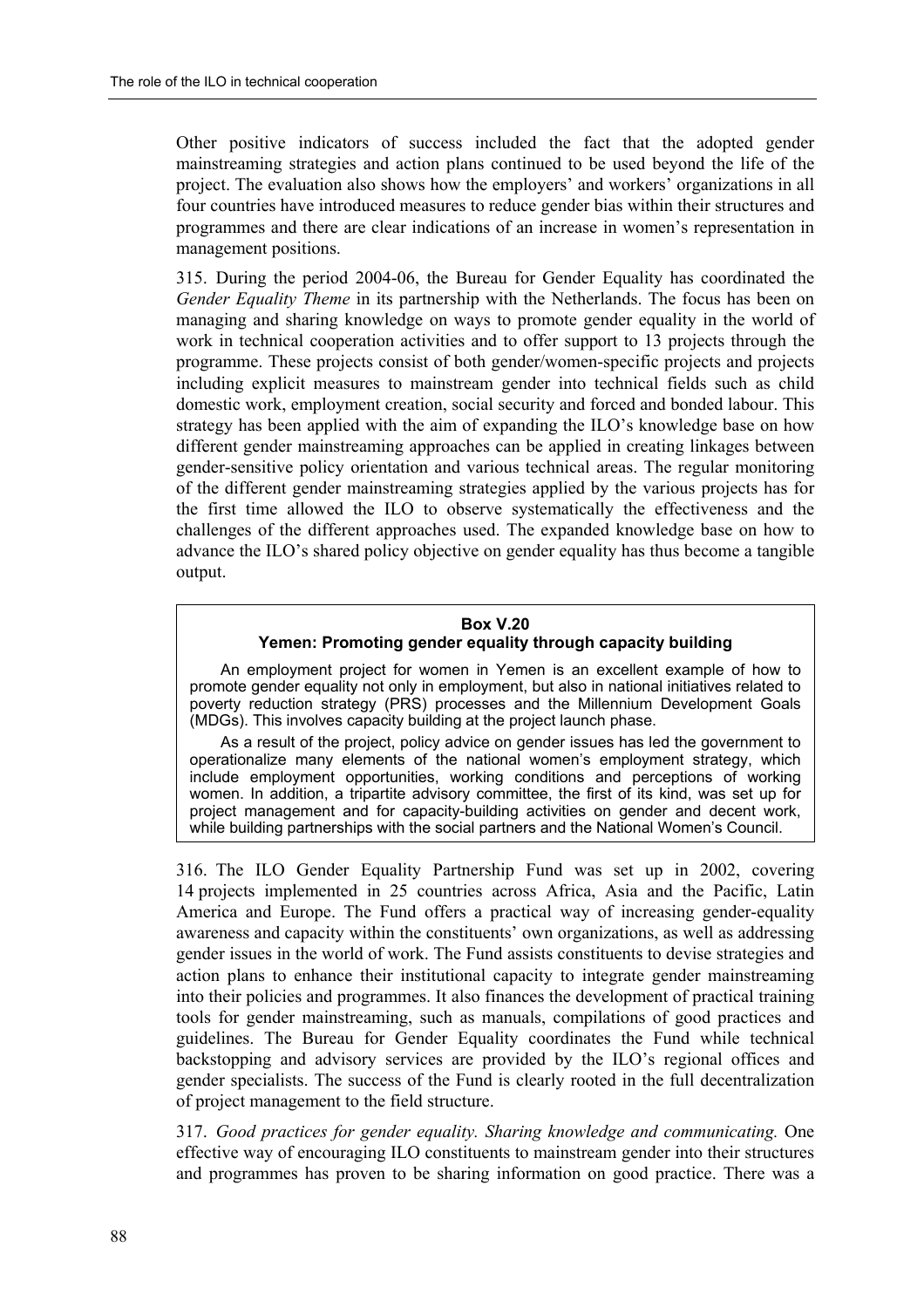Other positive indicators of success included the fact that the adopted gender mainstreaming strategies and action plans continued to be used beyond the life of the project. The evaluation also shows how the employers' and workers' organizations in all four countries have introduced measures to reduce gender bias within their structures and programmes and there are clear indications of an increase in womenís representation in management positions.

315. During the period 2004-06, the Bureau for Gender Equality has coordinated the *Gender Equality Theme* in its partnership with the Netherlands. The focus has been on managing and sharing knowledge on ways to promote gender equality in the world of work in technical cooperation activities and to offer support to 13 projects through the programme. These projects consist of both gender/women-specific projects and projects including explicit measures to mainstream gender into technical fields such as child domestic work, employment creation, social security and forced and bonded labour. This strategy has been applied with the aim of expanding the ILO's knowledge base on how different gender mainstreaming approaches can be applied in creating linkages between gender-sensitive policy orientation and various technical areas. The regular monitoring of the different gender mainstreaming strategies applied by the various projects has for the first time allowed the ILO to observe systematically the effectiveness and the challenges of the different approaches used. The expanded knowledge base on how to advance the ILO's shared policy objective on gender equality has thus become a tangible output.

#### **Box V.20**

#### **Yemen: Promoting gender equality through capacity building**

An employment project for women in Yemen is an excellent example of how to promote gender equality not only in employment, but also in national initiatives related to poverty reduction strategy (PRS) processes and the Millennium Development Goals (MDGs). This involves capacity building at the project launch phase.

As a result of the project, policy advice on gender issues has led the government to operationalize many elements of the national women's employment strategy, which include employment opportunities, working conditions and perceptions of working women. In addition, a tripartite advisory committee, the first of its kind, was set up for project management and for capacity-building activities on gender and decent work, while building partnerships with the social partners and the National Women's Council.

316. The ILO Gender Equality Partnership Fund was set up in 2002, covering 14 projects implemented in 25 countries across Africa, Asia and the Pacific, Latin America and Europe. The Fund offers a practical way of increasing gender-equality awareness and capacity within the constituents' own organizations, as well as addressing gender issues in the world of work. The Fund assists constituents to devise strategies and action plans to enhance their institutional capacity to integrate gender mainstreaming into their policies and programmes. It also finances the development of practical training tools for gender mainstreaming, such as manuals, compilations of good practices and guidelines. The Bureau for Gender Equality coordinates the Fund while technical backstopping and advisory services are provided by the ILO's regional offices and gender specialists. The success of the Fund is clearly rooted in the full decentralization of project management to the field structure.

317. *Good practices for gender equality. Sharing knowledge and communicating.* One effective way of encouraging ILO constituents to mainstream gender into their structures and programmes has proven to be sharing information on good practice. There was a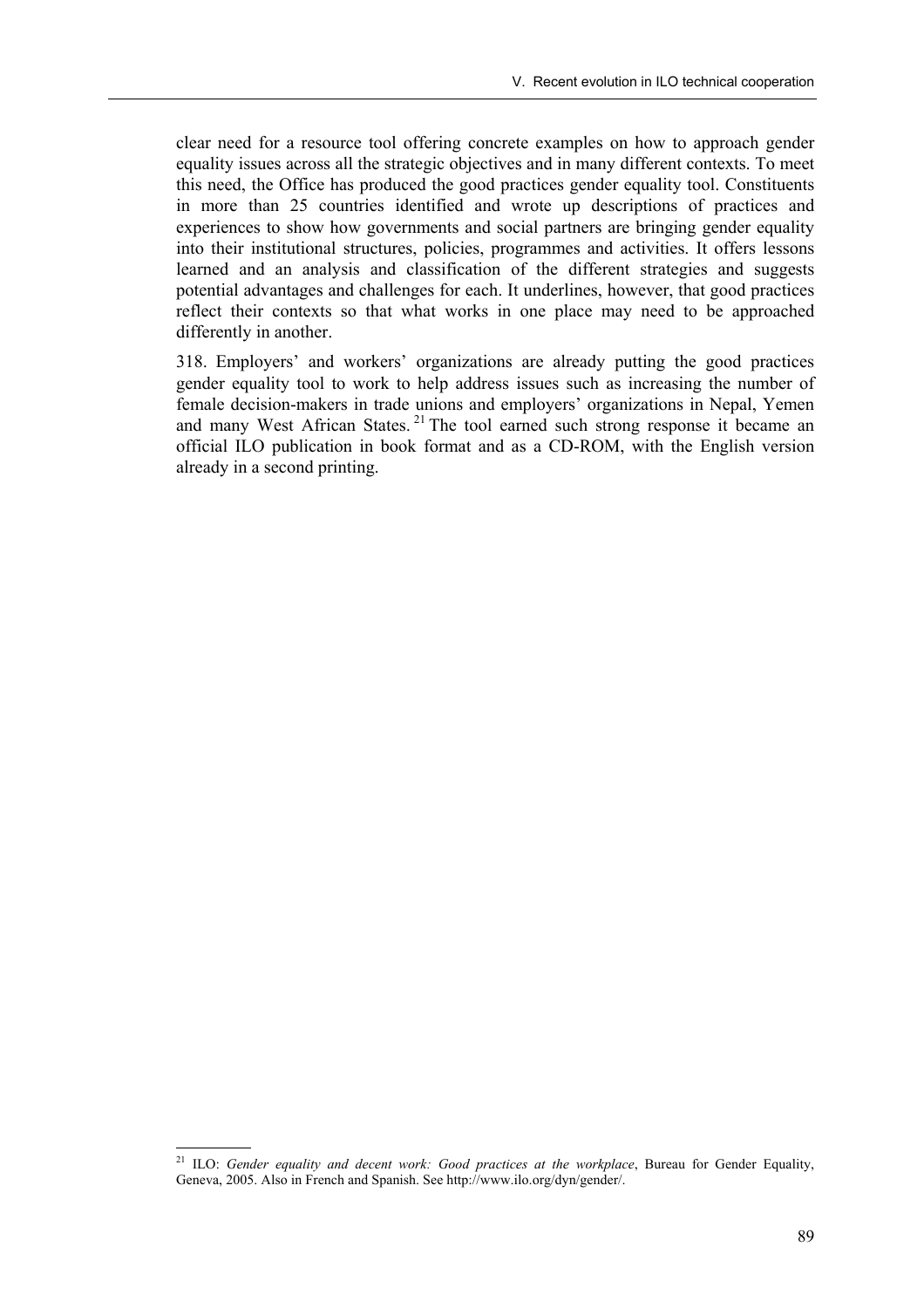clear need for a resource tool offering concrete examples on how to approach gender equality issues across all the strategic objectives and in many different contexts. To meet this need, the Office has produced the good practices gender equality tool. Constituents in more than 25 countries identified and wrote up descriptions of practices and experiences to show how governments and social partners are bringing gender equality into their institutional structures, policies, programmes and activities. It offers lessons learned and an analysis and classification of the different strategies and suggests potential advantages and challenges for each. It underlines, however, that good practices reflect their contexts so that what works in one place may need to be approached differently in another.

318. Employersí and workersí organizations are already putting the good practices gender equality tool to work to help address issues such as increasing the number of female decision-makers in trade unions and employers' organizations in Nepal, Yemen and many West African States.<sup>21</sup> The tool earned such strong response it became an official ILO publication in book format and as a CD-ROM, with the English version already in a second printing.

<sup>21</sup> 21 ILO: *Gender equality and decent work: Good practices at the workplace*, Bureau for Gender Equality, Geneva, 2005. Also in French and Spanish. See http://www.ilo.org/dyn/gender/.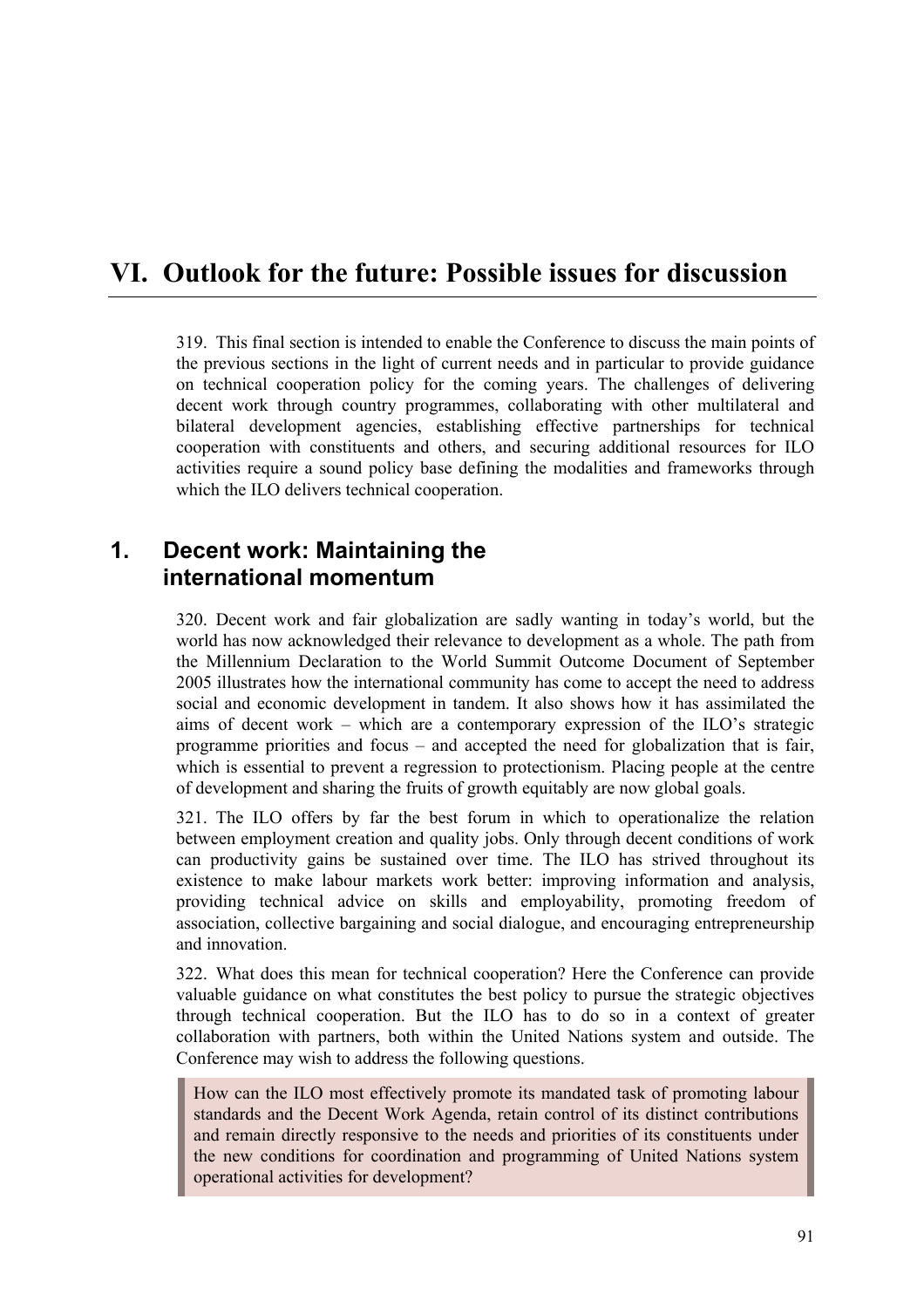# **VI. Outlook for the future: Possible issues for discussion**

319. This final section is intended to enable the Conference to discuss the main points of the previous sections in the light of current needs and in particular to provide guidance on technical cooperation policy for the coming years. The challenges of delivering decent work through country programmes, collaborating with other multilateral and bilateral development agencies, establishing effective partnerships for technical cooperation with constituents and others, and securing additional resources for ILO activities require a sound policy base defining the modalities and frameworks through which the ILO delivers technical cooperation.

## **1. Decent work: Maintaining the international momentum**

320. Decent work and fair globalization are sadly wanting in today's world, but the world has now acknowledged their relevance to development as a whole. The path from the Millennium Declaration to the World Summit Outcome Document of September 2005 illustrates how the international community has come to accept the need to address social and economic development in tandem. It also shows how it has assimilated the aims of decent work – which are a contemporary expression of the ILO's strategic programme priorities and focus  $-$  and accepted the need for globalization that is fair, which is essential to prevent a regression to protectionism. Placing people at the centre of development and sharing the fruits of growth equitably are now global goals.

321. The ILO offers by far the best forum in which to operationalize the relation between employment creation and quality jobs. Only through decent conditions of work can productivity gains be sustained over time. The ILO has strived throughout its existence to make labour markets work better: improving information and analysis, providing technical advice on skills and employability, promoting freedom of association, collective bargaining and social dialogue, and encouraging entrepreneurship and innovation.

322. What does this mean for technical cooperation? Here the Conference can provide valuable guidance on what constitutes the best policy to pursue the strategic objectives through technical cooperation. But the ILO has to do so in a context of greater collaboration with partners, both within the United Nations system and outside. The Conference may wish to address the following questions.

How can the ILO most effectively promote its mandated task of promoting labour standards and the Decent Work Agenda, retain control of its distinct contributions and remain directly responsive to the needs and priorities of its constituents under the new conditions for coordination and programming of United Nations system operational activities for development?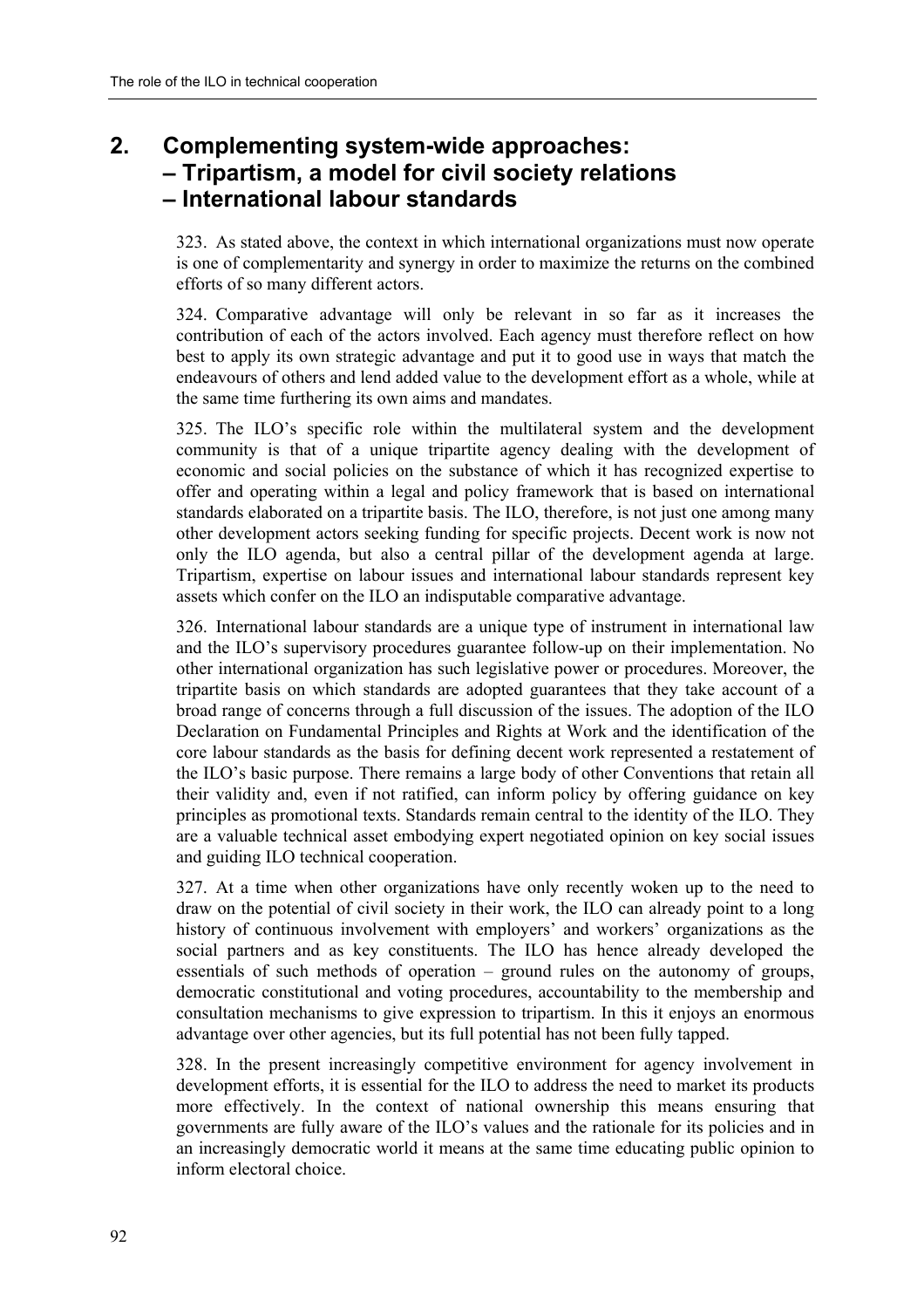# **2. Complementing system-wide approaches: ñ Tripartism, a model for civil society relations ñ International labour standards**

323. As stated above, the context in which international organizations must now operate is one of complementarity and synergy in order to maximize the returns on the combined efforts of so many different actors.

324. Comparative advantage will only be relevant in so far as it increases the contribution of each of the actors involved. Each agency must therefore reflect on how best to apply its own strategic advantage and put it to good use in ways that match the endeavours of others and lend added value to the development effort as a whole, while at the same time furthering its own aims and mandates.

325. The ILOís specific role within the multilateral system and the development community is that of a unique tripartite agency dealing with the development of economic and social policies on the substance of which it has recognized expertise to offer and operating within a legal and policy framework that is based on international standards elaborated on a tripartite basis. The ILO, therefore, is not just one among many other development actors seeking funding for specific projects. Decent work is now not only the ILO agenda, but also a central pillar of the development agenda at large. Tripartism, expertise on labour issues and international labour standards represent key assets which confer on the ILO an indisputable comparative advantage.

326. International labour standards are a unique type of instrument in international law and the ILO's supervisory procedures guarantee follow-up on their implementation. No other international organization has such legislative power or procedures. Moreover, the tripartite basis on which standards are adopted guarantees that they take account of a broad range of concerns through a full discussion of the issues. The adoption of the ILO Declaration on Fundamental Principles and Rights at Work and the identification of the core labour standards as the basis for defining decent work represented a restatement of the ILO's basic purpose. There remains a large body of other Conventions that retain all their validity and, even if not ratified, can inform policy by offering guidance on key principles as promotional texts. Standards remain central to the identity of the ILO. They are a valuable technical asset embodying expert negotiated opinion on key social issues and guiding ILO technical cooperation.

327. At a time when other organizations have only recently woken up to the need to draw on the potential of civil society in their work, the ILO can already point to a long history of continuous involvement with employers' and workers' organizations as the social partners and as key constituents. The ILO has hence already developed the essentials of such methods of operation  $-$  ground rules on the autonomy of groups, democratic constitutional and voting procedures, accountability to the membership and consultation mechanisms to give expression to tripartism. In this it enjoys an enormous advantage over other agencies, but its full potential has not been fully tapped.

328. In the present increasingly competitive environment for agency involvement in development efforts, it is essential for the ILO to address the need to market its products more effectively. In the context of national ownership this means ensuring that governments are fully aware of the ILO's values and the rationale for its policies and in an increasingly democratic world it means at the same time educating public opinion to inform electoral choice.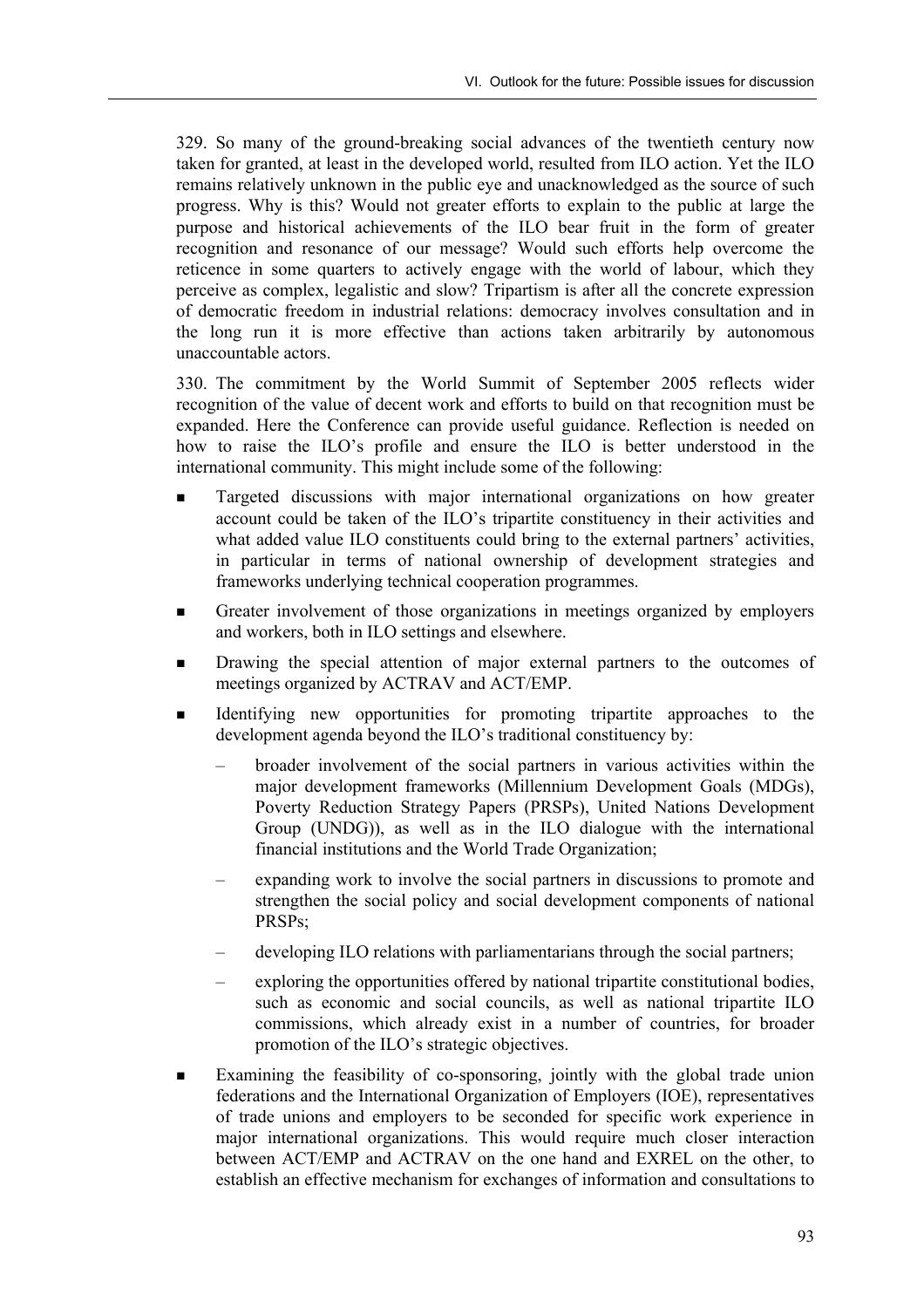329. So many of the ground-breaking social advances of the twentieth century now taken for granted, at least in the developed world, resulted from ILO action. Yet the ILO remains relatively unknown in the public eye and unacknowledged as the source of such progress. Why is this? Would not greater efforts to explain to the public at large the purpose and historical achievements of the ILO bear fruit in the form of greater recognition and resonance of our message? Would such efforts help overcome the reticence in some quarters to actively engage with the world of labour, which they perceive as complex, legalistic and slow? Tripartism is after all the concrete expression of democratic freedom in industrial relations: democracy involves consultation and in the long run it is more effective than actions taken arbitrarily by autonomous unaccountable actors.

330. The commitment by the World Summit of September 2005 reflects wider recognition of the value of decent work and efforts to build on that recognition must be expanded. Here the Conference can provide useful guidance. Reflection is needed on how to raise the ILO's profile and ensure the ILO is better understood in the international community. This might include some of the following:

- ! Targeted discussions with major international organizations on how greater account could be taken of the ILO's tripartite constituency in their activities and what added value ILO constituents could bring to the external partners' activities, in particular in terms of national ownership of development strategies and frameworks underlying technical cooperation programmes.
- **Exercise 1** Greater involvement of those organizations in meetings organized by employers and workers, both in ILO settings and elsewhere.
- Drawing the special attention of major external partners to the outcomes of meetings organized by ACTRAV and ACT/EMP.
- Identifying new opportunities for promoting tripartite approaches to the development agenda beyond the ILO's traditional constituency by:
	- broader involvement of the social partners in various activities within the major development frameworks (Millennium Development Goals (MDGs), Poverty Reduction Strategy Papers (PRSPs), United Nations Development Group (UNDG)), as well as in the ILO dialogue with the international financial institutions and the World Trade Organization;
	- expanding work to involve the social partners in discussions to promote and strengthen the social policy and social development components of national PRSPs;
	- developing ILO relations with parliamentarians through the social partners;
	- exploring the opportunities offered by national tripartite constitutional bodies, such as economic and social councils, as well as national tripartite ILO commissions, which already exist in a number of countries, for broader promotion of the ILO's strategic objectives.
- Examining the feasibility of co-sponsoring, jointly with the global trade union federations and the International Organization of Employers (IOE), representatives of trade unions and employers to be seconded for specific work experience in major international organizations. This would require much closer interaction between ACT/EMP and ACTRAV on the one hand and EXREL on the other, to establish an effective mechanism for exchanges of information and consultations to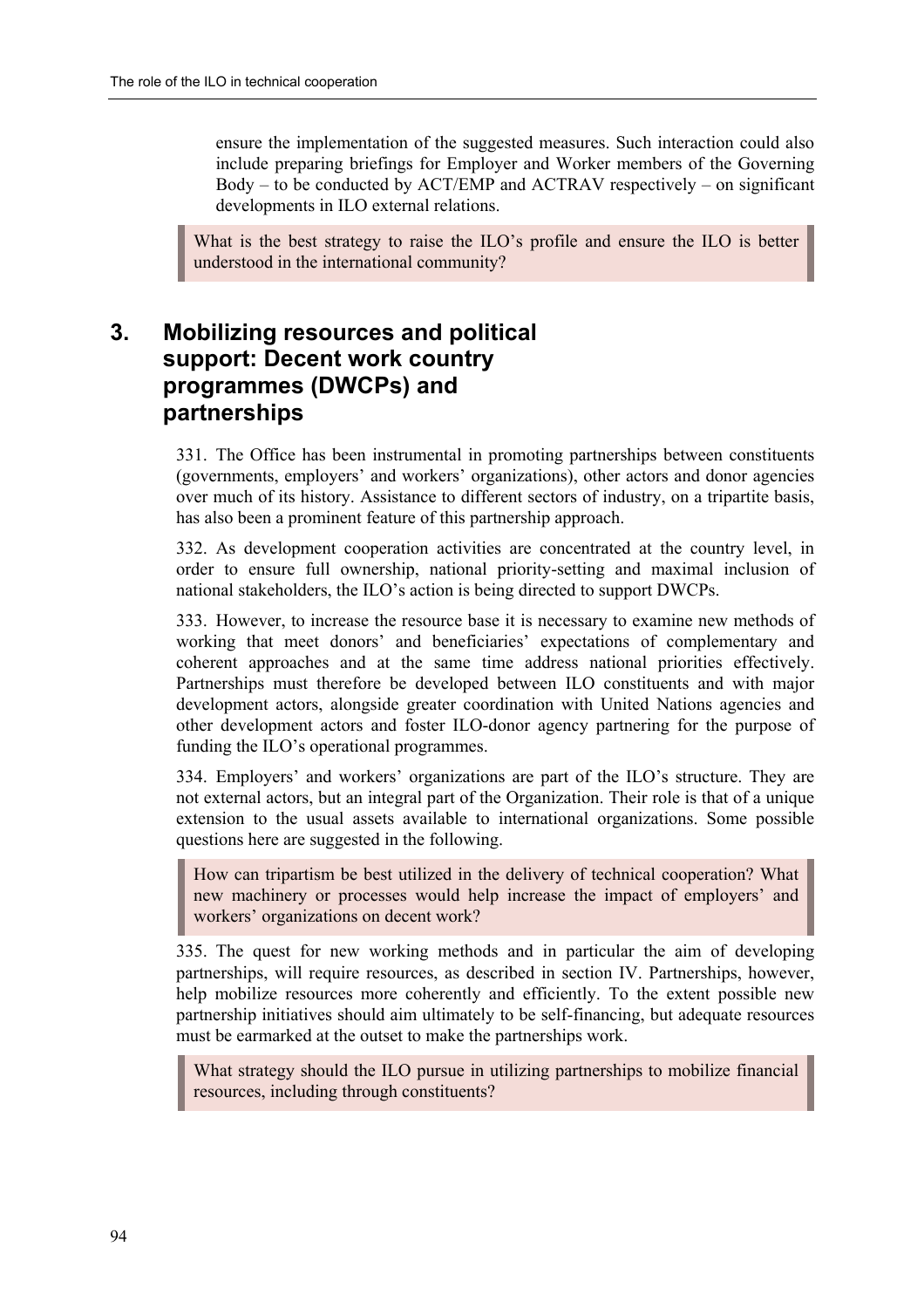ensure the implementation of the suggested measures. Such interaction could also include preparing briefings for Employer and Worker members of the Governing  $Body - to be conducted by ACT/EMP and ACTRAV respectively - on significant$ developments in ILO external relations.

What is the best strategy to raise the  $IIO$ 's profile and ensure the  $IIO$  is better understood in the international community?

# **3. Mobilizing resources and political support: Decent work country programmes (DWCPs) and partnerships**

331. The Office has been instrumental in promoting partnerships between constituents (governments, employers' and workers' organizations), other actors and donor agencies over much of its history. Assistance to different sectors of industry, on a tripartite basis, has also been a prominent feature of this partnership approach.

332. As development cooperation activities are concentrated at the country level, in order to ensure full ownership, national priority-setting and maximal inclusion of national stakeholders, the ILO's action is being directed to support DWCPs.

333. However, to increase the resource base it is necessary to examine new methods of working that meet donors' and beneficiaries' expectations of complementary and coherent approaches and at the same time address national priorities effectively. Partnerships must therefore be developed between ILO constituents and with major development actors, alongside greater coordination with United Nations agencies and other development actors and foster ILO-donor agency partnering for the purpose of funding the ILO's operational programmes.

334. Employers' and workers' organizations are part of the ILO's structure. They are not external actors, but an integral part of the Organization. Their role is that of a unique extension to the usual assets available to international organizations. Some possible questions here are suggested in the following.

How can tripartism be best utilized in the delivery of technical cooperation? What new machinery or processes would help increase the impact of employers' and workers' organizations on decent work?

335. The quest for new working methods and in particular the aim of developing partnerships, will require resources, as described in section IV. Partnerships, however, help mobilize resources more coherently and efficiently. To the extent possible new partnership initiatives should aim ultimately to be self-financing, but adequate resources must be earmarked at the outset to make the partnerships work.

What strategy should the ILO pursue in utilizing partnerships to mobilize financial resources, including through constituents?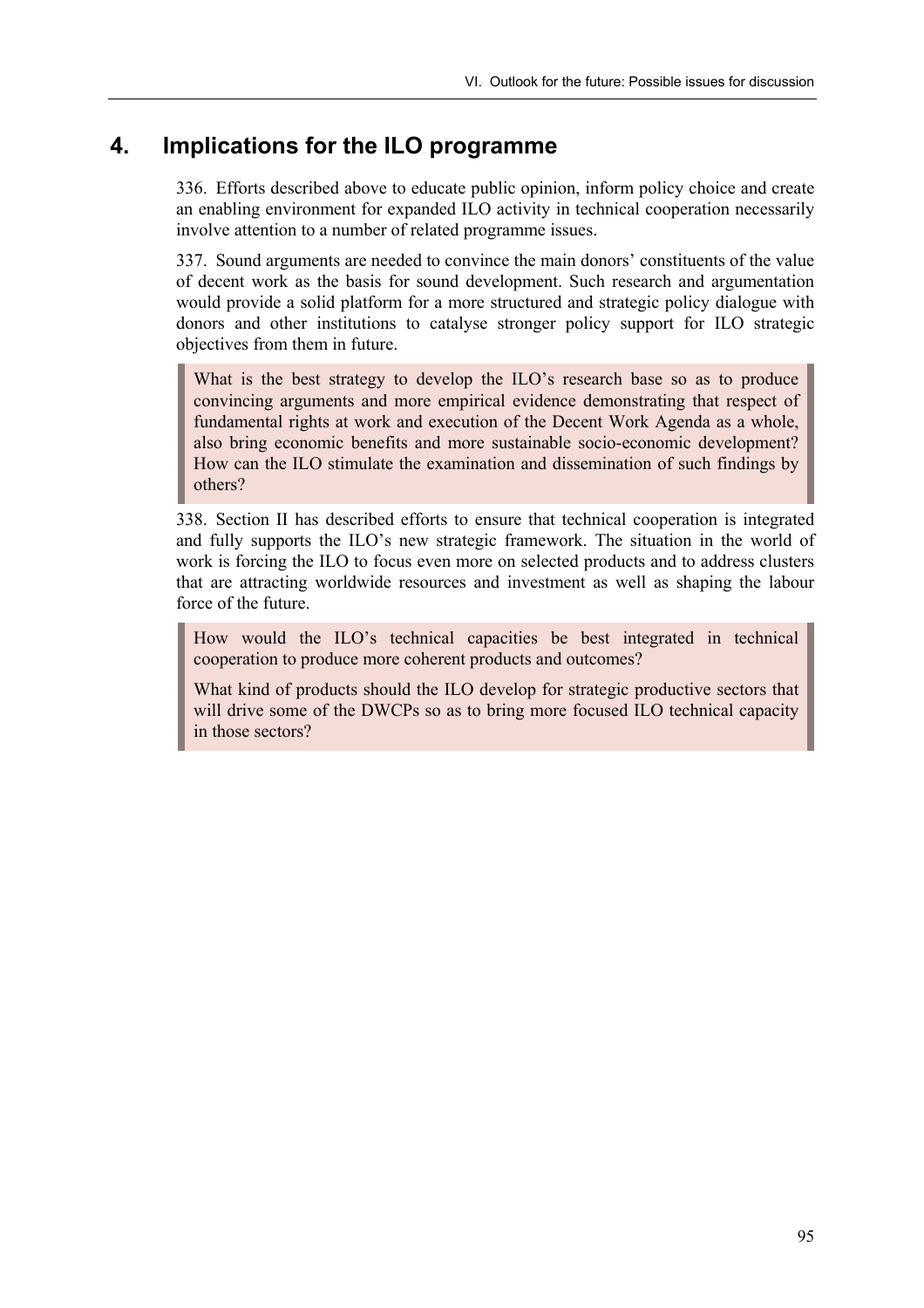## **4. Implications for the ILO programme**

336. Efforts described above to educate public opinion, inform policy choice and create an enabling environment for expanded ILO activity in technical cooperation necessarily involve attention to a number of related programme issues.

337. Sound arguments are needed to convince the main donors' constituents of the value of decent work as the basis for sound development. Such research and argumentation would provide a solid platform for a more structured and strategic policy dialogue with donors and other institutions to catalyse stronger policy support for ILO strategic objectives from them in future.

What is the best strategy to develop the  $\rm ILO$ 's research base so as to produce convincing arguments and more empirical evidence demonstrating that respect of fundamental rights at work and execution of the Decent Work Agenda as a whole, also bring economic benefits and more sustainable socio-economic development? How can the ILO stimulate the examination and dissemination of such findings by others?

338. Section II has described efforts to ensure that technical cooperation is integrated and fully supports the ILO's new strategic framework. The situation in the world of work is forcing the ILO to focus even more on selected products and to address clusters that are attracting worldwide resources and investment as well as shaping the labour force of the future.

How would the ILO's technical capacities be best integrated in technical cooperation to produce more coherent products and outcomes?

What kind of products should the ILO develop for strategic productive sectors that will drive some of the DWCPs so as to bring more focused ILO technical capacity in those sectors?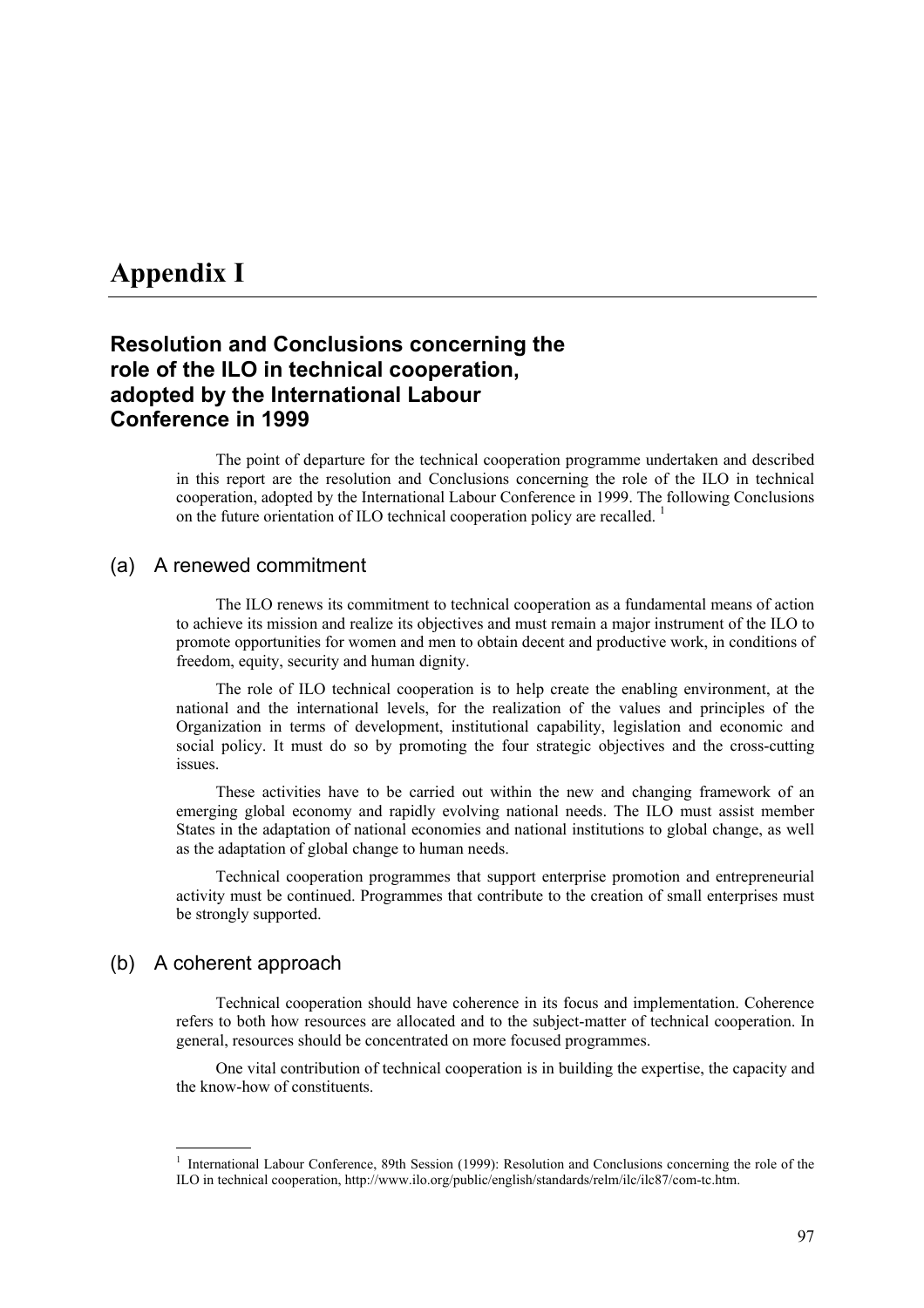# **Appendix I**

## **Resolution and Conclusions concerning the role of the ILO in technical cooperation, adopted by the International Labour Conference in 1999**

The point of departure for the technical cooperation programme undertaken and described in this report are the resolution and Conclusions concerning the role of the ILO in technical cooperation, adopted by the International Labour Conference in 1999. The following Conclusions on the future orientation of ILO technical cooperation policy are recalled. 1

#### (a) A renewed commitment

The ILO renews its commitment to technical cooperation as a fundamental means of action to achieve its mission and realize its objectives and must remain a major instrument of the ILO to promote opportunities for women and men to obtain decent and productive work, in conditions of freedom, equity, security and human dignity.

The role of ILO technical cooperation is to help create the enabling environment, at the national and the international levels, for the realization of the values and principles of the Organization in terms of development, institutional capability, legislation and economic and social policy. It must do so by promoting the four strategic objectives and the cross-cutting issues.

These activities have to be carried out within the new and changing framework of an emerging global economy and rapidly evolving national needs. The ILO must assist member States in the adaptation of national economies and national institutions to global change, as well as the adaptation of global change to human needs.

Technical cooperation programmes that support enterprise promotion and entrepreneurial activity must be continued. Programmes that contribute to the creation of small enterprises must be strongly supported.

## (b) A coherent approach

Technical cooperation should have coherence in its focus and implementation. Coherence refers to both how resources are allocated and to the subject-matter of technical cooperation. In general, resources should be concentrated on more focused programmes.

One vital contribution of technical cooperation is in building the expertise, the capacity and the know-how of constituents.

<sup>1</sup> International Labour Conference, 89th Session (1999): Resolution and Conclusions concerning the role of the ILO in technical cooperation, http://www.ilo.org/public/english/standards/relm/ilc/ilc87/com-tc.htm.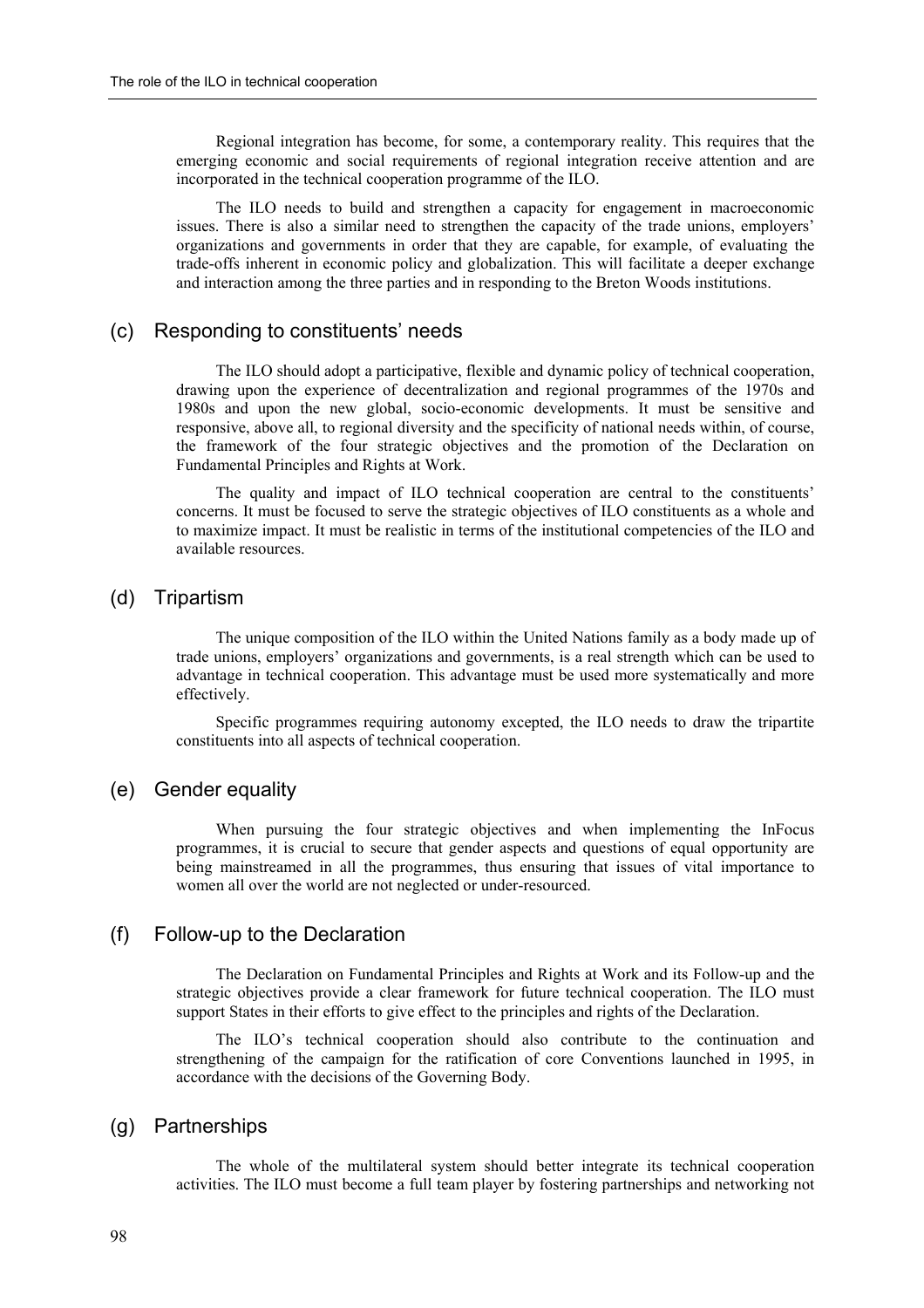Regional integration has become, for some, a contemporary reality. This requires that the emerging economic and social requirements of regional integration receive attention and are incorporated in the technical cooperation programme of the ILO.

The ILO needs to build and strengthen a capacity for engagement in macroeconomic issues. There is also a similar need to strengthen the capacity of the trade unions, employers' organizations and governments in order that they are capable, for example, of evaluating the trade-offs inherent in economic policy and globalization. This will facilitate a deeper exchange and interaction among the three parties and in responding to the Breton Woods institutions.

#### (c) Responding to constituentsí needs

The ILO should adopt a participative, flexible and dynamic policy of technical cooperation, drawing upon the experience of decentralization and regional programmes of the 1970s and 1980s and upon the new global, socio-economic developments. It must be sensitive and responsive, above all, to regional diversity and the specificity of national needs within, of course, the framework of the four strategic objectives and the promotion of the Declaration on Fundamental Principles and Rights at Work.

The quality and impact of ILO technical cooperation are central to the constituents<sup>7</sup> concerns. It must be focused to serve the strategic objectives of ILO constituents as a whole and to maximize impact. It must be realistic in terms of the institutional competencies of the ILO and available resources.

#### (d) Tripartism

The unique composition of the ILO within the United Nations family as a body made up of trade unions, employers' organizations and governments, is a real strength which can be used to advantage in technical cooperation. This advantage must be used more systematically and more effectively.

Specific programmes requiring autonomy excepted, the ILO needs to draw the tripartite constituents into all aspects of technical cooperation.

#### (e) Gender equality

When pursuing the four strategic objectives and when implementing the InFocus programmes, it is crucial to secure that gender aspects and questions of equal opportunity are being mainstreamed in all the programmes, thus ensuring that issues of vital importance to women all over the world are not neglected or under-resourced.

### (f) Follow-up to the Declaration

The Declaration on Fundamental Principles and Rights at Work and its Follow-up and the strategic objectives provide a clear framework for future technical cooperation. The ILO must support States in their efforts to give effect to the principles and rights of the Declaration.

The ILO's technical cooperation should also contribute to the continuation and strengthening of the campaign for the ratification of core Conventions launched in 1995, in accordance with the decisions of the Governing Body.

#### (g) Partnerships

The whole of the multilateral system should better integrate its technical cooperation activities. The ILO must become a full team player by fostering partnerships and networking not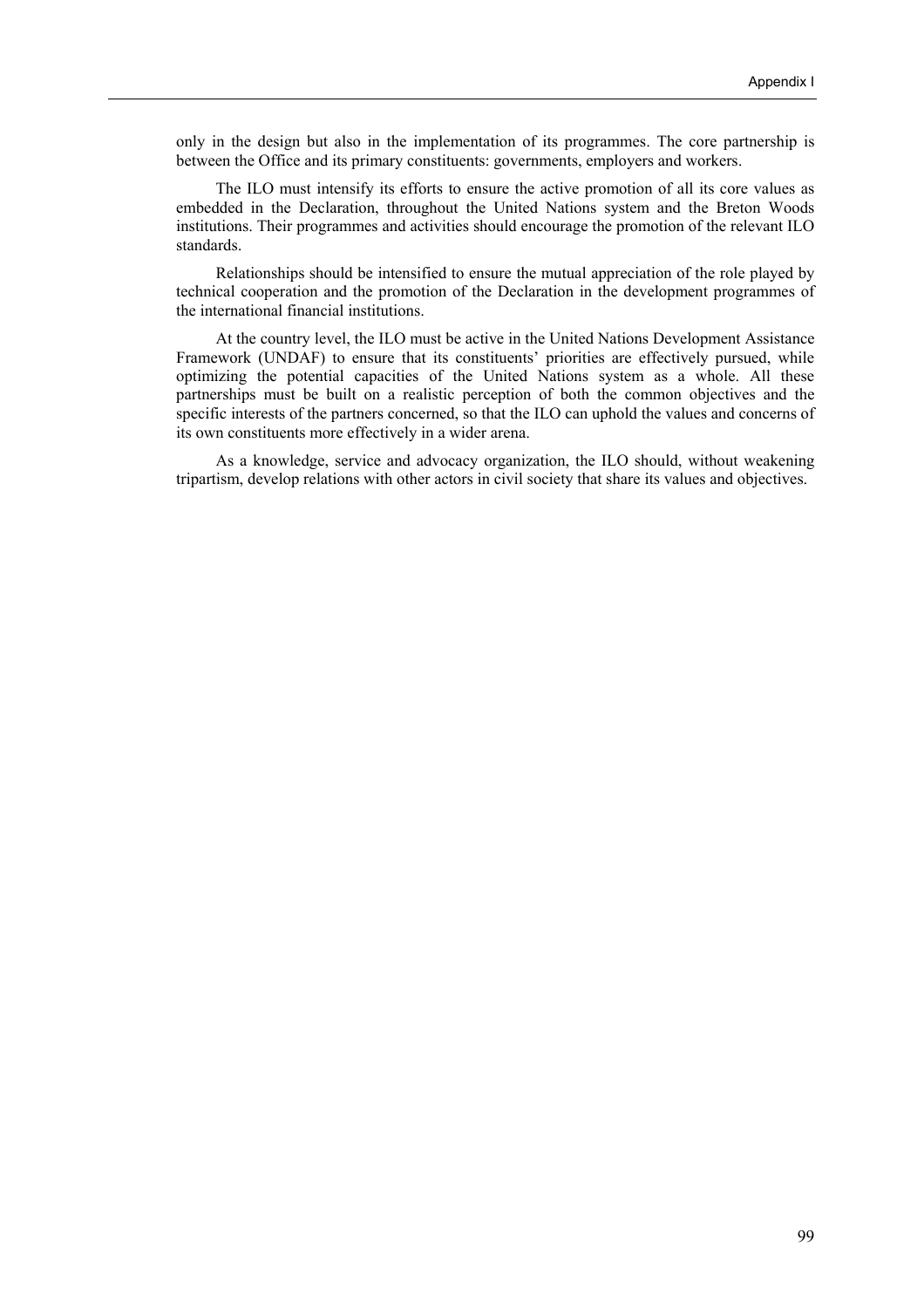only in the design but also in the implementation of its programmes. The core partnership is between the Office and its primary constituents: governments, employers and workers.

The ILO must intensify its efforts to ensure the active promotion of all its core values as embedded in the Declaration, throughout the United Nations system and the Breton Woods institutions. Their programmes and activities should encourage the promotion of the relevant ILO standards.

Relationships should be intensified to ensure the mutual appreciation of the role played by technical cooperation and the promotion of the Declaration in the development programmes of the international financial institutions.

At the country level, the ILO must be active in the United Nations Development Assistance Framework (UNDAF) to ensure that its constituents' priorities are effectively pursued, while optimizing the potential capacities of the United Nations system as a whole. All these partnerships must be built on a realistic perception of both the common objectives and the specific interests of the partners concerned, so that the ILO can uphold the values and concerns of its own constituents more effectively in a wider arena.

As a knowledge, service and advocacy organization, the ILO should, without weakening tripartism, develop relations with other actors in civil society that share its values and objectives.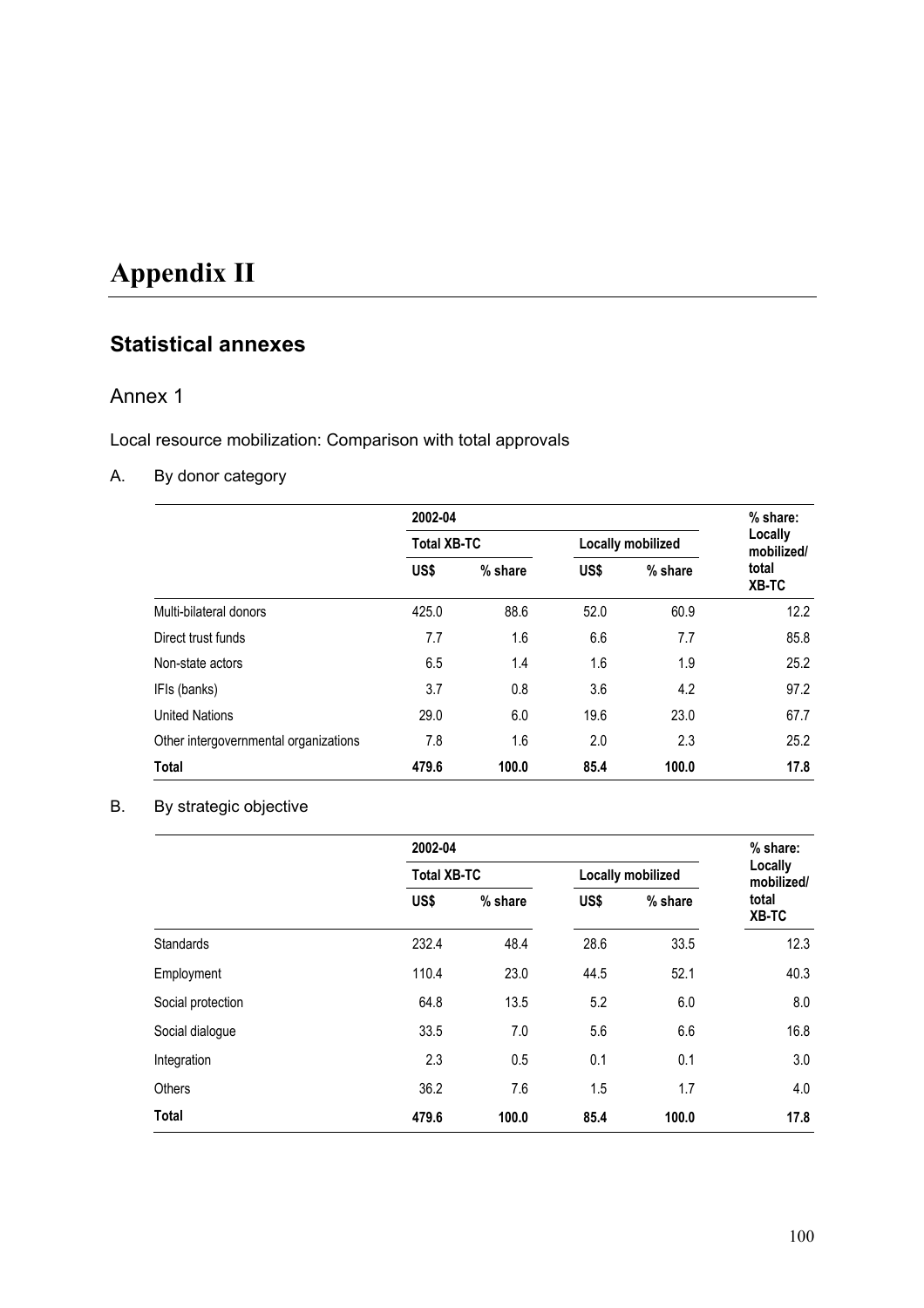# **Appendix II**

# **Statistical annexes**

## Annex 1

Local resource mobilization: Comparison with total approvals

## A. By donor category

|                                       | 2002-04            | $%$ share: |                   |                       |                |
|---------------------------------------|--------------------|------------|-------------------|-----------------------|----------------|
|                                       | <b>Total XB-TC</b> |            | Locally mobilized | Locally<br>mobilized/ |                |
|                                       | US\$               | % share    | US\$              | % share               | total<br>XB-TC |
| Multi-bilateral donors                | 425.0              | 88.6       | 52.0              | 60.9                  | 12.2           |
| Direct trust funds                    | 7.7                | 1.6        | 6.6               | 7.7                   | 85.8           |
| Non-state actors                      | 6.5                | 1.4        | 1.6               | 1.9                   | 25.2           |
| IFIs (banks)                          | 3.7                | 0.8        | 3.6               | 4.2                   | 97.2           |
| <b>United Nations</b>                 | 29.0               | 6.0        | 19.6              | 23.0                  | 67.7           |
| Other intergovernmental organizations | 7.8                | 1.6        | 2.0               | 2.3                   | 25.2           |
| <b>Total</b>                          | 479.6              | 100.0      | 85.4              | 100.0                 | 17.8           |

## B. By strategic objective

|                   | 2002-04            | % share: |                   |                       |                |  |
|-------------------|--------------------|----------|-------------------|-----------------------|----------------|--|
|                   | <b>Total XB-TC</b> |          | Locally mobilized | Locally<br>mobilized/ |                |  |
|                   | US\$               | % share  | US\$              | % share               | total<br>XB-TC |  |
| <b>Standards</b>  | 232.4              | 48.4     | 28.6              | 33.5                  | 12.3           |  |
| Employment        | 110.4              | 23.0     | 44.5              | 52.1                  | 40.3           |  |
| Social protection | 64.8               | 13.5     | 5.2               | 6.0                   | 8.0            |  |
| Social dialogue   | 33.5               | 7.0      | 5.6               | 6.6                   | 16.8           |  |
| Integration       | 2.3                | 0.5      | 0.1               | 0.1                   | 3.0            |  |
| Others            | 36.2               | 7.6      | 1.5               | 1.7                   | 4.0            |  |
| <b>Total</b>      | 479.6              | 100.0    | 85.4              | 100.0                 | 17.8           |  |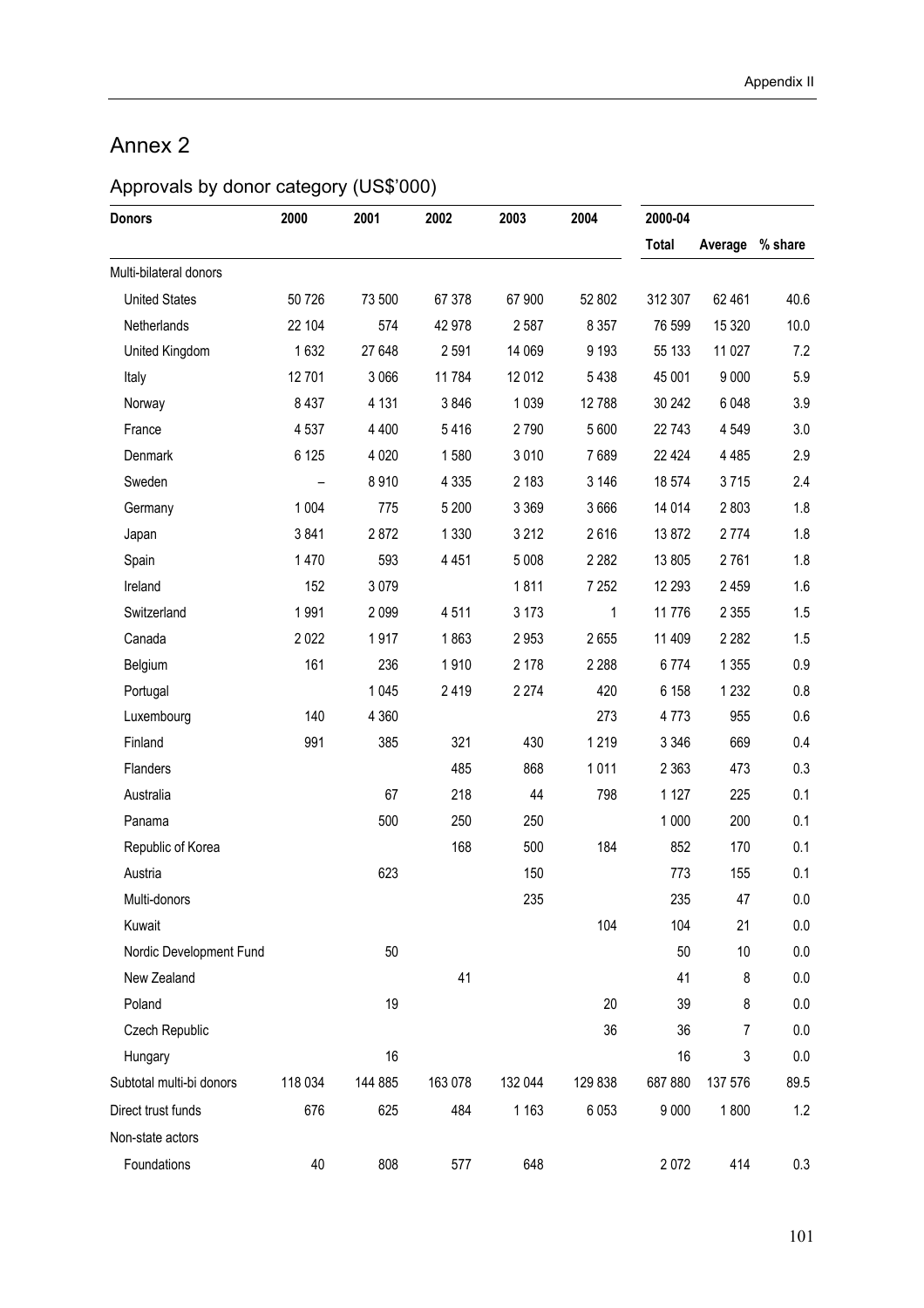# Annex 2

# Approvals by donor category (US\$'000)

| <b>Donors</b>            | 2000    | 2001    | 2002    | 2003    | 2004    | 2000-04      |                 |         |
|--------------------------|---------|---------|---------|---------|---------|--------------|-----------------|---------|
|                          |         |         |         |         |         | <b>Total</b> | Average % share |         |
| Multi-bilateral donors   |         |         |         |         |         |              |                 |         |
| <b>United States</b>     | 50 726  | 73 500  | 67 378  | 67 900  | 52 802  | 312 307      | 62 461          | 40.6    |
| Netherlands              | 22 104  | 574     | 42 978  | 2 5 8 7 | 8 3 5 7 | 76 599       | 15 3 20         | 10.0    |
| United Kingdom           | 1632    | 27 648  | 2 5 9 1 | 14 069  | 9 1 9 3 | 55 133       | 11 027          | 7.2     |
| Italy                    | 12701   | 3 0 6 6 | 11784   | 12 012  | 5438    | 45 001       | 9 0 0 0         | 5.9     |
| Norway                   | 8 4 3 7 | 4 1 3 1 | 3846    | 1 0 3 9 | 12 788  | 30 24 2      | 6 0 48          | 3.9     |
| France                   | 4 5 3 7 | 4 4 0 0 | 5416    | 2790    | 5 600   | 22 743       | 4 5 4 9         | 3.0     |
| Denmark                  | 6 1 25  | 4 0 20  | 1580    | 3 0 1 0 | 7689    | 22 4 24      | 4 4 8 5         | 2.9     |
| Sweden                   |         | 8910    | 4 3 3 5 | 2 1 8 3 | 3 1 4 6 | 18 574       | 3715            | 2.4     |
| Germany                  | 1 0 0 4 | 775     | 5 200   | 3 3 6 9 | 3666    | 14 014       | 2803            | 1.8     |
| Japan                    | 3841    | 2872    | 1 3 3 0 | 3 2 1 2 | 2616    | 13872        | 2 7 7 4         | 1.8     |
| Spain                    | 1470    | 593     | 4 4 5 1 | 5 0 0 8 | 2 2 8 2 | 13 805       | 2761            | 1.8     |
| Ireland                  | 152     | 3079    |         | 1811    | 7 2 5 2 | 12 293       | 2 4 5 9         | 1.6     |
| Switzerland              | 1991    | 2 0 9 9 | 4511    | 3 1 7 3 | 1       | 11776        | 2 3 5 5         | 1.5     |
| Canada                   | 2 0 2 2 | 1917    | 1863    | 2953    | 2655    | 11 409       | 2 2 8 2         | 1.5     |
| Belgium                  | 161     | 236     | 1910    | 2 1 7 8 | 2 2 8 8 | 6774         | 1 3 5 5         | 0.9     |
| Portugal                 |         | 1 0 4 5 | 2419    | 2 2 7 4 | 420     | 6 1 5 8      | 1 2 3 2         | 0.8     |
| Luxembourg               | 140     | 4 3 6 0 |         |         | 273     | 4773         | 955             | $0.6\,$ |
| Finland                  | 991     | 385     | 321     | 430     | 1219    | 3 3 4 6      | 669             | 0.4     |
| Flanders                 |         |         | 485     | 868     | 1011    | 2 3 6 3      | 473             | 0.3     |
| Australia                |         | 67      | 218     | 44      | 798     | 1 1 2 7      | 225             | 0.1     |
| Panama                   |         | 500     | 250     | 250     |         | 1 0 0 0      | 200             | 0.1     |
| Republic of Korea        |         |         | 168     | 500     | 184     | 852          | 170             | 0.1     |
| Austria                  |         | 623     |         | 150     |         | 773          | 155             | 0.1     |
| Multi-donors             |         |         |         | 235     |         | 235          | 47              | $0.0\,$ |
| Kuwait                   |         |         |         |         | 104     | 104          | 21              | 0.0     |
| Nordic Development Fund  |         | 50      |         |         |         | 50           | 10              | 0.0     |
| New Zealand              |         |         | 41      |         |         | 41           | 8               | 0.0     |
| Poland                   |         | 19      |         |         | 20      | 39           | 8               | 0.0     |
| Czech Republic           |         |         |         |         | 36      | 36           | 7               | 0.0     |
| Hungary                  |         | 16      |         |         |         | 16           | 3               | 0.0     |
| Subtotal multi-bi donors | 118 034 | 144 885 | 163 078 | 132 044 | 129 838 | 687 880      | 137 576         | 89.5    |
| Direct trust funds       | 676     | 625     | 484     | 1 1 6 3 | 6 0 5 3 | 9 0 0 0      | 1800            | 1.2     |
| Non-state actors         |         |         |         |         |         |              |                 |         |
| Foundations              | 40      | 808     | 577     | 648     |         | 2072         | 414             | $0.3\,$ |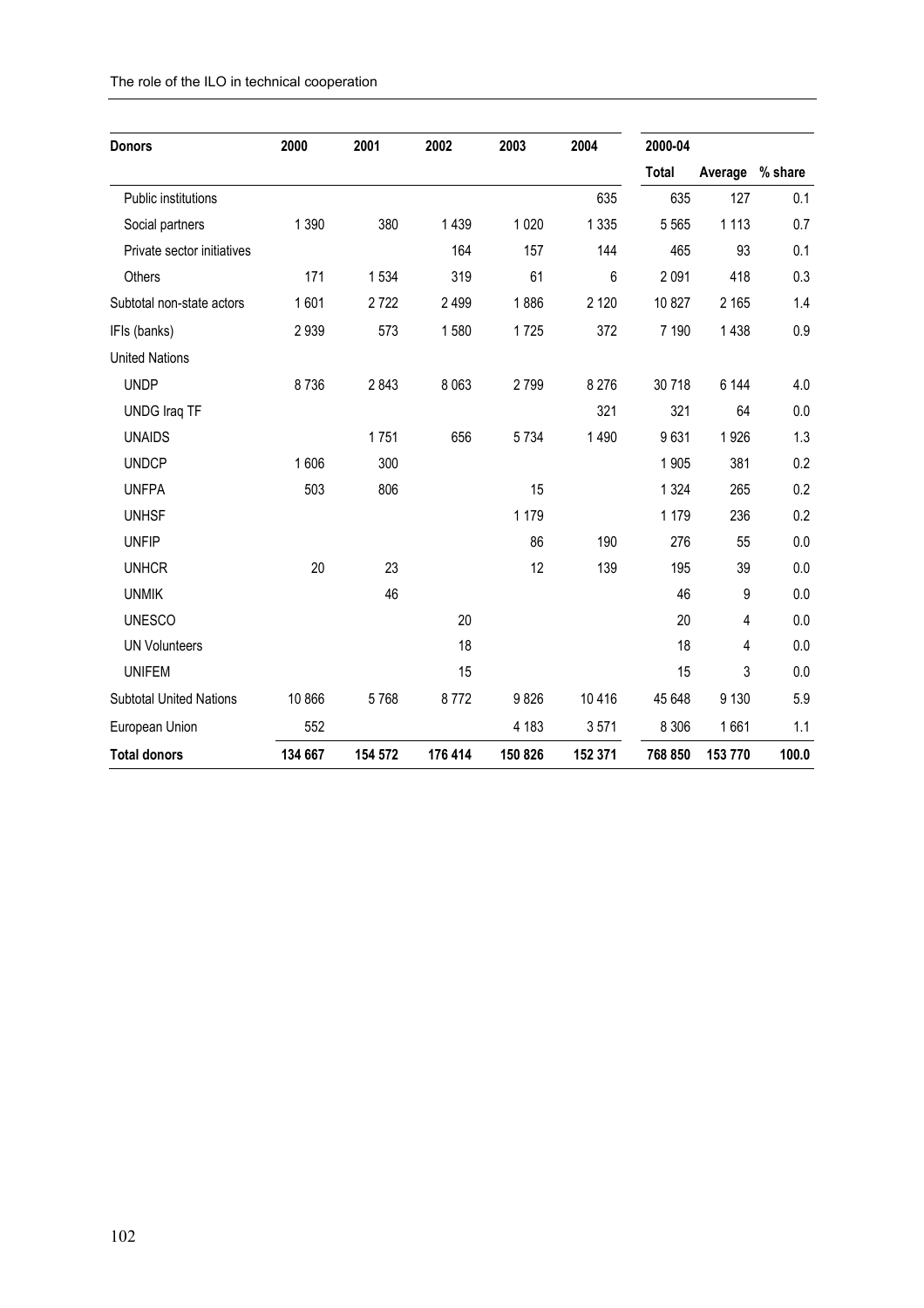| The role of the ILO in technical cooperation |  |
|----------------------------------------------|--|
|----------------------------------------------|--|

| <b>Donors</b>                  | 2000    | 2001    | 2002    | 2003    | 2004    | 2000-04      |         |         |
|--------------------------------|---------|---------|---------|---------|---------|--------------|---------|---------|
|                                |         |         |         |         |         | <b>Total</b> | Average | % share |
| Public institutions            |         |         |         |         | 635     | 635          | 127     | 0.1     |
| Social partners                | 1 3 9 0 | 380     | 1 4 3 9 | 1 0 2 0 | 1 3 3 5 | 5 5 6 5      | 1 1 1 3 | 0.7     |
| Private sector initiatives     |         |         | 164     | 157     | 144     | 465          | 93      | 0.1     |
| Others                         | 171     | 1534    | 319     | 61      | 6       | 2 0 9 1      | 418     | 0.3     |
| Subtotal non-state actors      | 1601    | 2722    | 2 4 9 9 | 1886    | 2 1 2 0 | 10 827       | 2 1 6 5 | 1.4     |
| IFIs (banks)                   | 2939    | 573     | 1580    | 1725    | 372     | 7 190        | 1 4 3 8 | 0.9     |
| <b>United Nations</b>          |         |         |         |         |         |              |         |         |
| <b>UNDP</b>                    | 8736    | 2843    | 8 0 6 3 | 2799    | 8 2 7 6 | 30718        | 6 144   | 4.0     |
| <b>UNDG Iraq TF</b>            |         |         |         |         | 321     | 321          | 64      | 0.0     |
| <b>UNAIDS</b>                  |         | 1751    | 656     | 5734    | 1 4 9 0 | 9631         | 1926    | 1.3     |
| <b>UNDCP</b>                   | 1606    | 300     |         |         |         | 1 9 0 5      | 381     | 0.2     |
| <b>UNFPA</b>                   | 503     | 806     |         | 15      |         | 1 3 2 4      | 265     | 0.2     |
| <b>UNHSF</b>                   |         |         |         | 1 1 7 9 |         | 1 1 7 9      | 236     | 0.2     |
| <b>UNFIP</b>                   |         |         |         | 86      | 190     | 276          | 55      | 0.0     |
| <b>UNHCR</b>                   | 20      | 23      |         | 12      | 139     | 195          | 39      | 0.0     |
| <b>UNMIK</b>                   |         | 46      |         |         |         | 46           | 9       | 0.0     |
| <b>UNESCO</b>                  |         |         | 20      |         |         | 20           | 4       | 0.0     |
| <b>UN Volunteers</b>           |         |         | 18      |         |         | 18           | 4       | 0.0     |
| <b>UNIFEM</b>                  |         |         | 15      |         |         | 15           | 3       | 0.0     |
| <b>Subtotal United Nations</b> | 10 866  | 5768    | 8772    | 9826    | 10416   | 45 648       | 9 1 3 0 | 5.9     |
| European Union                 | 552     |         |         | 4 183   | 3571    | 8 3 0 6      | 1661    | 1.1     |
| <b>Total donors</b>            | 134 667 | 154 572 | 176 414 | 150 826 | 152 371 | 768 850      | 153 770 | 100.0   |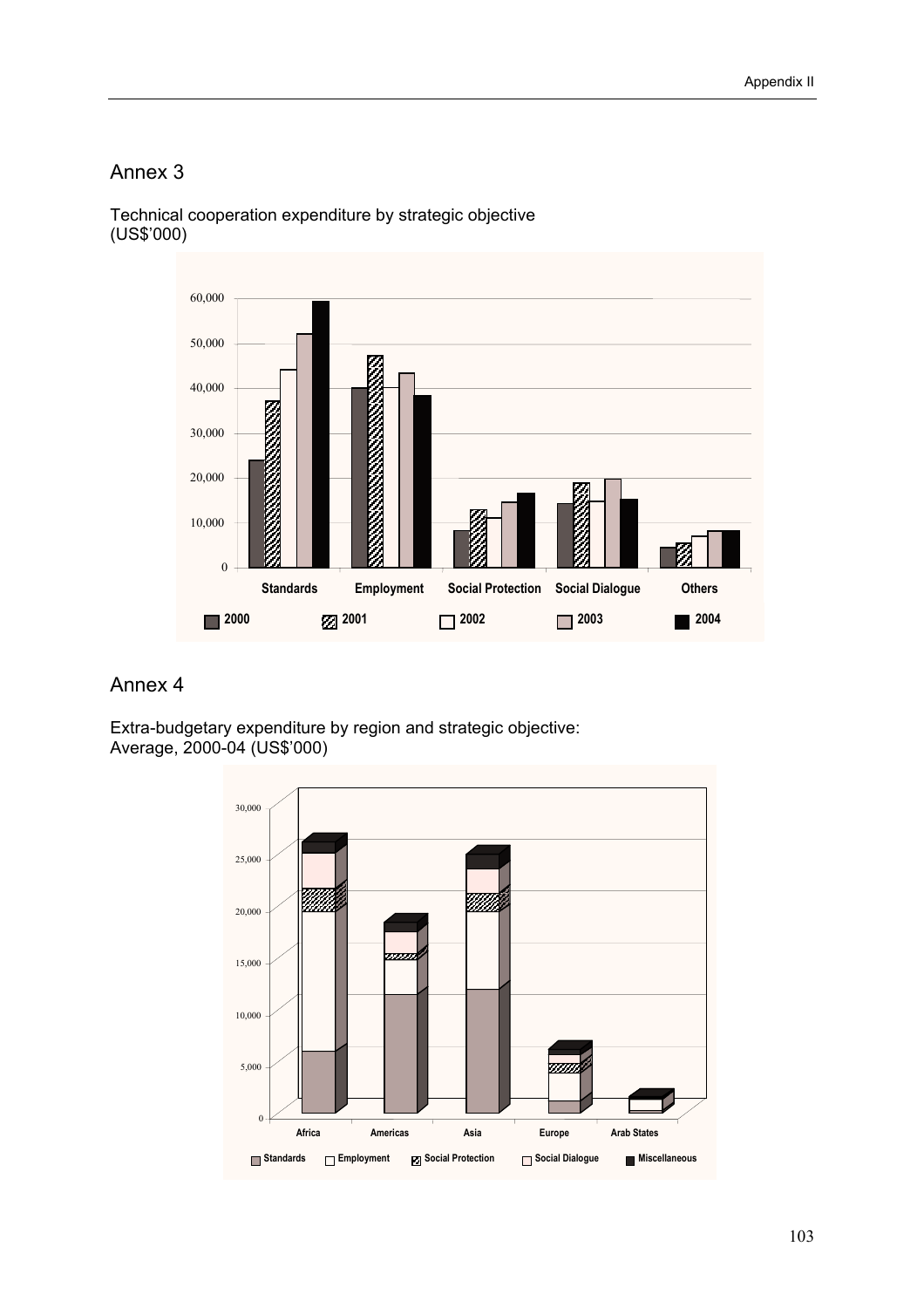## Annex 3



Technical cooperation expenditure by strategic objective (US\$í000)

## Annex 4

Extra-budgetary expenditure by region and strategic objective: Average, 2000-04 (US\$í000)